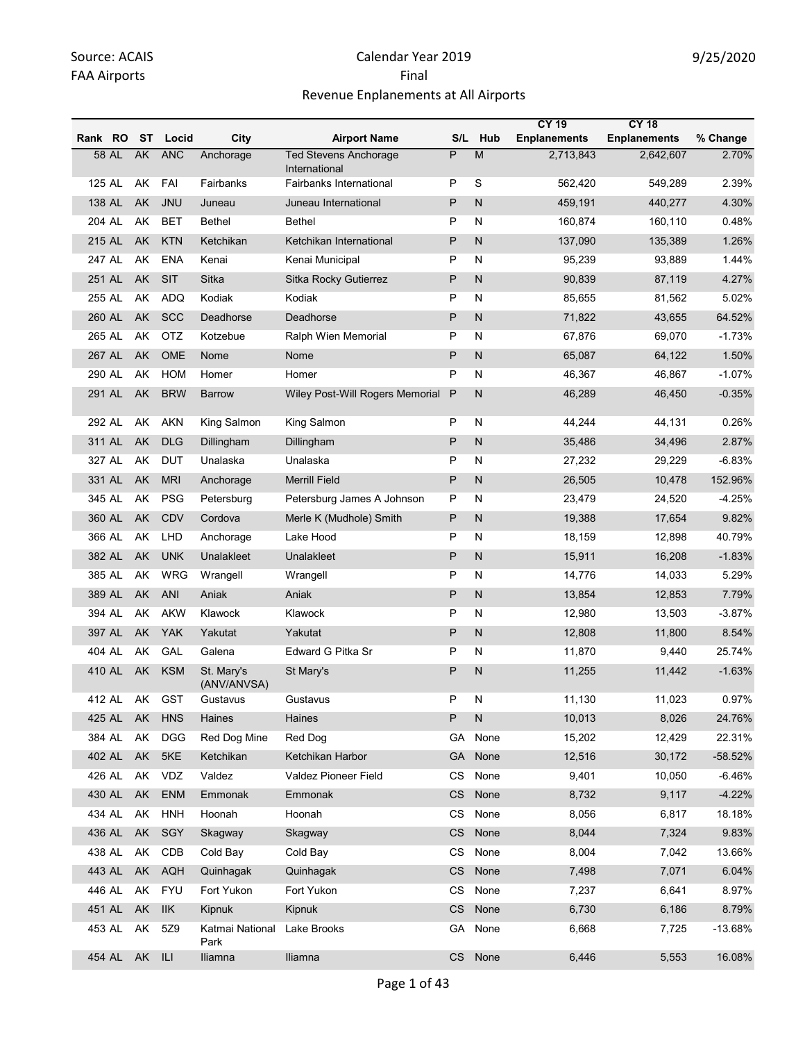|         |        |     |            |                           |                                               |           |                | <b>CY 19</b>        | <b>CY 18</b>        |           |
|---------|--------|-----|------------|---------------------------|-----------------------------------------------|-----------|----------------|---------------------|---------------------|-----------|
| Rank RO |        | ST  | Locid      | City                      | <b>Airport Name</b>                           | S/L       | Hub            | <b>Enplanements</b> | <b>Enplanements</b> | % Change  |
|         | 58 AL  | AK  | <b>ANC</b> | Anchorage                 | <b>Ted Stevens Anchorage</b><br>International | P         | $\overline{M}$ | 2,713,843           | 2,642,607           | 2.70%     |
|         | 125 AL | AK  | FAI        | Fairbanks                 | Fairbanks International                       | P         | S              | 562,420             | 549,289             | 2.39%     |
| 138 AL  |        | AK  | <b>JNU</b> | Juneau                    | Juneau International                          | P         | N              | 459,191             | 440,277             | 4.30%     |
| 204 AL  |        | AK  | <b>BET</b> | <b>Bethel</b>             | <b>Bethel</b>                                 | Ρ         | N              | 160,874             | 160,110             | 0.48%     |
| 215 AL  |        | AK  | <b>KTN</b> | Ketchikan                 | Ketchikan International                       | P         | N              | 137,090             | 135,389             | 1.26%     |
| 247 AL  |        | AK  | <b>ENA</b> | Kenai                     | Kenai Municipal                               | P         | N              | 95,239              | 93,889              | 1.44%     |
| 251 AL  |        | AK  | SIT        | Sitka                     | Sitka Rocky Gutierrez                         | P         | N              | 90,839              | 87,119              | 4.27%     |
| 255 AL  |        | AK  | <b>ADQ</b> | Kodiak                    | Kodiak                                        | Ρ         | N              | 85,655              | 81,562              | 5.02%     |
| 260 AL  |        | AK  | <b>SCC</b> | Deadhorse                 | Deadhorse                                     | P         | N              | 71,822              | 43,655              | 64.52%    |
| 265 AL  |        | AΚ  | <b>OTZ</b> | Kotzebue                  | Ralph Wien Memorial                           | Ρ         | N              | 67,876              | 69,070              | $-1.73%$  |
| 267 AL  |        | AK  | OME        | Nome                      | Nome                                          | P         | N              | 65,087              | 64,122              | 1.50%     |
| 290 AL  |        | AK  | <b>HOM</b> | Homer                     | Homer                                         | P         | N              | 46,367              | 46,867              | $-1.07%$  |
| 291 AL  |        | AK  | <b>BRW</b> | <b>Barrow</b>             | Wiley Post-Will Rogers Memorial               | P         | N              | 46,289              | 46,450              | $-0.35%$  |
| 292 AL  |        | AK  | <b>AKN</b> | King Salmon               | King Salmon                                   | P         | N              | 44,244              | 44.131              | 0.26%     |
| 311 AL  |        | AK  | <b>DLG</b> | Dillingham                | Dillingham                                    | Ρ         | N              | 35,486              | 34,496              | 2.87%     |
| 327 AL  |        | AΚ  | <b>DUT</b> | Unalaska                  | Unalaska                                      | Ρ         | N              | 27,232              | 29,229              | $-6.83%$  |
| 331 AL  |        | AK  | <b>MRI</b> | Anchorage                 | <b>Merrill Field</b>                          | P         | N              | 26,505              | 10,478              | 152.96%   |
| 345 AL  |        | AK  | <b>PSG</b> | Petersburg                | Petersburg James A Johnson                    | Ρ         | N              | 23,479              | 24,520              | -4.25%    |
| 360 AL  |        | AK  | CDV        | Cordova                   | Merle K (Mudhole) Smith                       | P         | N              | 19,388              | 17,654              | 9.82%     |
| 366 AL  |        | AK  | LHD        | Anchorage                 | Lake Hood                                     | Ρ         | N              | 18,159              | 12,898              | 40.79%    |
| 382 AL  |        | AK  | <b>UNK</b> | Unalakleet                | Unalakleet                                    | Ρ         | N              | 15,911              | 16,208              | $-1.83%$  |
| 385 AL  |        | AK  | WRG        | Wrangell                  | Wrangell                                      | Ρ         | N              | 14,776              | 14,033              | 5.29%     |
| 389 AL  |        | AK  | ANI        | Aniak                     | Aniak                                         | P         | N              | 13,854              | 12,853              | 7.79%     |
| 394 AL  |        | AK  | <b>AKW</b> | Klawock                   | Klawock                                       | Ρ         | N              | 12,980              | 13,503              | $-3.87%$  |
| 397 AL  |        | AK  | <b>YAK</b> | Yakutat                   | Yakutat                                       | P         | N              | 12,808              | 11,800              | 8.54%     |
| 404 AL  |        | AK  | GAL        | Galena                    | Edward G Pitka Sr                             | P         | N              | 11,870              | 9,440               | 25.74%    |
|         | 410 AL | AK  | <b>KSM</b> | St. Mary's<br>(ANV/ANVSA) | St Mary's                                     | P         | N              | 11,255              | 11,442              | $-1.63%$  |
| 412 AL  |        | AK  | <b>GST</b> | Gustavus                  | Gustavus                                      | P         | Ν              | 11,130              | 11,023              | 0.97%     |
|         | 425 AL | AK  | <b>HNS</b> | Haines                    | Haines                                        | P         | N              | 10,013              | 8,026               | 24.76%    |
| 384 AL  |        | AK  | <b>DGG</b> | Red Dog Mine              | Red Dog                                       | GА        | None           | 15,202              | 12,429              | 22.31%    |
| 402 AL  |        | AK  | 5KE        | Ketchikan                 | Ketchikan Harbor                              | <b>GA</b> | None           | 12,516              | 30,172              | $-58.52%$ |
| 426 AL  |        | AK  | <b>VDZ</b> | Valdez                    | Valdez Pioneer Field                          | CS        | None           | 9,401               | 10,050              | $-6.46%$  |
| 430 AL  |        | AK  | <b>ENM</b> | Emmonak                   | Emmonak                                       | <b>CS</b> | None           | 8,732               | 9,117               | $-4.22%$  |
| 434 AL  |        | AK  | <b>HNH</b> | Hoonah                    | Hoonah                                        | CS        | None           | 8,056               | 6,817               | 18.18%    |
| 436 AL  |        | AK  | SGY        | Skagway                   | Skagway                                       | CS        | None           | 8,044               | 7,324               | 9.83%     |
| 438 AL  |        | AK  | CDB        | Cold Bay                  | Cold Bay                                      | СS        | None           | 8,004               | 7,042               | 13.66%    |
| 443 AL  |        | AK  | AQH        | Quinhagak                 | Quinhagak                                     | <b>CS</b> | None           | 7,498               | 7,071               | 6.04%     |
| 446 AL  |        | AK  | <b>FYU</b> | Fort Yukon                | Fort Yukon                                    | CS        | None           | 7,237               | 6,641               | 8.97%     |
|         | 451 AL | AK  | <b>IIK</b> | Kipnuk                    | Kipnuk                                        | CS        | None           | 6,730               | 6,186               | 8.79%     |
| 453 AL  |        | AK. | 5Z9        | Katmai National<br>Park   | Lake Brooks                                   | GA        | None           | 6,668               | 7,725               | $-13.68%$ |
|         | 454 AL | AK  | - ILI      | Iliamna                   | Iliamna                                       |           | CS None        | 6,446               | 5,553               | 16.08%    |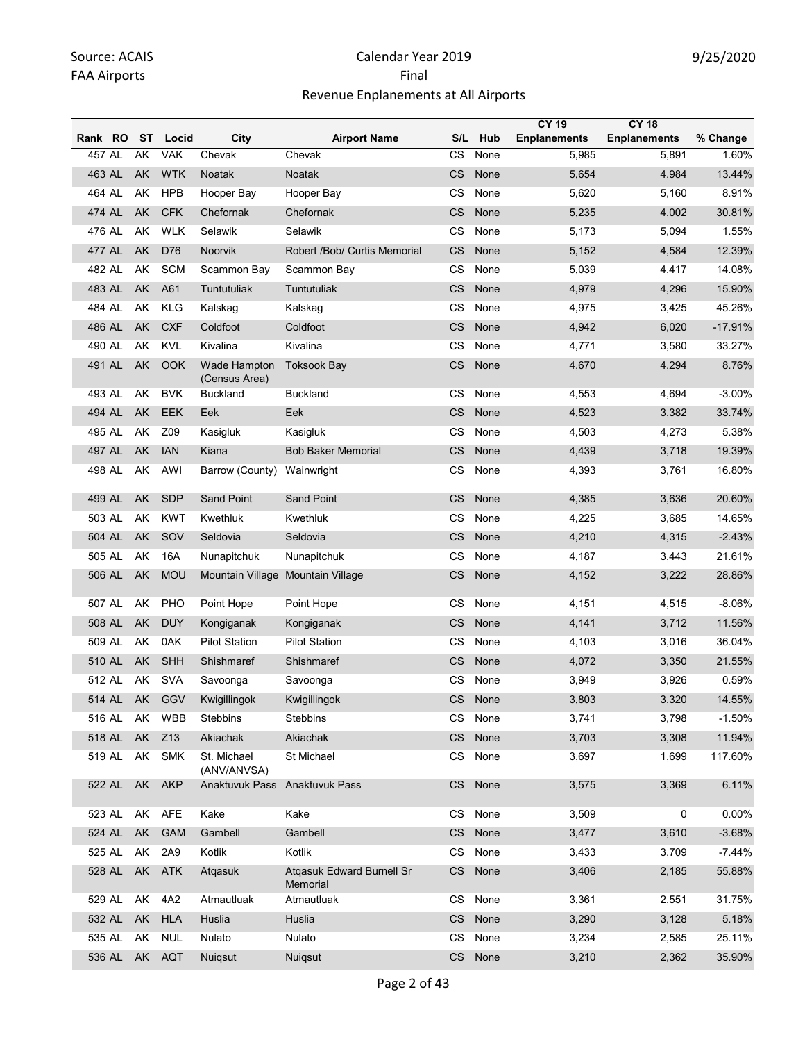|         |        |           |                 |                               |                                              |                      |      | <b>CY 19</b>        | <b>CY 18</b>        |           |
|---------|--------|-----------|-----------------|-------------------------------|----------------------------------------------|----------------------|------|---------------------|---------------------|-----------|
| Rank RO |        | ST        | Locid           | City                          | <b>Airport Name</b>                          | S/L                  | Hub  | <b>Enplanements</b> | <b>Enplanements</b> | % Change  |
| 457 AL  |        | AK        | <b>VAK</b>      | Chevak                        | Chevak                                       | CS                   | None | 5,985               | 5,891               | 1.60%     |
| 463 AL  |        | AK        | <b>WTK</b>      | <b>Noatak</b>                 | Noatak                                       | CS                   | None | 5,654               | 4,984               | 13.44%    |
| 464 AL  |        | AK        | <b>HPB</b>      | Hooper Bay                    | Hooper Bay                                   | CS                   | None | 5,620               | 5,160               | 8.91%     |
| 474 AL  |        | <b>AK</b> | <b>CFK</b>      | Chefornak                     | Chefornak                                    | CS                   | None | 5,235               | 4,002               | 30.81%    |
| 476 AL  |        | AK        | <b>WLK</b>      | Selawik                       | Selawik                                      | CS                   | None | 5,173               | 5,094               | 1.55%     |
| 477 AL  |        | AK        | D76             | <b>Noorvik</b>                | Robert /Bob/ Curtis Memorial                 | CS                   | None | 5,152               | 4,584               | 12.39%    |
| 482 AL  |        | AK        | <b>SCM</b>      | Scammon Bay                   | Scammon Bay                                  | CS                   | None | 5,039               | 4,417               | 14.08%    |
| 483 AL  |        | AK        | A61             | Tuntutuliak                   | <b>Tuntutuliak</b>                           | <b>CS</b>            | None | 4,979               | 4,296               | 15.90%    |
| 484 AL  |        | AK        | <b>KLG</b>      | Kalskag                       | Kalskag                                      | <b>CS</b>            | None | 4,975               | 3,425               | 45.26%    |
| 486 AL  |        | AK        | <b>CXF</b>      | Coldfoot                      | Coldfoot                                     | CS                   | None | 4,942               | 6,020               | $-17.91%$ |
| 490 AL  |        | AK        | <b>KVL</b>      | Kivalina                      | Kivalina                                     | <b>CS</b>            | None | 4,771               | 3,580               | 33.27%    |
| 491 AL  |        | AK        | OOK             | Wade Hampton<br>(Census Area) | <b>Toksook Bay</b>                           | <b>CS</b>            | None | 4,670               | 4,294               | 8.76%     |
| 493 AL  |        | AK        | <b>BVK</b>      | <b>Buckland</b>               | <b>Buckland</b>                              | CS                   | None | 4,553               | 4,694               | $-3.00%$  |
| 494 AL  |        | AK        | EEK             | Eek                           | Eek                                          | CS                   | None | 4,523               | 3,382               | 33.74%    |
| 495 AL  |        | AK        | Z09             | Kasigluk                      | Kasigluk                                     | CS                   | None | 4,503               | 4,273               | 5.38%     |
| 497 AL  |        | AK        | <b>IAN</b>      | Kiana                         | <b>Bob Baker Memorial</b>                    | <b>CS</b>            | None | 4,439               | 3,718               | 19.39%    |
| 498 AL  |        | AK        | AWI             | Barrow (County)               | Wainwright                                   | CS                   | None | 4,393               | 3,761               | 16.80%    |
| 499 AL  |        | AK        | <b>SDP</b>      | <b>Sand Point</b>             | <b>Sand Point</b>                            | <b>CS</b>            | None | 4,385               | 3,636               | 20.60%    |
| 503 AL  |        | AK        | <b>KWT</b>      | Kwethluk                      | Kwethluk                                     | CS                   | None | 4,225               | 3,685               | 14.65%    |
| 504 AL  |        | AK        | SOV             | Seldovia                      | Seldovia                                     | <b>CS</b>            | None | 4,210               | 4,315               | $-2.43%$  |
| 505 AL  |        | AK        | 16A             | Nunapitchuk                   | Nunapitchuk                                  | CS                   | None | 4,187               | 3,443               | 21.61%    |
| 506 AL  |        | AK        | <b>MOU</b>      |                               | Mountain Village Mountain Village            | CS                   | None | 4,152               | 3,222               | 28.86%    |
| 507 AL  |        | AK        | PHO             | Point Hope                    | Point Hope                                   | CS                   | None | 4,151               | 4,515               | $-8.06%$  |
| 508 AL  |        | AK        | <b>DUY</b>      | Kongiganak                    | Kongiganak                                   | <b>CS</b>            | None | 4,141               | 3,712               | 11.56%    |
| 509 AL  |        | AK        | 0AK             | <b>Pilot Station</b>          | <b>Pilot Station</b>                         | CS                   | None | 4,103               | 3,016               | 36.04%    |
| 510 AL  |        | AK        | SHH             | Shishmaref                    | Shishmaref                                   | CS                   | None | 4,072               | 3,350               | 21.55%    |
| 512 AL  |        | AK        | <b>SVA</b>      | Savoonga                      | Savoonga                                     | <b>CS</b>            | None | 3,949               | 3,926               | 0.59%     |
| 514 AL  |        | AK        | GGV             | Kwiaillinaok                  | Kwigillingok                                 | CS                   | None | 3.803               | 3,320               | 14.55%    |
| 516 AL  |        | AK        | <b>WBB</b>      | Stebbins                      | Stebbins                                     | CS                   | None | 3,741               | 3,798               | $-1.50%$  |
| 518 AL  |        | AK        | Z <sub>13</sub> | Akiachak                      | Akiachak                                     | CS                   | None | 3,703               | 3,308               | 11.94%    |
| 519 AL  |        | AK        | <b>SMK</b>      | St. Michael<br>(ANV/ANVSA)    | St Michael                                   | CS                   | None | 3,697               | 1,699               | 117.60%   |
|         | 522 AL |           | AK AKP          | Anaktuvuk Pass Anaktuvuk Pass |                                              | <b>CS</b>            | None | 3,575               | 3,369               | 6.11%     |
| 523 AL  |        |           | AK AFE          | Kake                          | Kake                                         | CS                   | None | 3,509               | 0                   | 0.00%     |
|         | 524 AL | AK        | <b>GAM</b>      | Gambell                       | Gambell                                      | $\mathsf{CS}\xspace$ | None | 3,477               | 3,610               | $-3.68%$  |
| 525 AL  |        | AK        | 2A9             | Kotlik                        | Kotlik                                       | CS                   | None | 3,433               | 3,709               | $-7.44%$  |
|         | 528 AL |           | AK ATK          | Atgasuk                       | <b>Atgasuk Edward Burnell Sr</b><br>Memorial | CS                   | None | 3,406               | 2,185               | 55.88%    |
| 529 AL  |        | AK        | 4A2             | Atmautluak                    | Atmautluak                                   | CS                   | None | 3,361               | 2,551               | 31.75%    |
|         | 532 AL | AK        | <b>HLA</b>      | Huslia                        | Huslia                                       | <b>CS</b>            | None | 3,290               | 3,128               | 5.18%     |
| 535 AL  |        | AK        | <b>NUL</b>      | Nulato                        | Nulato                                       | CS                   | None | 3,234               | 2,585               | 25.11%    |
|         |        |           | 536 AL AK AQT   | Nuiqsut                       | Nuiqsut                                      | CS                   | None | 3,210               | 2,362               | 35.90%    |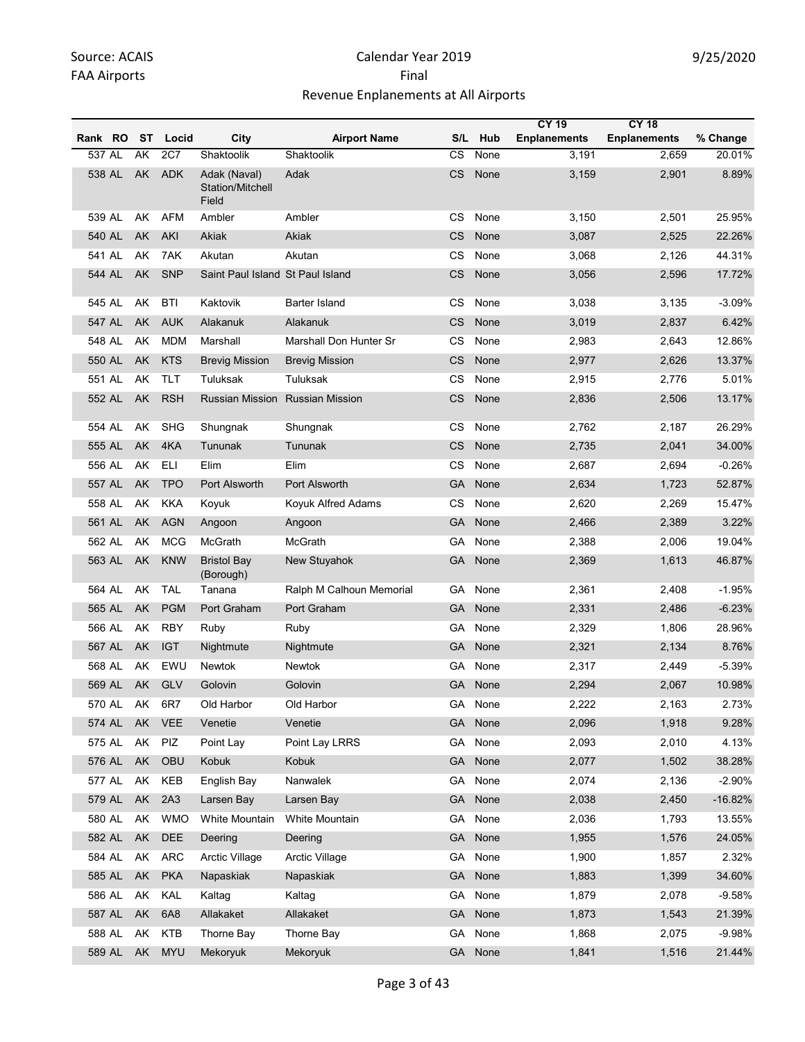|         |        |           |            |                                           |                          |           |         | <b>CY 19</b>        | <b>CY 18</b>        |           |
|---------|--------|-----------|------------|-------------------------------------------|--------------------------|-----------|---------|---------------------|---------------------|-----------|
| Rank RO |        | ST        | Locid      | City                                      | <b>Airport Name</b>      | S/L       | Hub     | <b>Enplanements</b> | <b>Enplanements</b> | % Change  |
| 537 AL  |        | AK        | 2C7        | Shaktoolik                                | Shaktoolik               | CS        | None    | 3,191               | 2,659               | 20.01%    |
| 538 AL  |        | AK        | <b>ADK</b> | Adak (Naval)<br>Station/Mitchell<br>Field | Adak                     | <b>CS</b> | None    | 3,159               | 2,901               | 8.89%     |
| 539 AL  |        | AK        | <b>AFM</b> | Ambler                                    | Ambler                   | CS        | None    | 3,150               | 2,501               | 25.95%    |
| 540 AL  |        | AK        | AKI        | Akiak                                     | Akiak                    | СS        | None    | 3,087               | 2,525               | 22.26%    |
| 541 AL  |        | AK        | 7AK        | Akutan                                    | Akutan                   | <b>CS</b> | None    | 3,068               | 2,126               | 44.31%    |
| 544 AL  |        | <b>AK</b> | <b>SNP</b> | Saint Paul Island St Paul Island          |                          | <b>CS</b> | None    | 3,056               | 2,596               | 17.72%    |
| 545 AL  |        | AK        | <b>BTI</b> | Kaktovik                                  | Barter Island            | <b>CS</b> | None    | 3,038               | 3,135               | $-3.09%$  |
| 547 AL  |        | <b>AK</b> | <b>AUK</b> | Alakanuk                                  | Alakanuk                 | <b>CS</b> | None    | 3,019               | 2,837               | 6.42%     |
| 548 AL  |        | AK        | <b>MDM</b> | Marshall                                  | Marshall Don Hunter Sr   | CS        | None    | 2,983               | 2,643               | 12.86%    |
| 550 AL  |        | <b>AK</b> | <b>KTS</b> | <b>Brevig Mission</b>                     | <b>Brevig Mission</b>    | CS        | None    | 2,977               | 2,626               | 13.37%    |
| 551 AL  |        | AK        | <b>TLT</b> | Tuluksak                                  | Tuluksak                 | CS        | None    | 2,915               | 2,776               | 5.01%     |
| 552 AL  |        | AK        | <b>RSH</b> | Russian Mission                           | <b>Russian Mission</b>   | <b>CS</b> | None    | 2,836               | 2,506               | 13.17%    |
| 554 AL  |        | AK        | <b>SHG</b> | Shungnak                                  | Shungnak                 | CS        | None    | 2,762               | 2,187               | 26.29%    |
| 555 AL  |        | AK        | 4KA        | Tununak                                   | Tununak                  | <b>CS</b> | None    | 2,735               | 2,041               | 34.00%    |
| 556 AL  |        | AK        | <b>ELI</b> | Elim                                      | Elim                     | CS        | None    | 2,687               | 2,694               | $-0.26%$  |
| 557 AL  |        | AK        | <b>TPO</b> | Port Alsworth                             | Port Alsworth            | GА        | None    | 2,634               | 1,723               | 52.87%    |
| 558 AL  |        | AK        | <b>KKA</b> | Koyuk                                     | Koyuk Alfred Adams       | <b>CS</b> | None    | 2,620               | 2,269               | 15.47%    |
| 561 AL  |        | AK        | <b>AGN</b> | Angoon                                    | Angoon                   | GА        | None    | 2,466               | 2,389               | 3.22%     |
| 562 AL  |        | AK        | <b>MCG</b> | McGrath                                   | McGrath                  | GA        | None    | 2,388               | 2,006               | 19.04%    |
| 563 AL  |        | <b>AK</b> | <b>KNW</b> | <b>Bristol Bay</b><br>(Borough)           | New Stuyahok             | <b>GA</b> | None    | 2,369               | 1,613               | 46.87%    |
| 564 AL  |        | AK        | <b>TAL</b> | Tanana                                    | Ralph M Calhoun Memorial | GA        | None    | 2,361               | 2,408               | $-1.95%$  |
| 565 AL  |        | <b>AK</b> | <b>PGM</b> | Port Graham                               | Port Graham              | GА        | None    | 2,331               | 2,486               | $-6.23%$  |
| 566 AL  |        | AK        | <b>RBY</b> | Ruby                                      | Ruby                     | GA        | None    | 2,329               | 1,806               | 28.96%    |
| 567 AL  |        | AK        | <b>IGT</b> | Nightmute                                 | Nightmute                | GА        | None    | 2,321               | 2,134               | 8.76%     |
| 568 AL  |        | AK        | EWU        | Newtok                                    | Newtok                   | GА        | None    | 2,317               | 2,449               | $-5.39%$  |
| 569 AL  |        | AK        | GLV        | Golovin                                   | Golovin                  | GA .      | None    | 2,294               | 2,067               | 10.98%    |
| 570 AL  |        | AK        | 6R7        | Old Harbor                                | Old Harbor               | GА        | None    | 2,222               | 2,163               | 2.73%     |
| 574 AL  |        | AK        | <b>VEE</b> | Venetie                                   | Venetie                  | GA        | None    | 2,096               | 1,918               | 9.28%     |
| 575 AL  |        | AK        | PIZ        | Point Lay                                 | Point Lay LRRS           | GA        | None    | 2,093               | 2,010               | 4.13%     |
| 576 AL  |        | AK        | OBU        | Kobuk                                     | Kobuk                    | <b>GA</b> | None    | 2,077               | 1,502               | 38.28%    |
| 577 AL  |        | AK        | KEB        | English Bay                               | Nanwalek                 | GA        | None    | 2,074               | 2,136               | $-2.90%$  |
| 579 AL  |        | AK        | 2A3        | Larsen Bay                                | Larsen Bay               | <b>GA</b> | None    | 2,038               | 2,450               | $-16.82%$ |
| 580 AL  |        | AK        | <b>WMO</b> | White Mountain                            | White Mountain           | GA        | None    | 2,036               | 1,793               | 13.55%    |
| 582 AL  |        | AK        | DEE        | Deering                                   | Deering                  | GA        | None    | 1,955               | 1,576               | 24.05%    |
| 584 AL  |        | AK        | <b>ARC</b> | Arctic Village                            | Arctic Village           | GA        | None    | 1,900               | 1,857               | 2.32%     |
| 585 AL  |        | AK        | <b>PKA</b> | Napaskiak                                 | Napaskiak                | <b>GA</b> | None    | 1,883               | 1,399               | 34.60%    |
| 586 AL  |        | AK        | KAL        | Kaltag                                    | Kaltag                   | GA        | None    | 1,879               | 2,078               | $-9.58%$  |
| 587 AL  |        | AK        | 6A8        | Allakaket                                 | Allakaket                | <b>GA</b> | None    | 1,873               | 1,543               | 21.39%    |
| 588 AL  |        | AK        | KTB        | Thorne Bay                                | Thorne Bay               | GA        | None    | 1,868               | 2,075               | $-9.98%$  |
|         | 589 AL | AK        | <b>MYU</b> | Mekoryuk                                  | Mekoryuk                 |           | GA None | 1,841               | 1,516               | 21.44%    |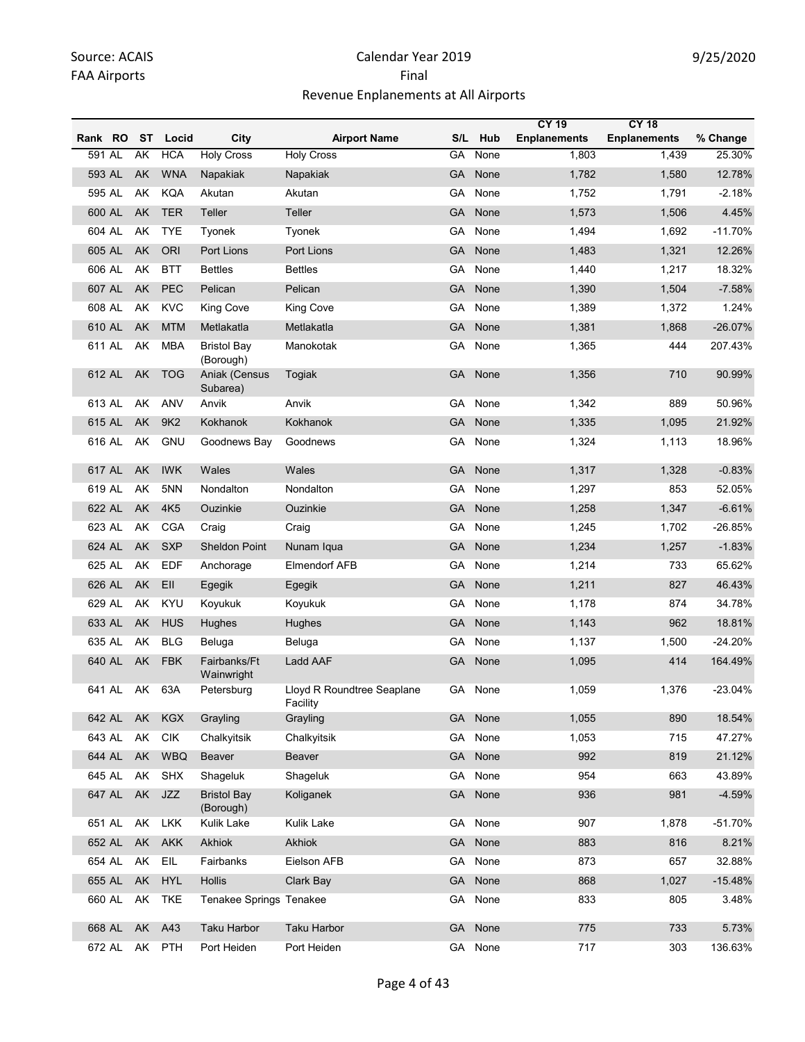|         |    |                 |                                 |                                        |           |         | <b>CY 19</b>        | <b>CY 18</b>        |           |
|---------|----|-----------------|---------------------------------|----------------------------------------|-----------|---------|---------------------|---------------------|-----------|
| Rank RO | ST | Locid           | City                            | <b>Airport Name</b>                    |           | S/L Hub | <b>Enplanements</b> | <b>Enplanements</b> | % Change  |
| 591 AL  | AK | <b>HCA</b>      | <b>Holy Cross</b>               | <b>Holy Cross</b>                      | GA        | None    | 1,803               | 1,439               | 25.30%    |
| 593 AL  | AK | <b>WNA</b>      | Napakiak                        | Napakiak                               | <b>GA</b> | None    | 1,782               | 1,580               | 12.78%    |
| 595 AL  | AK | <b>KQA</b>      | Akutan                          | Akutan                                 | GA        | None    | 1,752               | 1,791               | $-2.18%$  |
| 600 AL  | AK | <b>TER</b>      | Teller                          | Teller                                 | <b>GA</b> | None    | 1,573               | 1,506               | 4.45%     |
| 604 AL  | AK | <b>TYE</b>      | Tyonek                          | Tyonek                                 | GA        | None    | 1,494               | 1,692               | $-11.70%$ |
| 605 AL  | AK | <b>ORI</b>      | Port Lions                      | Port Lions                             | GA        | None    | 1,483               | 1,321               | 12.26%    |
| 606 AL  | AK | <b>BTT</b>      | <b>Bettles</b>                  | <b>Bettles</b>                         | GA        | None    | 1,440               | 1,217               | 18.32%    |
| 607 AL  | AK | <b>PEC</b>      | Pelican                         | Pelican                                | GA        | None    | 1,390               | 1,504               | $-7.58%$  |
| 608 AL  | AK | <b>KVC</b>      | <b>King Cove</b>                | King Cove                              | GA.       | None    | 1,389               | 1,372               | 1.24%     |
| 610 AL  | AK | <b>MTM</b>      | Metlakatla                      | Metlakatla                             | <b>GA</b> | None    | 1,381               | 1,868               | $-26.07%$ |
| 611 AL  | AK | <b>MBA</b>      | <b>Bristol Bay</b><br>(Borough) | Manokotak                              | GA        | None    | 1,365               | 444                 | 207.43%   |
| 612 AL  | AK | <b>TOG</b>      | Aniak (Census<br>Subarea)       | Togiak                                 | <b>GA</b> | None    | 1,356               | 710                 | 90.99%    |
| 613 AL  | AK | ANV             | Anvik                           | Anvik                                  | GA        | None    | 1,342               | 889                 | 50.96%    |
| 615 AL  | AK | 9K <sub>2</sub> | Kokhanok                        | Kokhanok                               | <b>GA</b> | None    | 1,335               | 1,095               | 21.92%    |
| 616 AL  | AK | <b>GNU</b>      | Goodnews Bay                    | Goodnews                               | GA        | None    | 1,324               | 1,113               | 18.96%    |
| 617 AL  | AK | <b>IWK</b>      | Wales                           | Wales                                  | <b>GA</b> | None    | 1,317               | 1,328               | $-0.83%$  |
| 619 AL  | AK | 5NN             | Nondalton                       | Nondalton                              | GA        | None    | 1,297               | 853                 | 52.05%    |
| 622 AL  | AK | 4K <sub>5</sub> | Ouzinkie                        | Ouzinkie                               | <b>GA</b> | None    | 1,258               | 1,347               | $-6.61%$  |
| 623 AL  | AK | CGA             | Craig                           | Craig                                  | GA        | None    | 1,245               | 1,702               | $-26.85%$ |
| 624 AL  | AK | <b>SXP</b>      | <b>Sheldon Point</b>            | Nunam Iqua                             | GA        | None    | 1,234               | 1,257               | $-1.83%$  |
| 625 AL  | AK | <b>EDF</b>      | Anchorage                       | <b>Elmendorf AFB</b>                   | GA        | None    | 1,214               | 733                 | 65.62%    |
| 626 AL  | AK | EII             | Egegik                          | Egegik                                 | GA        | None    | 1,211               | 827                 | 46.43%    |
| 629 AL  | AK | KYU             | Koyukuk                         | Koyukuk                                | GA        | None    | 1,178               | 874                 | 34.78%    |
| 633 AL  | AK | <b>HUS</b>      | Hughes                          | Hughes                                 | GA        | None    | 1,143               | 962                 | 18.81%    |
| 635 AL  | AK | <b>BLG</b>      | Beluga                          | Beluga                                 | GA        | None    | 1,137               | 1,500               | $-24.20%$ |
| 640 AL  | AK | <b>FBK</b>      | Fairbanks/Ft<br>Wainwright      | Ladd AAF                               | GA        | None    | 1,095               | 414                 | 164.49%   |
| 641 AL  | AK | 63A             | Petersburg                      | Lloyd R Roundtree Seaplane<br>Facility |           | GA None | 1,059               | 1,376               | $-23.04%$ |
| 642 AL  | AK | KGX             | Grayling                        | Grayling                               |           | GA None | 1,055               | 890                 | 18.54%    |
| 643 AL  | AK | <b>CIK</b>      | Chalkyitsik                     | Chalkyitsik                            | GA        | None    | 1,053               | 715                 | 47.27%    |
| 644 AL  | AK | <b>WBQ</b>      | Beaver                          | Beaver                                 | GA        | None    | 992                 | 819                 | 21.12%    |
| 645 AL  | AK | <b>SHX</b>      | Shageluk                        | Shageluk                               | GA        | None    | 954                 | 663                 | 43.89%    |
| 647 AL  | AK | JZZ             | <b>Bristol Bay</b><br>(Borough) | Koliganek                              | GA        | None    | 936                 | 981                 | $-4.59%$  |
| 651 AL  | AK | <b>LKK</b>      | Kulik Lake                      | Kulik Lake                             | GA        | None    | 907                 | 1,878               | $-51.70%$ |
| 652 AL  | AK | <b>AKK</b>      | Akhiok                          | Akhiok                                 | GA        | None    | 883                 | 816                 | 8.21%     |
| 654 AL  | AK | EIL             | Fairbanks                       | Eielson AFB                            | GA        | None    | 873                 | 657                 | 32.88%    |
| 655 AL  | AK | <b>HYL</b>      | Hollis                          | Clark Bay                              | GA        | None    | 868                 | 1,027               | $-15.48%$ |
| 660 AL  | AK | TKE             | <b>Tenakee Springs Tenakee</b>  |                                        |           | GA None | 833                 | 805                 | 3.48%     |
| 668 AL  |    | AK A43          | <b>Taku Harbor</b>              | <b>Taku Harbor</b>                     | GA        | None    | 775                 | 733                 | 5.73%     |
| 672 AL  |    | AK PTH          | Port Heiden                     | Port Heiden                            |           | GA None | 717                 | 303                 | 136.63%   |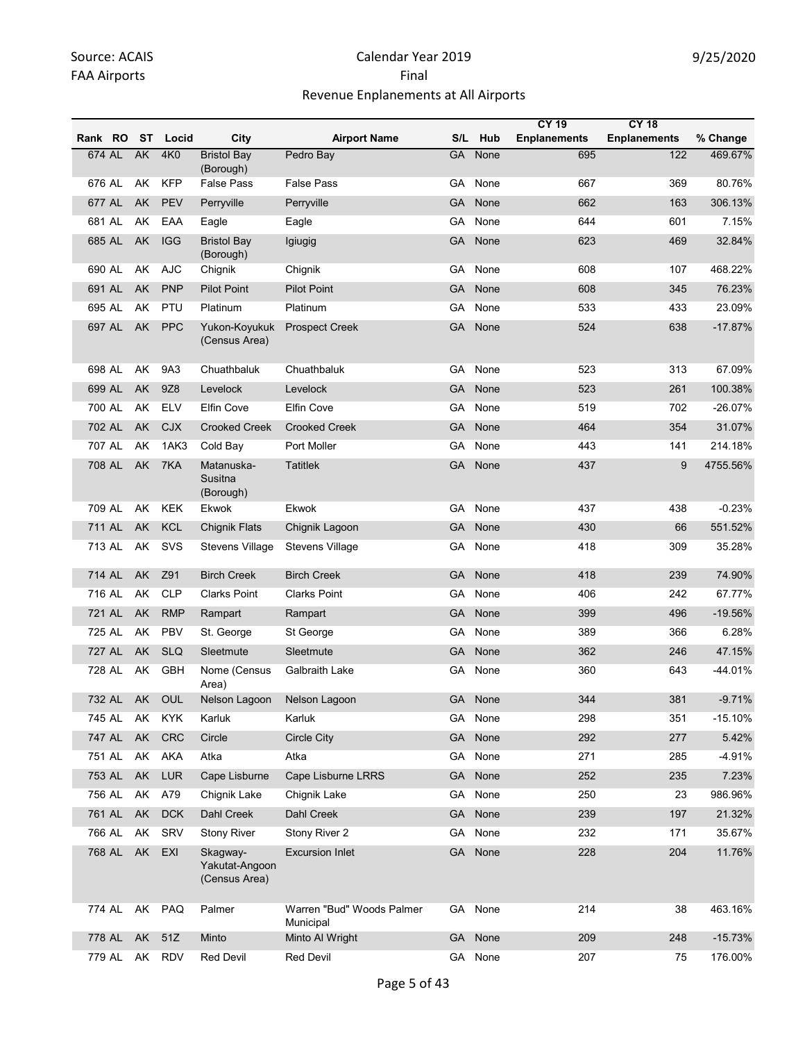|         |        |            |                                             |                                        |           |         | <b>CY 19</b>        | <b>CY 18</b>        |           |
|---------|--------|------------|---------------------------------------------|----------------------------------------|-----------|---------|---------------------|---------------------|-----------|
| Rank RO | ST     | Locid      | City                                        | <b>Airport Name</b>                    | S/L       | Hub     | <b>Enplanements</b> | <b>Enplanements</b> | % Change  |
| 674 AL  | AK     | 4K0        | <b>Bristol Bay</b><br>(Borough)             | Pedro Bay                              | <b>GA</b> | None    | 695                 | 122                 | 469.67%   |
| 676 AL  | AK     | <b>KFP</b> | False Pass                                  | False Pass                             | GA        | None    | 667                 | 369                 | 80.76%    |
| 677 AL  | AK     | <b>PEV</b> | Perryville                                  | Perryville                             | GA        | None    | 662                 | 163                 | 306.13%   |
| 681 AL  | AK     | EAA        | Eagle                                       | Eagle                                  | GА        | None    | 644                 | 601                 | 7.15%     |
| 685 AL  | AK     | <b>IGG</b> | <b>Bristol Bav</b><br>(Borough)             | Igiugig                                | GA        | None    | 623                 | 469                 | 32.84%    |
| 690 AL  | AK     | <b>AJC</b> | Chignik                                     | Chignik                                | GА        | None    | 608                 | 107                 | 468.22%   |
| 691 AL  | AK     | <b>PNP</b> | <b>Pilot Point</b>                          | <b>Pilot Point</b>                     | GA        | None    | 608                 | 345                 | 76.23%    |
| 695 AL  | AK     | <b>PTU</b> | Platinum                                    | Platinum                               | GA        | None    | 533                 | 433                 | 23.09%    |
| 697 AL  | AK     | <b>PPC</b> | Yukon-Koyukuk<br>(Census Area)              | <b>Prospect Creek</b>                  | <b>GA</b> | None    | 524                 | 638                 | $-17.87%$ |
| 698 AL  | AK     | 9A3        | Chuathbaluk                                 | Chuathbaluk                            | GA.       | None    | 523                 | 313                 | 67.09%    |
| 699 AL  | AK     | 9Z8        | Levelock                                    | Levelock                               | GA        | None    | 523                 | 261                 | 100.38%   |
| 700 AL  | AK     | <b>ELV</b> | <b>Elfin Cove</b>                           | Elfin Cove                             | GA        | None    | 519                 | 702                 | $-26.07%$ |
| 702 AL  | AK     | <b>CJX</b> | <b>Crooked Creek</b>                        | <b>Crooked Creek</b>                   | GA        | None    | 464                 | 354                 | 31.07%    |
| 707 AL  | AΚ     | 1AK3       | Cold Bay                                    | Port Moller                            | GА        | None    | 443                 | 141                 | 214.18%   |
| 708 AL  | AK     | 7KA        | Matanuska-<br>Susitna<br>(Borough)          | Tatitlek                               | <b>GA</b> | None    | 437                 | 9                   | 4755.56%  |
| 709 AL  | AK     | <b>KEK</b> | Ekwok                                       | Ekwok                                  | GA        | None    | 437                 | 438                 | $-0.23%$  |
| 711 AL  | AK     | <b>KCL</b> | <b>Chignik Flats</b>                        | Chignik Lagoon                         | GA        | None    | 430                 | 66                  | 551.52%   |
| 713 AL  | AK     | SVS        | <b>Stevens Village</b>                      | <b>Stevens Village</b>                 | GА        | None    | 418                 | 309                 | 35.28%    |
| 714 AL  | AK     | Z91        | <b>Birch Creek</b>                          | <b>Birch Creek</b>                     | <b>GA</b> | None    | 418                 | 239                 | 74.90%    |
| 716 AL  | AK     | <b>CLP</b> | <b>Clarks Point</b>                         | <b>Clarks Point</b>                    | GА        | None    | 406                 | 242                 | 67.77%    |
| 721 AL  | AK     | <b>RMP</b> | Rampart                                     | Rampart                                | GA        | None    | 399                 | 496                 | $-19.56%$ |
| 725 AL  | AK     | PBV        | St. George                                  | St George                              | GА        | None    | 389                 | 366                 | 6.28%     |
| 727 AL  | AK     | <b>SLQ</b> | Sleetmute                                   | Sleetmute                              | GA        | None    | 362                 | 246                 | 47.15%    |
| 728 AL  | AK     | <b>GBH</b> | Nome (Census<br>Area)                       | Galbraith Lake                         | GA        | None    | 360                 | 643                 | -44.01%   |
| 732 AL  |        | AK OUL     | Nelson Lagoon Nelson Lagoon                 |                                        |           | GA None | 344                 | 381                 | $-9.71%$  |
| 745 AL  | AK     | KYK        | Karluk                                      | Karluk                                 |           | GA None | 298                 | 351                 | $-15.10%$ |
| 747 AL  | AK     | <b>CRC</b> | Circle                                      | <b>Circle City</b>                     |           | GA None | 292                 | 277                 | 5.42%     |
| 751 AL  |        | AK AKA     | Atka                                        | Atka                                   |           | GA None | 271                 | 285                 | $-4.91%$  |
| 753 AL  | AK     | <b>LUR</b> | Cape Lisburne                               | Cape Lisburne LRRS                     |           | GA None | 252                 | 235                 | 7.23%     |
| 756 AL  | AK     | A79        | Chignik Lake                                | Chignik Lake                           |           | GA None | 250                 | 23                  | 986.96%   |
| 761 AL  | AK     | <b>DCK</b> | Dahl Creek                                  | Dahl Creek                             |           | GA None | 239                 | 197                 | 21.32%    |
| 766 AL  | AK     | SRV        | <b>Stony River</b>                          | Stony River 2                          | GA        | None    | 232                 | 171                 | 35.67%    |
| 768 AL  | AK EXI |            | Skagway-<br>Yakutat-Angoon<br>(Census Area) | <b>Excursion Inlet</b>                 |           | GA None | 228                 | 204                 | 11.76%    |
| 774 AL  |        | AK PAQ     | Palmer                                      | Warren "Bud" Woods Palmer<br>Municipal |           | GA None | 214                 | 38                  | 463.16%   |
| 778 AL  | AK     | 51Z        | Minto                                       | Minto Al Wright                        |           | GA None | 209                 | 248                 | $-15.73%$ |
| 779 AL  |        | AK RDV     | <b>Red Devil</b>                            | <b>Red Devil</b>                       |           | GA None | 207                 | 75                  | 176.00%   |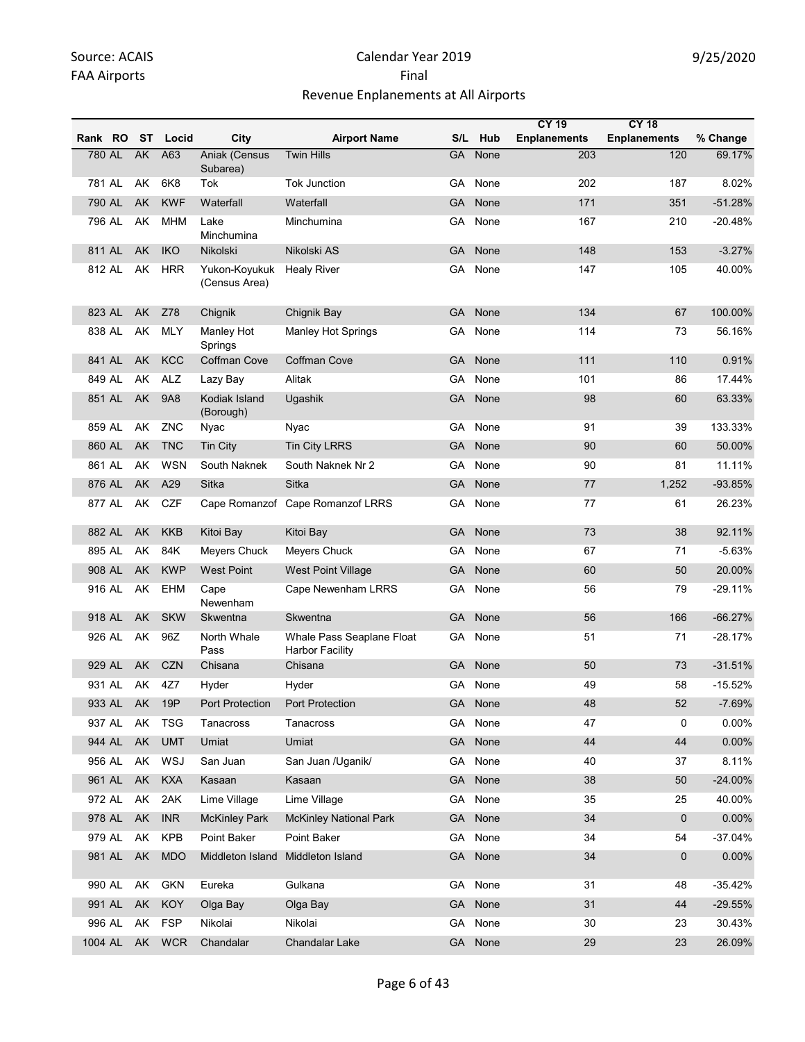|         |        |            |            |                                  |                                                     |           |         | <b>CY 19</b>        | <b>CY 18</b>        |           |
|---------|--------|------------|------------|----------------------------------|-----------------------------------------------------|-----------|---------|---------------------|---------------------|-----------|
| Rank RO |        | ST         | Locid      | City                             | <b>Airport Name</b>                                 | S/L       | Hub     | <b>Enplanements</b> | <b>Enplanements</b> | % Change  |
| 780 AL  |        | AK         | A63        | <b>Aniak (Census</b><br>Subarea) | <b>Twin Hills</b>                                   | GA        | None    | 203                 | 120                 | 69.17%    |
| 781 AL  |        | AK         | 6K8        | Tok                              | <b>Tok Junction</b>                                 | GA        | None    | 202                 | 187                 | 8.02%     |
| 790 AL  |        | <b>AK</b>  | <b>KWF</b> | Waterfall                        | Waterfall                                           | GA        | None    | 171                 | 351                 | $-51.28%$ |
| 796 AL  |        | AK         | <b>MHM</b> | Lake<br>Minchumina               | Minchumina                                          | GA        | None    | 167                 | 210                 | $-20.48%$ |
| 811 AL  |        | AK         | <b>IKO</b> | Nikolski                         | Nikolski AS                                         | <b>GA</b> | None    | 148                 | 153                 | $-3.27%$  |
| 812 AL  |        | AK         | <b>HRR</b> | Yukon-Koyukuk<br>(Census Area)   | <b>Healy River</b>                                  | GA        | None    | 147                 | 105                 | 40.00%    |
| 823 AL  |        | AK         | Z78        | Chignik                          | Chignik Bay                                         | GA        | None    | 134                 | 67                  | 100.00%   |
| 838 AL  |        | AK         | <b>MLY</b> | Manley Hot<br>Springs            | <b>Manley Hot Springs</b>                           | GА        | None    | 114                 | 73                  | 56.16%    |
| 841 AL  |        | AK         | <b>KCC</b> | <b>Coffman Cove</b>              | <b>Coffman Cove</b>                                 | GA        | None    | 111                 | 110                 | 0.91%     |
| 849 AL  |        | AK         | <b>ALZ</b> | Lazy Bay                         | Alitak                                              | GА        | None    | 101                 | 86                  | 17.44%    |
|         | 851 AL | AK         | <b>9A8</b> | Kodiak Island<br>(Borough)       | Ugashik                                             | GA        | None    | 98                  | 60                  | 63.33%    |
| 859 AL  |        | AK         | ZNC        | Nyac                             | Nyac                                                | GA        | None    | 91                  | 39                  | 133.33%   |
| 860 AL  |        | AK         | <b>TNC</b> | <b>Tin City</b>                  | <b>Tin City LRRS</b>                                | GA        | None    | 90                  | 60                  | 50.00%    |
| 861 AL  |        | AK         | <b>WSN</b> | South Naknek                     | South Naknek Nr 2                                   | GA        | None    | 90                  | 81                  | 11.11%    |
| 876 AL  |        | AK         | A29        | Sitka                            | Sitka                                               | GA        | None    | 77                  | 1,252               | -93.85%   |
| 877 AL  |        | AK         | <b>CZF</b> |                                  | Cape Romanzof Cape Romanzof LRRS                    | GA        | None    | 77                  | 61                  | 26.23%    |
| 882 AL  |        | AK         | <b>KKB</b> | Kitoi Bay                        | Kitoi Bay                                           | GA        | None    | 73                  | 38                  | 92.11%    |
| 895 AL  |        | AK         | 84K        | Meyers Chuck                     | Meyers Chuck                                        | GА        | None    | 67                  | 71                  | $-5.63%$  |
| 908 AL  |        | AK         | <b>KWP</b> | <b>West Point</b>                | <b>West Point Village</b>                           | GA        | None    | 60                  | 50                  | 20.00%    |
| 916 AL  |        | AK         | EHM        | Cape<br>Newenham                 | Cape Newenham LRRS                                  | GA.       | None    | 56                  | 79                  | $-29.11%$ |
| 918 AL  |        | AK         | <b>SKW</b> | Skwentna                         | Skwentna                                            | <b>GA</b> | None    | 56                  | 166                 | $-66.27%$ |
| 926 AL  |        | AK         | 96Z        | North Whale<br>Pass              | Whale Pass Seaplane Float<br><b>Harbor Facility</b> | GA        | None    | 51                  | 71                  | $-28.17%$ |
| 929 AL  |        | AK         | <b>CZN</b> | Chisana                          | Chisana                                             | <b>GA</b> | None    | 50                  | 73                  | $-31.51%$ |
| 931 AL  |        | AK         | 4Z7        | Hyder                            | Hyder                                               | GA        | None    | 49                  | 58                  | $-15.52%$ |
| 933 AL  |        | AK         | 19P        | Port Protection                  | Port Protection                                     | GA        | None    | 48                  | 52                  | $-7.69%$  |
| 937 AL  |        | AK         | <b>TSG</b> | Tanacross                        | Tanacross                                           | GA        | None    | 47                  | 0                   | 0.00%     |
| 944 AL  |        | AK         | <b>UMT</b> | Umiat                            | Umiat                                               | GA        | None    | 44                  | 44                  | 0.00%     |
| 956 AL  |        | AK         | WSJ        | San Juan                         | San Juan /Uganik/                                   | GA        | None    | 40                  | 37                  | 8.11%     |
| 961 AL  |        | AK         | <b>KXA</b> | Kasaan                           | Kasaan                                              | <b>GA</b> | None    | 38                  | 50                  | $-24.00%$ |
| 972 AL  |        | AK         | 2AK        | Lime Village                     | Lime Village                                        | GA        | None    | 35                  | 25                  | 40.00%    |
| 978 AL  |        | AK         | <b>INR</b> | <b>McKinley Park</b>             | <b>McKinley National Park</b>                       | <b>GA</b> | None    | 34                  | 0                   | 0.00%     |
| 979 AL  |        | AK         | <b>KPB</b> | Point Baker                      | Point Baker                                         | GA        | None    | 34                  | 54                  | $-37.04%$ |
| 981 AL  |        | AK         | <b>MDO</b> | Middleton Island                 | Middleton Island                                    | <b>GA</b> | None    | 34                  | 0                   | 0.00%     |
| 990 AL  |        | AK         | <b>GKN</b> | Eureka                           | Gulkana                                             |           | GA None | 31                  | 48                  | $-35.42%$ |
| 991 AL  |        | ${\sf AK}$ | KOY        | Olga Bay                         | Olga Bay                                            | GA        | None    | 31                  | 44                  | $-29.55%$ |
| 996 AL  |        | AK         | <b>FSP</b> | Nikolai                          | Nikolai                                             | GA        | None    | 30                  | 23                  | 30.43%    |
| 1004 AL |        | AK         | <b>WCR</b> | Chandalar                        | Chandalar Lake                                      | <b>GA</b> | None    | 29                  | 23                  | 26.09%    |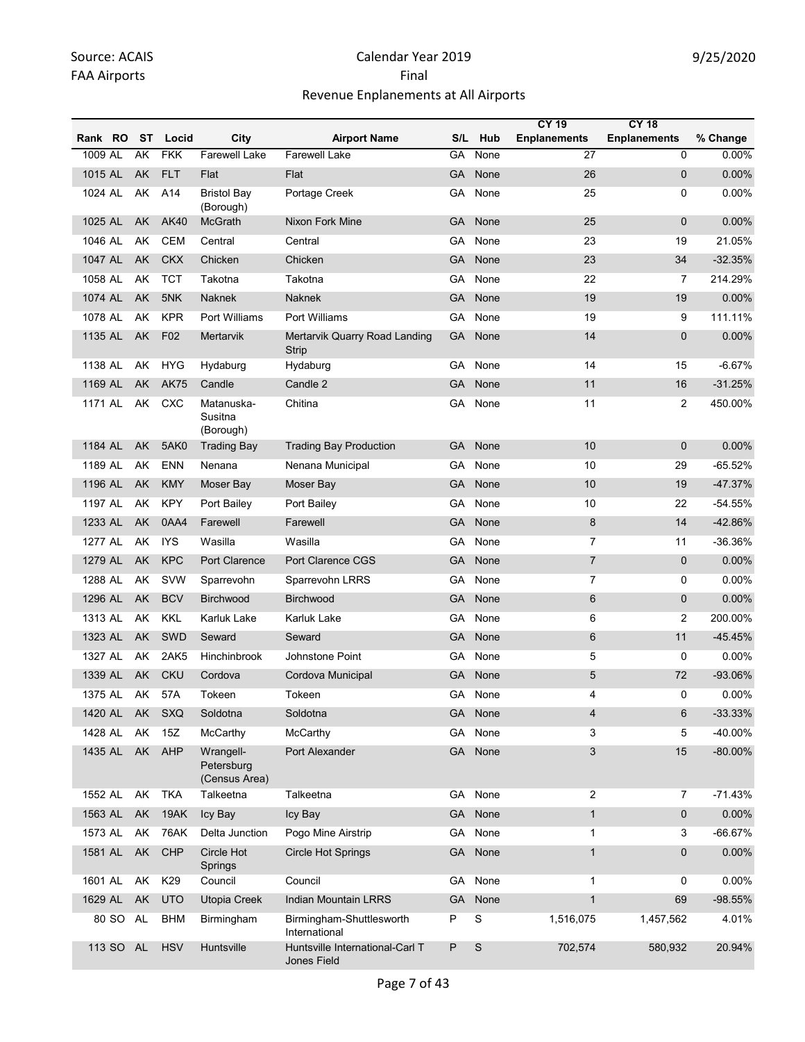|         |           |    |             |                                          |                                                       |           |             | <b>CY 19</b>        | <b>CY 18</b>        |            |
|---------|-----------|----|-------------|------------------------------------------|-------------------------------------------------------|-----------|-------------|---------------------|---------------------|------------|
| Rank RO |           | ST | Locid       | City                                     | <b>Airport Name</b>                                   | S/L       | Hub         | <b>Enplanements</b> | <b>Enplanements</b> | % Change   |
| 1009 AL |           | AK | <b>FKK</b>  | <b>Farewell Lake</b>                     | <b>Farewell Lake</b>                                  | GA        | None        | $\overline{27}$     | 0                   | 0.00%      |
| 1015 AL |           | AK | <b>FLT</b>  | Flat                                     | Flat                                                  | <b>GA</b> | None        | 26                  | 0                   | 0.00%      |
| 1024 AL |           | AK | A14         | <b>Bristol Bav</b><br>(Borough)          | Portage Creek                                         | GA        | None        | 25                  | 0                   | 0.00%      |
| 1025 AL |           | AK | <b>AK40</b> | McGrath                                  | Nixon Fork Mine                                       | <b>GA</b> | None        | 25                  | 0                   | 0.00%      |
| 1046 AL |           | AK | <b>CEM</b>  | Central                                  | Central                                               | GA        | None        | 23                  | 19                  | 21.05%     |
| 1047 AL |           | AK | <b>CKX</b>  | Chicken                                  | Chicken                                               | GA        | None        | 23                  | 34                  | $-32.35%$  |
| 1058 AL |           | AK | <b>TCT</b>  | Takotna                                  | Takotna                                               | GA        | None        | 22                  | $\overline{7}$      | 214.29%    |
| 1074 AL |           | AK | 5NK         | <b>Naknek</b>                            | <b>Naknek</b>                                         | <b>GA</b> | None        | 19                  | 19                  | 0.00%      |
| 1078 AL |           | AK | <b>KPR</b>  | Port Williams                            | Port Williams                                         | GA        | None        | 19                  | 9                   | 111.11%    |
| 1135 AL |           | AK | F02         | Mertarvik                                | Mertarvik Quarry Road Landing<br>Strip                | <b>GA</b> | None        | 14                  | $\mathbf 0$         | 0.00%      |
| 1138 AL |           | AK | <b>HYG</b>  | Hydaburg                                 | Hydaburg                                              | GA        | None        | 14                  | 15                  | $-6.67%$   |
| 1169 AL |           | AK | <b>AK75</b> | Candle                                   | Candle 2                                              | <b>GA</b> | None        | 11                  | 16                  | $-31.25%$  |
| 1171 AL |           | AK | <b>CXC</b>  | Matanuska-<br>Susitna<br>(Borough)       | Chitina                                               | GA        | None        | 11                  | 2                   | 450.00%    |
| 1184 AL |           | AK | 5AK0        | <b>Trading Bay</b>                       | <b>Trading Bay Production</b>                         | GA        | None        | 10                  | $\overline{0}$      | 0.00%      |
| 1189 AL |           | AK | <b>ENN</b>  | Nenana                                   | Nenana Municipal                                      | GA        | None        | 10                  | 29                  | $-65.52%$  |
| 1196 AL |           | AK | <b>KMY</b>  | Moser Bay                                | Moser Bay                                             | <b>GA</b> | None        | 10                  | 19                  | $-47.37%$  |
| 1197 AL |           | AK | <b>KPY</b>  | Port Bailey                              | Port Bailey                                           | GA        | None        | 10                  | 22                  | $-54.55%$  |
| 1233 AL |           | AK | 0AA4        | Farewell                                 | Farewell                                              | <b>GA</b> | None        | 8                   | 14                  | -42.86%    |
| 1277 AL |           | AK | <b>IYS</b>  | Wasilla                                  | Wasilla                                               | GA        | None        | $\overline{7}$      | 11                  | -36.36%    |
| 1279 AL |           | AK | <b>KPC</b>  | <b>Port Clarence</b>                     | Port Clarence CGS                                     | <b>GA</b> | None        | $\overline{7}$      | $\mathbf 0$         | 0.00%      |
| 1288 AL |           | AK | SVW         | Sparrevohn                               | Sparrevohn LRRS                                       | GA        | None        | $\overline{7}$      | 0                   | 0.00%      |
| 1296 AL |           | AK | <b>BCV</b>  | <b>Birchwood</b>                         | <b>Birchwood</b>                                      | GA        | None        | 6                   | 0                   | 0.00%      |
| 1313 AL |           | AK | <b>KKL</b>  | Karluk Lake                              | Karluk Lake                                           | GА        | None        | 6                   | 2                   | 200.00%    |
| 1323 AL |           | AK | <b>SWD</b>  | Seward                                   | Seward                                                | <b>GA</b> | None        | $6\phantom{1}6$     | 11                  | $-45.45%$  |
| 1327 AL |           | AK | 2AK5        | Hinchinbrook                             | Johnstone Point                                       | GА        | None        | 5                   | 0                   | 0.00%      |
| 1339 AL |           | AK | <b>CKU</b>  | Cordova                                  | Cordova Municipal                                     | GA        | None        | 5                   | 72                  | -93.06%    |
| 1375 AL |           | AK | 57A         | Tokeen                                   | Tokeen                                                | GA        | None        | 4                   | 0                   | 0.00%      |
| 1420 AL |           | AK | SXQ         | Soldotna                                 | Soldotna                                              |           | GA None     | $\overline{4}$      | 6                   | $-33.33%$  |
| 1428 AL |           | AK | 15Z         | McCarthy                                 | McCarthy                                              | GA.       | None        | 3                   | 5                   | -40.00%    |
| 1435 AL |           |    | AK AHP      | Wrangell-<br>Petersburg<br>(Census Area) | Port Alexander                                        | GA        | None        | 3                   | 15                  | $-80.00\%$ |
| 1552 AL |           | AK | <b>TKA</b>  | Talkeetna                                | Talkeetna                                             | GA        | None        | 2                   | $\overline{7}$      | $-71.43%$  |
| 1563 AL |           | AK | 19AK        | Icy Bay                                  | Icy Bay                                               | GA        | None        | $\mathbf{1}$        | 0                   | 0.00%      |
| 1573 AL |           | AK | <b>76AK</b> | Delta Junction                           | Pogo Mine Airstrip                                    | GA        | None        | $\mathbf{1}$        | 3                   | $-66.67%$  |
| 1581 AL |           | AK | CHP         | Circle Hot<br>Springs                    | <b>Circle Hot Springs</b>                             | <b>GA</b> | None        | $\mathbf{1}$        | 0                   | $0.00\%$   |
| 1601 AL |           | AK | K29         | Council                                  | Council                                               | GA        | None        | $\mathbf{1}$        | 0                   | 0.00%      |
| 1629 AL |           | AK | <b>UTO</b>  | Utopia Creek                             | <b>Indian Mountain LRRS</b>                           | GA        | None        | $\mathbf{1}$        | 69                  | $-98.55%$  |
|         | 80 SO     | AL | <b>BHM</b>  | Birmingham                               | Birmingham-Shuttlesworth<br>International             | Ρ         | $\mathbf S$ | 1,516,075           | 1,457,562           | 4.01%      |
|         | 113 SO AL |    | <b>HSV</b>  | Huntsville                               | Huntsville International-Carl T<br><b>Jones Field</b> | P         | S           | 702,574             | 580,932             | 20.94%     |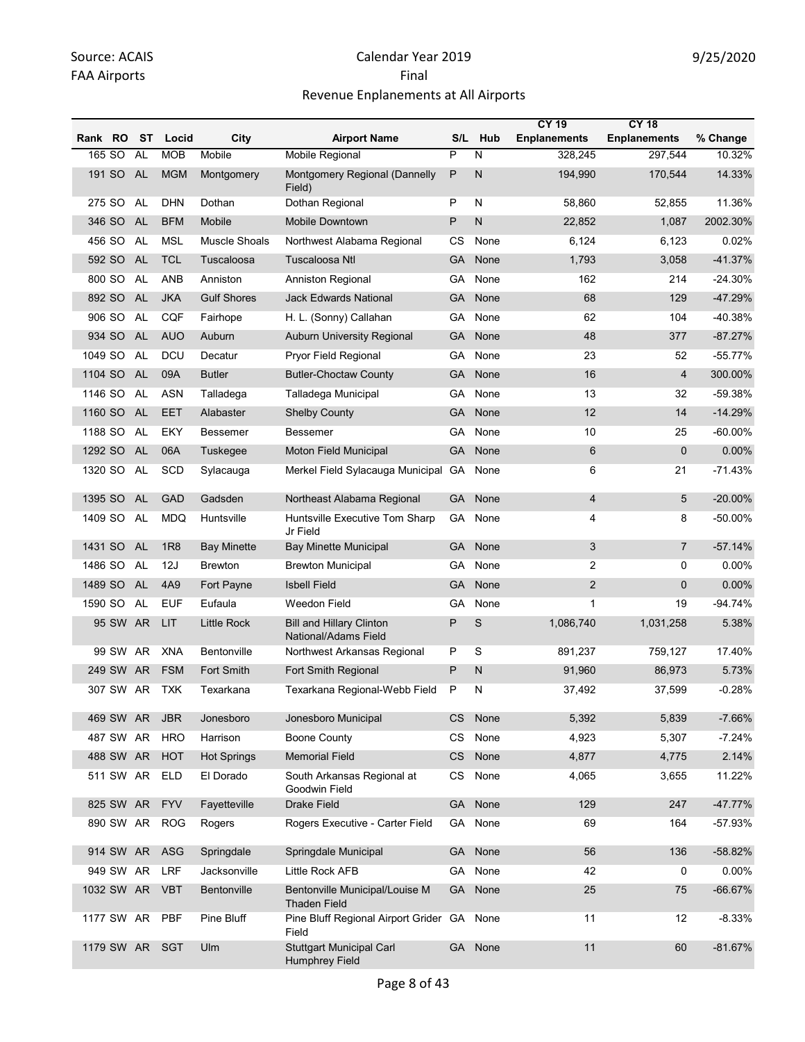|            |           |           |                |                    |                                                         |           |         | <b>CY 19</b>        | <b>CY 18</b>        |            |
|------------|-----------|-----------|----------------|--------------------|---------------------------------------------------------|-----------|---------|---------------------|---------------------|------------|
| Rank RO    |           | ST        | Locid          | City               | <b>Airport Name</b>                                     | S/L       | Hub     | <b>Enplanements</b> | <b>Enplanements</b> | % Change   |
| 165 SO     |           | <b>AL</b> | <b>MOB</b>     | Mobile             | <b>Mobile Regional</b>                                  | P         | N       | 328.245             | 297,544             | 10.32%     |
| 191 SO     |           | <b>AL</b> | <b>MGM</b>     | Montgomery         | Montgomery Regional (Dannelly<br>Field)                 | P         | N       | 194,990             | 170,544             | 14.33%     |
| 275 SO     |           | AL        | <b>DHN</b>     | Dothan             | Dothan Regional                                         | P         | N       | 58,860              | 52,855              | 11.36%     |
| 346 SO     |           | <b>AL</b> | <b>BFM</b>     | Mobile             | <b>Mobile Downtown</b>                                  | P         | N       | 22,852              | 1,087               | 2002.30%   |
| 456 SO     |           | AL        | <b>MSL</b>     | Muscle Shoals      | Northwest Alabama Regional                              | CS        | None    | 6,124               | 6,123               | 0.02%      |
| 592 SO     |           | <b>AL</b> | <b>TCL</b>     | Tuscaloosa         | <b>Tuscaloosa Ntl</b>                                   | <b>GA</b> | None    | 1,793               | 3,058               | $-41.37%$  |
| 800 SO     |           | AL        | ANB            | Anniston           | Anniston Regional                                       | GA        | None    | 162                 | 214                 | $-24.30%$  |
| 892 SO     |           | <b>AL</b> | <b>JKA</b>     | <b>Gulf Shores</b> | <b>Jack Edwards National</b>                            | GA        | None    | 68                  | 129                 | $-47.29%$  |
| 906 SO     |           | AL        | <b>CQF</b>     | Fairhope           | H. L. (Sonny) Callahan                                  | GA        | None    | 62                  | 104                 | -40.38%    |
| 934 SO     |           | <b>AL</b> | <b>AUO</b>     | Auburn             | Auburn University Regional                              | <b>GA</b> | None    | 48                  | 377                 | $-87.27%$  |
| 1049 SO    |           | AL        | <b>DCU</b>     | Decatur            | Pryor Field Regional                                    | GA        | None    | 23                  | 52                  | $-55.77%$  |
| 1104 SO    |           | <b>AL</b> | 09A            | <b>Butler</b>      | <b>Butler-Choctaw County</b>                            | <b>GA</b> | None    | 16                  | $\overline{4}$      | 300.00%    |
| 1146 SO    |           | AL        | <b>ASN</b>     | Talladega          | Talladega Municipal                                     | GA        | None    | 13                  | 32                  | -59.38%    |
| 1160 SO    |           | <b>AL</b> | <b>EET</b>     | Alabaster          | <b>Shelby County</b>                                    | <b>GA</b> | None    | 12                  | 14                  | $-14.29%$  |
| 1188 SO    |           | AL        | EKY            | Bessemer           | <b>Bessemer</b>                                         | GA        | None    | 10                  | 25                  | $-60.00\%$ |
| 1292 SO    |           | <b>AL</b> | 06A            | Tuskegee           | <b>Moton Field Municipal</b>                            | GA        | None    | 6                   | $\mathbf 0$         | 0.00%      |
| 1320 SO    |           | AL        | SCD            | Sylacauga          | Merkel Field Sylacauga Municipal GA                     |           | None    | 6                   | 21                  | $-71.43%$  |
| 1395 SO    |           | <b>AL</b> | <b>GAD</b>     | Gadsden            | Northeast Alabama Regional                              | GA        | None    | 4                   | $\overline{5}$      | $-20.00\%$ |
| 1409 SO    |           | <b>AL</b> | <b>MDQ</b>     | Huntsville         | Huntsville Executive Tom Sharp<br>Jr Field              | GA        | None    | 4                   | 8                   | -50.00%    |
| 1431 SO    |           | <b>AL</b> | <b>1R8</b>     | <b>Bay Minette</b> | <b>Bay Minette Municipal</b>                            | <b>GA</b> | None    | 3                   | $\overline{7}$      | $-57.14%$  |
| 1486 SO    |           | AL        | 12J            | <b>Brewton</b>     | <b>Brewton Municipal</b>                                | GA        | None    | 2                   | 0                   | $0.00\%$   |
| 1489 SO    |           | <b>AL</b> | 4A9            | Fort Payne         | <b>Isbell Field</b>                                     | GA        | None    | $\overline{2}$      | $\mathbf{0}$        | 0.00%      |
| 1590 SO    |           | AL        | <b>EUF</b>     | Eufaula            | Weedon Field                                            | GA        | None    | $\mathbf{1}$        | 19                  | $-94.74%$  |
|            | 95 SW AR  |           | LIT.           | Little Rock        | <b>Bill and Hillary Clinton</b><br>National/Adams Field | P         | S       | 1,086,740           | 1,031,258           | 5.38%      |
|            | 99 SW AR  |           | <b>XNA</b>     | Bentonville        | Northwest Arkansas Regional                             | P         | S       | 891,237             | 759,127             | 17.40%     |
|            | 249 SW    | AR.       | <b>FSM</b>     | Fort Smith         | Fort Smith Regional                                     | P         | N       | 91,960              | 86,973              | 5.73%      |
|            | 307 SW AR |           | <b>TXK</b>     | Texarkana          | Texarkana Regional-Webb Field                           | P         | N       | 37,492              | 37,599              | $-0.28%$   |
|            | 469 SW AR |           | <b>JBR</b>     | Jonesboro          | Jonesboro Municipal                                     | CS        | None    | 5,392               | 5,839               | $-7.66%$   |
|            | 487 SW AR |           | <b>HRO</b>     | Harrison           | <b>Boone County</b>                                     | <b>CS</b> | None    | 4,923               | 5,307               | $-7.24%$   |
|            | 488 SW AR |           | <b>HOT</b>     | <b>Hot Springs</b> | <b>Memorial Field</b>                                   | CS        | None    | 4,877               | 4,775               | 2.14%      |
|            | 511 SW AR |           | ELD            | El Dorado          | South Arkansas Regional at<br>Goodwin Field             | CS        | None    | 4,065               | 3,655               | 11.22%     |
|            | 825 SW AR |           | <b>FYV</b>     | Fayetteville       | <b>Drake Field</b>                                      | <b>GA</b> | None    | 129                 | 247                 | -47.77%    |
|            | 890 SW AR |           | <b>ROG</b>     | Rogers             | Rogers Executive - Carter Field                         | GA        | None    | 69                  | 164                 | -57.93%    |
|            |           |           | 914 SW AR ASG  | Springdale         | Springdale Municipal                                    | <b>GA</b> | None    | 56                  | 136                 | -58.82%    |
|            | 949 SW AR |           | <b>LRF</b>     | Jacksonville       | Little Rock AFB                                         | GA        | None    | 42                  | 0                   | 0.00%      |
| 1032 SW AR |           |           | <b>VBT</b>     | Bentonville        | Bentonville Municipal/Louise M<br><b>Thaden Field</b>   | <b>GA</b> | None    | 25                  | 75                  | $-66.67%$  |
|            |           |           | 1177 SW AR PBF | Pine Bluff         | Pine Bluff Regional Airport Grider GA None<br>Field     |           |         | 11                  | 12                  | $-8.33%$   |
| 1179 SW AR |           |           | <b>SGT</b>     | Ulm                | <b>Stuttgart Municipal Carl</b><br>Humphrey Field       |           | GA None | 11                  | 60                  | $-81.67%$  |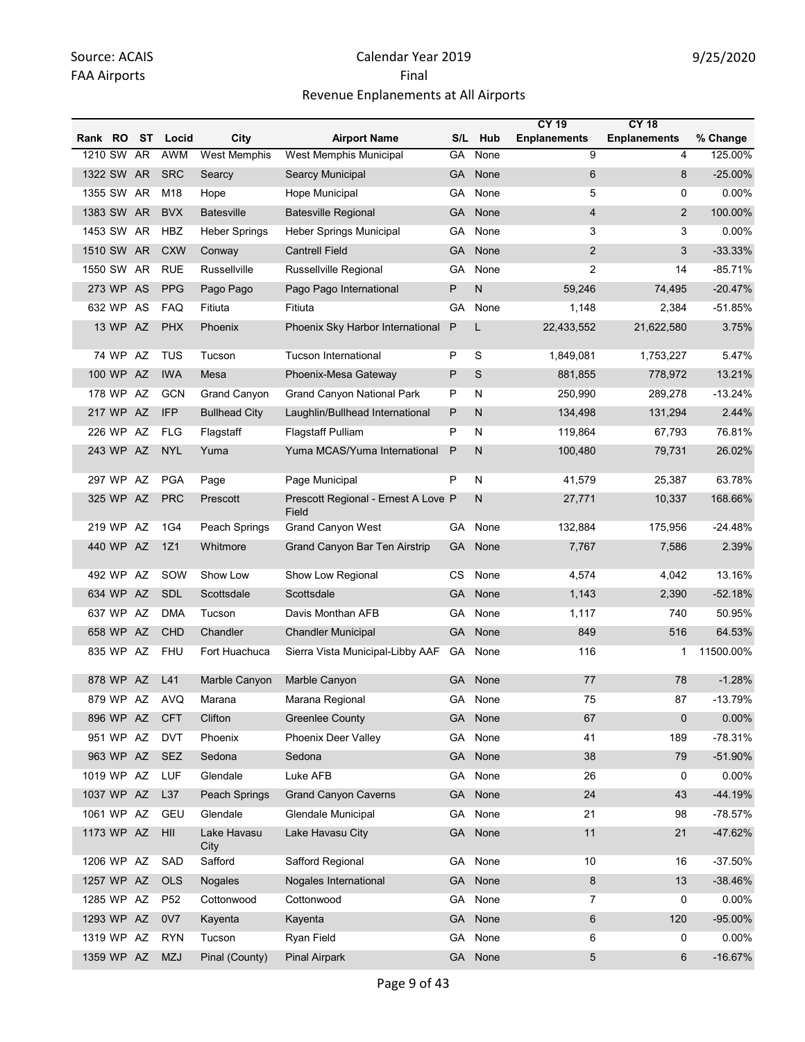|            |           |    |                 |                      |                                              |           |           | <b>CY 19</b>        | <b>CY 18</b>        |           |
|------------|-----------|----|-----------------|----------------------|----------------------------------------------|-----------|-----------|---------------------|---------------------|-----------|
| Rank RO    |           | ST | Locid           | City                 | <b>Airport Name</b>                          | S/L       | Hub       | <b>Enplanements</b> | <b>Enplanements</b> | % Change  |
| 1210 SW    |           | AR | <b>AWM</b>      | <b>West Memphis</b>  | West Memphis Municipal                       | GA        | None      | 9                   | 4                   | 125.00%   |
| 1322 SW AR |           |    | <b>SRC</b>      | Searcy               | Searcy Municipal                             | <b>GA</b> | None      | 6                   | 8                   | $-25.00%$ |
| 1355 SW AR |           |    | M18             | Hope                 | Hope Municipal                               | GA        | None      | 5                   | 0                   | 0.00%     |
| 1383 SW AR |           |    | <b>BVX</b>      | <b>Batesville</b>    | <b>Batesville Regional</b>                   | GA        | None      | $\overline{4}$      | $\overline{2}$      | 100.00%   |
| 1453 SW AR |           |    | HBZ             | Heber Springs        | Heber Springs Municipal                      | GA        | None      | 3                   | 3                   | 0.00%     |
| 1510 SW AR |           |    | <b>CXW</b>      | Conway               | <b>Cantrell Field</b>                        | <b>GA</b> | None      | $\overline{2}$      | 3                   | $-33.33%$ |
| 1550 SW AR |           |    | <b>RUE</b>      | Russellville         | <b>Russellville Regional</b>                 | GA        | None      | $\overline{c}$      | 14                  | $-85.71%$ |
|            | 273 WP AS |    | <b>PPG</b>      | Pago Pago            | Pago Pago International                      | P         | ${\sf N}$ | 59,246              | 74,495              | $-20.47%$ |
|            | 632 WP AS |    | <b>FAQ</b>      | Fitiuta              | Fitiuta                                      | GA        | None      | 1,148               | 2,384               | $-51.85%$ |
|            | 13 WP AZ  |    | <b>PHX</b>      | Phoenix              | Phoenix Sky Harbor International             | P         | L         | 22,433,552          | 21,622,580          | 3.75%     |
|            | 74 WP AZ  |    | TUS             | Tucson               | Tucson International                         | P         | S         | 1,849,081           | 1,753,227           | 5.47%     |
|            | 100 WP AZ |    | <b>IWA</b>      | Mesa                 | Phoenix-Mesa Gateway                         | P         | S         | 881,855             | 778,972             | 13.21%    |
|            | 178 WP    | AZ | <b>GCN</b>      | Grand Canyon         | <b>Grand Canyon National Park</b>            | P         | N         | 250,990             | 289,278             | $-13.24%$ |
|            | 217 WP AZ |    | <b>IFP</b>      | <b>Bullhead City</b> | Laughlin/Bullhead International              | P         | N         | 134,498             | 131,294             | 2.44%     |
|            | 226 WP AZ |    | <b>FLG</b>      | Flagstaff            | <b>Flagstaff Pulliam</b>                     | P         | N         | 119,864             | 67,793              | 76.81%    |
|            | 243 WP AZ |    | <b>NYL</b>      | Yuma                 | Yuma MCAS/Yuma International                 | P         | N         | 100,480             | 79,731              | 26.02%    |
|            | 297 WP AZ |    | <b>PGA</b>      | Page                 | Page Municipal                               | P         | N         | 41,579              | 25,387              | 63.78%    |
|            | 325 WP AZ |    | <b>PRC</b>      | Prescott             | Prescott Regional - Ernest A Love P<br>Field |           | N         | 27,771              | 10,337              | 168.66%   |
|            | 219 WP AZ |    | 1G4             | Peach Springs        | <b>Grand Canyon West</b>                     | GA        | None      | 132,884             | 175,956             | $-24.48%$ |
|            | 440 WP AZ |    | 1Z1             | Whitmore             | <b>Grand Canyon Bar Ten Airstrip</b>         | <b>GA</b> | None      | 7,767               | 7,586               | 2.39%     |
|            | 492 WP AZ |    | SOW             | Show Low             | Show Low Regional                            | CS        | None      | 4,574               | 4,042               | 13.16%    |
|            | 634 WP AZ |    | <b>SDL</b>      | Scottsdale           | Scottsdale                                   | <b>GA</b> | None      | 1,143               | 2,390               | $-52.18%$ |
|            | 637 WP    | AZ | <b>DMA</b>      | Tucson               | Davis Monthan AFB                            | GA        | None      | 1,117               | 740                 | 50.95%    |
|            | 658 WP AZ |    | <b>CHD</b>      | Chandler             | <b>Chandler Municipal</b>                    | <b>GA</b> | None      | 849                 | 516                 | 64.53%    |
|            | 835 WP AZ |    | <b>FHU</b>      | Fort Huachuca        | Sierra Vista Municipal-Libby AAF             | GA        | None      | 116                 | 1                   | 11500.00% |
|            | 878 WP AZ |    | L41             | Marble Canyon        | Marble Canyon                                | <b>GA</b> | None      | 77                  | 78                  | $-1.28%$  |
|            | 879 WP AZ |    | AVQ             | Marana               | Marana Regional                              | GA        | None      | 75                  | 87                  | -13.79%   |
|            | 896 WP AZ |    | <b>CFT</b>      | Clifton              | <b>Greenlee County</b>                       |           | GA None   | 67                  | 0                   | 0.00%     |
|            | 951 WP AZ |    | <b>DVT</b>      | Phoenix              | <b>Phoenix Deer Valley</b>                   | GA        | None      | 41                  | 189                 | -78.31%   |
|            | 963 WP AZ |    | <b>SEZ</b>      | Sedona               | Sedona                                       | <b>GA</b> | None      | 38                  | 79                  | $-51.90%$ |
| 1019 WP AZ |           |    | LUF             | Glendale             | Luke AFB                                     | GA        | None      | 26                  | 0                   | 0.00%     |
| 1037 WP AZ |           |    | L37             | Peach Springs        | <b>Grand Canyon Caverns</b>                  | <b>GA</b> | None      | 24                  | 43                  | -44.19%   |
| 1061 WP AZ |           |    | <b>GEU</b>      | Glendale             | Glendale Municipal                           | GA        | None      | 21                  | 98                  | $-78.57%$ |
| 1173 WP AZ |           |    | HII             | Lake Havasu<br>City  | Lake Havasu City                             | GA        | None      | 11                  | 21                  | -47.62%   |
| 1206 WP AZ |           |    | SAD             | Safford              | Safford Regional                             | GA.       | None      | 10                  | 16                  | -37.50%   |
| 1257 WP AZ |           |    | <b>OLS</b>      | <b>Nogales</b>       | Nogales International                        | GA        | None      | 8                   | 13                  | $-38.46%$ |
| 1285 WP AZ |           |    | P <sub>52</sub> | Cottonwood           | Cottonwood                                   | GA        | None      | 7                   | 0                   | 0.00%     |
| 1293 WP AZ |           |    | 0V7             | Kayenta              | Kayenta                                      | <b>GA</b> | None      | 6                   | 120                 | -95.00%   |
| 1319 WP AZ |           |    | <b>RYN</b>      | Tucson               | Ryan Field                                   | GA        | None      | 6                   | 0                   | 0.00%     |
| 1359 WP AZ |           |    | <b>MZJ</b>      | Pinal (County)       | Pinal Airpark                                |           | GA None   | 5                   | 6                   | $-16.67%$ |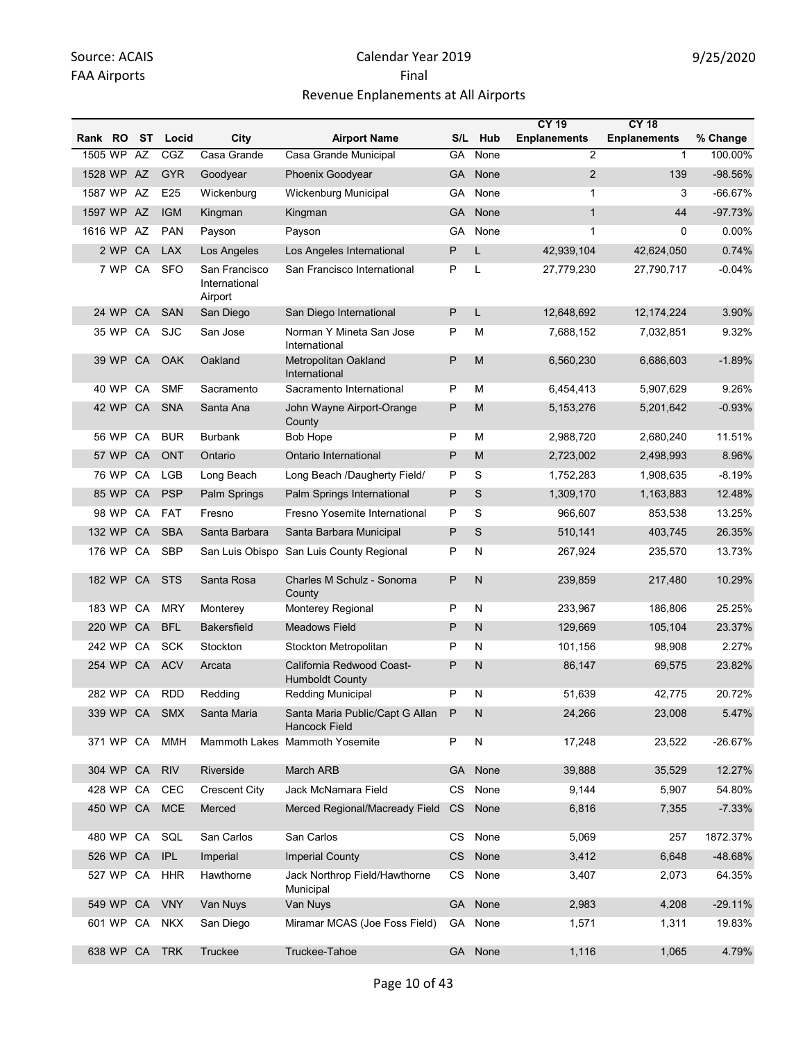| Rank RO |            | ST | Locid      | City                                      | <b>Airport Name</b>                                 | S/L       | Hub          | <b>CY 19</b><br><b>Enplanements</b> | <b>CY 18</b><br><b>Enplanements</b> | % Change  |
|---------|------------|----|------------|-------------------------------------------|-----------------------------------------------------|-----------|--------------|-------------------------------------|-------------------------------------|-----------|
| 1505 WP |            | AZ | CGZ        | Casa Grande                               | Casa Grande Municipal                               | GA        | None         | $\overline{2}$                      | $\mathbf{1}$                        | 100.00%   |
|         | 1528 WP AZ |    | <b>GYR</b> | Goodyear                                  | Phoenix Goodyear                                    | GA        | None         | $\overline{2}$                      | 139                                 | -98.56%   |
| 1587 WP |            | AZ | E25        | Wickenburg                                | Wickenburg Municipal                                | GA        | None         | $\mathbf{1}$                        | 3                                   | $-66.67%$ |
|         | 1597 WP AZ |    | <b>IGM</b> | Kingman                                   | Kingman                                             | <b>GA</b> | None         | $\mathbf{1}$                        | 44                                  | $-97.73%$ |
| 1616 WP |            | AZ | <b>PAN</b> | Payson                                    | Payson                                              | GA        | None         | $\mathbf{1}$                        | 0                                   | 0.00%     |
|         | 2 WP       | CA | <b>LAX</b> | Los Angeles                               | Los Angeles International                           | P         | L            | 42,939,104                          | 42,624,050                          | 0.74%     |
|         | 7 WP CA    |    | <b>SFO</b> | San Francisco<br>International<br>Airport | San Francisco International                         | P         | L            | 27,779,230                          | 27,790,717                          | $-0.04%$  |
|         | 24 WP      | CA | <b>SAN</b> | San Diego                                 | San Diego International                             | P         | L            | 12,648,692                          | 12, 174, 224                        | 3.90%     |
|         | 35 WP CA   |    | <b>SJC</b> | San Jose                                  | Norman Y Mineta San Jose<br>International           | P         | M            | 7,688,152                           | 7,032,851                           | 9.32%     |
|         | 39 WP      | CA | <b>OAK</b> | Oakland                                   | Metropolitan Oakland<br>International               | P         | M            | 6,560,230                           | 6,686,603                           | $-1.89%$  |
|         | 40 WP      | CA | <b>SMF</b> | Sacramento                                | Sacramento International                            | P         | М            | 6,454,413                           | 5,907,629                           | 9.26%     |
|         | 42 WP      | CA | <b>SNA</b> | Santa Ana                                 | John Wayne Airport-Orange<br>County                 | P         | M            | 5,153,276                           | 5,201,642                           | $-0.93%$  |
|         | 56 WP      | CA | <b>BUR</b> | <b>Burbank</b>                            | Bob Hope                                            | P         | M            | 2,988,720                           | 2,680,240                           | 11.51%    |
|         | 57 WP      | CA | <b>ONT</b> | Ontario                                   | Ontario International                               | P         | M            | 2,723,002                           | 2,498,993                           | 8.96%     |
|         | 76 WP      | CA | <b>LGB</b> | Long Beach                                | Long Beach /Daugherty Field/                        | P         | S            | 1,752,283                           | 1,908,635                           | $-8.19%$  |
|         | 85 WP      | CA | <b>PSP</b> | Palm Springs                              | Palm Springs International                          | P         | S            | 1,309,170                           | 1,163,883                           | 12.48%    |
|         | 98 WP      | CA | <b>FAT</b> | Fresno                                    | Fresno Yosemite International                       | P         | S            | 966,607                             | 853,538                             | 13.25%    |
|         | 132 WP     | CA | <b>SBA</b> | Santa Barbara                             | Santa Barbara Municipal                             | P         | S            | 510,141                             | 403,745                             | 26.35%    |
|         | 176 WP     | CA | <b>SBP</b> |                                           | San Luis Obispo San Luis County Regional            | Ρ         | N            | 267,924                             | 235,570                             | 13.73%    |
|         | 182 WP     | CA | <b>STS</b> | Santa Rosa                                | Charles M Schulz - Sonoma<br>County                 | P         | $\mathsf{N}$ | 239,859                             | 217,480                             | 10.29%    |
|         | 183 WP     | CA | <b>MRY</b> | Monterey                                  | Monterey Regional                                   | P         | N            | 233,967                             | 186,806                             | 25.25%    |
|         | 220 WP     | CA | <b>BFL</b> | <b>Bakersfield</b>                        | <b>Meadows Field</b>                                | P         | N            | 129,669                             | 105,104                             | 23.37%    |
|         | 242 WP     | CA | <b>SCK</b> | Stockton                                  | Stockton Metropolitan                               | P         | N            | 101,156                             | 98,908                              | 2.27%     |
|         | 254 WP CA  |    | <b>ACV</b> | Arcata                                    | California Redwood Coast-<br><b>Humboldt County</b> | P         | N            | 86,147                              | 69,575                              | 23.82%    |
|         | 282 WP CA  |    | <b>RDD</b> | Redding                                   | Redding Municipal                                   | P         | N            | 51,639                              | 42,775                              | 20.72%    |
|         | 339 WP CA  |    | <b>SMX</b> | Santa Maria                               | Santa Maria Public/Capt G Allan<br>Hancock Field    | P         | N            | 24,266                              | 23,008                              | 5.47%     |
|         | 371 WP CA  |    | <b>MMH</b> |                                           | Mammoth Lakes Mammoth Yosemite                      | P         | N            | 17,248                              | 23,522                              | $-26.67%$ |
|         | 304 WP CA  |    | <b>RIV</b> | Riverside                                 | March ARB                                           | <b>GA</b> | None         | 39,888                              | 35,529                              | 12.27%    |
|         | 428 WP CA  |    | CEC        | <b>Crescent City</b>                      | Jack McNamara Field                                 | CS        | None         | 9,144                               | 5,907                               | 54.80%    |
|         | 450 WP CA  |    | <b>MCE</b> | Merced                                    | Merced Regional/Macready Field                      | CS        | None         | 6,816                               | 7,355                               | $-7.33%$  |
|         | 480 WP CA  |    | SQL        | San Carlos                                | San Carlos                                          | CS        | None         | 5,069                               | 257                                 | 1872.37%  |
|         | 526 WP CA  |    | <b>IPL</b> | Imperial                                  | <b>Imperial County</b>                              | CS        | None         | 3,412                               | 6,648                               | -48.68%   |
|         | 527 WP CA  |    | <b>HHR</b> | Hawthorne                                 | Jack Northrop Field/Hawthorne<br>Municipal          | CS        | None         | 3,407                               | 2,073                               | 64.35%    |
|         | 549 WP CA  |    | <b>VNY</b> | Van Nuys                                  | Van Nuys                                            | <b>GA</b> | None         | 2,983                               | 4,208                               | $-29.11%$ |
|         | 601 WP CA  |    | <b>NKX</b> | San Diego                                 | Miramar MCAS (Joe Foss Field)                       | GA        | None         | 1,571                               | 1,311                               | 19.83%    |
|         | 638 WP CA  |    | <b>TRK</b> | Truckee                                   | Truckee-Tahoe                                       | <b>GA</b> | None         | 1,116                               | 1,065                               | 4.79%     |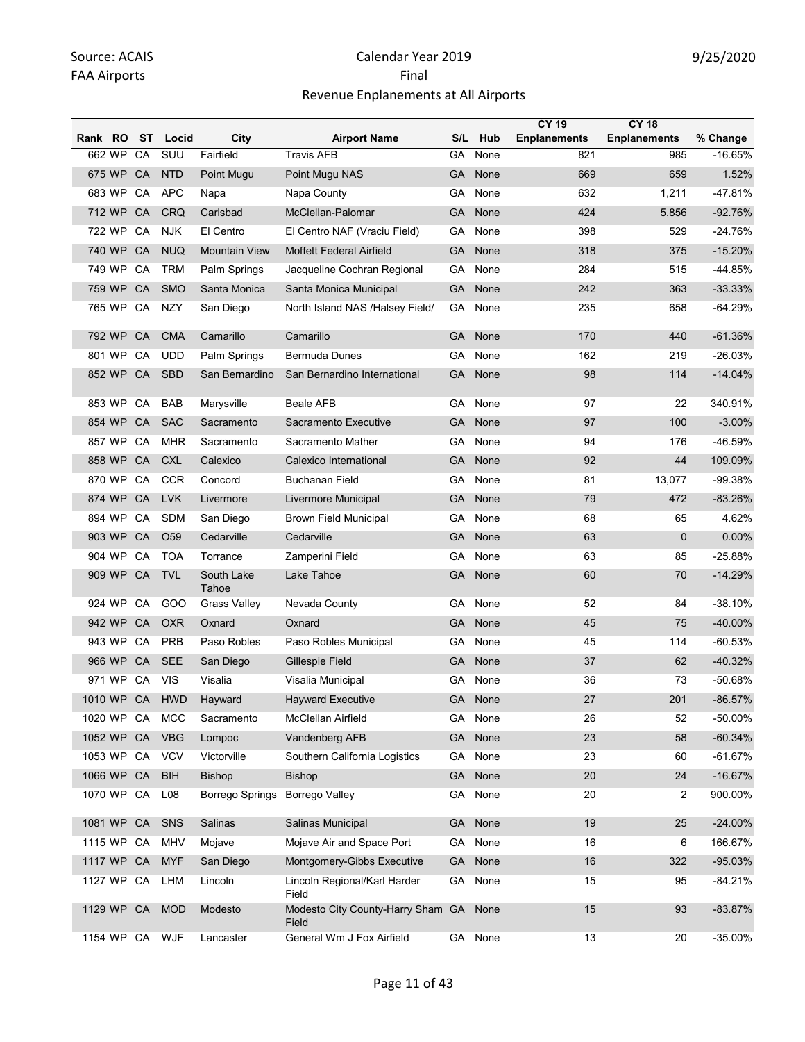|            |           |           |                 |                                |                                                 |           |         | <b>CY 19</b>        | <b>CY 18</b>        |            |
|------------|-----------|-----------|-----------------|--------------------------------|-------------------------------------------------|-----------|---------|---------------------|---------------------|------------|
| Rank RO    |           | ST        | Locid           | City                           | <b>Airport Name</b>                             | S/L       | Hub     | <b>Enplanements</b> | <b>Enplanements</b> | % Change   |
|            | 662 WP    | CA        | SUU             | Fairfield                      | <b>Travis AFB</b>                               | GA        | None    | 821                 | 985                 | $-16.65%$  |
|            | 675 WP    | CA        | <b>NTD</b>      | Point Mugu                     | Point Mugu NAS                                  | GA        | None    | 669                 | 659                 | 1.52%      |
|            | 683 WP    | CA        | <b>APC</b>      | Napa                           | Napa County                                     | GA        | None    | 632                 | 1,211               | -47.81%    |
|            | 712 WP    | CA        | <b>CRQ</b>      | Carlsbad                       | McClellan-Palomar                               | GA        | None    | 424                 | 5,856               | $-92.76%$  |
|            | 722 WP    | CA        | <b>NJK</b>      | El Centro                      | El Centro NAF (Vraciu Field)                    | GА        | None    | 398                 | 529                 | $-24.76%$  |
|            | 740 WP    | CA        | <b>NUQ</b>      | <b>Mountain View</b>           | <b>Moffett Federal Airfield</b>                 | GA        | None    | 318                 | 375                 | $-15.20%$  |
|            | 749 WP    | CA        | <b>TRM</b>      | Palm Springs                   | Jacqueline Cochran Regional                     | GА        | None    | 284                 | 515                 | $-44.85%$  |
|            | 759 WP    | CA        | <b>SMO</b>      | Santa Monica                   | Santa Monica Municipal                          | GA        | None    | 242                 | 363                 | $-33.33%$  |
|            | 765 WP CA |           | <b>NZY</b>      | San Diego                      | North Island NAS /Halsey Field/                 | GА        | None    | 235                 | 658                 | $-64.29%$  |
|            | 792 WP    | CA        | <b>CMA</b>      | Camarillo                      | Camarillo                                       | GA        | None    | 170                 | 440                 | $-61.36%$  |
|            | 801 WP    | CA        | <b>UDD</b>      | Palm Springs                   | <b>Bermuda Dunes</b>                            | GА        | None    | 162                 | 219                 | $-26.03%$  |
|            | 852 WP    | CA        | <b>SBD</b>      | San Bernardino                 | San Bernardino International                    | GA        | None    | 98                  | 114                 | $-14.04%$  |
|            | 853 WP    | CA        | <b>BAB</b>      | Marysville                     | <b>Beale AFB</b>                                | GA        | None    | 97                  | 22                  | 340.91%    |
|            | 854 WP    | CA        | <b>SAC</b>      | Sacramento                     | Sacramento Executive                            | GA        | None    | 97                  | 100                 | $-3.00%$   |
|            | 857 WP    | CA        | <b>MHR</b>      | Sacramento                     | Sacramento Mather                               | GA        | None    | 94                  | 176                 | -46.59%    |
|            | 858 WP    | <b>CA</b> | <b>CXL</b>      | Calexico                       | Calexico International                          | GA        | None    | 92                  | 44                  | 109.09%    |
|            | 870 WP    | CA        | <b>CCR</b>      | Concord                        | <b>Buchanan Field</b>                           | GА        | None    | 81                  | 13,077              | -99.38%    |
|            | 874 WP    | CA        | <b>LVK</b>      | Livermore                      | Livermore Municipal                             | GA        | None    | 79                  | 472                 | $-83.26%$  |
|            | 894 WP    | CA        | <b>SDM</b>      | San Diego                      | <b>Brown Field Municipal</b>                    | GА        | None    | 68                  | 65                  | 4.62%      |
|            | 903 WP    | CA        | O <sub>59</sub> | Cedarville                     | Cedarville                                      | GA        | None    | 63                  | $\mathbf 0$         | 0.00%      |
|            | 904 WP    | CA        | <b>TOA</b>      | Torrance                       | Zamperini Field                                 | GА        | None    | 63                  | 85                  | $-25.88%$  |
|            | 909 WP CA |           | <b>TVL</b>      | South Lake<br>Tahoe            | Lake Tahoe                                      | <b>GA</b> | None    | 60                  | 70                  | $-14.29%$  |
|            | 924 WP    | CA        | GOO             | <b>Grass Valley</b>            | Nevada County                                   | GА        | None    | 52                  | 84                  | $-38.10%$  |
|            | 942 WP    | CA        | <b>OXR</b>      | Oxnard                         | Oxnard                                          | <b>GA</b> | None    | 45                  | 75                  | $-40.00\%$ |
|            | 943 WP    | CA        | <b>PRB</b>      | Paso Robles                    | Paso Robles Municipal                           | GА        | None    | 45                  | 114                 | $-60.53%$  |
|            | 966 WP    | CA        | <b>SEE</b>      | San Diego                      | Gillespie Field                                 | GA        | None    | 37                  | 62                  | $-40.32%$  |
|            | 971 WP CA |           | <b>VIS</b>      | Visalia                        | Visalia Municipal                               | GA        | None    | 36                  | 73                  | -50.68%    |
|            |           |           | 1010 WP CA HWD  | Hayward                        | <b>Hayward Executive</b>                        |           | GA None | 27                  | 201                 | $-86.57%$  |
| 1020 WP CA |           |           | <b>MCC</b>      | Sacramento                     | McClellan Airfield                              |           | GA None | 26                  | 52                  | -50.00%    |
| 1052 WP CA |           |           | <b>VBG</b>      | Lompoc                         | Vandenberg AFB                                  | <b>GA</b> | None    | 23                  | 58                  | $-60.34%$  |
| 1053 WP CA |           |           | <b>VCV</b>      | Victorville                    | Southern California Logistics                   |           | GA None | 23                  | 60                  | $-61.67%$  |
| 1066 WP CA |           |           | <b>BIH</b>      | <b>Bishop</b>                  | Bishop                                          |           | GA None | 20                  | 24                  | $-16.67%$  |
| 1070 WP CA |           |           | L08             | Borrego Springs Borrego Valley |                                                 |           | GA None | 20                  | 2                   | 900.00%    |
|            |           |           | 1081 WP CA SNS  | Salinas                        | Salinas Municipal                               |           | GA None | 19                  | 25                  | $-24.00%$  |
| 1115 WP CA |           |           | <b>MHV</b>      | Mojave                         | Mojave Air and Space Port                       |           | GA None | 16                  | 6                   | 166.67%    |
| 1117 WP CA |           |           | <b>MYF</b>      | San Diego                      | Montgomery-Gibbs Executive                      |           | GA None | 16                  | 322                 | $-95.03%$  |
| 1127 WP CA |           |           | LHM             | Lincoln                        | Lincoln Regional/Karl Harder<br>Field           |           | GA None | 15                  | 95                  | $-84.21%$  |
| 1129 WP CA |           |           | <b>MOD</b>      | Modesto                        | Modesto City County-Harry Sham GA None<br>Field |           |         | 15                  | 93                  | $-83.87%$  |
|            |           |           | 1154 WP CA WJF  | Lancaster                      | General Wm J Fox Airfield                       |           | GA None | 13                  | 20                  | -35.00%    |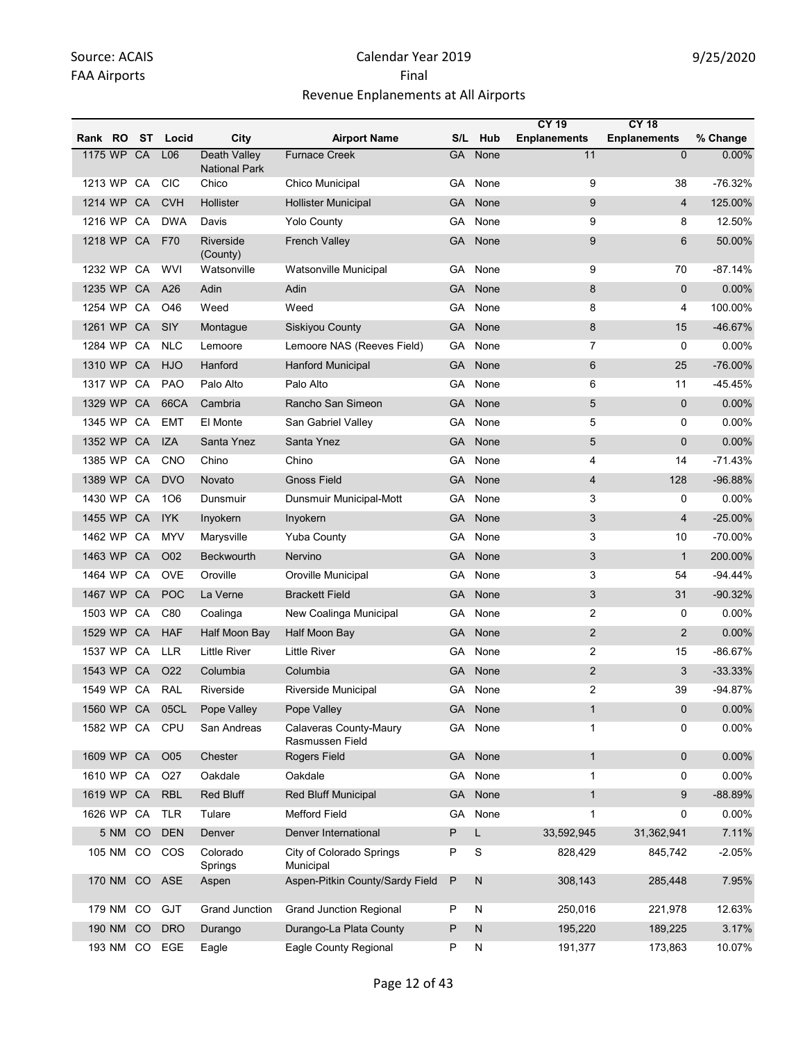|            |        |    |               |                                             |                                           |           |              | <b>CY 19</b>        | <b>CY 18</b>        |           |
|------------|--------|----|---------------|---------------------------------------------|-------------------------------------------|-----------|--------------|---------------------|---------------------|-----------|
| Rank RO    |        | ST | Locid         | City                                        | <b>Airport Name</b>                       | S/L       | Hub          | <b>Enplanements</b> | <b>Enplanements</b> | % Change  |
| 1175 WP    |        | CA | L06           | <b>Death Valley</b><br><b>National Park</b> | <b>Furnace Creek</b>                      | <b>GA</b> | None         | 11                  | $\Omega$            | 0.00%     |
| 1213 WP CA |        |    | <b>CIC</b>    | Chico                                       | Chico Municipal                           | GA        | None         | 9                   | 38                  | $-76.32%$ |
| 1214 WP    |        | CA | <b>CVH</b>    | Hollister                                   | <b>Hollister Municipal</b>                | GA        | None         | 9                   | $\overline{4}$      | 125.00%   |
| 1216 WP CA |        |    | <b>DWA</b>    | Davis                                       | <b>Yolo County</b>                        | GA        | None         | 9                   | 8                   | 12.50%    |
| 1218 WP    |        | CA | F70           | Riverside<br>(County)                       | <b>French Valley</b>                      | <b>GA</b> | None         | 9                   | 6                   | 50.00%    |
| 1232 WP CA |        |    | <b>WVI</b>    | Watsonville                                 | Watsonville Municipal                     | GA        | None         | 9                   | 70                  | $-87.14%$ |
| 1235 WP    |        | CA | A26           | <b>Adin</b>                                 | Adin                                      | <b>GA</b> | None         | 8                   | $\mathbf{0}$        | $0.00\%$  |
| 1254 WP CA |        |    | O46           | Weed                                        | Weed                                      | GA        | None         | 8                   | 4                   | 100.00%   |
| 1261 WP    |        | CA | SIY           | Montague                                    | Siskiyou County                           | GA        | None         | 8                   | 15                  | -46.67%   |
| 1284 WP    |        | CA | <b>NLC</b>    | Lemoore                                     | Lemoore NAS (Reeves Field)                | GА        | None         | 7                   | $\mathbf 0$         | 0.00%     |
| 1310 WP CA |        |    | HJO           | Hanford                                     | Hanford Municipal                         | GA        | None         | 6                   | 25                  | $-76.00%$ |
| 1317 WP    |        | CA | <b>PAO</b>    | Palo Alto                                   | Palo Alto                                 | GА        | None         | 6                   | 11                  | $-45.45%$ |
| 1329 WP    |        | CA | 66CA          | Cambria                                     | Rancho San Simeon                         | GA        | None         | 5                   | $\mathbf{0}$        | 0.00%     |
| 1345 WP    |        | CA | <b>EMT</b>    | El Monte                                    | San Gabriel Valley                        | GА        | None         | 5                   | 0                   | $0.00\%$  |
| 1352 WP    |        | CA | <b>IZA</b>    | Santa Ynez                                  | Santa Ynez                                | GA        | None         | 5                   | $\mathbf{0}$        | 0.00%     |
| 1385 WP    |        | CA | <b>CNO</b>    | Chino                                       | Chino                                     | GA        | None         | 4                   | 14                  | $-71.43%$ |
| 1389 WP    |        | CA | <b>DVO</b>    | Novato                                      | <b>Gnoss Field</b>                        | <b>GA</b> | None         | $\overline{4}$      | 128                 | $-96.88%$ |
| 1430 WP    |        | CA | 106           | Dunsmuir                                    | Dunsmuir Municipal-Mott                   | GА        | None         | 3                   | 0                   | 0.00%     |
| 1455 WP    |        | CA | IYK           | Inyokern                                    | Inyokern                                  | GA        | None         | 3                   | $\overline{4}$      | $-25.00%$ |
| 1462 WP CA |        |    | <b>MYV</b>    | Marysville                                  | <b>Yuba County</b>                        | GА        | None         | 3                   | 10                  | -70.00%   |
| 1463 WP    |        | CA | O02           | Beckwourth                                  | Nervino                                   | GA        | None         | 3                   | $\mathbf{1}$        | 200.00%   |
| 1464 WP    |        | CA | <b>OVE</b>    | Oroville                                    | Oroville Municipal                        | GA        | None         | 3                   | 54                  | $-94.44%$ |
| 1467 WP    |        | CA | <b>POC</b>    | La Verne                                    | <b>Brackett Field</b>                     | GA        | None         | 3                   | 31                  | $-90.32%$ |
| 1503 WP    |        | CA | C80           | Coalinga                                    | New Coalinga Municipal                    | GА        | None         | 2                   | 0                   | 0.00%     |
| 1529 WP    |        | CA | <b>HAF</b>    | Half Moon Bay                               | Half Moon Bay                             | GA        | None         | $\overline{2}$      | $\overline{2}$      | 0.00%     |
| 1537 WP    |        | CA | LLR.          | <b>Little River</b>                         | <b>Little River</b>                       | GА        | None         | 2                   | 15                  | $-86.67%$ |
| 1543 WP    |        | CA | O22           | Columbia                                    | Columbia                                  | GA        | None         | $\overline{2}$      | 3                   | $-33.33%$ |
| 1549 WP    |        | CA | <b>RAL</b>    | Riverside                                   | Riverside Municipal                       | GА        | None         | 2                   | 39                  | $-94.87%$ |
| 1560 WP CA |        |    | 05CL          | Pope Valley                                 | Pope Valley                               | <b>GA</b> | None         | $\mathbf{1}$        | $\mathbf 0$         | 0.00%     |
| 1582 WP CA |        |    | CPU           | San Andreas                                 | Calaveras County-Maury<br>Rasmussen Field | GA        | None         | $\mathbf{1}$        | 0                   | 0.00%     |
| 1609 WP CA |        |    | O05           | Chester                                     | Rogers Field                              | <b>GA</b> | None         | $\mathbf{1}$        | $\mathbf 0$         | 0.00%     |
| 1610 WP    |        | CA | O27           | Oakdale                                     | Oakdale                                   | GA        | None         | $\mathbf{1}$        | 0                   | 0.00%     |
| 1619 WP CA |        |    | <b>RBL</b>    | <b>Red Bluff</b>                            | Red Bluff Municipal                       | <b>GA</b> | None         | $\mathbf{1}$        | 9                   | -88.89%   |
| 1626 WP CA |        |    | <b>TLR</b>    | Tulare                                      | <b>Mefford Field</b>                      | GА        | None         | $\mathbf{1}$        | 0                   | 0.00%     |
|            | 5 NM   | CO | <b>DEN</b>    | Denver                                      | Denver International                      | P         | L            | 33,592,945          | 31,362,941          | 7.11%     |
|            |        |    | 105 NM CO COS | Colorado<br>Springs                         | City of Colorado Springs<br>Municipal     | Ρ         | S            | 828,429             | 845,742             | $-2.05%$  |
|            | 170 NM | CO | ASE           | Aspen                                       | Aspen-Pitkin County/Sardy Field           | P         | $\mathsf{N}$ | 308,143             | 285,448             | 7.95%     |
|            | 179 NM | CO | GJT           | Grand Junction                              | <b>Grand Junction Regional</b>            | Ρ         | N            | 250,016             | 221,978             | 12.63%    |
|            | 190 NM | CO | <b>DRO</b>    | Durango                                     | Durango-La Plata County                   | Ρ         | $\mathsf{N}$ | 195,220             | 189,225             | 3.17%     |
|            |        |    | 193 NM CO EGE | Eagle                                       | Eagle County Regional                     | Ρ         | N            | 191,377             | 173,863             | 10.07%    |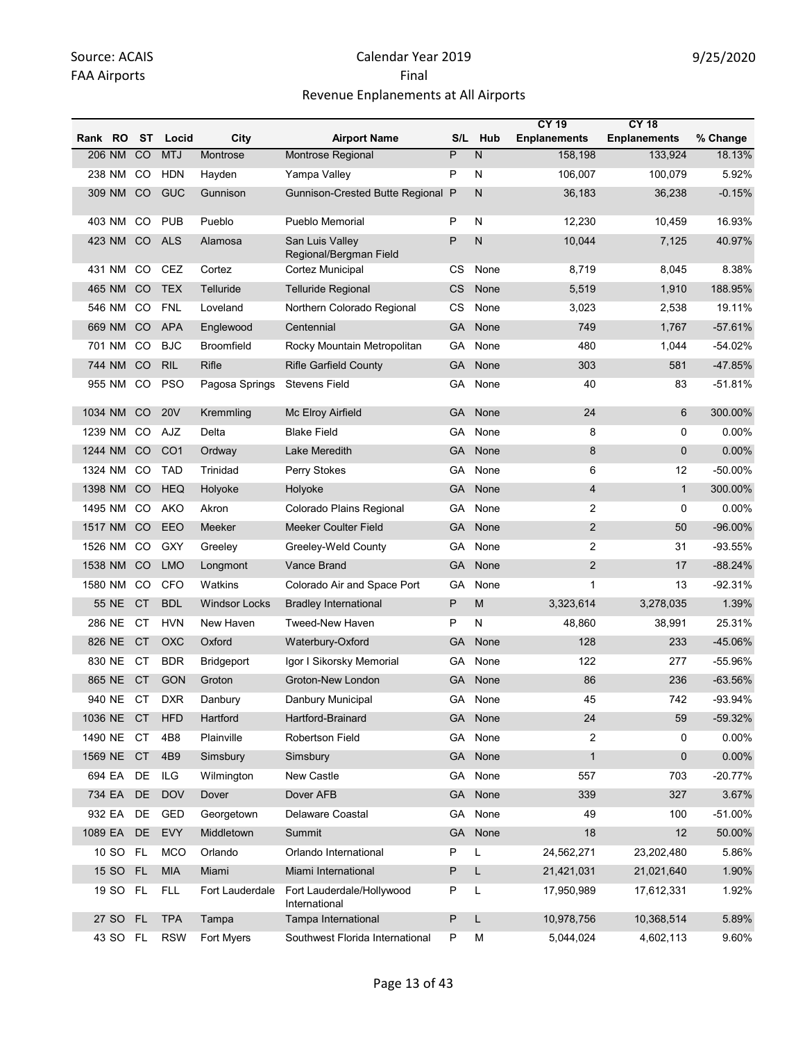|            |                 |                  |                   |                                            |           |              | <b>CY 19</b>        | <b>CY 18</b>        |           |
|------------|-----------------|------------------|-------------------|--------------------------------------------|-----------|--------------|---------------------|---------------------|-----------|
| Rank RO    | ST              | Locid            | City              | <b>Airport Name</b>                        |           | S/L Hub      | <b>Enplanements</b> | <b>Enplanements</b> | % Change  |
| 206 NM     | CO              | <b>MTJ</b>       | Montrose          | Montrose Regional                          | P         | N            | 158,198             | 133,924             | 18.13%    |
| 238 NM     | CO.             | HDN              | Hayden            | Yampa Valley                               | P         | N            | 106,007             | 100,079             | 5.92%     |
| 309 NM     | <sub>CO</sub>   | GUC              | Gunnison          | Gunnison-Crested Butte Regional P          |           | N            | 36,183              | 36,238              | $-0.15%$  |
| 403 NM     | CO              | <b>PUB</b>       | Pueblo            | Pueblo Memorial                            | P         | N            | 12,230              | 10,459              | 16.93%    |
| 423 NM     | CO              | <b>ALS</b>       | Alamosa           | San Luis Valley<br>Regional/Bergman Field  | P         | $\mathsf{N}$ | 10,044              | 7,125               | 40.97%    |
| 431 NM     | CO              | CEZ              | Cortez            | Cortez Municipal                           | CS        | None         | 8,719               | 8,045               | 8.38%     |
| 465 NM     | CO              | <b>TEX</b>       | Telluride         | <b>Telluride Regional</b>                  | CS        | None         | 5,519               | 1,910               | 188.95%   |
| 546 NM     | CO.             | <b>FNL</b>       | Loveland          | Northern Colorado Regional                 | CS        | None         | 3,023               | 2,538               | 19.11%    |
| 669 NM     | <sub>CO</sub>   | <b>APA</b>       | Englewood         | Centennial                                 | <b>GA</b> | None         | 749                 | 1,767               | $-57.61%$ |
| 701 NM     | CO              | <b>BJC</b>       | <b>Broomfield</b> | Rocky Mountain Metropolitan                | GA        | None         | 480                 | 1,044               | $-54.02%$ |
| 744 NM     | CO              | <b>RIL</b>       | Rifle             | <b>Rifle Garfield County</b>               | <b>GA</b> | None         | 303                 | 581                 | -47.85%   |
| 955 NM     | CO              | <b>PSO</b>       | Pagosa Springs    | <b>Stevens Field</b>                       | GA        | None         | 40                  | 83                  | $-51.81%$ |
| 1034 NM    | CO              | <b>20V</b>       | Kremmling         | Mc Elroy Airfield                          | GA        | None         | 24                  | 6                   | 300.00%   |
| 1239 NM    | CO              | AJZ              | Delta             | <b>Blake Field</b>                         | GA        | None         | 8                   | 0                   | 0.00%     |
| 1244 NM    | CO <sub>1</sub> | CO <sub>1</sub>  | Ordway            | Lake Meredith                              | GA        | None         | 8                   | $\mathbf 0$         | 0.00%     |
| 1324 NM    | CO              | <b>TAD</b>       | Trinidad          | Perry Stokes                               | GА        | None         | 6                   | 12                  | -50.00%   |
| 1398 NM    | CO              | <b>HEQ</b>       | Holyoke           | Holyoke                                    | <b>GA</b> | None         | 4                   | $\mathbf{1}$        | 300.00%   |
| 1495 NM    | CO              | AKO              | Akron             | Colorado Plains Regional                   | GA        | None         | 2                   | 0                   | 0.00%     |
| 1517 NM    | CO              | EEO              | Meeker            | <b>Meeker Coulter Field</b>                | GA        | None         | $\overline{2}$      | 50                  | $-96.00%$ |
| 1526 NM    | <sub>CO</sub>   | GXY              | Greeley           | Greeley-Weld County                        | GA        | None         | $\overline{2}$      | 31                  | $-93.55%$ |
| 1538 NM    | CO              | <b>LMO</b>       | Longmont          | <b>Vance Brand</b>                         | <b>GA</b> | None         | $\overline{2}$      | 17                  | $-88.24%$ |
| 1580 NM    | CO.             | <b>CFO</b>       | Watkins           | Colorado Air and Space Port                | GA        | None         | $\mathbf{1}$        | 13                  | $-92.31%$ |
| 55 NE      | <b>CT</b>       | <b>BDL</b>       | Windsor Locks     | <b>Bradley International</b>               | P         | M            | 3,323,614           | 3,278,035           | 1.39%     |
| 286 NE     | СT              | <b>HVN</b>       | New Haven         | <b>Tweed-New Haven</b>                     | P         | N            | 48,860              | 38,991              | 25.31%    |
| 826 NE     | <b>CT</b>       | OXC              | Oxford            | Waterbury-Oxford                           | <b>GA</b> | None         | 128                 | 233                 | -45.06%   |
| 830 NE     | <b>CT</b>       | <b>BDR</b>       | Bridgeport        | Igor I Sikorsky Memorial                   | GA        | None         | 122                 | 277                 | -55.96%   |
| 865 NE     | <b>CT</b>       | <b>GON</b>       | Groton            | <b>Groton-New London</b>                   | GA        | None         | 86                  | 236                 | $-63.56%$ |
| 940 NE CT  |                 | <b>DXR</b>       | Danbury           | Danbury Municipal                          | GA.       | None         | 45                  | 742                 | -93.94%   |
| 1036 NE CT |                 | <b>HFD</b>       | Hartford          | Hartford-Brainard                          |           | GA None      | 24                  | 59                  | $-59.32%$ |
| 1490 NE CT |                 | 4B8              | Plainville        | Robertson Field                            |           | GA None      | $\overline{c}$      | 0                   | 0.00%     |
| 1569 NE CT |                 | 4 <sub>B</sub> 9 | Simsbury          | Simsbury                                   | <b>GA</b> | None         | $\mathbf{1}$        | 0                   | 0.00%     |
| 694 EA     | DE              | ILG              | Wilmington        | New Castle                                 | GA        | None         | 557                 | 703                 | $-20.77%$ |
| 734 EA     | DE              | <b>DOV</b>       | Dover             | Dover AFB                                  | GA        | None         | 339                 | 327                 | 3.67%     |
| 932 EA     | DE              | <b>GED</b>       | Georgetown        | Delaware Coastal                           |           | GA None      | 49                  | 100                 | -51.00%   |
| 1089 EA    | DE              | <b>EVY</b>       | Middletown        | Summit                                     | <b>GA</b> | None         | 18                  | 12                  | 50.00%    |
| 10 SO FL   |                 | <b>MCO</b>       | Orlando           | Orlando International                      | P         | Г            | 24,562,271          | 23,202,480          | 5.86%     |
| 15 SO FL   |                 | <b>MIA</b>       | Miami             | Miami International                        | P         | L            | 21,421,031          | 21,021,640          | 1.90%     |
| 19 SO FL   |                 | <b>FLL</b>       | Fort Lauderdale   | Fort Lauderdale/Hollywood<br>International | P         | L            | 17,950,989          | 17,612,331          | 1.92%     |
| 27 SO FL   |                 | <b>TPA</b>       | Tampa             | Tampa International                        | P         | L            | 10,978,756          | 10,368,514          | 5.89%     |
| 43 SO FL   |                 | <b>RSW</b>       | Fort Myers        | Southwest Florida International            | P         | М            | 5,044,024           | 4,602,113           | 9.60%     |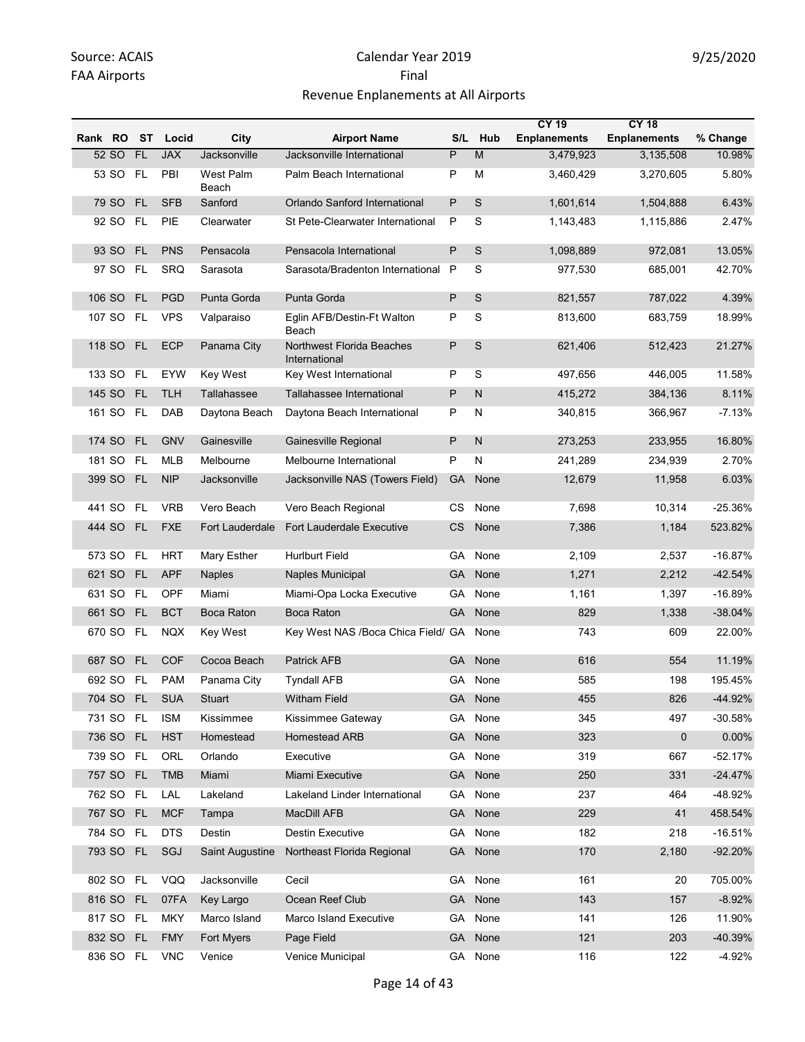|         |           |           |            |                        |                                            |           |         | <b>CY 19</b>        | <b>CY 18</b>        |           |
|---------|-----------|-----------|------------|------------------------|--------------------------------------------|-----------|---------|---------------------|---------------------|-----------|
| Rank RO |           | ST        | Locid      | City                   | <b>Airport Name</b>                        | S/L       | Hub     | <b>Enplanements</b> | <b>Enplanements</b> | % Change  |
|         | 52 SO     | <b>FL</b> | <b>JAX</b> | Jacksonville           | Jacksonville International                 | P         | M       | 3,479,923           | 3,135,508           | 10.98%    |
|         | 53 SO FL  |           | PBI        | West Palm<br>Beach     | Palm Beach International                   | Ρ         | М       | 3,460,429           | 3,270,605           | 5.80%     |
|         | 79 SO FL  |           | <b>SFB</b> | Sanford                | Orlando Sanford International              | P         | S       | 1,601,614           | 1,504,888           | 6.43%     |
|         | 92 SO     | <b>FL</b> | <b>PIE</b> | Clearwater             | St Pete-Clearwater International           | P         | S       | 1,143,483           | 1,115,886           | 2.47%     |
|         | 93 SO     | <b>FL</b> | <b>PNS</b> | Pensacola              | Pensacola International                    | P         | S       | 1,098,889           | 972,081             | 13.05%    |
|         | 97 SO     | <b>FL</b> | SRQ        | Sarasota               | Sarasota/Bradenton International           | P         | S       | 977,530             | 685,001             | 42.70%    |
|         | 106 SO    | <b>FL</b> | <b>PGD</b> | Punta Gorda            | Punta Gorda                                | P         | S       | 821,557             | 787,022             | 4.39%     |
|         | 107 SO    | <b>FL</b> | <b>VPS</b> | Valparaiso             | Eglin AFB/Destin-Ft Walton<br>Beach        | Ρ         | S       | 813,600             | 683,759             | 18.99%    |
|         | 118 SO    | <b>FL</b> | <b>ECP</b> | Panama City            | Northwest Florida Beaches<br>International | Ρ         | S       | 621,406             | 512,423             | 21.27%    |
|         | 133 SO FL |           | <b>EYW</b> | Key West               | Key West International                     | Ρ         | S       | 497,656             | 446,005             | 11.58%    |
|         | 145 SO    | <b>FL</b> | <b>TLH</b> | Tallahassee            | Tallahassee International                  | P         | N       | 415,272             | 384,136             | 8.11%     |
|         | 161 SO    | FL        | DAB        | Daytona Beach          | Daytona Beach International                | Ρ         | N       | 340,815             | 366,967             | $-7.13%$  |
|         | 174 SO    | <b>FL</b> | <b>GNV</b> | Gainesville            | Gainesville Regional                       | P         | N       | 273,253             | 233,955             | 16.80%    |
|         | 181 SO    | <b>FL</b> | <b>MLB</b> | Melbourne              | Melbourne International                    | Ρ         | N       | 241,289             | 234,939             | 2.70%     |
|         | 399 SO FL |           | <b>NIP</b> | Jacksonville           | Jacksonville NAS (Towers Field)            | <b>GA</b> | None    | 12,679              | 11,958              | 6.03%     |
|         | 441 SO    | <b>FL</b> | <b>VRB</b> | Vero Beach             | Vero Beach Regional                        | СS        | None    | 7,698               | 10,314              | $-25.36%$ |
|         | 444 SO FL |           | <b>FXE</b> | Fort Lauderdale        | <b>Fort Lauderdale Executive</b>           | CS        | None    | 7,386               | 1,184               | 523.82%   |
|         | 573 SO    | <b>FL</b> | <b>HRT</b> | Mary Esther            | <b>Hurlburt Field</b>                      | GА        | None    | 2,109               | 2,537               | $-16.87%$ |
|         | 621 SO    | <b>FL</b> | <b>APF</b> | <b>Naples</b>          | Naples Municipal                           | GA        | None    | 1,271               | 2,212               | $-42.54%$ |
|         | 631 SO    | <b>FL</b> | OPF        | Miami                  | Miami-Opa Locka Executive                  | GA        | None    | 1,161               | 1,397               | $-16.89%$ |
|         | 661 SO FL |           | <b>BCT</b> | <b>Boca Raton</b>      | <b>Boca Raton</b>                          | GA        | None    | 829                 | 1,338               | $-38.04%$ |
|         | 670 SO    | <b>FL</b> | <b>NQX</b> | Key West               | Key West NAS /Boca Chica Field/ GA         |           | None    | 743                 | 609                 | 22.00%    |
|         | 687 SO    | <b>FL</b> | <b>COF</b> | Cocoa Beach            | <b>Patrick AFB</b>                         | GA        | None    | 616                 | 554                 | 11.19%    |
|         | 692 SO    | <b>FL</b> | <b>PAM</b> | Panama City            | <b>Tyndall AFB</b>                         | GA        | None    | 585                 | 198                 | 195.45%   |
|         | 704 SO FL |           | <b>SUA</b> | <b>Stuart</b>          | <b>Witham Field</b>                        | GA        | None    | 455                 | 826                 | -44.92%   |
|         | 731 SO FL |           | <b>ISM</b> | Kissimmee              | Kissimmee Gateway                          |           | GA None | 345                 | 497                 | $-30.58%$ |
|         | 736 SO    | <b>FL</b> | <b>HST</b> | Homestead              | Homestead ARB                              | <b>GA</b> | None    | 323                 | $\mathbf 0$         | $0.00\%$  |
|         | 739 SO FL |           | ORL        | Orlando                | Executive                                  | GA        | None    | 319                 | 667                 | $-52.17%$ |
|         | 757 SO FL |           | <b>TMB</b> | Miami                  | Miami Executive                            | <b>GA</b> | None    | 250                 | 331                 | $-24.47%$ |
|         | 762 SO FL |           | LAL        | Lakeland               | Lakeland Linder International              | GA        | None    | 237                 | 464                 | -48.92%   |
|         | 767 SO FL |           | <b>MCF</b> | Tampa                  | MacDill AFB                                | <b>GA</b> | None    | 229                 | 41                  | 458.54%   |
|         | 784 SO FL |           | <b>DTS</b> | Destin                 | Destin Executive                           | GA        | None    | 182                 | 218                 | $-16.51%$ |
|         | 793 SO FL |           | SGJ        | <b>Saint Augustine</b> | Northeast Florida Regional                 | <b>GA</b> | None    | 170                 | 2,180               | $-92.20%$ |
|         | 802 SO FL |           | VQQ        | Jacksonville           | Cecil                                      |           | GA None | 161                 | 20                  | 705.00%   |
|         | 816 SO    | FL        | 07FA       | Key Largo              | Ocean Reef Club                            | GA        | None    | 143                 | 157                 | $-8.92%$  |
|         | 817 SO FL |           | <b>MKY</b> | Marco Island           | Marco Island Executive                     | GA        | None    | 141                 | 126                 | 11.90%    |
|         | 832 SO FL |           | <b>FMY</b> | Fort Myers             | Page Field                                 | <b>GA</b> | None    | 121                 | 203                 | -40.39%   |
|         | 836 SO FL |           | <b>VNC</b> | Venice                 | Venice Municipal                           |           | GA None | 116                 | 122                 | $-4.92%$  |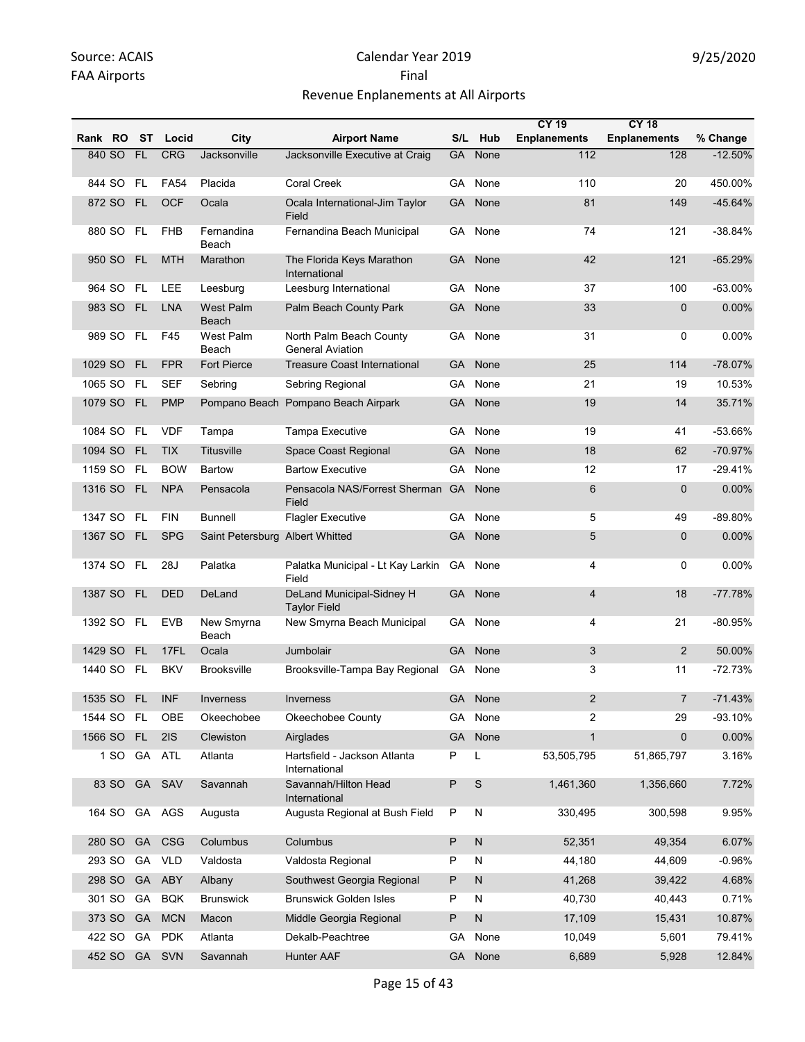|         |            |           |             |                                 |                                                    |           |              | <b>CY 19</b>        | <b>CY 18</b>        |           |
|---------|------------|-----------|-------------|---------------------------------|----------------------------------------------------|-----------|--------------|---------------------|---------------------|-----------|
| Rank RO |            | ST        | Locid       | City                            | <b>Airport Name</b>                                | S/L       | Hub          | <b>Enplanements</b> | <b>Enplanements</b> | % Change  |
|         | 840 SO FL  |           | <b>CRG</b>  | Jacksonville                    | Jacksonville Executive at Craig                    | <b>GA</b> | None         | 112                 | 128                 | $-12.50%$ |
|         | 844 SO     | <b>FL</b> | <b>FA54</b> | Placida                         | Coral Creek                                        | GA        | None         | 110                 | 20                  | 450.00%   |
|         | 872 SO     | FL        | <b>OCF</b>  | Ocala                           | Ocala International-Jim Taylor<br>Field            | <b>GA</b> | None         | 81                  | 149                 | $-45.64%$ |
|         | 880 SO     | <b>FL</b> | <b>FHB</b>  | Fernandina<br>Beach             | Fernandina Beach Municipal                         | GA        | None         | 74                  | 121                 | $-38.84%$ |
|         | 950 SO     | <b>FL</b> | <b>MTH</b>  | Marathon                        | The Florida Keys Marathon<br>International         | <b>GA</b> | None         | 42                  | 121                 | $-65.29%$ |
|         | 964 SO     | <b>FL</b> | <b>LEE</b>  | Leesburg                        | Leesburg International                             | GA        | None         | 37                  | 100                 | $-63.00%$ |
|         | 983 SO     | <b>FL</b> | <b>LNA</b>  | <b>West Palm</b><br>Beach       | Palm Beach County Park                             | <b>GA</b> | None         | 33                  | $\mathbf 0$         | 0.00%     |
|         | 989 SO     | FL.       | F45         | <b>West Palm</b><br>Beach       | North Palm Beach County<br><b>General Aviation</b> | GA        | None         | 31                  | 0                   | $0.00\%$  |
| 1029 SO |            | <b>FL</b> | <b>FPR</b>  | <b>Fort Pierce</b>              | <b>Treasure Coast International</b>                | GA        | None         | 25                  | 114                 | $-78.07%$ |
| 1065 SO |            | FL        | <b>SEF</b>  | Sebring                         | Sebring Regional                                   | GA        | None         | 21                  | 19                  | 10.53%    |
|         | 1079 SO FL |           | <b>PMP</b>  |                                 | Pompano Beach Pompano Beach Airpark                | <b>GA</b> | None         | 19                  | 14                  | 35.71%    |
| 1084 SO |            | <b>FL</b> | <b>VDF</b>  | Tampa                           | <b>Tampa Executive</b>                             | GA        | None         | 19                  | 41                  | -53.66%   |
|         | 1094 SO    | FL.       | <b>TIX</b>  | <b>Titusville</b>               | Space Coast Regional                               | GA        | None         | 18                  | 62                  | $-70.97%$ |
|         | 1159 SO    | FL        | <b>BOW</b>  | <b>Bartow</b>                   | <b>Bartow Executive</b>                            | GA        | None         | 12                  | 17                  | $-29.41%$ |
|         | 1316 SO FL |           | <b>NPA</b>  | Pensacola                       | Pensacola NAS/Forrest Sherman<br>Field             | <b>GA</b> | None         | 6                   | $\mathbf 0$         | 0.00%     |
| 1347 SO |            | <b>FL</b> | <b>FIN</b>  | <b>Bunnell</b>                  | <b>Flagler Executive</b>                           |           | GA None      | 5                   | 49                  | -89.80%   |
| 1367 SO |            | - FL      | <b>SPG</b>  | Saint Petersburg Albert Whitted |                                                    | <b>GA</b> | None         | 5                   | $\mathbf{0}$        | 0.00%     |
|         | 1374 SO FL |           | 28J         | Palatka                         | Palatka Municipal - Lt Kay Larkin<br>Field         | GA        | None         | 4                   | 0                   | 0.00%     |
| 1387 SO |            | <b>FL</b> | <b>DED</b>  | DeLand                          | DeLand Municipal-Sidney H<br><b>Taylor Field</b>   | <b>GA</b> | None         | 4                   | 18                  | $-77.78%$ |
|         | 1392 SO FL |           | <b>EVB</b>  | New Smyrna<br>Beach             | New Smyrna Beach Municipal                         | GA.       | None         | 4                   | 21                  | $-80.95%$ |
| 1429 SO |            | FL        | 17FL        | Ocala                           | Jumbolair                                          | GA        | None         | 3                   | $\overline{2}$      | 50.00%    |
|         | 1440 SO FL |           | <b>BKV</b>  | <b>Brooksville</b>              | Brooksville-Tampa Bay Regional                     | GA        | None         | 3                   | 11                  | -72.73%   |
| 1535 SO |            | <b>FL</b> | <b>INF</b>  | Inverness                       | Inverness                                          |           | GA None      | $\overline{2}$      | $\overline{7}$      | $-71.43%$ |
|         | 1544 SO FL |           | OBE         | Okeechobee                      | Okeechobee County                                  | GA        | None         | 2                   | 29                  | -93.10%   |
| 1566 SO |            | FL.       | 2IS         | Clewiston                       | Airglades                                          | <b>GA</b> | None         | $\mathbf{1}$        | $\overline{0}$      | 0.00%     |
|         | 1 SO       | GA        | ATL         | Atlanta                         | Hartsfield - Jackson Atlanta<br>International      | P         | L            | 53,505,795          | 51,865,797          | 3.16%     |
|         | 83 SO      | <b>GA</b> | SAV         | Savannah                        | Savannah/Hilton Head<br>International              | P         | $\mathbb S$  | 1,461,360           | 1,356,660           | 7.72%     |
|         | 164 SO     |           | GA AGS      | Augusta                         | Augusta Regional at Bush Field                     | P         | N            | 330,495             | 300,598             | 9.95%     |
|         | 280 SO     | <b>GA</b> | CSG         | Columbus                        | Columbus                                           | P         | ${\sf N}$    | 52,351              | 49,354              | 6.07%     |
|         | 293 SO     | GA        | VLD         | Valdosta                        | Valdosta Regional                                  | P         | N            | 44,180              | 44,609              | $-0.96%$  |
|         | 298 SO     | <b>GA</b> | ABY         | Albany                          | Southwest Georgia Regional                         | P         | $\mathsf{N}$ | 41,268              | 39,422              | 4.68%     |
|         | 301 SO     | GA        | <b>BQK</b>  | <b>Brunswick</b>                | <b>Brunswick Golden Isles</b>                      | P         | N            | 40,730              | 40,443              | 0.71%     |
|         | 373 SO     | <b>GA</b> | <b>MCN</b>  | Macon                           | Middle Georgia Regional                            | P         | ${\sf N}$    | 17,109              | 15,431              | 10.87%    |
|         | 422 SO     | GA        | <b>PDK</b>  | Atlanta                         | Dekalb-Peachtree                                   | GA        | None         | 10,049              | 5,601               | 79.41%    |
|         | 452 SO     |           | GA SVN      | Savannah                        | Hunter AAF                                         | GA        | None         | 6,689               | 5,928               | 12.84%    |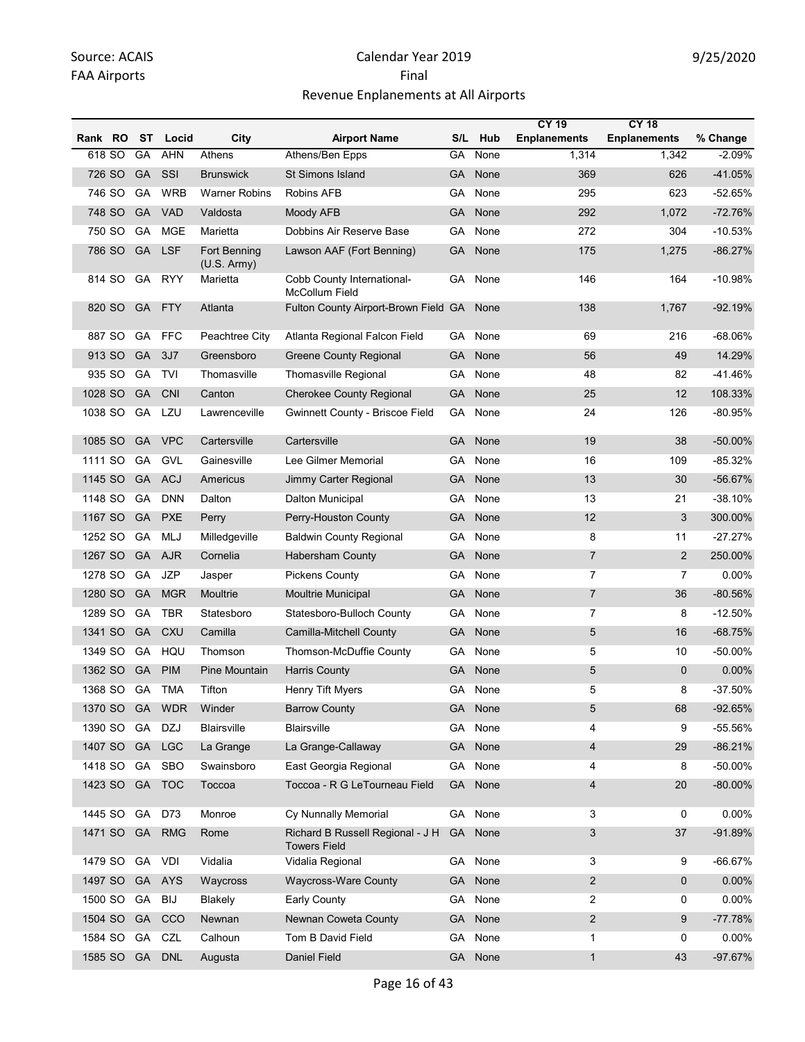|         |        |           |            |                             |                                                         |           |         | <b>CY 19</b>        | <b>CY 18</b>        |            |
|---------|--------|-----------|------------|-----------------------------|---------------------------------------------------------|-----------|---------|---------------------|---------------------|------------|
| Rank RO |        | ST        | Locid      | City                        | <b>Airport Name</b>                                     | S/L       | Hub     | <b>Enplanements</b> | <b>Enplanements</b> | % Change   |
| 618 SO  |        | GA        | <b>AHN</b> | Athens                      | Athens/Ben Epps                                         | GA        | None    | 1,314               | 1,342               | $-2.09%$   |
|         | 726 SO | <b>GA</b> | SSI        | <b>Brunswick</b>            | <b>St Simons Island</b>                                 | GA        | None    | 369                 | 626                 | $-41.05%$  |
|         | 746 SO | GA        | <b>WRB</b> | <b>Warner Robins</b>        | Robins AFB                                              | GA        | None    | 295                 | 623                 | $-52.65%$  |
| 748 SO  |        | GA        | <b>VAD</b> | Valdosta                    | Moody AFB                                               | <b>GA</b> | None    | 292                 | 1,072               | $-72.76%$  |
| 750 SO  |        | GA        | <b>MGE</b> | Marietta                    | Dobbins Air Reserve Base                                | GA        | None    | 272                 | 304                 | $-10.53%$  |
|         | 786 SO | GA        | <b>LSF</b> | Fort Benning<br>(U.S. Army) | Lawson AAF (Fort Benning)                               | GA        | None    | 175                 | 1,275               | $-86.27%$  |
|         | 814 SO | GA        | <b>RYY</b> | Marietta                    | Cobb County International-<br>McCollum Field            | GA        | None    | 146                 | 164                 | $-10.98%$  |
|         | 820 SO | <b>GA</b> | <b>FTY</b> | Atlanta                     | Fulton County Airport-Brown Field GA                    |           | None    | 138                 | 1,767               | $-92.19%$  |
| 887 SO  |        | GA        | <b>FFC</b> | Peachtree City              | Atlanta Regional Falcon Field                           | GA        | None    | 69                  | 216                 | -68.06%    |
|         | 913 SO | <b>GA</b> | 3J7        | Greensboro                  | Greene County Regional                                  | GA        | None    | 56                  | 49                  | 14.29%     |
|         | 935 SO | GA        | <b>TVI</b> | Thomasville                 | Thomasville Regional                                    | GA        | None    | 48                  | 82                  | -41.46%    |
| 1028 SO |        | GA        | <b>CNI</b> | Canton                      | <b>Cherokee County Regional</b>                         | <b>GA</b> | None    | 25                  | 12                  | 108.33%    |
| 1038 SO |        | GA        | LZU        | Lawrenceville               | Gwinnett County - Briscoe Field                         | GA        | None    | 24                  | 126                 | -80.95%    |
| 1085 SO |        | <b>GA</b> | <b>VPC</b> | Cartersville                | Cartersville                                            | <b>GA</b> | None    | 19                  | 38                  | $-50.00\%$ |
| 1111 SO |        | GA        | GVL        | Gainesville                 | Lee Gilmer Memorial                                     | GA        | None    | 16                  | 109                 | $-85.32%$  |
| 1145 SO |        | <b>GA</b> | <b>ACJ</b> | Americus                    | Jimmy Carter Regional                                   | <b>GA</b> | None    | 13                  | 30                  | $-56.67%$  |
| 1148 SO |        | GA        | <b>DNN</b> | Dalton                      | <b>Dalton Municipal</b>                                 | GA        | None    | 13                  | 21                  | $-38.10%$  |
| 1167 SO |        | GA        | <b>PXE</b> | Perry                       | Perry-Houston County                                    | <b>GA</b> | None    | 12                  | 3                   | 300.00%    |
| 1252 SO |        | GA        | <b>MLJ</b> | Milledgeville               | <b>Baldwin County Regional</b>                          | GA        | None    | 8                   | 11                  | $-27.27%$  |
| 1267 SO |        | <b>GA</b> | <b>AJR</b> | Cornelia                    | <b>Habersham County</b>                                 | <b>GA</b> | None    | $\overline{7}$      | $\overline{2}$      | 250.00%    |
| 1278 SO |        | GA        | <b>JZP</b> | Jasper                      | <b>Pickens County</b>                                   | GA        | None    | $\overline{7}$      | 7                   | 0.00%      |
| 1280 SO |        | GA        | <b>MGR</b> | Moultrie                    | <b>Moultrie Municipal</b>                               | <b>GA</b> | None    | $\overline{7}$      | 36                  | $-80.56%$  |
| 1289 SO |        | GA        | <b>TBR</b> | Statesboro                  | Statesboro-Bulloch County                               | GA        | None    | $\overline{7}$      | 8                   | $-12.50%$  |
| 1341 SO |        | GA        | CXU        | Camilla                     | Camilla-Mitchell County                                 | <b>GA</b> | None    | 5                   | 16                  | $-68.75%$  |
| 1349 SO |        | GA        | HQU        | Thomson                     | Thomson-McDuffie County                                 | GA        | None    | 5                   | 10                  | -50.00%    |
| 1362 SO |        | GA        | <b>PIM</b> | Pine Mountain               | <b>Harris County</b>                                    | GA        | None    | 5                   | $\mathbf{0}$        | 0.00%      |
| 1368 SO |        | GA        | <b>TMA</b> | Tifton                      | Henry Tift Myers                                        | GA        | None    | 5                   | 8                   | $-37.50%$  |
| 1370 SO |        | GA        | <b>WDR</b> | Winder                      | <b>Barrow County</b>                                    | GA        | None    | 5                   | 68                  | $-92.65%$  |
| 1390 SO |        | GA        | <b>DZJ</b> | Blairsville                 | Blairsville                                             | GA        | None    | 4                   | 9                   | -55.56%    |
| 1407 SO |        | GA        | <b>LGC</b> | La Grange                   | La Grange-Callaway                                      | <b>GA</b> | None    | $\overline{4}$      | 29                  | $-86.21%$  |
| 1418 SO |        | GA        | SBO        | Swainsboro                  | East Georgia Regional                                   | GA        | None    | 4                   | 8                   | -50.00%    |
| 1423 SO |        | <b>GA</b> | <b>TOC</b> | Toccoa                      | Toccoa - R G LeTourneau Field                           | <b>GA</b> | None    | 4                   | 20                  | $-80.00\%$ |
| 1445 SO |        | GA        | D73        | Monroe                      | Cy Nunnally Memorial                                    |           | GA None | 3                   | 0                   | 0.00%      |
| 1471 SO |        | <b>GA</b> | <b>RMG</b> | Rome                        | Richard B Russell Regional - J H<br><b>Towers Field</b> | <b>GA</b> | None    | 3                   | 37                  | -91.89%    |
| 1479 SO |        | GA        | VDI        | Vidalia                     | Vidalia Regional                                        | GA        | None    | 3                   | 9                   | $-66.67%$  |
| 1497 SO |        | <b>GA</b> | <b>AYS</b> | Waycross                    | <b>Waycross-Ware County</b>                             | <b>GA</b> | None    | $\overline{2}$      | $\mathbf 0$         | 0.00%      |
| 1500 SO |        | GA        | <b>BIJ</b> | Blakely                     | Early County                                            | GA        | None    | 2                   | 0                   | 0.00%      |
| 1504 SO |        | GA        | CCO        | Newnan                      | Newnan Coweta County                                    | <b>GA</b> | None    | $\overline{2}$      | 9                   | $-77.78%$  |
| 1584 SO |        | GA        | CZL        | Calhoun                     | Tom B David Field                                       | GA        | None    | $\mathbf{1}$        | 0                   | 0.00%      |
| 1585 SO |        | <b>GA</b> | <b>DNL</b> | Augusta                     | Daniel Field                                            | <b>GA</b> | None    | $\mathbf{1}$        | 43                  | -97.67%    |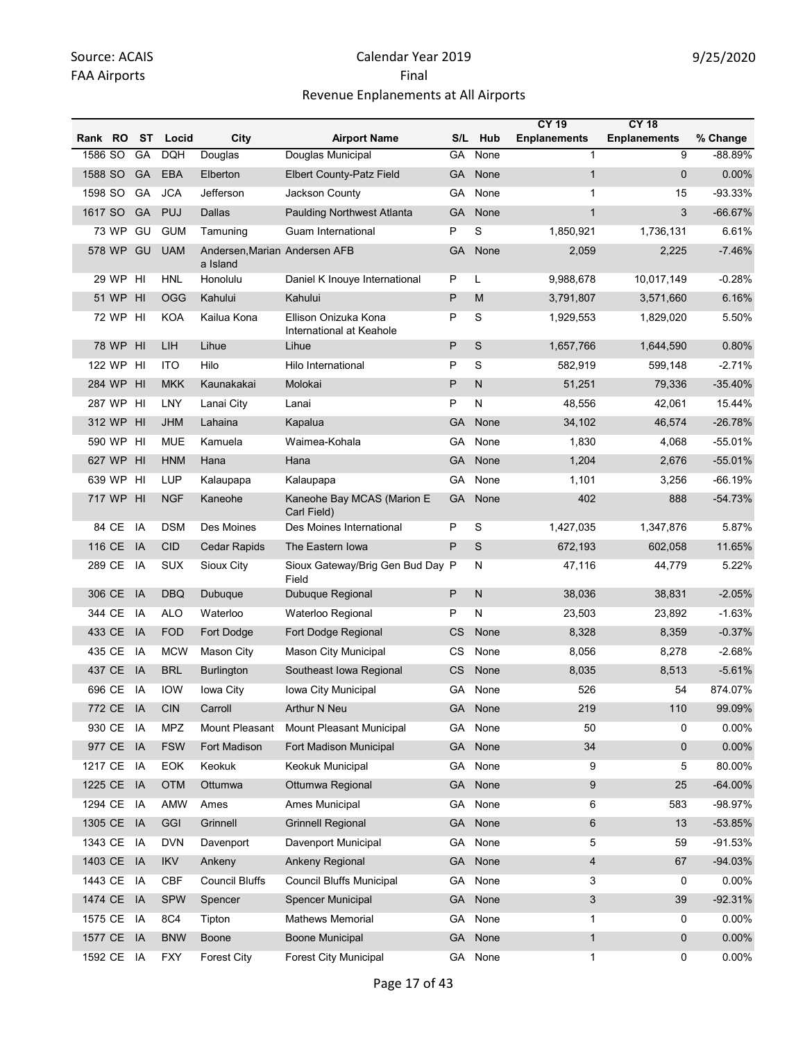|         |            |                 |            |                                           |                                                  |           |              | <b>CY 19</b>        | <b>CY 18</b>        |            |
|---------|------------|-----------------|------------|-------------------------------------------|--------------------------------------------------|-----------|--------------|---------------------|---------------------|------------|
| Rank RO |            | ST              | Locid      | City                                      | <b>Airport Name</b>                              | S/L       | Hub          | <b>Enplanements</b> | <b>Enplanements</b> | % Change   |
| 1586 SO |            | GA              | <b>DQH</b> | Douglas                                   | Douglas Municipal                                | GA        | None         | 1                   | 9                   | $-88.89%$  |
| 1588 SO |            | <b>GA</b>       | EBA        | Elberton                                  | <b>Elbert County-Patz Field</b>                  | <b>GA</b> | None         | $\mathbf{1}$        | $\mathbf{0}$        | 0.00%      |
| 1598 SO |            | GA              | <b>JCA</b> | Jefferson                                 | Jackson County                                   | GA        | None         | 1                   | 15                  | -93.33%    |
| 1617 SO |            | <b>GA</b>       | <b>PUJ</b> | Dallas                                    | <b>Paulding Northwest Atlanta</b>                | GA        | None         | $\mathbf{1}$        | 3                   | $-66.67%$  |
|         | 73 WP      | GU              | <b>GUM</b> | Tamuning                                  | Guam International                               | P         | S            | 1,850,921           | 1,736,131           | 6.61%      |
|         | 578 WP     | GU              | <b>UAM</b> | Andersen, Marian Andersen AFB<br>a Island |                                                  | <b>GA</b> | None         | 2,059               | 2,225               | $-7.46%$   |
|         | 29 WP      | HI              | <b>HNL</b> | Honolulu                                  | Daniel K Inouye International                    | P         | L            | 9,988,678           | 10,017,149          | $-0.28%$   |
|         | 51 WP      | H <sub>l</sub>  | <b>OGG</b> | Kahului                                   | Kahului                                          | P         | M            | 3,791,807           | 3,571,660           | 6.16%      |
|         | 72 WP      | HI              | <b>KOA</b> | Kailua Kona                               | Ellison Onizuka Kona<br>International at Keahole | P         | S            | 1,929,553           | 1,829,020           | 5.50%      |
|         | 78 WP      | H <sub>l</sub>  | LIH        | Lihue                                     | Lihue                                            | P         | S            | 1,657,766           | 1,644,590           | 0.80%      |
|         | 122 WP     | HI              | <b>ITO</b> | Hilo                                      | Hilo International                               | P         | S            | 582,919             | 599,148             | $-2.71%$   |
|         | 284 WP     | H <sub>l</sub>  | <b>MKK</b> | Kaunakakai                                | Molokai                                          | P         | $\mathsf{N}$ | 51,251              | 79,336              | $-35.40%$  |
|         | 287 WP     | H <sub>II</sub> | LNY        | Lanai City                                | Lanai                                            | P         | N            | 48,556              | 42,061              | 15.44%     |
|         | 312 WP     | HI              | <b>JHM</b> | Lahaina                                   | Kapalua                                          | GA        | None         | 34,102              | 46,574              | $-26.78%$  |
|         | 590 WP     | HI              | <b>MUE</b> | Kamuela                                   | Waimea-Kohala                                    | GA        | None         | 1,830               | 4,068               | $-55.01%$  |
|         | 627 WP     | H <sub>II</sub> | <b>HNM</b> | Hana                                      | Hana                                             | GA        | None         | 1,204               | 2,676               | $-55.01%$  |
|         | 639 WP     | HI              | <b>LUP</b> | Kalaupapa                                 | Kalaupapa                                        | GA        | None         | 1,101               | 3,256               | $-66.19%$  |
|         | 717 WP     | HI              | <b>NGF</b> | Kaneohe                                   | Kaneohe Bay MCAS (Marion E<br>Carl Field)        | <b>GA</b> | None         | 402                 | 888                 | $-54.73%$  |
|         | 84 CE      | IA              | <b>DSM</b> | Des Moines                                | Des Moines International                         | P         | S            | 1,427,035           | 1,347,876           | 5.87%      |
|         | 116 CE     | IA              | <b>CID</b> | Cedar Rapids                              | The Eastern Iowa                                 | P         | S            | 672,193             | 602,058             | 11.65%     |
|         | 289 CE     | IA              | <b>SUX</b> | Sioux City                                | Sioux Gateway/Brig Gen Bud Day P<br>Field        |           | N            | 47,116              | 44,779              | 5.22%      |
|         | 306 CE     | IA              | <b>DBQ</b> | Dubuque                                   | Dubuque Regional                                 | P         | $\mathsf{N}$ | 38,036              | 38,831              | $-2.05%$   |
|         | 344 CE     | IA              | ALO        | Waterloo                                  | Waterloo Regional                                | P         | N            | 23,503              | 23,892              | $-1.63%$   |
|         | 433 CE     | IA              | <b>FOD</b> | Fort Dodge                                | Fort Dodge Regional                              | <b>CS</b> | None         | 8,328               | 8,359               | $-0.37%$   |
|         | 435 CE     | IA              | <b>MCW</b> | Mason City                                | Mason City Municipal                             | CS        | None         | 8,056               | 8,278               | $-2.68%$   |
|         | 437 CE     | IA              | <b>BRL</b> | <b>Burlington</b>                         | Southeast Iowa Regional                          | CS        | None         | 8,035               | 8,513               | $-5.61%$   |
|         | 696 CE     | IA              | IOW        | Iowa City                                 | Iowa City Municipal                              | GA        | None         | 526                 | 54                  | 874.07%    |
|         | 772 CE     | IA              | <b>CIN</b> | Carroll                                   | Arthur N Neu                                     | <b>GA</b> | None         | 219                 | 110                 | 99.09%     |
|         | 930 CE     | IA              | <b>MPZ</b> | Mount Pleasant                            | Mount Pleasant Municipal                         | GA        | None         | 50                  | 0                   | 0.00%      |
|         | 977 CE     | IA              | <b>FSW</b> | Fort Madison                              | Fort Madison Municipal                           | GA        | None         | 34                  | $\mathbf 0$         | $0.00\%$   |
| 1217 CE |            | IA              | EOK        | Keokuk                                    | Keokuk Municipal                                 | GA        | None         | 9                   | 5                   | 80.00%     |
| 1225 CE |            | IA              | <b>OTM</b> | Ottumwa                                   | Ottumwa Regional                                 | GA        | None         | 9                   | 25                  | $-64.00\%$ |
| 1294 CE |            | IA              | AMW        | Ames                                      | Ames Municipal                                   | GA.       | None         | 6                   | 583                 | -98.97%    |
| 1305 CE |            | <b>IA</b>       | <b>GGI</b> | Grinnell                                  | <b>Grinnell Regional</b>                         | GA        | None         | 6                   | 13                  | -53.85%    |
| 1343 CE |            | IA              | <b>DVN</b> | Davenport                                 | Davenport Municipal                              | GA        | None         | 5                   | 59                  | $-91.53%$  |
| 1403 CE |            | IA              | <b>IKV</b> | Ankeny                                    | Ankeny Regional                                  | <b>GA</b> | None         | $\overline{4}$      | 67                  | $-94.03%$  |
| 1443 CE |            | IA              | <b>CBF</b> | <b>Council Bluffs</b>                     | <b>Council Bluffs Municipal</b>                  | GA        | None         | 3                   | 0                   | 0.00%      |
| 1474 CE |            | IA              | <b>SPW</b> | Spencer                                   | Spencer Municipal                                | <b>GA</b> | None         | $\mathbf{3}$        | 39                  | $-92.31%$  |
| 1575 CE |            | IA              | 8C4        | Tipton                                    | <b>Mathews Memorial</b>                          | GA        | None         | 1                   | 0                   | 0.00%      |
| 1577 CE |            | <b>IA</b>       | <b>BNW</b> | <b>Boone</b>                              | <b>Boone Municipal</b>                           | <b>GA</b> | None         | $\mathbf{1}$        | $\mathbf 0$         | 0.00%      |
|         | 1592 CE IA |                 | <b>FXY</b> | <b>Forest City</b>                        | Forest City Municipal                            |           | GA None      | $\mathbf 1$         | 0                   | 0.00%      |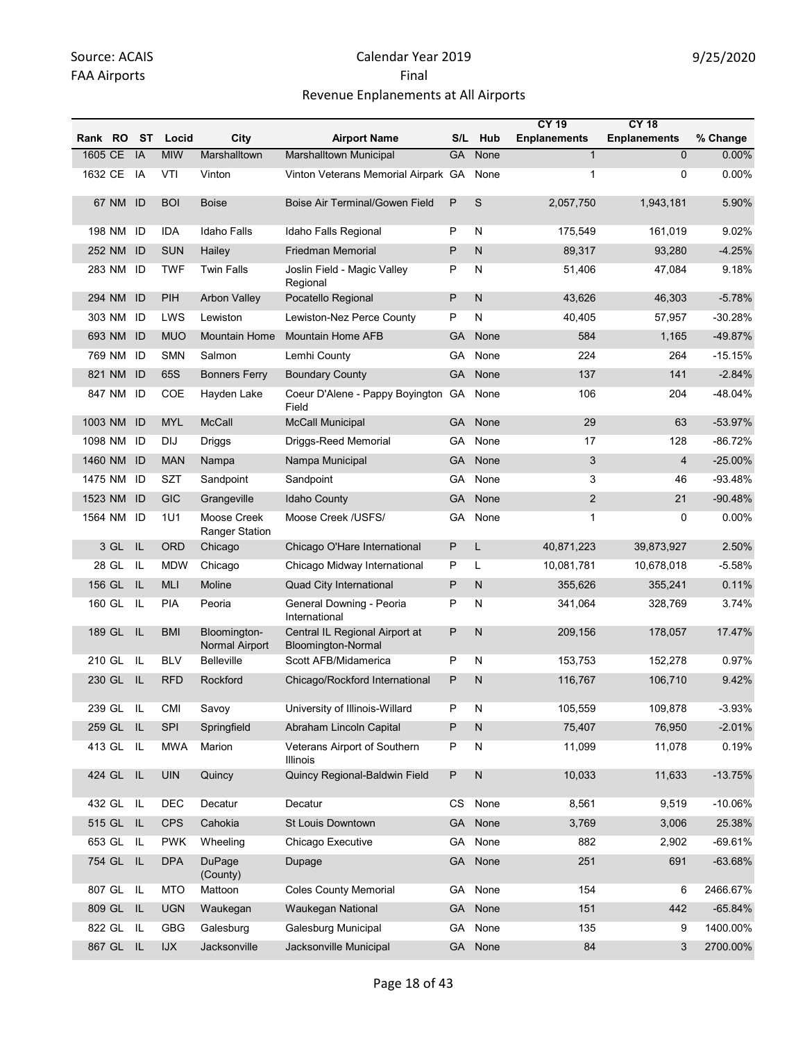|            |           |           |                             |                                      |                                                      |           |              | <b>CY 19</b>        | <b>CY 18</b>        |           |
|------------|-----------|-----------|-----------------------------|--------------------------------------|------------------------------------------------------|-----------|--------------|---------------------|---------------------|-----------|
| Rank RO    |           | <b>ST</b> | Locid                       | City                                 | <b>Airport Name</b>                                  | S/L       | Hub          | <b>Enplanements</b> | <b>Enplanements</b> | % Change  |
| 1605 CE    |           | IA        | <b>MIW</b>                  | Marshalltown                         | <b>Marshalltown Municipal</b>                        | <b>GA</b> | None         | $\mathbf{1}$        | 0                   | 0.00%     |
| 1632 CE    |           | IA        | VTI                         | Vinton                               | Vinton Veterans Memorial Airpark GA                  |           | None         | 1                   | 0                   | 0.00%     |
|            | 67 NM     | ID        | <b>BOI</b>                  | <b>Boise</b>                         | Boise Air Terminal/Gowen Field                       | P         | S            | 2,057,750           | 1,943,181           | 5.90%     |
| 198 NM     |           | ID        | <b>IDA</b>                  | <b>Idaho Falls</b>                   | Idaho Falls Regional                                 | P         | N            | 175,549             | 161,019             | 9.02%     |
| 252 NM     |           | ID        | <b>SUN</b>                  | Hailey                               | <b>Friedman Memorial</b>                             | P         | N            | 89,317              | 93,280              | $-4.25%$  |
|            | 283 NM ID |           | <b>TWF</b>                  | <b>Twin Falls</b>                    | Joslin Field - Magic Valley<br>Regional              | P         | N            | 51,406              | 47,084              | 9.18%     |
| 294 NM     |           | ID        | PIH                         | <b>Arbon Valley</b>                  | Pocatello Regional                                   | P         | N            | 43,626              | 46,303              | $-5.78%$  |
| 303 NM     |           | ID        | LWS                         | Lewiston                             | Lewiston-Nez Perce County                            | P         | N            | 40,405              | 57,957              | -30.28%   |
| 693 NM     |           | ID        | <b>MUO</b>                  | Mountain Home                        | <b>Mountain Home AFB</b>                             | <b>GA</b> | None         | 584                 | 1,165               | -49.87%   |
| 769 NM     |           | ID        | <b>SMN</b>                  | Salmon                               | Lemhi County                                         | GA        | None         | 224                 | 264                 | $-15.15%$ |
| 821 NM     |           | ID        | 65S                         | <b>Bonners Ferry</b>                 | <b>Boundary County</b>                               | GA        | None         | 137                 | 141                 | $-2.84%$  |
| 847 NM     |           | ID        | COE                         | Hayden Lake                          | Coeur D'Alene - Pappy Boyington GA<br>Field          |           | None         | 106                 | 204                 | -48.04%   |
| 1003 NM    |           | ID        | <b>MYL</b>                  | <b>McCall</b>                        | <b>McCall Municipal</b>                              | GA        | None         | 29                  | 63                  | -53.97%   |
| 1098 NM    |           | ID        | DIJ                         | Driggs                               | Driggs-Reed Memorial                                 | GA        | None         | 17                  | 128                 | $-86.72%$ |
| 1460 NM    |           | ID        | <b>MAN</b>                  | Nampa                                | Nampa Municipal                                      | <b>GA</b> | None         | 3                   | $\overline{4}$      | $-25.00%$ |
| 1475 NM    |           | ID        | SZT                         | Sandpoint                            | Sandpoint                                            | GA        | None         | 3                   | 46                  | $-93.48%$ |
| 1523 NM    |           | ID        | <b>GIC</b>                  | Grangeville                          | <b>Idaho County</b>                                  | <b>GA</b> | None         | $\overline{2}$      | 21                  | $-90.48%$ |
| 1564 NM ID |           |           | 1U1                         | Moose Creek<br><b>Ranger Station</b> | Moose Creek /USFS/                                   | GA.       | None         | 1                   | 0                   | $0.00\%$  |
|            | 3 GL      | IL        | <b>ORD</b>                  | Chicago                              | Chicago O'Hare International                         | P         | L            | 40,871,223          | 39,873,927          | 2.50%     |
|            | 28 GL     | IL        | <b>MDW</b>                  | Chicago                              | Chicago Midway International                         | P         | Г            | 10,081,781          | 10,678,018          | $-5.58%$  |
| 156 GL     |           | IL        | <b>MLI</b>                  | Moline                               | Quad City International                              | P         | N            | 355,626             | 355,241             | 0.11%     |
| 160 GL     |           | IL        | <b>PIA</b>                  | Peoria                               | General Downing - Peoria<br>International            | P         | N            | 341,064             | 328,769             | 3.74%     |
| 189 GL     |           | IL        | <b>BMI</b>                  | Bloomington-<br>Normal Airport       | Central IL Regional Airport at<br>Bloomington-Normal | P         | $\mathsf{N}$ | 209,156             | 178,057             | 17.47%    |
| 210 GL     |           | IL        | <b>BLV</b>                  | Belleville                           | Scott AFB/Midamerica                                 | P         | ${\sf N}$    | 153,753             | 152,278             | 0.97%     |
| 230 GL     |           | IL        | <b>RFD</b>                  | Rockford                             | Chicago/Rockford International                       | P         | $\mathsf{N}$ | 116,767             | 106,710             | 9.42%     |
|            | 239 GL IL |           | CMI                         | Savoy                                | University of Illinois-Willard                       | Ρ         | N            | 105,559             | 109,878             | $-3.93%$  |
| 259 GL     |           | -IL       | <b>SPI</b>                  | Springfield                          | Abraham Lincoln Capital                              | P         | N            | 75,407              | 76,950              | $-2.01%$  |
| 413 GL     |           | IL.       | <b>MWA</b>                  | Marion                               | Veterans Airport of Southern<br>Illinois             | P         | ${\sf N}$    | 11,099              | 11,078              | 0.19%     |
| 424 GL     |           | <b>IL</b> | <b>UIN</b>                  | Quincy                               | Quincy Regional-Baldwin Field                        | P         | $\mathsf{N}$ | 10,033              | 11,633              | $-13.75%$ |
| 432 GL     |           | IL        | DEC                         | Decatur                              | Decatur                                              | CS        | None         | 8,561               | 9,519               | $-10.06%$ |
| 515 GL     |           | IL        | <b>CPS</b>                  | Cahokia                              | St Louis Downtown                                    | <b>GA</b> | None         | 3,769               | 3,006               | 25.38%    |
| 653 GL     |           | IL.       | <b>PWK</b>                  | Wheeling                             | Chicago Executive                                    | GA        | None         | 882                 | 2,902               | $-69.61%$ |
| 754 GL     |           | - IL      | <b>DPA</b>                  | <b>DuPage</b><br>(County)            | Dupage                                               | <b>GA</b> | None         | 251                 | 691                 | $-63.68%$ |
| 807 GL     |           | <b>IL</b> | <b>MTO</b>                  | Mattoon                              | <b>Coles County Memorial</b>                         | GA        | None         | 154                 | 6                   | 2466.67%  |
| 809 GL     |           | L         | <b>UGN</b>                  | Waukegan                             | Waukegan National                                    | <b>GA</b> | None         | 151                 | 442                 | $-65.84%$ |
| 822 GL     |           | IL.       | <b>GBG</b>                  | Galesburg                            | Galesburg Municipal                                  | GA.       | None         | 135                 | 9                   | 1400.00%  |
|            | 867 GL IL |           | $\ensuremath{\mathsf{IJX}}$ | Jacksonville                         | Jacksonville Municipal                               |           | GA None      | 84                  | 3                   | 2700.00%  |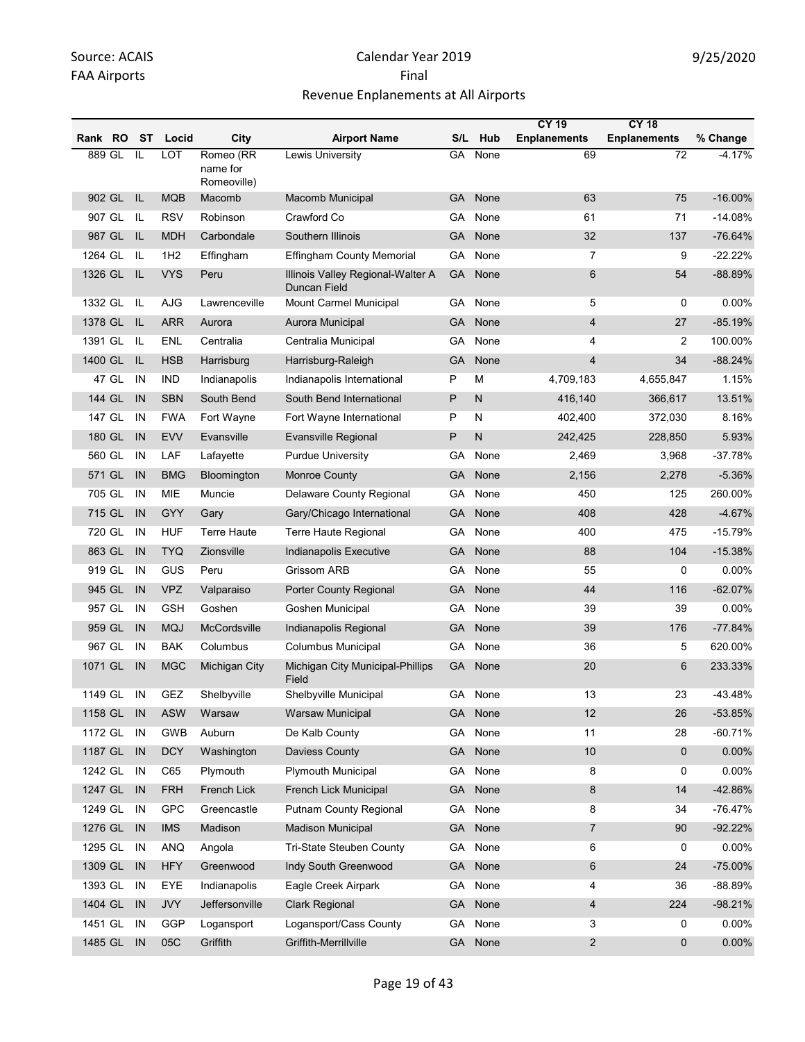|         |            |                |                 |                                      |                                                   |           |              | <b>CY 19</b>        | <b>CY 18</b>        |           |
|---------|------------|----------------|-----------------|--------------------------------------|---------------------------------------------------|-----------|--------------|---------------------|---------------------|-----------|
| Rank RO |            | ST             | Locid           | City                                 | <b>Airport Name</b>                               | S/L       | Hub          | <b>Enplanements</b> | <b>Enplanements</b> | % Change  |
| 889 GL  |            | IL             | <b>LOT</b>      | Romeo (RR<br>name for<br>Romeoville) | Lewis University                                  | GA        | None         | 69                  | $\overline{72}$     | $-4.17%$  |
| 902 GL  |            | IL             | <b>MQB</b>      | Macomb                               | Macomb Municipal                                  | GA        | None         | 63                  | 75                  | $-16.00%$ |
| 907 GL  |            | IL             | <b>RSV</b>      | Robinson                             | Crawford Co                                       | GA        | None         | 61                  | 71                  | $-14.08%$ |
| 987 GL  |            | IL             | <b>MDH</b>      | Carbondale                           | Southern Illinois                                 | <b>GA</b> | None         | 32                  | 137                 | $-76.64%$ |
| 1264 GL |            | IL             | 1H <sub>2</sub> | Effingham                            | <b>Effingham County Memorial</b>                  | GA        | None         | $\overline{7}$      | 9                   | $-22.22%$ |
| 1326 GL |            | L              | <b>VYS</b>      | Peru                                 | Illinois Valley Regional-Walter A<br>Duncan Field | <b>GA</b> | None         | 6                   | 54                  | -88.89%   |
| 1332 GL |            | IL             | AJG             | Lawrenceville                        | Mount Carmel Municipal                            | GA        | None         | 5                   | 0                   | 0.00%     |
| 1378 GL |            | L              | <b>ARR</b>      | Aurora                               | Aurora Municipal                                  | GA        | None         | 4                   | 27                  | $-85.19%$ |
| 1391 GL |            | IL             | ENL             | Centralia                            | Centralia Municipal                               | GA        | None         | 4                   | $\overline{2}$      | 100.00%   |
| 1400 GL |            | IL             | <b>HSB</b>      | Harrisburg                           | Harrisburg-Raleigh                                | <b>GA</b> | None         | 4                   | 34                  | $-88.24%$ |
|         | 47 GL      | IN             | <b>IND</b>      | Indianapolis                         | Indianapolis International                        | P         | M            | 4,709,183           | 4,655,847           | 1.15%     |
| 144 GL  |            | IN             | <b>SBN</b>      | South Bend                           | South Bend International                          | P         | $\mathsf{N}$ | 416,140             | 366,617             | 13.51%    |
| 147 GL  |            | IN             | <b>FWA</b>      | Fort Wayne                           | Fort Wayne International                          | P         | N            | 402,400             | 372,030             | 8.16%     |
| 180 GL  |            | IN             | <b>EVV</b>      | Evansville                           | Evansville Regional                               | P         | $\mathsf{N}$ | 242,425             | 228,850             | 5.93%     |
| 560 GL  |            | IN             | LAF             | Lafayette                            | <b>Purdue University</b>                          | GA        | None         | 2,469               | 3,968               | $-37.78%$ |
| 571 GL  |            | IN             | <b>BMG</b>      | Bloomington                          | Monroe County                                     | <b>GA</b> | None         | 2,156               | 2,278               | $-5.36%$  |
| 705 GL  |            | IN             | <b>MIE</b>      | Muncie                               | Delaware County Regional                          | GA        | None         | 450                 | 125                 | 260.00%   |
| 715 GL  |            | IN             | GYY             | Gary                                 | Gary/Chicago International                        | <b>GA</b> | None         | 408                 | 428                 | $-4.67%$  |
| 720 GL  |            | IN             | <b>HUF</b>      | Terre Haute                          | Terre Haute Regional                              | GA        | None         | 400                 | 475                 | $-15.79%$ |
| 863 GL  |            | IN             | <b>TYQ</b>      | Zionsville                           | Indianapolis Executive                            | GA        | None         | 88                  | 104                 | $-15.38%$ |
| 919 GL  |            | IN             | GUS             | Peru                                 | Grissom ARB                                       | GA        | None         | 55                  | 0                   | 0.00%     |
| 945 GL  |            | IN             | <b>VPZ</b>      | Valparaiso                           | Porter County Regional                            | <b>GA</b> | None         | 44                  | 116                 | $-62.07%$ |
| 957 GL  |            | IN             | <b>GSH</b>      | Goshen                               | Goshen Municipal                                  | GA        | None         | 39                  | 39                  | 0.00%     |
| 959 GL  |            | IN             | <b>MQJ</b>      | McCordsville                         | Indianapolis Regional                             | <b>GA</b> | None         | 39                  | 176                 | $-77.84%$ |
| 967 GL  |            | IN             | <b>BAK</b>      | Columbus                             | <b>Columbus Municipal</b>                         | GA        | None         | 36                  | 5                   | 620.00%   |
| 1071 GL |            | IN             | <b>MGC</b>      | Michigan City                        | Michigan City Municipal-Phillips<br>Field         | GA        | None         | 20                  | 6                   | 233.33%   |
| 1149 GL |            | IN             | GEZ             | Shelbyville                          | Shelbyville Municipal                             | GA        | None         | 13                  | 23                  | -43.48%   |
|         | 1158 GL IN |                | <b>ASW</b>      | Warsaw                               | <b>Warsaw Municipal</b>                           | <b>GA</b> | None         | 12                  | 26                  | -53.85%   |
| 1172 GL |            | IN             | <b>GWB</b>      | Auburn                               | De Kalb County                                    | GA        | None         | 11                  | 28                  | $-60.71%$ |
| 1187 GL |            | IN             | <b>DCY</b>      | Washington                           | Daviess County                                    | GA        | None         | $10$                | $\mathbf 0$         | 0.00%     |
| 1242 GL |            | IN             | C65             | Plymouth                             | Plymouth Municipal                                | GA        | None         | 8                   | 0                   | 0.00%     |
| 1247 GL |            | IN             | <b>FRH</b>      | French Lick                          | French Lick Municipal                             | <b>GA</b> | None         | 8                   | 14                  | -42.86%   |
| 1249 GL |            | IN             | GPC             | Greencastle                          | Putnam County Regional                            | GA.       | None         | 8                   | 34                  | $-76.47%$ |
| 1276 GL |            | IN             | <b>IMS</b>      | Madison                              | <b>Madison Municipal</b>                          | GA        | None         | 7                   | 90                  | $-92.22%$ |
| 1295 GL |            | IN             | <b>ANQ</b>      | Angola                               | Tri-State Steuben County                          | GA        | None         | 6                   | 0                   | 0.00%     |
| 1309 GL |            | IN             | <b>HFY</b>      | Greenwood                            | Indy South Greenwood                              | GA        | None         | 6                   | 24                  | -75.00%   |
| 1393 GL |            | IN             | EYE             | Indianapolis                         | Eagle Creek Airpark                               | GA        | None         | 4                   | 36                  | -88.89%   |
| 1404 GL |            | IN             | <b>JVY</b>      | Jeffersonville                       | <b>Clark Regional</b>                             | <b>GA</b> | None         | 4                   | 224                 | $-98.21%$ |
| 1451 GL |            | IN             | GGP             | Logansport                           | Logansport/Cass County                            | GA        | None         | 3                   | 0                   | 0.00%     |
| 1485 GL |            | $\blacksquare$ | 05C             | Griffith                             | Griffith-Merrillville                             | GA        | None         | $\overline{a}$      | $\mathbf 0$         | 0.00%     |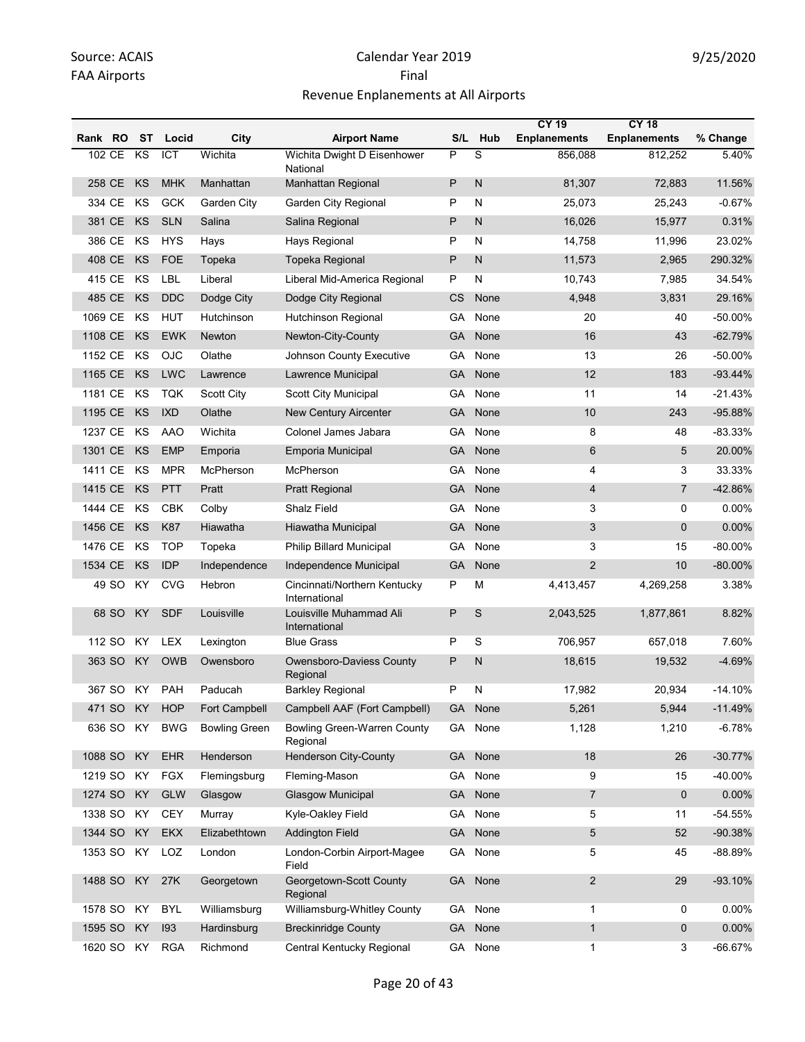|         |         |           |                  |                      |                                                |           |           | <b>CY 19</b>        | <b>CY 18</b>        |            |
|---------|---------|-----------|------------------|----------------------|------------------------------------------------|-----------|-----------|---------------------|---------------------|------------|
| Rank RO |         | ST        | Locid            | City                 | <b>Airport Name</b>                            |           | S/L Hub   | <b>Enplanements</b> | <b>Enplanements</b> | % Change   |
| 102 CE  |         | KS        | $\overline{ICT}$ | Wichita              | Wichita Dwight D Eisenhower<br>National        | P         | S         | 856,088             | 812,252             | 5.40%      |
| 258 CE  |         | KS        | <b>MHK</b>       | Manhattan            | <b>Manhattan Regional</b>                      | P         | N         | 81,307              | 72,883              | 11.56%     |
| 334 CE  |         | KS        | <b>GCK</b>       | Garden City          | <b>Garden City Regional</b>                    | P         | ${\sf N}$ | 25,073              | 25,243              | $-0.67%$   |
| 381 CE  |         | KS        | <b>SLN</b>       | Salina               | Salina Regional                                | P         | N         | 16,026              | 15,977              | 0.31%      |
| 386 CE  |         | KS        | <b>HYS</b>       | Hays                 | Hays Regional                                  | P         | N         | 14,758              | 11,996              | 23.02%     |
| 408 CE  |         | KS        | <b>FOE</b>       | Topeka               | Topeka Regional                                | P         | N         | 11,573              | 2,965               | 290.32%    |
| 415 CE  |         | KS        | <b>LBL</b>       | Liberal              | Liberal Mid-America Regional                   | P         | Ν         | 10,743              | 7,985               | 34.54%     |
| 485 CE  |         | KS        | <b>DDC</b>       | Dodge City           | Dodge City Regional                            | <b>CS</b> | None      | 4,948               | 3,831               | 29.16%     |
| 1069 CE |         | KS        | <b>HUT</b>       | Hutchinson           | Hutchinson Regional                            | GA        | None      | 20                  | 40                  | -50.00%    |
| 1108 CE |         | KS        | <b>EWK</b>       | Newton               | Newton-City-County                             | <b>GA</b> | None      | 16                  | 43                  | $-62.79%$  |
| 1152 CE |         | ΚS        | <b>OJC</b>       | Olathe               | Johnson County Executive                       | GA        | None      | 13                  | 26                  | -50.00%    |
| 1165 CE |         | KS        | <b>LWC</b>       | Lawrence             | Lawrence Municipal                             | <b>GA</b> | None      | 12                  | 183                 | $-93.44%$  |
| 1181 CE |         | ΚS        | <b>TQK</b>       | <b>Scott City</b>    | Scott City Municipal                           | GA        | None      | 11                  | 14                  | $-21.43%$  |
| 1195 CE |         | KS        | <b>IXD</b>       | Olathe               | <b>New Century Aircenter</b>                   | GA        | None      | 10                  | 243                 | -95.88%    |
| 1237 CE |         | ΚS        | <b>AAO</b>       | Wichita              | Colonel James Jabara                           | GA        | None      | 8                   | 48                  | $-83.33%$  |
| 1301 CE |         | KS        | <b>EMP</b>       | Emporia              | Emporia Municipal                              | GA        | None      | 6                   | 5                   | 20.00%     |
| 1411 CE |         | KS        | <b>MPR</b>       | McPherson            | McPherson                                      | GA        | None      | 4                   | 3                   | 33.33%     |
| 1415 CE |         | KS        | <b>PTT</b>       | Pratt                | <b>Pratt Regional</b>                          | <b>GA</b> | None      | 4                   | $\overline{7}$      | -42.86%    |
| 1444 CE |         | ΚS        | <b>CBK</b>       | Colby                | Shalz Field                                    | GA        | None      | 3                   | 0                   | 0.00%      |
| 1456 CE |         | KS        | <b>K87</b>       | Hiawatha             | Hiawatha Municipal                             | <b>GA</b> | None      | 3                   | $\mathbf{0}$        | 0.00%      |
| 1476 CE |         | ΚS        | <b>TOP</b>       | Topeka               | Philip Billard Municipal                       | GA        | None      | 3                   | 15                  | -80.00%    |
| 1534 CE |         | KS        | IDP              | Independence         | Independence Municipal                         | <b>GA</b> | None      | 2                   | 10                  | $-80.00\%$ |
|         | 49 SO   | ΚY        | <b>CVG</b>       | Hebron               | Cincinnati/Northern Kentucky<br>International  | P         | M         | 4,413,457           | 4,269,258           | 3.38%      |
|         | 68 SO   | KY        | <b>SDF</b>       | Louisville           | Louisville Muhammad Ali<br>International       | P         | S         | 2,043,525           | 1,877,861           | 8.82%      |
| 112 SO  |         | KY        | <b>LEX</b>       | Lexington            | <b>Blue Grass</b>                              | P         | S         | 706,957             | 657,018             | 7.60%      |
| 363 SO  |         | ΚY        | <b>OWB</b>       | Owensboro            | Owensboro-Daviess County<br>Regional           | P         | N         | 18,615              | 19,532              | $-4.69%$   |
|         | 367 SO  | KY .      | PAH              | Paducah              | <b>Barkley Regional</b>                        | P         | N         | 17,982              | 20,934              | $-14.10%$  |
|         | 471 SO  | KY \      | HOP              | Fort Campbell        | Campbell AAF (Fort Campbell)                   | GA -      | None      | 5,261               | 5,944               | $-11.49%$  |
|         | 636 SO  | KY        | <b>BWG</b>       | <b>Bowling Green</b> | <b>Bowling Green-Warren County</b><br>Regional | GA        | None      | 1,128               | 1,210               | $-6.78%$   |
| 1088 SO |         | <b>KY</b> | <b>EHR</b>       | Henderson            | Henderson City-County                          | <b>GA</b> | None      | 18                  | 26                  | $-30.77%$  |
| 1219 SO |         | KY        | <b>FGX</b>       | Flemingsburg         | Fleming-Mason                                  | GA        | None      | 9                   | 15                  | -40.00%    |
| 1274 SO |         | <b>KY</b> | <b>GLW</b>       | Glasgow              | <b>Glasgow Municipal</b>                       | <b>GA</b> | None      | $\overline{7}$      | $\mathbf 0$         | $0.00\%$   |
| 1338 SO |         | KY        | <b>CEY</b>       | Murray               | Kyle-Oakley Field                              | GA        | None      | 5                   | 11                  | $-54.55%$  |
| 1344 SO |         | KY        | <b>EKX</b>       | Elizabethtown        | <b>Addington Field</b>                         | <b>GA</b> | None      | 5                   | 52                  | $-90.38%$  |
| 1353 SO |         | KY        | LOZ              | London               | London-Corbin Airport-Magee<br>Field           |           | GA None   | 5                   | 45                  | -88.89%    |
| 1488 SO |         | KY        | 27K              | Georgetown           | Georgetown-Scott County<br>Regional            | <b>GA</b> | None      | $\overline{c}$      | 29                  | $-93.10%$  |
| 1578 SO |         | KY        | <b>BYL</b>       | Williamsburg         | Williamsburg-Whitley County                    | GA        | None      | $\mathbf{1}$        | 0                   | 0.00%      |
| 1595 SO |         | KY        | 193              | Hardinsburg          | <b>Breckinridge County</b>                     | <b>GA</b> | None      | $\mathbf{1}$        | $\mathbf 0$         | $0.00\%$   |
|         | 1620 SO | KY.       | RGA              | Richmond             | Central Kentucky Regional                      |           | GA None   | $\mathbf{1}$        | 3                   | -66.67%    |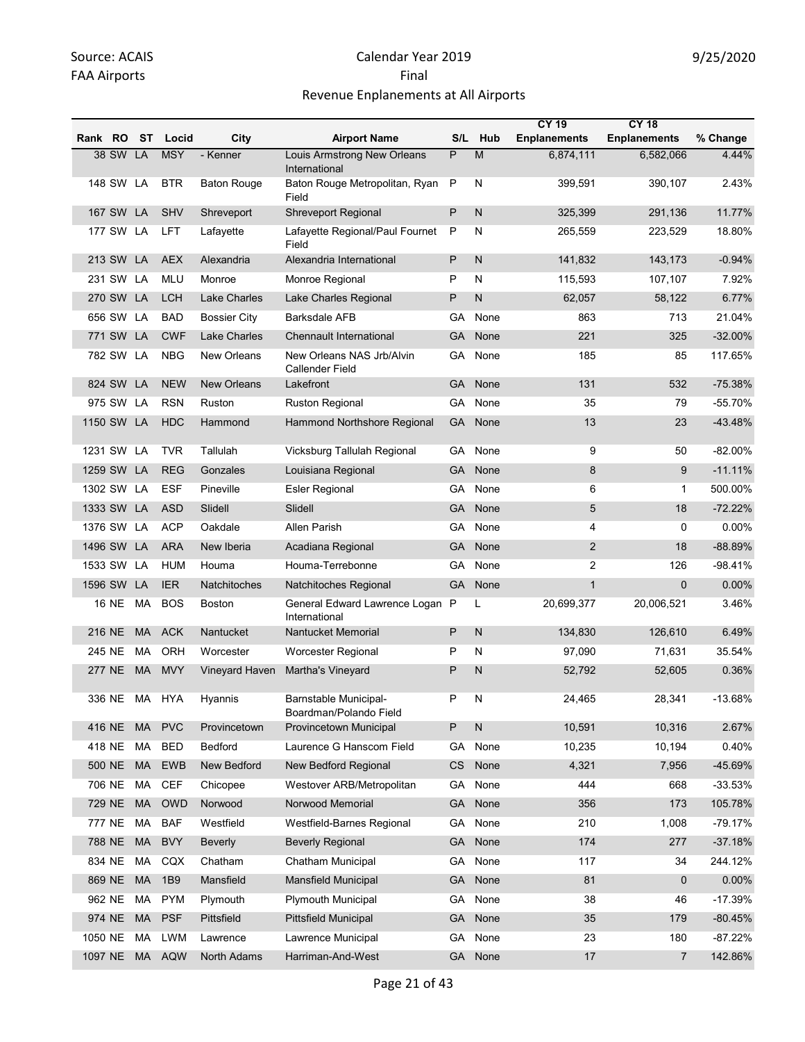|            |            |           |            |                     |                                                     |           |              | <b>CY 19</b>        | <b>CY 18</b>        |           |
|------------|------------|-----------|------------|---------------------|-----------------------------------------------------|-----------|--------------|---------------------|---------------------|-----------|
| Rank RO ST |            |           | Locid      | City                | <b>Airport Name</b>                                 |           | S/L Hub      | <b>Enplanements</b> | <b>Enplanements</b> | % Change  |
|            | 38 SW LA   |           | <b>MSY</b> | - Kenner            | Louis Armstrong New Orleans<br>International        | P         | M            | 6,874,111           | 6,582,066           | 4.44%     |
|            | 148 SW LA  |           | <b>BTR</b> | <b>Baton Rouge</b>  | Baton Rouge Metropolitan, Ryan<br>Field             | P         | N            | 399,591             | 390,107             | 2.43%     |
|            | 167 SW LA  |           | <b>SHV</b> | Shreveport          | <b>Shreveport Regional</b>                          | P         | $\mathsf{N}$ | 325,399             | 291,136             | 11.77%    |
|            | 177 SW LA  |           | <b>LFT</b> | Lafayette           | Lafayette Regional/Paul Fournet<br>Field            | P         | N            | 265,559             | 223,529             | 18.80%    |
|            | 213 SW LA  |           | <b>AEX</b> | Alexandria          | Alexandria International                            | P         | $\mathsf{N}$ | 141,832             | 143,173             | $-0.94%$  |
|            | 231 SW LA  |           | <b>MLU</b> | Monroe              | Monroe Regional                                     | P         | N            | 115,593             | 107,107             | 7.92%     |
|            | 270 SW LA  |           | <b>LCH</b> | Lake Charles        | Lake Charles Regional                               | P         | N            | 62,057              | 58,122              | 6.77%     |
|            | 656 SW LA  |           | <b>BAD</b> | <b>Bossier City</b> | <b>Barksdale AFB</b>                                | GA        | None         | 863                 | 713                 | 21.04%    |
|            | 771 SW LA  |           | <b>CWF</b> | <b>Lake Charles</b> | <b>Chennault International</b>                      | GA        | None         | 221                 | 325                 | $-32.00%$ |
|            | 782 SW LA  |           | <b>NBG</b> | New Orleans         | New Orleans NAS Jrb/Alvin<br><b>Callender Field</b> | GА        | None         | 185                 | 85                  | 117.65%   |
|            | 824 SW LA  |           | <b>NEW</b> | <b>New Orleans</b>  | Lakefront                                           | GA        | None         | 131                 | 532                 | $-75.38%$ |
|            | 975 SW     | LA        | <b>RSN</b> | Ruston              | <b>Ruston Regional</b>                              | GA        | None         | 35                  | 79                  | $-55.70%$ |
|            | 1150 SW LA |           | <b>HDC</b> | Hammond             | Hammond Northshore Regional                         | <b>GA</b> | None         | 13                  | 23                  | $-43.48%$ |
|            | 1231 SW LA |           | <b>TVR</b> | Tallulah            | Vicksburg Tallulah Regional                         | GA        | None         | 9                   | 50                  | $-82.00%$ |
|            | 1259 SW LA |           | <b>REG</b> | Gonzales            | Louisiana Regional                                  | <b>GA</b> | None         | 8                   | 9                   | $-11.11%$ |
|            | 1302 SW LA |           | <b>ESF</b> | Pineville           | <b>Esler Regional</b>                               | GA        | None         | 6                   | $\mathbf{1}$        | 500.00%   |
|            | 1333 SW LA |           | <b>ASD</b> | Slidell             | Slidell                                             | GA        | None         | $\sqrt{5}$          | 18                  | $-72.22%$ |
|            | 1376 SW LA |           | <b>ACP</b> | Oakdale             | Allen Parish                                        | GА        | None         | 4                   | 0                   | 0.00%     |
|            | 1496 SW LA |           | <b>ARA</b> | New Iberia          | Acadiana Regional                                   | <b>GA</b> | None         | $\overline{2}$      | 18                  | $-88.89%$ |
|            | 1533 SW LA |           | <b>HUM</b> | Houma               | Houma-Terrebonne                                    | GА        | None         | 2                   | 126                 | $-98.41%$ |
|            | 1596 SW LA |           | <b>IER</b> | Natchitoches        | Natchitoches Regional                               | <b>GA</b> | None         | $\mathbf{1}$        | $\mathbf{0}$        | 0.00%     |
|            | 16 NE      | МA        | <b>BOS</b> | <b>Boston</b>       | General Edward Lawrence Logan P<br>International    |           | L            | 20,699,377          | 20,006,521          | 3.46%     |
|            | 216 NE     | <b>MA</b> | <b>ACK</b> | Nantucket           | <b>Nantucket Memorial</b>                           | P         | $\mathsf{N}$ | 134,830             | 126,610             | 6.49%     |
| 245 NE     |            | MA        | ORH        | Worcester           | Worcester Regional                                  | P         | N            | 97,090              | 71,631              | 35.54%    |
|            | 277 NE     | MA        | <b>MVY</b> | Vineyard Haven      | Martha's Vineyard                                   | P         | N            | 52,792              | 52,605              | 0.36%     |
|            | 336 NE     | MA        | <b>HYA</b> | Hyannis             | Barnstable Municipal-<br>Boardman/Polando Field     | P         | N            | 24,465              | 28,341              | $-13.68%$ |
|            | 416 NE     | <b>MA</b> | <b>PVC</b> | Provincetown        | Provincetown Municipal                              | P         | ${\sf N}$    | 10,591              | 10,316              | 2.67%     |
|            | 418 NE     | MA        | <b>BED</b> | Bedford             | Laurence G Hanscom Field                            | GA        | None         | 10,235              | 10,194              | 0.40%     |
|            | 500 NE     | <b>MA</b> | <b>EWB</b> | New Bedford         | <b>New Bedford Regional</b>                         | CS        | None         | 4,321               | 7,956               | -45.69%   |
|            | 706 NE     | MA        | <b>CEF</b> | Chicopee            | Westover ARB/Metropolitan                           | GА        | None         | 444                 | 668                 | $-33.53%$ |
|            | 729 NE     | MA        | <b>OWD</b> | Norwood             | Norwood Memorial                                    | GA        | None         | 356                 | 173                 | 105.78%   |
|            | 777 NE     | MA        | <b>BAF</b> | Westfield           | Westfield-Barnes Regional                           | GA        | None         | 210                 | 1,008               | $-79.17%$ |
|            | 788 NE     | MA        | <b>BVY</b> | <b>Beverly</b>      | <b>Beverly Regional</b>                             | <b>GA</b> | None         | 174                 | 277                 | $-37.18%$ |
|            | 834 NE     | МA        | CQX        | Chatham             | Chatham Municipal                                   | GA        | None         | 117                 | 34                  | 244.12%   |
|            | 869 NE     | MA        | 1B9        | Mansfield           | Mansfield Municipal                                 | GA        | None         | 81                  | 0                   | 0.00%     |
|            | 962 NE     | MA        | <b>PYM</b> | Plymouth            | Plymouth Municipal                                  | GA        | None         | 38                  | 46                  | $-17.39%$ |
|            | 974 NE     | MA        | <b>PSF</b> | Pittsfield          | <b>Pittsfield Municipal</b>                         | GA        | None         | 35                  | 179                 | $-80.45%$ |
| 1050 NE    |            | MA        | <b>LWM</b> | Lawrence            | Lawrence Municipal                                  | GA        | None         | 23                  | 180                 | $-87.22%$ |
| 1097 NE    |            |           | MA AQW     | North Adams         | Harriman-And-West                                   | <b>GA</b> | None         | 17                  | 7                   | 142.86%   |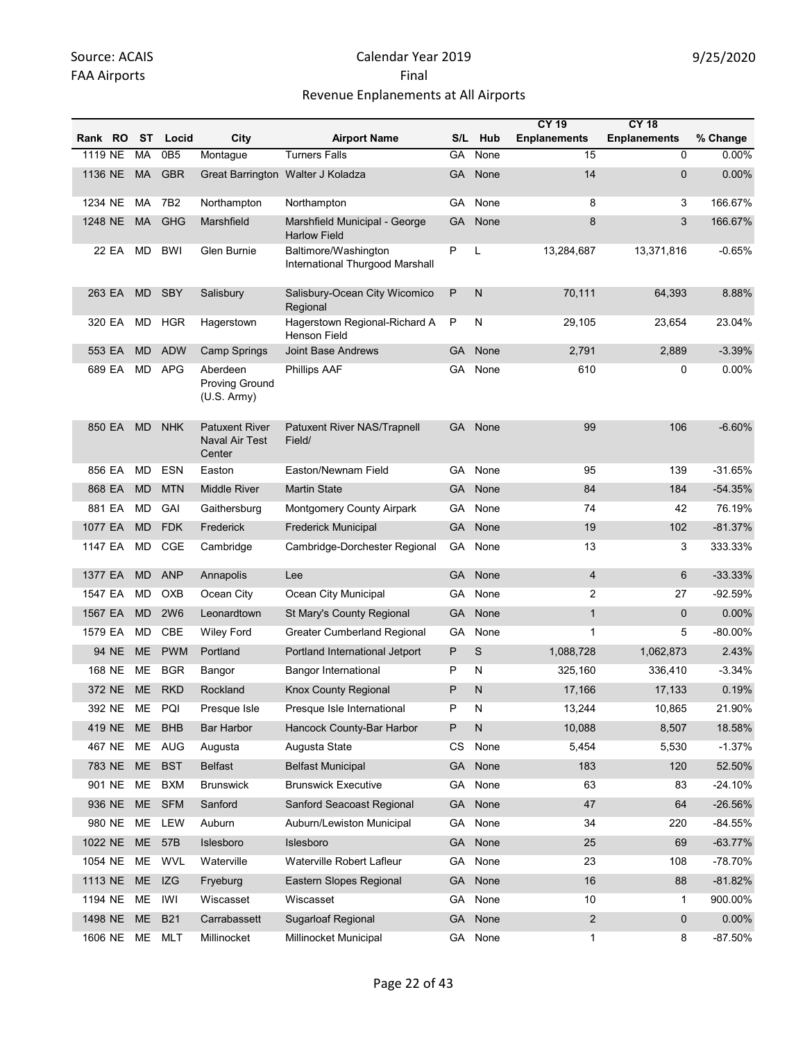|               |           |                 |                                                   |                                                         |           |              | <b>CY 19</b>             | <b>CY 18</b>        |            |
|---------------|-----------|-----------------|---------------------------------------------------|---------------------------------------------------------|-----------|--------------|--------------------------|---------------------|------------|
| Rank RO       | ST        | Locid           | City                                              | <b>Airport Name</b>                                     | S/L       | Hub          | <b>Enplanements</b>      | <b>Enplanements</b> | % Change   |
| 1119 NE       | MA        | 0B <sub>5</sub> | Montague                                          | <b>Turners Falls</b>                                    | GA        | None         | 15                       | $\Omega$            | 0.00%      |
| 1136 NE       | <b>MA</b> | <b>GBR</b>      |                                                   | Great Barrington Walter J Koladza                       | GA        | None         | 14                       | $\mathbf{0}$        | 0.00%      |
| 1234 NE       | MA        | 7B <sub>2</sub> | Northampton                                       | Northampton                                             | GА        | None         | 8                        | 3                   | 166.67%    |
| 1248 NE       | <b>MA</b> | GHG             | <b>Marshfield</b>                                 | Marshfield Municipal - George<br><b>Harlow Field</b>    | GA        | None         | 8                        | 3                   | 166.67%    |
| 22 EA         | MD        | <b>BWI</b>      | Glen Burnie                                       | Baltimore/Washington<br>International Thurgood Marshall | P         | L            | 13,284,687               | 13,371,816          | $-0.65%$   |
| 263 EA        | <b>MD</b> | <b>SBY</b>      | Salisbury                                         | Salisbury-Ocean City Wicomico<br>Regional               | P         | $\mathsf{N}$ | 70,111                   | 64,393              | 8.88%      |
| 320 EA        | MD        | <b>HGR</b>      | Hagerstown                                        | Hagerstown Regional-Richard A<br>Henson Field           | P         | N            | 29,105                   | 23,654              | 23.04%     |
| 553 EA        | <b>MD</b> | <b>ADW</b>      | <b>Camp Springs</b>                               | <b>Joint Base Andrews</b>                               | GA        | None         | 2,791                    | 2,889               | $-3.39%$   |
| 689 EA        | <b>MD</b> | <b>APG</b>      | Aberdeen<br>Proving Ground<br>(U.S. Army)         | Phillips AAF                                            | GA        | None         | 610                      | 0                   | 0.00%      |
| 850 EA        | <b>MD</b> | <b>NHK</b>      | <b>Patuxent River</b><br>Naval Air Test<br>Center | Patuxent River NAS/Trapnell<br>Field/                   |           | GA None      | 99                       | 106                 | $-6.60%$   |
| 856 EA        | MD.       | <b>ESN</b>      | Easton                                            | Easton/Newnam Field                                     | GA        | None         | 95                       | 139                 | $-31.65%$  |
| 868 EA        | <b>MD</b> | <b>MTN</b>      | <b>Middle River</b>                               | <b>Martin State</b>                                     | <b>GA</b> | None         | 84                       | 184                 | $-54.35%$  |
| 881 EA        | <b>MD</b> | GAI             | Gaithersburg                                      | Montgomery County Airpark                               | GА        | None         | 74                       | 42                  | 76.19%     |
| 1077 EA       | <b>MD</b> | <b>FDK</b>      | Frederick                                         | <b>Frederick Municipal</b>                              | GA        | None         | 19                       | 102                 | $-81.37%$  |
| 1147 EA       | MD        | CGE             | Cambridge                                         | Cambridge-Dorchester Regional                           | GA.       | None         | 13                       | 3                   | 333.33%    |
| 1377 EA       | <b>MD</b> | <b>ANP</b>      | Annapolis                                         | Lee                                                     | <b>GA</b> | None         | $\overline{\mathcal{L}}$ | 6                   | $-33.33%$  |
| 1547 EA       | MD        | OXB             | Ocean City                                        | Ocean City Municipal                                    | GА        | None         | 2                        | 27                  | $-92.59%$  |
| 1567 EA       | <b>MD</b> | <b>2W6</b>      | Leonardtown                                       | St Mary's County Regional                               | <b>GA</b> | None         | $\mathbf{1}$             | $\mathbf{0}$        | 0.00%      |
| 1579 EA       | MD        | CBE             | <b>Wiley Ford</b>                                 | <b>Greater Cumberland Regional</b>                      | GА        | None         | 1                        | 5                   | $-80.00\%$ |
| 94 NE         | <b>ME</b> | <b>PWM</b>      | Portland                                          | Portland International Jetport                          | P         | S            | 1,088,728                | 1,062,873           | 2.43%      |
| 168 NE        | МE        | <b>BGR</b>      | Bangor                                            | <b>Bangor International</b>                             | Ρ         | Ν            | 325,160                  | 336,410             | $-3.34%$   |
| 372 NE        | ME.       | <b>RKD</b>      | Rockland                                          | Knox County Regional                                    | P         | $\mathsf{N}$ | 17,166                   | 17,133              | 0.19%      |
| 392 NE ME PQI |           |                 | Presque Isle                                      | Presque Isle International                              | Ρ         | N            | 13,244                   | 10,865              | 21.90%     |
| 419 NE        | <b>ME</b> | <b>BHB</b>      | Bar Harbor                                        | Hancock County-Bar Harbor                               | P         | ${\sf N}$    | 10,088                   | 8,507               | 18.58%     |
| 467 NE        |           | ME AUG          | Augusta                                           | Augusta State                                           | CS        | None         | 5,454                    | 5,530               | $-1.37%$   |
| 783 NE        | ME        | <b>BST</b>      | <b>Belfast</b>                                    | <b>Belfast Municipal</b>                                | <b>GA</b> | None         | 183                      | 120                 | 52.50%     |
| 901 NE        | ME        | <b>BXM</b>      | <b>Brunswick</b>                                  | <b>Brunswick Executive</b>                              | GA        | None         | 63                       | 83                  | $-24.10%$  |
| 936 NE        | <b>ME</b> | <b>SFM</b>      | Sanford                                           | Sanford Seacoast Regional                               | GA        | None         | 47                       | 64                  | $-26.56%$  |
| 980 NE        | ME        | LEW             | Auburn                                            | Auburn/Lewiston Municipal                               | GA        | None         | 34                       | 220                 | $-84.55%$  |
| 1022 NE       |           | ME 57B          | Islesboro                                         | Islesboro                                               | <b>GA</b> | None         | 25                       | 69                  | $-63.77%$  |
| 1054 NE       | ME        | <b>WVL</b>      | Waterville                                        | Waterville Robert Lafleur                               | GA        | None         | 23                       | 108                 | -78.70%    |
| 1113 NE       | <b>ME</b> | <b>IZG</b>      | Fryeburg                                          | Eastern Slopes Regional                                 | <b>GA</b> | None         | 16                       | 88                  | $-81.82%$  |
| 1194 NE       | ME        | IWI             | Wiscasset                                         | Wiscasset                                               | GA        | None         | 10                       | 1                   | 900.00%    |
| 1498 NE       | ME        | <b>B21</b>      | Carrabassett                                      | <b>Sugarloaf Regional</b>                               | <b>GA</b> | None         | $\overline{2}$           | $\mathbf 0$         | 0.00%      |
| 1606 NE       | ME        | <b>MLT</b>      | Millinocket                                       | Millinocket Municipal                                   | GA        | None         | $\mathbf{1}$             | 8                   | $-87.50%$  |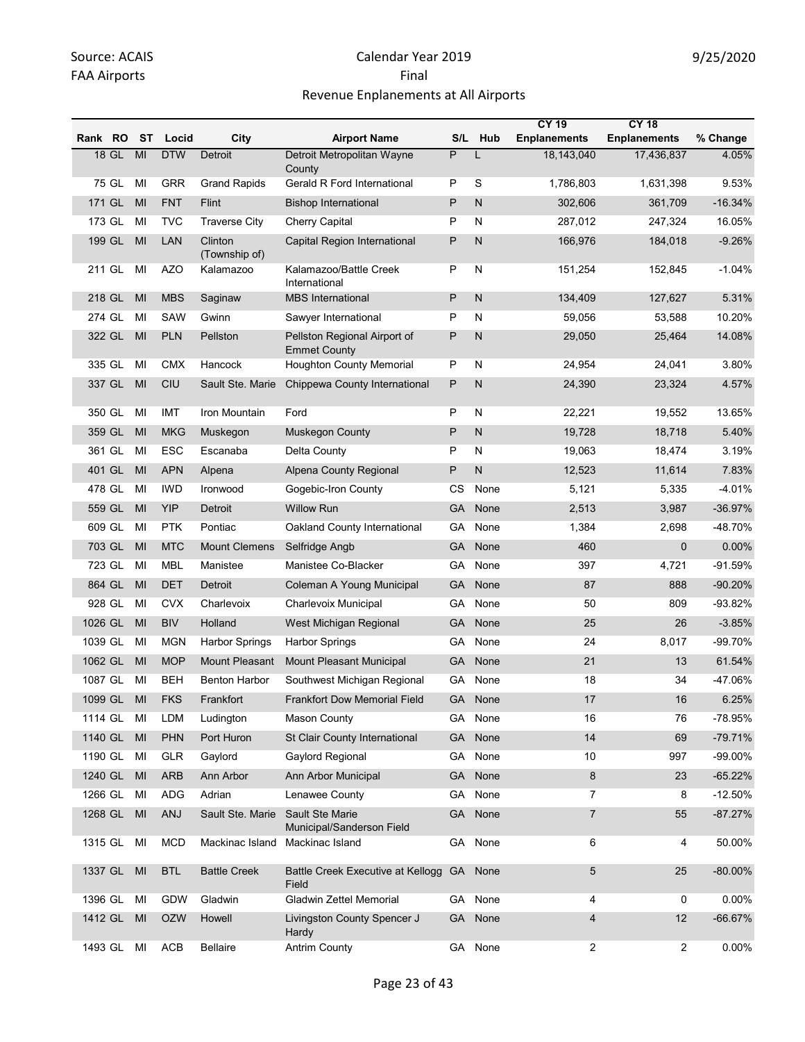|            |         |    |            |                          |                                                     |                |              | <b>CY 19</b>        | <b>CY 18</b>        |            |
|------------|---------|----|------------|--------------------------|-----------------------------------------------------|----------------|--------------|---------------------|---------------------|------------|
| Rank RO ST |         |    | Locid      | City                     | <b>Airport Name</b>                                 |                | S/L Hub      | <b>Enplanements</b> | <b>Enplanements</b> | % Change   |
|            | $18$ GL | MI | <b>DTW</b> | Detroit                  | Detroit Metropolitan Wayne<br>County                | $\overline{P}$ | L            | 18,143,040          | 17,436,837          | 4.05%      |
|            | 75 GL   | MI | <b>GRR</b> | <b>Grand Rapids</b>      | Gerald R Ford International                         | P              | S            | 1,786,803           | 1,631,398           | 9.53%      |
|            | 171 GL  | MI | <b>FNT</b> | Flint                    | <b>Bishop International</b>                         | $\sf P$        | N            | 302,606             | 361,709             | $-16.34%$  |
|            | 173 GL  | MI | <b>TVC</b> | <b>Traverse City</b>     | <b>Cherry Capital</b>                               | P              | N            | 287,012             | 247,324             | 16.05%     |
|            | 199 GL  | MI | <b>LAN</b> | Clinton<br>(Township of) | Capital Region International                        | P              | N            | 166,976             | 184,018             | $-9.26%$   |
|            | 211 GL  | MI | <b>AZO</b> | Kalamazoo                | Kalamazoo/Battle Creek<br>International             | P              | N            | 151,254             | 152,845             | $-1.04%$   |
|            | 218 GL  | MI | <b>MBS</b> | Saginaw                  | <b>MBS</b> International                            | P              | $\mathsf{N}$ | 134,409             | 127,627             | 5.31%      |
| 274 GL     |         | MI | SAW        | Gwinn                    | Sawyer International                                | P              | N            | 59,056              | 53,588              | 10.20%     |
|            | 322 GL  | MI | <b>PLN</b> | Pellston                 | Pellston Regional Airport of<br><b>Emmet County</b> | P              | $\mathsf{N}$ | 29,050              | 25,464              | 14.08%     |
| 335 GL     |         | MI | <b>CMX</b> | Hancock                  | Houghton County Memorial                            | P              | N            | 24,954              | 24,041              | 3.80%      |
|            | 337 GL  | MI | <b>CIU</b> | Sault Ste. Marie         | Chippewa County International                       | $\sf P$        | N            | 24,390              | 23,324              | 4.57%      |
| 350 GL     |         | MI | IMT        | Iron Mountain            | Ford                                                | P              | N            | 22,221              | 19,552              | 13.65%     |
|            | 359 GL  | MI | <b>MKG</b> | Muskegon                 | <b>Muskegon County</b>                              | P              | N            | 19,728              | 18,718              | 5.40%      |
| 361 GL     |         | MI | <b>ESC</b> | Escanaba                 | Delta County                                        | P              | N            | 19,063              | 18,474              | 3.19%      |
|            | 401 GL  | MI | <b>APN</b> | Alpena                   | Alpena County Regional                              | P              | N            | 12,523              | 11,614              | 7.83%      |
|            | 478 GL  | MI | <b>IWD</b> | Ironwood                 | Gogebic-Iron County                                 | СS             | None         | 5,121               | 5,335               | $-4.01%$   |
|            | 559 GL  | MI | <b>YIP</b> | Detroit                  | <b>Willow Run</b>                                   | <b>GA</b>      | None         | 2,513               | 3,987               | $-36.97%$  |
|            | 609 GL  | MI | <b>PTK</b> | Pontiac                  | Oakland County International                        | GA             | None         | 1,384               | 2,698               | -48.70%    |
|            | 703 GL  | MI | <b>MTC</b> | <b>Mount Clemens</b>     | Selfridge Angb                                      | GА             | None         | 460                 | $\mathbf{0}$        | 0.00%      |
| 723 GL     |         | MI | <b>MBL</b> | Manistee                 | Manistee Co-Blacker                                 | GA             | None         | 397                 | 4,721               | $-91.59%$  |
|            | 864 GL  | MI | <b>DET</b> | Detroit                  | Coleman A Young Municipal                           | <b>GA</b>      | None         | 87                  | 888                 | $-90.20%$  |
| 928 GL     |         | MI | <b>CVX</b> | Charlevoix               | Charlevoix Municipal                                | GA             | None         | 50                  | 809                 | $-93.82%$  |
| 1026 GL    |         | MI | <b>BIV</b> | Holland                  | West Michigan Regional                              | <b>GA</b>      | None         | 25                  | 26                  | $-3.85%$   |
| 1039 GL    |         | MI | <b>MGN</b> | <b>Harbor Springs</b>    | <b>Harbor Springs</b>                               | GA             | None         | 24                  | 8,017               | -99.70%    |
| 1062 GL    |         | MI | <b>MOP</b> | Mount Pleasant           | <b>Mount Pleasant Municipal</b>                     | <b>GA</b>      | None         | 21                  | 13                  | 61.54%     |
| 1087 GL    |         | MI | <b>BEH</b> | <b>Benton Harbor</b>     | Southwest Michigan Regional                         | GА             | None         | 18                  | 34                  | -47.06%    |
| 1099 GL    |         | MI | <b>FKS</b> | Frankfort                | Frankfort Dow Memorial Field                        |                | GA None      | 17                  | $16\,$              | 6.25%      |
|            | 1114 GL | MI | LDM        | Ludington                | Mason County                                        |                | GA None      | 16                  | 76                  | -78.95%    |
| 1140 GL    |         | MI | <b>PHN</b> | Port Huron               | St Clair County International                       | GA             | None         | 14                  | 69                  | $-79.71%$  |
| 1190 GL    |         | MI | GLR        | Gaylord                  | Gaylord Regional                                    | GA             | None         | 10                  | 997                 | -99.00%    |
| 1240 GL    |         | MI | <b>ARB</b> | Ann Arbor                | Ann Arbor Municipal                                 | <b>GA</b>      | None         | 8                   | 23                  | $-65.22%$  |
| 1266 GL    |         | MI | ADG        | Adrian                   | Lenawee County                                      | GA             | None         | $\overline{7}$      | 8                   | $-12.50%$  |
| 1268 GL    |         | MI | ANJ        | Sault Ste. Marie         | Sault Ste Marie<br>Municipal/Sanderson Field        | <b>GA</b>      | None         | 7                   | 55                  | $-87.27%$  |
| 1315 GL    |         | MI | <b>MCD</b> | Mackinac Island          | Mackinac Island                                     |                | GA None      | 6                   | 4                   | 50.00%     |
|            | 1337 GL | MI | <b>BTL</b> | <b>Battle Creek</b>      | Battle Creek Executive at Kellogg<br>Field          | <b>GA</b>      | None         | 5                   | 25                  | $-80.00\%$ |
| 1396 GL    |         | MI | <b>GDW</b> | Gladwin                  | Gladwin Zettel Memorial                             |                | GA None      | 4                   | 0                   | $0.00\%$   |
| 1412 GL    |         | MI | <b>OZW</b> | Howell                   | Livingston County Spencer J<br>Hardy                | <b>GA</b>      | None         | 4                   | 12                  | $-66.67%$  |
| 1493 GL    |         | MI | ACB        | Bellaire                 | <b>Antrim County</b>                                |                | GA None      | $\overline{2}$      | 2                   | 0.00%      |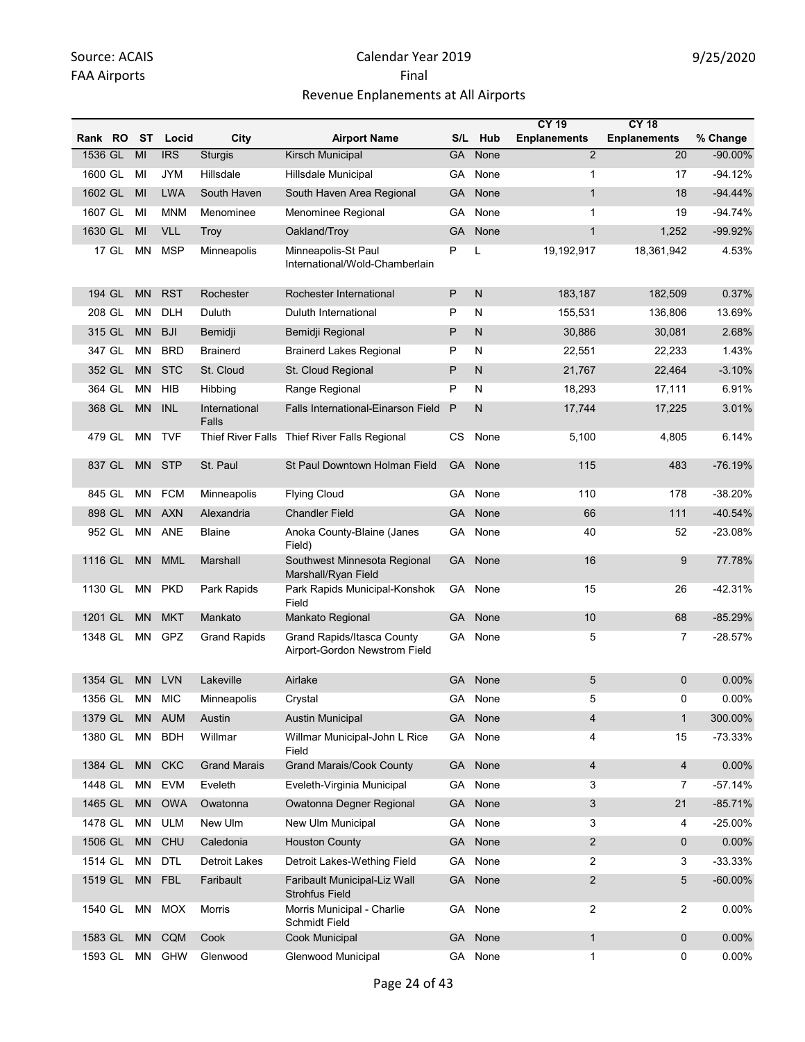|            |           |            |                        |                                                                    |           |              | <b>CY 19</b>             | <b>CY 18</b>        |            |
|------------|-----------|------------|------------------------|--------------------------------------------------------------------|-----------|--------------|--------------------------|---------------------|------------|
| Rank RO ST |           | Locid      | City                   | <b>Airport Name</b>                                                | S/L       | Hub          | <b>Enplanements</b>      | <b>Enplanements</b> | % Change   |
| 1536 GL    | MI        | <b>IRS</b> | Sturgis                | Kirsch Municipal                                                   | GA        | None         | $\overline{2}$           | 20                  | $-90.00\%$ |
| 1600 GL    | MI        | <b>JYM</b> | Hillsdale              | Hillsdale Municipal                                                | GA.       | None         | 1                        | 17                  | $-94.12%$  |
| 1602 GL    | MI        | <b>LWA</b> | South Haven            | South Haven Area Regional                                          | <b>GA</b> | None         | $\mathbf{1}$             | 18                  | $-94.44%$  |
| 1607 GL    | MI        | <b>MNM</b> | Menominee              | Menominee Regional                                                 | GA        | None         | $\mathbf{1}$             | 19                  | -94.74%    |
| 1630 GL    | MI        | <b>VLL</b> | Troy                   | Oakland/Troy                                                       |           | GA None      | $\mathbf{1}$             | 1,252               | -99.92%    |
| 17 GL      | <b>MN</b> | <b>MSP</b> | Minneapolis            | Minneapolis-St Paul<br>International/Wold-Chamberlain              | P         | L            | 19,192,917               | 18,361,942          | 4.53%      |
| 194 GL     | <b>MN</b> | <b>RST</b> | Rochester              | Rochester International                                            | P         | $\mathsf{N}$ | 183,187                  | 182,509             | 0.37%      |
| 208 GL     | ΜN        | DLH        | Duluth                 | Duluth International                                               | P         | N            | 155,531                  | 136,806             | 13.69%     |
| 315 GL     | <b>MN</b> | <b>BJI</b> | Bemidji                | Bemidji Regional                                                   | P         | N            | 30,886                   | 30,081              | 2.68%      |
| 347 GL     | <b>MN</b> | <b>BRD</b> | <b>Brainerd</b>        | <b>Brainerd Lakes Regional</b>                                     | P         | N            | 22,551                   | 22,233              | 1.43%      |
| 352 GL     | <b>MN</b> | <b>STC</b> | St. Cloud              | St. Cloud Regional                                                 | P         | N            | 21,767                   | 22,464              | $-3.10%$   |
| 364 GL     | <b>MN</b> | <b>HIB</b> | Hibbing                | Range Regional                                                     | P         | N            | 18,293                   | 17,111              | 6.91%      |
| 368 GL     | <b>MN</b> | <b>INL</b> | International<br>Falls | Falls International-Einarson Field                                 | P         | N            | 17,744                   | 17,225              | 3.01%      |
| 479 GL     | ΜN        | <b>TVF</b> | Thief River Falls      | Thief River Falls Regional                                         | CS        | None         | 5,100                    | 4,805               | 6.14%      |
| 837 GL     | <b>MN</b> | <b>STP</b> | St. Paul               | St Paul Downtown Holman Field                                      | <b>GA</b> | None         | 115                      | 483                 | $-76.19%$  |
| 845 GL     | MN        | <b>FCM</b> | Minneapolis            | <b>Flying Cloud</b>                                                | GA        | None         | 110                      | 178                 | -38.20%    |
| 898 GL     | <b>MN</b> | <b>AXN</b> | Alexandria             | <b>Chandler Field</b>                                              | <b>GA</b> | None         | 66                       | 111                 | -40.54%    |
| 952 GL     | MN        | ANE        | Blaine                 | Anoka County-Blaine (Janes<br>Field)                               | GA.       | None         | 40                       | 52                  | -23.08%    |
| 1116 GL    | <b>MN</b> | <b>MML</b> | Marshall               | Southwest Minnesota Regional<br>Marshall/Ryan Field                | <b>GA</b> | None         | 16                       | 9                   | 77.78%     |
| 1130 GL    | ΜN        | <b>PKD</b> | Park Rapids            | Park Rapids Municipal-Konshok<br>Field                             | GA        | None         | 15                       | 26                  | $-42.31%$  |
| 1201 GL    | <b>MN</b> | <b>MKT</b> | Mankato                | Mankato Regional                                                   | <b>GA</b> | None         | 10                       | 68                  | $-85.29%$  |
| 1348 GL    | ΜN        | GPZ        | <b>Grand Rapids</b>    | <b>Grand Rapids/Itasca County</b><br>Airport-Gordon Newstrom Field | GA        | None         | 5                        | $\overline{7}$      | $-28.57%$  |
| 1354 GL    | <b>MN</b> | <b>LVN</b> | Lakeville              | Airlake                                                            | GA        | None         | 5                        | 0                   | 0.00%      |
| 1356 GL    | ΜN        | <b>MIC</b> | Minneapolis            | Crystal                                                            |           | GA None      | 5                        | 0                   | 0.00%      |
| 1379 GL    | MN.       | AUM        | Austin                 | <b>Austin Municipal</b>                                            |           | GA None      | $\overline{\mathcal{L}}$ | $\mathbf{1}$        | 300.00%    |
| 1380 GL    | MN        | <b>BDH</b> | Willmar                | Willmar Municipal-John L Rice<br>Field                             |           | GA None      | 4                        | 15                  | $-73.33%$  |
| 1384 GL    | <b>MN</b> | <b>CKC</b> | <b>Grand Marais</b>    | <b>Grand Marais/Cook County</b>                                    | <b>GA</b> | None         | 4                        | $\overline{4}$      | 0.00%      |
| 1448 GL    | MN        | <b>EVM</b> | Eveleth                | Eveleth-Virginia Municipal                                         | GA        | None         | 3                        | 7                   | $-57.14%$  |
| 1465 GL    | <b>MN</b> | <b>OWA</b> | Owatonna               | Owatonna Degner Regional                                           | GA        | None         | 3                        | 21                  | $-85.71%$  |
| 1478 GL    | MN        | <b>ULM</b> | New Ulm                | New Ulm Municipal                                                  | GA        | None         | 3                        | 4                   | $-25.00%$  |
| 1506 GL    | <b>MN</b> | CHU        | Caledonia              | <b>Houston County</b>                                              | <b>GA</b> | None         | $\overline{2}$           | 0                   | 0.00%      |
| 1514 GL    | MN        | <b>DTL</b> | Detroit Lakes          | Detroit Lakes-Wething Field                                        | GA        | None         | $\overline{2}$           | 3                   | -33.33%    |
| 1519 GL    | <b>MN</b> | <b>FBL</b> | Faribault              | Faribault Municipal-Liz Wall<br><b>Strohfus Field</b>              |           | GA None      | $\overline{2}$           | 5                   | $-60.00\%$ |
| 1540 GL    | MN        | <b>MOX</b> | Morris                 | Morris Municipal - Charlie<br>Schmidt Field                        |           | GA None      | $\overline{a}$           | 2                   | 0.00%      |
| 1583 GL    | <b>MN</b> | CQM        | Cook                   | Cook Municipal                                                     | <b>GA</b> | None         | $\mathbf{1}$             | 0                   | 0.00%      |
| 1593 GL    | ΜN        | <b>GHW</b> | Glenwood               | Glenwood Municipal                                                 | GA        | None         | $\mathbf{1}$             | 0                   | $0.00\%$   |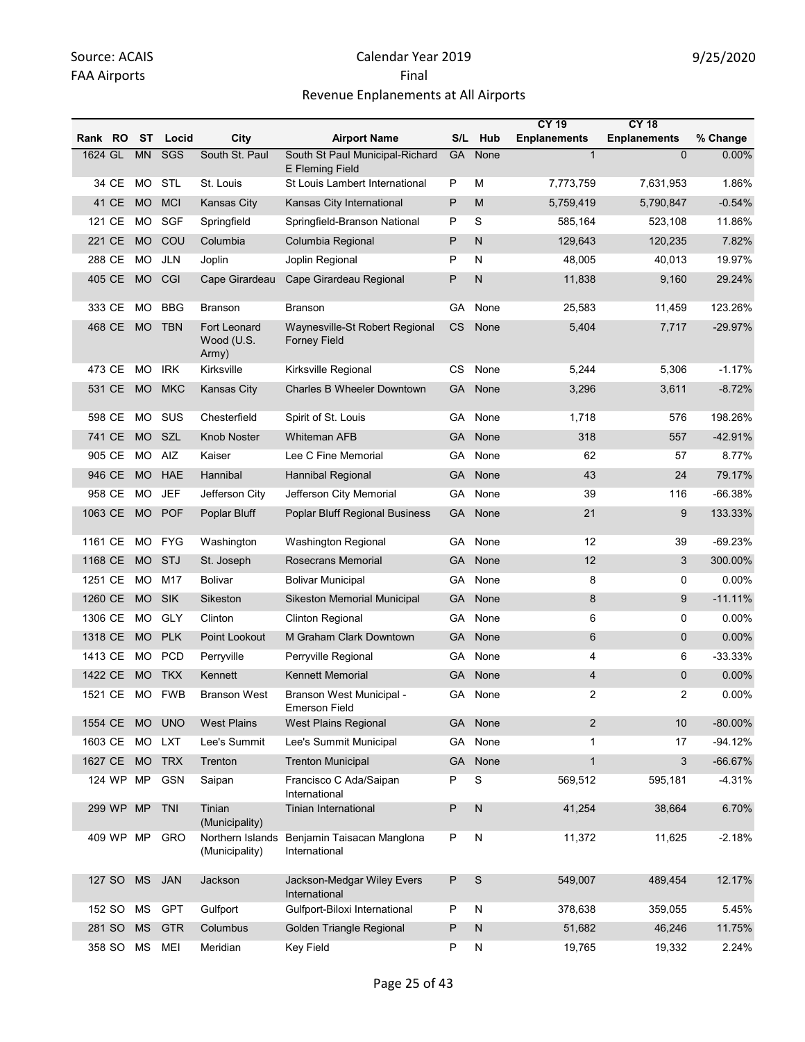|         |           |           |                |                                     |                                                       |              |              | <b>CY 19</b>        | <b>CY 18</b>        |           |
|---------|-----------|-----------|----------------|-------------------------------------|-------------------------------------------------------|--------------|--------------|---------------------|---------------------|-----------|
| Rank RO |           | <b>ST</b> | Locid          | City                                | <b>Airport Name</b>                                   |              | S/L Hub      | <b>Enplanements</b> | <b>Enplanements</b> | % Change  |
| 1624 GL |           | <b>MN</b> | SGS            | South St. Paul                      | South St Paul Municipal-Richard<br>E Fleming Field    | <b>GA</b>    | None         | $\mathbf{1}$        | $\overline{0}$      | 0.00%     |
|         | 34 CE     | MO        | STL            | St. Louis                           | St Louis Lambert International                        | P            | M            | 7,773,759           | 7,631,953           | 1.86%     |
|         | 41 CE     | <b>MO</b> | <b>MCI</b>     | Kansas City                         | Kansas City International                             | $\mathsf{P}$ | M            | 5,759,419           | 5,790,847           | $-0.54%$  |
| 121 CE  |           | MO.       | SGF            | Springfield                         | Springfield-Branson National                          | P            | S            | 585,164             | 523,108             | 11.86%    |
| 221 CE  |           | <b>MO</b> | COU            | Columbia                            | Columbia Regional                                     | P            | $\mathsf{N}$ | 129,643             | 120,235             | 7.82%     |
| 288 CE  |           | MO.       | JLN            | Joplin                              | Joplin Regional                                       | P            | N            | 48,005              | 40,013              | 19.97%    |
| 405 CE  |           | <b>MO</b> | CGI            | Cape Girardeau                      | Cape Girardeau Regional                               | P            | N            | 11,838              | 9,160               | 29.24%    |
| 333 CE  |           | <b>MO</b> | <b>BBG</b>     | <b>Branson</b>                      | <b>Branson</b>                                        | GА           | None         | 25,583              | 11,459              | 123.26%   |
| 468 CE  |           | <b>MO</b> | <b>TBN</b>     | Fort Leonard<br>Wood (U.S.<br>Army) | Waynesville-St Robert Regional<br><b>Forney Field</b> | CS           | None         | 5,404               | 7,717               | $-29.97%$ |
| 473 CE  |           | MO.       | <b>IRK</b>     | Kirksville                          | Kirksville Regional                                   | CS           | None         | 5,244               | 5,306               | $-1.17%$  |
| 531 CE  |           | <b>MO</b> | <b>MKC</b>     | Kansas City                         | <b>Charles B Wheeler Downtown</b>                     | GA           | None         | 3,296               | 3,611               | $-8.72%$  |
| 598 CE  |           | MO.       | SUS            | Chesterfield                        | Spirit of St. Louis                                   | GA           | None         | 1,718               | 576                 | 198.26%   |
| 741 CE  |           | <b>MO</b> | SZL            | <b>Knob Noster</b>                  | <b>Whiteman AFB</b>                                   | GA           | None         | 318                 | 557                 | -42.91%   |
| 905 CE  |           | <b>MO</b> | AIZ            | Kaiser                              | Lee C Fine Memorial                                   | GА           | None         | 62                  | 57                  | 8.77%     |
| 946 CE  |           | <b>MO</b> | <b>HAE</b>     | Hannibal                            | <b>Hannibal Regional</b>                              | GА           | None         | 43                  | 24                  | 79.17%    |
| 958 CE  |           | <b>MO</b> | <b>JEF</b>     | Jefferson City                      | Jefferson City Memorial                               | GА           | None         | 39                  | 116                 | $-66.38%$ |
| 1063 CE |           | <b>MO</b> | <b>POF</b>     | Poplar Bluff                        | Poplar Bluff Regional Business                        | GA           | None         | 21                  | 9                   | 133.33%   |
| 1161 CE |           | MO        | FYG            | Washington                          | <b>Washington Regional</b>                            | GA           | None         | 12                  | 39                  | $-69.23%$ |
| 1168 CE |           | <b>MO</b> | STJ            | St. Joseph                          | Rosecrans Memorial                                    | <b>GA</b>    | None         | 12                  | 3                   | 300.00%   |
| 1251 CE |           | MO.       | M17            | <b>Bolivar</b>                      | <b>Bolivar Municipal</b>                              | GA           | None         | 8                   | 0                   | 0.00%     |
| 1260 CE |           | <b>MO</b> | SIK            | Sikeston                            | Sikeston Memorial Municipal                           | GА           | None         | 8                   | 9                   | $-11.11%$ |
| 1306 CE |           | <b>MO</b> | <b>GLY</b>     | Clinton                             | <b>Clinton Regional</b>                               | GА           | None         | 6                   | 0                   | 0.00%     |
| 1318 CE |           | <b>MO</b> | <b>PLK</b>     | Point Lookout                       | M Graham Clark Downtown                               | <b>GA</b>    | None         | 6                   | 0                   | 0.00%     |
| 1413 CE |           | <b>MO</b> | <b>PCD</b>     | Perryville                          | Perryville Regional                                   | GA           | None         | 4                   | 6                   | $-33.33%$ |
| 1422 CE |           | <b>MO</b> | <b>TKX</b>     | Kennett                             | <b>Kennett Memorial</b>                               | <b>GA</b>    | None         | 4                   | 0                   | 0.00%     |
|         |           |           | 1521 CE MO FWB | <b>Branson West</b>                 | Branson West Municipal -<br>Emerson Field             | GA           | None         | 2                   | 2                   | 0.00%     |
| 1554 CE |           | <b>MO</b> | <b>UNO</b>     | <b>West Plains</b>                  | West Plains Regional                                  | GA.          | None         | $\overline{2}$      | 10                  | $-80.00%$ |
| 1603 CE |           | MO        | <b>LXT</b>     | Lee's Summit                        | Lee's Summit Municipal                                | GA           | None         | $\mathbf{1}$        | 17                  | $-94.12%$ |
| 1627 CE |           | <b>MO</b> | <b>TRX</b>     | Trenton                             | <b>Trenton Municipal</b>                              | <b>GA</b>    | None         | $\mathbf{1}$        | 3                   | $-66.67%$ |
|         | 124 WP    | MP        | <b>GSN</b>     | Saipan                              | Francisco C Ada/Saipan<br>International               | Ρ            | S            | 569,512             | 595,181             | $-4.31%$  |
|         | 299 WP    | <b>MP</b> | TNI            | Tinian<br>(Municipality)            | <b>Tinian International</b>                           | P            | $\mathsf{N}$ | 41,254              | 38,664              | 6.70%     |
|         | 409 WP MP |           | <b>GRO</b>     | Northern Islands<br>(Municipality)  | Benjamin Taisacan Manglona<br>International           | P            | N            | 11,372              | 11,625              | $-2.18%$  |
|         | 127 SO    | <b>MS</b> | <b>JAN</b>     | Jackson                             | Jackson-Medgar Wiley Evers<br>International           | P            | S            | 549,007             | 489,454             | 12.17%    |
| 152 SO  |           | MS        | <b>GPT</b>     | Gulfport                            | Gulfport-Biloxi International                         | P            | N            | 378,638             | 359,055             | 5.45%     |
| 281 SO  |           | <b>MS</b> | <b>GTR</b>     | Columbus                            | Golden Triangle Regional                              | P            | ${\sf N}$    | 51,682              | 46,246              | 11.75%    |
| 358 SO  |           | MS        | MEI            | Meridian                            | Key Field                                             | P            | N            | 19,765              | 19,332              | 2.24%     |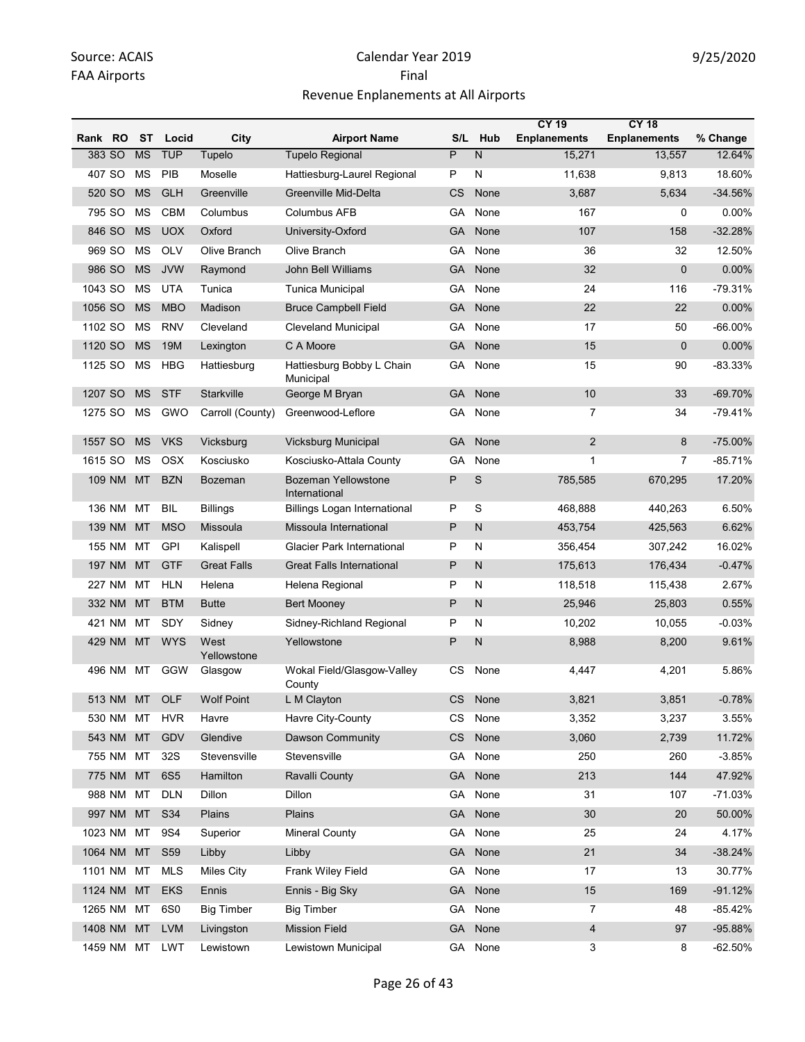|                   |           |                 |                     |                                             |           |              | <b>CY 19</b>        | <b>CY 18</b>        |           |
|-------------------|-----------|-----------------|---------------------|---------------------------------------------|-----------|--------------|---------------------|---------------------|-----------|
| <b>RO</b><br>Rank | ST        | Locid           | City                | <b>Airport Name</b>                         | S/L       | <b>Hub</b>   | <b>Enplanements</b> | <b>Enplanements</b> | % Change  |
| 383 SO            | <b>MS</b> | <b>TUP</b>      | Tupelo              | <b>Tupelo Regional</b>                      | P         | N            | 15,271              | 13,557              | 12.64%    |
| 407 SO            | <b>MS</b> | PIB             | Moselle             | Hattiesburg-Laurel Regional                 | P         | N            | 11,638              | 9,813               | 18.60%    |
| 520 SO            | <b>MS</b> | <b>GLH</b>      | Greenville          | Greenville Mid-Delta                        | <b>CS</b> | None         | 3,687               | 5,634               | $-34.56%$ |
| 795 SO            | <b>MS</b> | <b>CBM</b>      | Columbus            | Columbus AFB                                | GA        | None         | 167                 | 0                   | 0.00%     |
| 846 SO            | <b>MS</b> | <b>UOX</b>      | Oxford              | University-Oxford                           | GA        | None         | 107                 | 158                 | $-32.28%$ |
| 969 SO            | <b>MS</b> | <b>OLV</b>      | Olive Branch        | Olive Branch                                | GA        | None         | 36                  | 32                  | 12.50%    |
| 986 SO            | <b>MS</b> | <b>JVW</b>      | Raymond             | John Bell Williams                          | GA        | None         | 32                  | $\mathbf 0$         | 0.00%     |
| 1043 SO           | ΜS        | UTA             | Tunica              | <b>Tunica Municipal</b>                     | GA        | None         | 24                  | 116                 | $-79.31%$ |
| 1056 SO           | <b>MS</b> | <b>MBO</b>      | Madison             | <b>Bruce Campbell Field</b>                 | <b>GA</b> | None         | 22                  | 22                  | 0.00%     |
| 1102 SO           | <b>MS</b> | <b>RNV</b>      | Cleveland           | <b>Cleveland Municipal</b>                  | GA        | None         | 17                  | 50                  | -66.00%   |
| 1120 SO           | <b>MS</b> | 19M             | Lexington           | C A Moore                                   | GA        | None         | 15                  | $\mathbf{0}$        | 0.00%     |
| 1125 SO           | ΜS        | <b>HBG</b>      | Hattiesburg         | Hattiesburg Bobby L Chain<br>Municipal      | GA        | None         | 15                  | 90                  | -83.33%   |
| 1207 SO           | <b>MS</b> | <b>STF</b>      | Starkville          | George M Bryan                              | <b>GA</b> | None         | 10                  | 33                  | $-69.70%$ |
| 1275 SO           | ΜS        | GWO             | Carroll (County)    | Greenwood-Leflore                           | GA        | None         | 7                   | 34                  | $-79.41%$ |
| 1557 SO           | <b>MS</b> | <b>VKS</b>      | Vicksburg           | Vicksburg Municipal                         | <b>GA</b> | None         | $\overline{2}$      | 8                   | $-75.00%$ |
| 1615 SO           | ΜS        | OSX             | Kosciusko           | Kosciusko-Attala County                     | GA        | None         | $\mathbf{1}$        | $\overline{7}$      | $-85.71%$ |
| 109 NM            | <b>MT</b> | <b>BZN</b>      | <b>Bozeman</b>      | <b>Bozeman Yellowstone</b><br>International | P         | S            | 785,585             | 670,295             | 17.20%    |
| 136 NM            | МT        | <b>BIL</b>      | <b>Billings</b>     | <b>Billings Logan International</b>         | P         | S            | 468,888             | 440,263             | 6.50%     |
| 139 NM            | <b>MT</b> | <b>MSO</b>      | Missoula            | Missoula International                      | P         | $\mathsf{N}$ | 453,754             | 425,563             | 6.62%     |
| 155 NM            | МT        | <b>GPI</b>      | Kalispell           | <b>Glacier Park International</b>           | P         | N            | 356,454             | 307,242             | 16.02%    |
| 197 NM            | MT        | <b>GTF</b>      | <b>Great Falls</b>  | <b>Great Falls International</b>            | P         | N            | 175,613             | 176,434             | $-0.47%$  |
| 227 NM            | МT        | <b>HLN</b>      | Helena              | Helena Regional                             | P         | N            | 118,518             | 115,438             | 2.67%     |
| 332 NM            | MT        | <b>BTM</b>      | <b>Butte</b>        | <b>Bert Mooney</b>                          | P         | $\mathsf{N}$ | 25,946              | 25,803              | 0.55%     |
| 421 NM            | МT        | SDY             | Sidney              | Sidney-Richland Regional                    | P         | N            | 10,202              | 10,055              | $-0.03%$  |
| 429 NM            | MT        | <b>WYS</b>      | West<br>Yellowstone | Yellowstone                                 | P         | $\mathsf{N}$ | 8,988               | 8,200               | 9.61%     |
| 496 NM            | МT        | GGW             | Glasgow             | Wokal Field/Glasgow-Valley<br>County        | <b>CS</b> | None         | 4,447               | 4,201               | 5.86%     |
| 513 NM            | МT        | OLF             | <b>Wolf Point</b>   | L M Clayton                                 | CS        | None         | 3,821               | 3,851               | $-0.78%$  |
| 530 NM MT         |           | <b>HVR</b>      | Havre               | Havre City-County                           | CS        | None         | 3,352               | 3,237               | 3.55%     |
| 543 NM            | <b>MT</b> | GDV             | Glendive            | <b>Dawson Community</b>                     | CS        | None         | 3,060               | 2,739               | 11.72%    |
| 755 NM MT         |           | 32S             | Stevensville        | Stevensville                                | GA        | None         | 250                 | 260                 | $-3.85%$  |
| 775 NM MT         |           | 6S <sub>5</sub> | Hamilton            | Ravalli County                              | <b>GA</b> | None         | 213                 | 144                 | 47.92%    |
| 988 NM MT         |           | <b>DLN</b>      | Dillon              | Dillon                                      | GA        | None         | 31                  | 107                 | -71.03%   |
| 997 NM MT         |           | S34             | Plains              | Plains                                      | GA        | None         | 30                  | 20                  | 50.00%    |
| 1023 NM MT        |           | 9S4             | Superior            | <b>Mineral County</b>                       | GA        | None         | 25                  | 24                  | 4.17%     |
| 1064 NM MT        |           | S59             | Libby               | Libby                                       | GA        | None         | 21                  | 34                  | $-38.24%$ |
| 1101 NM MT        |           | <b>MLS</b>      | <b>Miles City</b>   | Frank Wiley Field                           | GA        | None         | 17                  | 13                  | 30.77%    |
| 1124 NM MT        |           | <b>EKS</b>      | Ennis               | Ennis - Big Sky                             | <b>GA</b> | None         | 15                  | 169                 | $-91.12%$ |
| 1265 NM           | МT        | 6S0             | <b>Big Timber</b>   | <b>Big Timber</b>                           | GA        | None         | $\overline{7}$      | 48                  | $-85.42%$ |
| 1408 NM MT        |           | <b>LVM</b>      | Livingston          | <b>Mission Field</b>                        | GA        | None         | 4                   | 97                  | -95.88%   |
| 1459 NM MT        |           | LWT             | Lewistown           | Lewistown Municipal                         |           | GA None      | 3                   | 8                   | $-62.50%$ |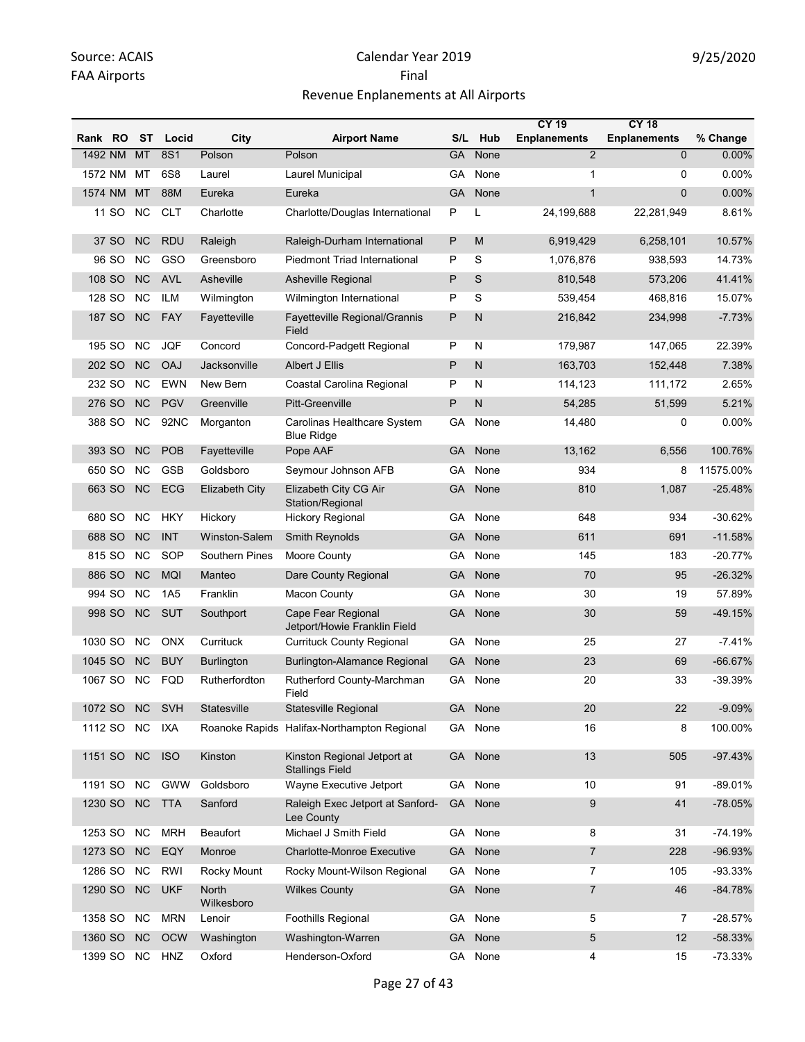|         |        |           |                 |                            |                                                       |           |              | <b>CY 19</b>        | <b>CY 18</b>        |           |
|---------|--------|-----------|-----------------|----------------------------|-------------------------------------------------------|-----------|--------------|---------------------|---------------------|-----------|
| Rank RO |        | ST        | Locid           | City                       | <b>Airport Name</b>                                   | S/L       | Hub          | <b>Enplanements</b> | <b>Enplanements</b> | % Change  |
| 1492 NM |        | <b>MT</b> | <b>8S1</b>      | Polson                     | Polson                                                | <b>GA</b> | None         | $\overline{2}$      | $\overline{0}$      | 0.00%     |
| 1572 NM |        | МT        | 6S8             | Laurel                     | Laurel Municipal                                      | GА        | None         | 1                   | 0                   | $0.00\%$  |
| 1574 NM |        | MT        | 88M             | Eureka                     | Eureka                                                | <b>GA</b> | None         | $\mathbf{1}$        | $\mathbf{0}$        | 0.00%     |
|         | 11 SO  | NC.       | <b>CLT</b>      | Charlotte                  | Charlotte/Douglas International                       | P         | L            | 24,199,688          | 22,281,949          | 8.61%     |
|         | 37 SO  | <b>NC</b> | <b>RDU</b>      | Raleigh                    | Raleigh-Durham International                          | P         | M            | 6,919,429           | 6,258,101           | 10.57%    |
|         | 96 SO  | <b>NC</b> | GSO             | Greensboro                 | <b>Piedmont Triad International</b>                   | P         | S            | 1,076,876           | 938,593             | 14.73%    |
|         | 108 SO | <b>NC</b> | <b>AVL</b>      | Asheville                  | <b>Asheville Regional</b>                             | P         | S            | 810,548             | 573,206             | 41.41%    |
| 128 SO  |        | <b>NC</b> | ILM             | Wilmington                 | Wilmington International                              | P         | S            | 539,454             | 468,816             | 15.07%    |
|         | 187 SO | <b>NC</b> | <b>FAY</b>      | Fayetteville               | Fayetteville Regional/Grannis<br>Field                | P         | N            | 216,842             | 234,998             | $-7.73%$  |
| 195 SO  |        | <b>NC</b> | <b>JQF</b>      | Concord                    | Concord-Padgett Regional                              | P         | N            | 179,987             | 147,065             | 22.39%    |
| 202 SO  |        | <b>NC</b> | <b>OAJ</b>      | Jacksonville               | Albert J Ellis                                        | P         | $\mathsf{N}$ | 163,703             | 152,448             | 7.38%     |
| 232 SO  |        | <b>NC</b> | <b>EWN</b>      | New Bern                   | Coastal Carolina Regional                             | P         | N            | 114,123             | 111,172             | 2.65%     |
|         | 276 SO | <b>NC</b> | <b>PGV</b>      | Greenville                 | <b>Pitt-Greenville</b>                                | P         | N            | 54,285              | 51,599              | 5.21%     |
| 388 SO  |        | <b>NC</b> | 92NC            | Morganton                  | Carolinas Healthcare System<br><b>Blue Ridge</b>      | GА        | None         | 14,480              | 0                   | 0.00%     |
|         | 393 SO | <b>NC</b> | <b>POB</b>      | Fayetteville               | Pope AAF                                              | <b>GA</b> | None         | 13.162              | 6,556               | 100.76%   |
| 650 SO  |        | <b>NC</b> | <b>GSB</b>      | Goldsboro                  | Seymour Johnson AFB                                   | GА        | None         | 934                 | 8                   | 11575.00% |
|         | 663 SO | <b>NC</b> | <b>ECG</b>      | Elizabeth City             | Elizabeth City CG Air<br>Station/Regional             | GA        | None         | 810                 | 1,087               | $-25.48%$ |
| 680 SO  |        | <b>NC</b> | HKY             | Hickory                    | <b>Hickory Regional</b>                               | GA        | None         | 648                 | 934                 | $-30.62%$ |
| 688 SO  |        | <b>NC</b> | <b>INT</b>      | Winston-Salem              | <b>Smith Reynolds</b>                                 | GA        | None         | 611                 | 691                 | $-11.58%$ |
| 815 SO  |        | NC.       | SOP             | Southern Pines             | Moore County                                          | GА        | None         | 145                 | 183                 | $-20.77%$ |
|         | 886 SO | <b>NC</b> | <b>MQI</b>      | Manteo                     | Dare County Regional                                  | GA        | None         | 70                  | 95                  | $-26.32%$ |
| 994 SO  |        | <b>NC</b> | 1A <sub>5</sub> | Franklin                   | Macon County                                          | GA        | None         | 30                  | 19                  | 57.89%    |
| 998 SO  |        | NC        | <b>SUT</b>      | Southport                  | Cape Fear Regional<br>Jetport/Howie Franklin Field    | <b>GA</b> | None         | 30                  | 59                  | $-49.15%$ |
| 1030 SO |        | NC.       | <b>ONX</b>      | Currituck                  | <b>Currituck County Regional</b>                      | GA        | None         | 25                  | 27                  | $-7.41%$  |
| 1045 SO |        | NC        | <b>BUY</b>      | <b>Burlington</b>          | <b>Burlington-Alamance Regional</b>                   | <b>GA</b> | None         | 23                  | 69                  | $-66.67%$ |
| 1067 SO |        | <b>NC</b> | <b>FQD</b>      | Rutherfordton              | Rutherford County-Marchman<br>Field                   | GА        | None         | 20                  | 33                  | -39.39%   |
| 1072 SO |        | <b>NC</b> | <b>SVH</b>      | Statesville                | Statesville Regional                                  | <b>GA</b> | None         | 20                  | 22                  | $-9.09%$  |
| 1112 SO |        | <b>NC</b> | IXA             |                            | Roanoke Rapids Halifax-Northampton Regional           | GA        | None         | 16                  | 8                   | 100.00%   |
| 1151 SO |        | <b>NC</b> | <b>ISO</b>      | Kinston                    | Kinston Regional Jetport at<br><b>Stallings Field</b> | <b>GA</b> | None         | 13                  | 505                 | $-97.43%$ |
| 1191 SO |        | <b>NC</b> | <b>GWW</b>      | Goldsboro                  | Wayne Executive Jetport                               | GA        | None         | 10                  | 91                  | $-89.01%$ |
| 1230 SO |        | <b>NC</b> | <b>TTA</b>      | Sanford                    | Raleigh Exec Jetport at Sanford-<br>Lee County        | <b>GA</b> | None         | 9                   | 41                  | $-78.05%$ |
| 1253 SO |        | <b>NC</b> | <b>MRH</b>      | Beaufort                   | Michael J Smith Field                                 | GA        | None         | 8                   | 31                  | $-74.19%$ |
| 1273 SO |        | <b>NC</b> | EQY             | Monroe                     | <b>Charlotte-Monroe Executive</b>                     | <b>GA</b> | None         | $\overline{7}$      | 228                 | $-96.93%$ |
| 1286 SO |        | NC.       | <b>RWI</b>      | Rocky Mount                | Rocky Mount-Wilson Regional                           | GA        | None         | $\overline{7}$      | 105                 | -93.33%   |
| 1290 SO |        | <b>NC</b> | <b>UKF</b>      | <b>North</b><br>Wilkesboro | <b>Wilkes County</b>                                  | <b>GA</b> | None         | $\overline{7}$      | 46                  | $-84.78%$ |
| 1358 SO |        | <b>NC</b> | <b>MRN</b>      | Lenoir                     | Foothills Regional                                    |           | GA None      | 5                   | 7                   | $-28.57%$ |
| 1360 SO |        | NC        | <b>OCW</b>      | Washington                 | Washington-Warren                                     | <b>GA</b> | None         | 5                   | 12                  | $-58.33%$ |
| 1399 SO |        | <b>NC</b> | HNZ             | Oxford                     | Henderson-Oxford                                      | GA        | None         | 4                   | 15                  | $-73.33%$ |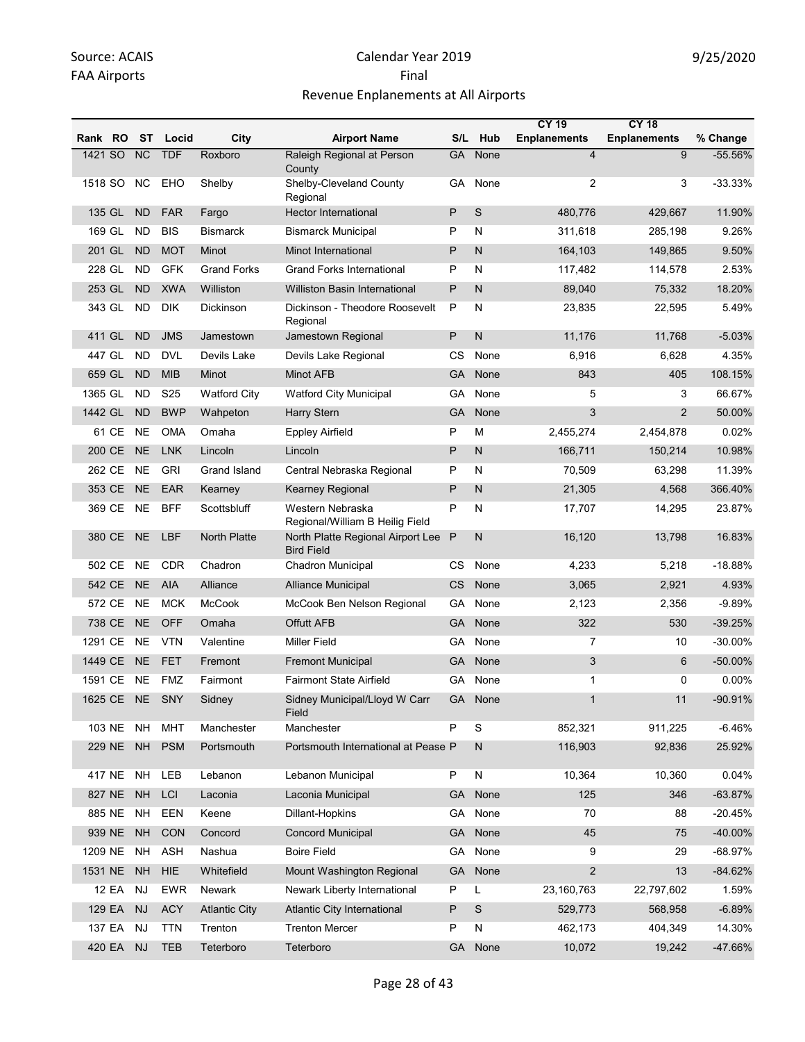|            |           |           |                 |                      |                                                        |              |              | <b>CY 19</b>            | <b>CY 18</b>        |            |
|------------|-----------|-----------|-----------------|----------------------|--------------------------------------------------------|--------------|--------------|-------------------------|---------------------|------------|
| Rank RO ST |           |           | Locid           | City                 | <b>Airport Name</b>                                    |              | S/L Hub      | <b>Enplanements</b>     | <b>Enplanements</b> | % Change   |
| 1421 SO    |           | NC        | <b>TDF</b>      | Roxboro              | Raleigh Regional at Person<br>County                   | <b>GA</b>    | None         | $\overline{\mathbf{4}}$ | $\overline{9}$      | $-55.56%$  |
| 1518 SO    |           | NC.       | EHO             | Shelby               | Shelby-Cleveland County<br>Regional                    | GA           | None         | 2                       | 3                   | $-33.33%$  |
| 135 GL     |           | <b>ND</b> | <b>FAR</b>      | Fargo                | <b>Hector International</b>                            | P            | S            | 480,776                 | 429,667             | 11.90%     |
| 169 GL     |           | <b>ND</b> | <b>BIS</b>      | <b>Bismarck</b>      | <b>Bismarck Municipal</b>                              | P            | N            | 311,618                 | 285,198             | 9.26%      |
| 201 GL     |           | <b>ND</b> | <b>MOT</b>      | Minot                | Minot International                                    | P            | N            | 164,103                 | 149,865             | 9.50%      |
| 228 GL     |           | <b>ND</b> | <b>GFK</b>      | <b>Grand Forks</b>   | <b>Grand Forks International</b>                       | P            | N            | 117,482                 | 114,578             | 2.53%      |
| 253 GL     |           | <b>ND</b> | <b>XWA</b>      | Williston            | <b>Williston Basin International</b>                   | P            | N            | 89,040                  | 75,332              | 18.20%     |
| 343 GL     |           | ND        | <b>DIK</b>      | Dickinson            | Dickinson - Theodore Roosevelt<br>Regional             | P            | N            | 23,835                  | 22,595              | 5.49%      |
| 411 GL     |           | <b>ND</b> | <b>JMS</b>      | Jamestown            | Jamestown Regional                                     | P            | $\mathsf{N}$ | 11,176                  | 11,768              | $-5.03%$   |
| 447 GL     |           | <b>ND</b> | <b>DVL</b>      | Devils Lake          | Devils Lake Regional                                   | СS           | None         | 6,916                   | 6,628               | 4.35%      |
| 659 GL     |           | <b>ND</b> | <b>MIB</b>      | Minot                | Minot AFB                                              | GA           | None         | 843                     | 405                 | 108.15%    |
| 1365 GL    |           | ND        | S <sub>25</sub> | <b>Watford City</b>  | <b>Watford City Municipal</b>                          | GA           | None         | 5                       | 3                   | 66.67%     |
| 1442 GL    |           | <b>ND</b> | <b>BWP</b>      | Wahpeton             | <b>Harry Stern</b>                                     | GA           | None         | 3                       | $\overline{2}$      | 50.00%     |
|            | 61 CE     | <b>NE</b> | <b>OMA</b>      | Omaha                | <b>Eppley Airfield</b>                                 | P            | M            | 2,455,274               | 2,454,878           | 0.02%      |
|            | 200 CE    | <b>NE</b> | <b>LNK</b>      | Lincoln              | Lincoln                                                | P            | N            | 166,711                 | 150,214             | 10.98%     |
| 262 CE     |           | <b>NE</b> | <b>GRI</b>      | Grand Island         | Central Nebraska Regional                              | P            | N            | 70,509                  | 63,298              | 11.39%     |
|            | 353 CE    | <b>NE</b> | <b>EAR</b>      | Kearney              | Kearney Regional                                       | P            | $\mathsf{N}$ | 21,305                  | 4,568               | 366.40%    |
|            | 369 CE NE |           | <b>BFF</b>      | Scottsbluff          | Western Nebraska<br>Regional/William B Heilig Field    | P            | N            | 17,707                  | 14,295              | 23.87%     |
| 380 CE     |           | <b>NE</b> | LBF             | <b>North Platte</b>  | North Platte Regional Airport Lee<br><b>Bird Field</b> | $\mathsf{P}$ | N            | 16,120                  | 13,798              | 16.83%     |
| 502 CE     |           | <b>NE</b> | <b>CDR</b>      | Chadron              | <b>Chadron Municipal</b>                               | CS           | None         | 4,233                   | 5,218               | $-18.88%$  |
|            | 542 CE    | NE.       | <b>AIA</b>      | Alliance             | Alliance Municipal                                     | <b>CS</b>    | None         | 3,065                   | 2,921               | 4.93%      |
| 572 CE     |           | <b>NE</b> | <b>MCK</b>      | <b>McCook</b>        | McCook Ben Nelson Regional                             | GА           | None         | 2,123                   | 2,356               | $-9.89%$   |
|            | 738 CE    | <b>NE</b> | <b>OFF</b>      | Omaha                | <b>Offutt AFB</b>                                      | GA           | None         | 322                     | 530                 | $-39.25%$  |
| 1291 CE    |           | NE.       | <b>VTN</b>      | Valentine            | Miller Field                                           | GА           | None         | 7                       | 10                  | -30.00%    |
| 1449 CE    |           | <b>NE</b> | <b>FET</b>      | Fremont              | <b>Fremont Municipal</b>                               | GA           | None         | 3                       | 6                   | $-50.00\%$ |
| 1591 CE    |           | <b>NE</b> | <b>FMZ</b>      | Fairmont             | <b>Fairmont State Airfield</b>                         | GA           | None         | 1                       | 0                   | 0.00%      |
| 1625 CE    |           | <b>NE</b> | SNY             | Sidney               | Sidney Municipal/Lloyd W Carr<br>Field                 | GA -         | None         | 1                       | 11                  | -90.91%    |
| 103 NE     |           | <b>NH</b> | <b>MHT</b>      | Manchester           | Manchester                                             | P            | S            | 852,321                 | 911,225             | $-6.46%$   |
| 229 NE     |           | <b>NH</b> | <b>PSM</b>      | Portsmouth           | Portsmouth International at Pease P                    |              | ${\sf N}$    | 116,903                 | 92,836              | 25.92%     |
| 417 NE     |           | <b>NH</b> | LEB             | Lebanon              | Lebanon Municipal                                      | P            | N            | 10,364                  | 10,360              | 0.04%      |
| 827 NE     |           | <b>NH</b> | LCI             | Laconia              | Laconia Municipal                                      | <b>GA</b>    | None         | 125                     | 346                 | $-63.87%$  |
| 885 NE     |           | <b>NH</b> | EEN             | Keene                | Dillant-Hopkins                                        | GA           | None         | 70                      | 88                  | $-20.45%$  |
| 939 NE     |           | <b>NH</b> | CON             | Concord              | <b>Concord Municipal</b>                               | <b>GA</b>    | None         | 45                      | 75                  | -40.00%    |
| 1209 NE    |           | <b>NH</b> | <b>ASH</b>      | Nashua               | <b>Boire Field</b>                                     | GA           | None         | 9                       | 29                  | -68.97%    |
| 1531 NE    |           | <b>NH</b> | <b>HIE</b>      | Whitefield           | Mount Washington Regional                              | <b>GA</b>    | None         | $\overline{2}$          | 13                  | $-84.62%$  |
|            | 12 EA     | <b>NJ</b> | <b>EWR</b>      | Newark               | Newark Liberty International                           | P            | L            | 23,160,763              | 22,797,602          | 1.59%      |
| 129 EA     |           | <b>NJ</b> | <b>ACY</b>      | <b>Atlantic City</b> | Atlantic City International                            | P            | $\mathbb S$  | 529,773                 | 568,958             | $-6.89%$   |
| 137 EA     |           | <b>NJ</b> | <b>TTN</b>      | Trenton              | <b>Trenton Mercer</b>                                  | P            | ${\sf N}$    | 462,173                 | 404,349             | 14.30%     |
|            | 420 EA    | <b>NJ</b> | <b>TEB</b>      | Teterboro            | Teterboro                                              |              | GA None      | 10,072                  | 19,242              | -47.66%    |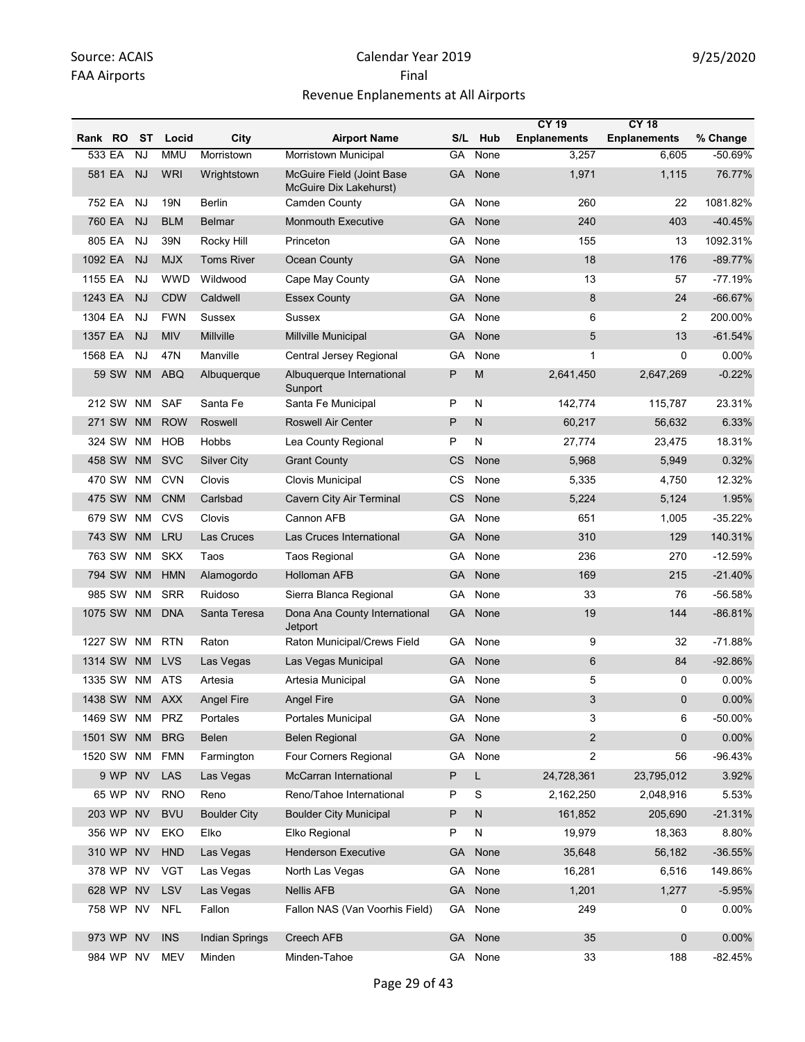|            |           |           |                |                       |                                                     |           |              | <b>CY 19</b>        | <b>CY 18</b>        |           |
|------------|-----------|-----------|----------------|-----------------------|-----------------------------------------------------|-----------|--------------|---------------------|---------------------|-----------|
| Rank RO    |           | ST        | Locid          | City                  | <b>Airport Name</b>                                 | S/L       | Hub          | <b>Enplanements</b> | <b>Enplanements</b> | % Change  |
| 533 EA     |           | <b>NJ</b> | <b>MMU</b>     | Morristown            | Morristown Municipal                                | GA        | None         | 3,257               | 6,605               | -50.69%   |
|            | 581 EA    | <b>NJ</b> | <b>WRI</b>     | Wrightstown           | McGuire Field (Joint Base<br>McGuire Dix Lakehurst) | GA        | None         | 1,971               | 1,115               | 76.77%    |
| 752 EA     |           | <b>NJ</b> | <b>19N</b>     | Berlin                | Camden County                                       | GA        | None         | 260                 | 22                  | 1081.82%  |
| 760 EA     |           | <b>NJ</b> | <b>BLM</b>     | <b>Belmar</b>         | <b>Monmouth Executive</b>                           | GA        | None         | 240                 | 403                 | $-40.45%$ |
| 805 EA     |           | NJ        | 39N            | Rocky Hill            | Princeton                                           | GA        | None         | 155                 | 13                  | 1092.31%  |
| 1092 EA    |           | <b>NJ</b> | <b>MJX</b>     | <b>Toms River</b>     | Ocean County                                        | GA        | None         | 18                  | 176                 | $-89.77%$ |
| 1155 EA    |           | <b>NJ</b> | <b>WWD</b>     | Wildwood              | Cape May County                                     | GA        | None         | 13                  | 57                  | $-77.19%$ |
| 1243 EA    |           | <b>NJ</b> | <b>CDW</b>     | Caldwell              | <b>Essex County</b>                                 | GA        | None         | 8                   | 24                  | $-66.67%$ |
| 1304 EA    |           | NJ        | <b>FWN</b>     | Sussex                | Sussex                                              | GA        | None         | 6                   | 2                   | 200.00%   |
| 1357 EA    |           | <b>NJ</b> | <b>MIV</b>     | Millville             | Millville Municipal                                 | GA        | None         | 5                   | 13                  | $-61.54%$ |
| 1568 EA    |           | <b>NJ</b> | 47N            | Manville              | Central Jersey Regional                             | GA        | None         | $\mathbf 1$         | $\Omega$            | 0.00%     |
|            | 59 SW     | <b>NM</b> | <b>ABQ</b>     | Albuquerque           | Albuquerque International<br>Sunport                | P         | M            | 2,641,450           | 2,647,269           | $-0.22%$  |
|            | 212 SW    | NM        | <b>SAF</b>     | Santa Fe              | Santa Fe Municipal                                  | P         | N            | 142,774             | 115,787             | 23.31%    |
|            | 271 SW    | <b>NM</b> | <b>ROW</b>     | Roswell               | <b>Roswell Air Center</b>                           | P         | N            | 60,217              | 56,632              | 6.33%     |
|            | 324 SW NM |           | <b>HOB</b>     | Hobbs                 | Lea County Regional                                 | P         | N            | 27,774              | 23,475              | 18.31%    |
|            | 458 SW    | <b>NM</b> | <b>SVC</b>     | <b>Silver City</b>    | <b>Grant County</b>                                 | <b>CS</b> | None         | 5,968               | 5,949               | 0.32%     |
|            | 470 SW    | <b>NM</b> | <b>CVN</b>     | Clovis                | Clovis Municipal                                    | <b>CS</b> | None         | 5,335               | 4,750               | 12.32%    |
|            | 475 SW    | <b>NM</b> | <b>CNM</b>     | Carlsbad              | Cavern City Air Terminal                            | <b>CS</b> | None         | 5,224               | 5,124               | 1.95%     |
|            | 679 SW    | NM        | <b>CVS</b>     | Clovis                | Cannon AFB                                          | GA        | None         | 651                 | 1,005               | $-35.22%$ |
|            | 743 SW    | <b>NM</b> | <b>LRU</b>     | Las Cruces            | Las Cruces International                            | GA        | None         | 310                 | 129                 | 140.31%   |
|            | 763 SW    | NM        | <b>SKX</b>     | Taos                  | <b>Taos Regional</b>                                | GA.       | None         | 236                 | 270                 | $-12.59%$ |
|            | 794 SW    | <b>NM</b> | <b>HMN</b>     | Alamogordo            | <b>Holloman AFB</b>                                 | GA        | None         | 169                 | 215                 | $-21.40%$ |
|            | 985 SW    | <b>NM</b> | <b>SRR</b>     | Ruidoso               | Sierra Blanca Regional                              | GA        | None         | 33                  | 76                  | -56.58%   |
|            | 1075 SW   | <b>NM</b> | <b>DNA</b>     | Santa Teresa          | Dona Ana County International<br>Jetport            | <b>GA</b> | None         | 19                  | 144                 | $-86.81%$ |
| 1227 SW    |           | <b>NM</b> | <b>RTN</b>     | Raton                 | Raton Municipal/Crews Field                         | GA        | None         | 9                   | 32                  | $-71.88%$ |
|            | 1314 SW   | <b>NM</b> | <b>LVS</b>     | Las Vegas             | Las Vegas Municipal                                 | GA        | None         | 6                   | 84                  | $-92.86%$ |
|            |           |           | 1335 SW NM ATS | Artesia               | Artesia Municipal                                   | GA        | None         | 5                   | 0                   | 0.00%     |
|            |           |           | 1438 SW NM AXX | <b>Angel Fire</b>     | Angel Fire                                          |           | GA None      | 3                   | $\mathbf 0$         | $0.00\%$  |
|            |           |           | 1469 SW NM PRZ | Portales              | Portales Municipal                                  | GA.       | None         | 3                   | 6                   | -50.00%   |
| 1501 SW NM |           |           | <b>BRG</b>     | Belen                 | <b>Belen Regional</b>                               | GA        | None         | $\overline{2}$      | 0                   | 0.00%     |
| 1520 SW NM |           |           | <b>FMN</b>     | Farmington            | Four Corners Regional                               | GA        | None         | $\overline{2}$      | 56                  | -96.43%   |
|            | 9 WP      | <b>NV</b> | <b>LAS</b>     | Las Vegas             | McCarran International                              | P         | L            | 24,728,361          | 23,795,012          | 3.92%     |
|            | 65 WP NV  |           | <b>RNO</b>     | Reno                  | Reno/Tahoe International                            | P         | S            | 2,162,250           | 2,048,916           | 5.53%     |
|            | 203 WP NV |           | <b>BVU</b>     | <b>Boulder City</b>   | <b>Boulder City Municipal</b>                       | P         | $\mathsf{N}$ | 161,852             | 205,690             | $-21.31%$ |
|            | 356 WP NV |           | EKO            | Elko                  | Elko Regional                                       | P         | ${\sf N}$    | 19,979              | 18,363              | 8.80%     |
|            | 310 WP NV |           | <b>HND</b>     | Las Vegas             | <b>Henderson Executive</b>                          | <b>GA</b> | None         | 35,648              | 56,182              | $-36.55%$ |
|            | 378 WP    | <b>NV</b> | <b>VGT</b>     | Las Vegas             | North Las Vegas                                     | GA        | None         | 16,281              | 6,516               | 149.86%   |
|            | 628 WP NV |           | LSV            | Las Vegas             | <b>Nellis AFB</b>                                   | GA        | None         | 1,201               | 1,277               | $-5.95%$  |
|            | 758 WP NV |           | <b>NFL</b>     | Fallon                | Fallon NAS (Van Voorhis Field)                      | GA        | None         | 249                 | 0                   | 0.00%     |
|            | 973 WP NV |           | <b>INS</b>     | <b>Indian Springs</b> | Creech AFB                                          | <b>GA</b> | None         | 35                  | 0                   | 0.00%     |
|            | 984 WP NV |           | <b>MEV</b>     | Minden                | Minden-Tahoe                                        | GA        | None         | 33                  | 188                 | $-82.45%$ |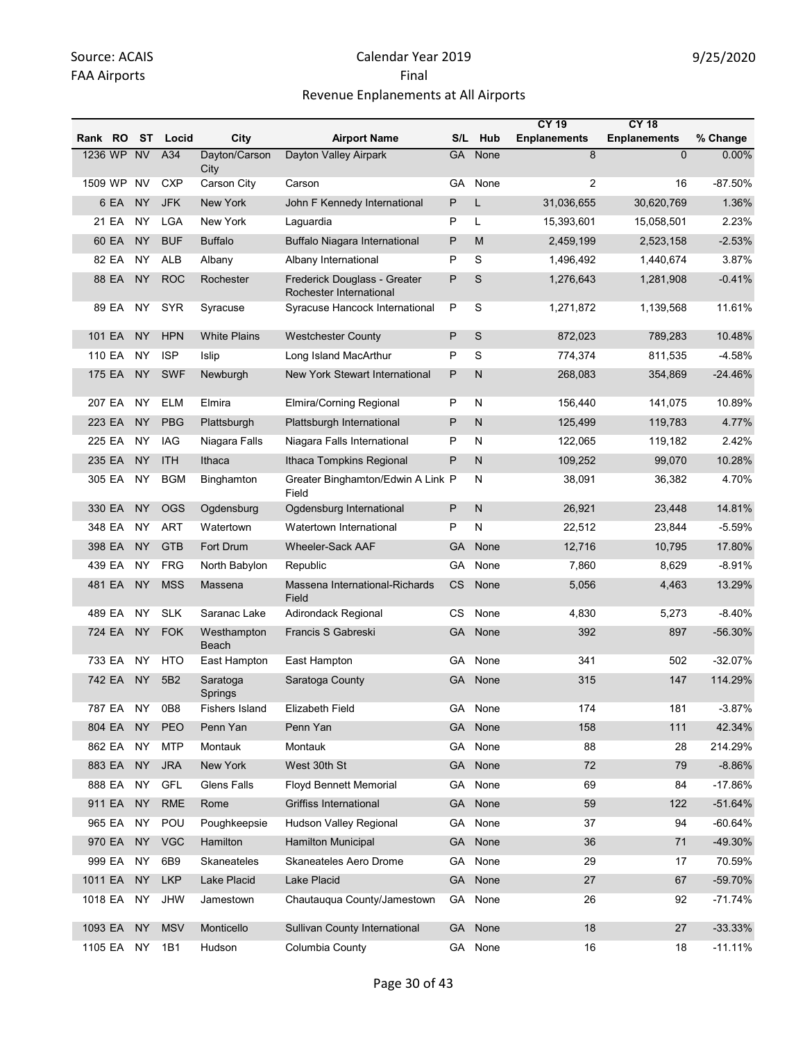|         |            |           |                         |                       |                                                         |           |         | <b>CY 19</b>        | <b>CY 18</b>        |           |
|---------|------------|-----------|-------------------------|-----------------------|---------------------------------------------------------|-----------|---------|---------------------|---------------------|-----------|
| Rank RO |            | ST        | Locid                   | City                  | <b>Airport Name</b>                                     | S/L       | Hub     | <b>Enplanements</b> | <b>Enplanements</b> | % Change  |
|         | 1236 WP NV |           | A34                     | Dayton/Carson<br>City | Dayton Valley Airpark                                   | <b>GA</b> | None    | 8                   | $\Omega$            | $0.00\%$  |
| 1509 WP |            | <b>NV</b> | <b>CXP</b>              | Carson City           | Carson                                                  | GA        | None    | 2                   | 16                  | $-87.50%$ |
|         | 6 EA       | <b>NY</b> | <b>JFK</b>              | <b>New York</b>       | John F Kennedy International                            | P         | L       | 31,036,655          | 30,620,769          | 1.36%     |
|         | 21 EA      | NY        | LGA                     | New York              | Laguardia                                               | P         | L       | 15,393,601          | 15,058,501          | 2.23%     |
|         | 60 EA      | <b>NY</b> | <b>BUF</b>              | <b>Buffalo</b>        | Buffalo Niagara International                           | P         | M       | 2,459,199           | 2,523,158           | $-2.53%$  |
|         | 82 EA      | NY        | <b>ALB</b>              | Albany                | Albany International                                    | P         | S       | 1,496,492           | 1,440,674           | 3.87%     |
|         | 88 EA      | <b>NY</b> | <b>ROC</b>              | Rochester             | Frederick Douglass - Greater<br>Rochester International | P         | S       | 1,276,643           | 1,281,908           | $-0.41%$  |
|         | 89 EA      | NY.       | <b>SYR</b>              | Syracuse              | Syracuse Hancock International                          | P         | S       | 1,271,872           | 1,139,568           | 11.61%    |
|         | 101 EA     | <b>NY</b> | <b>HPN</b>              | <b>White Plains</b>   | <b>Westchester County</b>                               | P         | S       | 872,023             | 789,283             | 10.48%    |
| 110 EA  |            | <b>NY</b> | <b>ISP</b>              | <b>Islip</b>          | Long Island MacArthur                                   | P         | S       | 774,374             | 811,535             | $-4.58%$  |
|         | 175 EA     | NY        | <b>SWF</b>              | Newburgh              | <b>New York Stewart International</b>                   | P         | N       | 268,083             | 354,869             | -24.46%   |
| 207 EA  |            | <b>NY</b> | <b>ELM</b>              | Elmira                | Elmira/Corning Regional                                 | P         | N       | 156,440             | 141,075             | 10.89%    |
| 223 EA  |            | <b>NY</b> | <b>PBG</b>              | Plattsburgh           | Plattsburgh International                               | P         | N       | 125,499             | 119,783             | 4.77%     |
| 225 EA  |            | ΝY        | IAG                     | Niagara Falls         | Niagara Falls International                             | P         | N       | 122,065             | 119,182             | 2.42%     |
| 235 EA  |            | <b>NY</b> | <b>ITH</b>              | Ithaca                | Ithaca Tompkins Regional                                | P         | N       | 109,252             | 99,070              | 10.28%    |
| 305 EA  |            | ΝY        | <b>BGM</b>              | Binghamton            | Greater Binghamton/Edwin A Link P<br>Field              |           | N       | 38,091              | 36,382              | 4.70%     |
| 330 EA  |            | <b>NY</b> | <b>OGS</b>              | Ogdensburg            | Ogdensburg International                                | P         | N       | 26,921              | 23,448              | 14.81%    |
| 348 EA  |            | <b>NY</b> | <b>ART</b>              | Watertown             | Watertown International                                 | P         | N       | 22,512              | 23,844              | $-5.59%$  |
| 398 EA  |            | <b>NY</b> | <b>GTB</b>              | Fort Drum             | <b>Wheeler-Sack AAF</b>                                 | <b>GA</b> | None    | 12,716              | 10,795              | 17.80%    |
| 439 EA  |            | NY        | <b>FRG</b>              | North Babylon         | Republic                                                | GA        | None    | 7,860               | 8,629               | $-8.91%$  |
| 481 EA  |            | <b>NY</b> | <b>MSS</b>              | Massena               | Massena International-Richards<br>Field                 | <b>CS</b> | None    | 5,056               | 4,463               | 13.29%    |
| 489 EA  |            | <b>NY</b> | <b>SLK</b>              | Saranac Lake          | Adirondack Regional                                     | <b>CS</b> | None    | 4,830               | 5,273               | $-8.40%$  |
|         | 724 EA     | <b>NY</b> | <b>FOK</b>              | Westhampton<br>Beach  | Francis S Gabreski                                      | GA        | None    | 392                 | 897                 | -56.30%   |
| 733 EA  |            | <b>NY</b> | <b>HTO</b>              | East Hampton          | East Hampton                                            | GA        | None    | 341                 | 502                 | $-32.07%$ |
|         | 742 EA     | <b>NY</b> | 5B <sub>2</sub>         | Saratoga<br>Springs   | Saratoga County                                         | GA        | None    | 315                 | 147                 | 114.29%   |
|         | 787 EA     | NY        | 0B8                     | <b>Fishers Island</b> | Elizabeth Field                                         |           | GA None | 174                 | 181                 | $-3.87%$  |
| 804 EA  |            | <b>NY</b> | PEO                     | Penn Yan              | Penn Yan                                                | <b>GA</b> | None    | 158                 | 111                 | 42.34%    |
|         | 862 EA     | NY        | <b>MTP</b>              | Montauk               | Montauk                                                 | GA        | None    | 88                  | 28                  | 214.29%   |
|         | 883 EA     | <b>NY</b> | <b>JRA</b>              | New York              | West 30th St                                            | <b>GA</b> | None    | 72                  | 79                  | $-8.86%$  |
| 888 EA  |            | <b>NY</b> | <b>GFL</b>              | <b>Glens Falls</b>    | Floyd Bennett Memorial                                  | GA        | None    | 69                  | 84                  | $-17.86%$ |
| 911 EA  |            | <b>NY</b> | $\mathsf{RM}\mathsf{E}$ | Rome                  | <b>Griffiss International</b>                           | GA        | None    | 59                  | 122                 | $-51.64%$ |
| 965 EA  |            | <b>NY</b> | POU                     | Poughkeepsie          | Hudson Valley Regional                                  | GA        | None    | 37                  | 94                  | $-60.64%$ |
| 970 EA  |            | NY        | <b>VGC</b>              | Hamilton              | <b>Hamilton Municipal</b>                               | <b>GA</b> | None    | 36                  | 71                  | -49.30%   |
| 999 EA  |            | <b>NY</b> | 6B9                     | Skaneateles           | Skaneateles Aero Drome                                  | GA        | None    | 29                  | 17                  | 70.59%    |
| 1011 EA |            | <b>NY</b> | <b>LKP</b>              | Lake Placid           | Lake Placid                                             | <b>GA</b> | None    | 27                  | 67                  | -59.70%   |
| 1018 EA |            | NY.       | <b>JHW</b>              | Jamestown             | Chautauqua County/Jamestown                             |           | GA None | 26                  | 92                  | $-71.74%$ |
| 1093 EA |            | <b>NY</b> | <b>MSV</b>              | Monticello            | Sullivan County International                           | <b>GA</b> | None    | 18                  | 27                  | $-33.33%$ |
| 1105 EA |            | NY        | 1B1                     | Hudson                | Columbia County                                         |           | GA None | 16                  | 18                  | $-11.11%$ |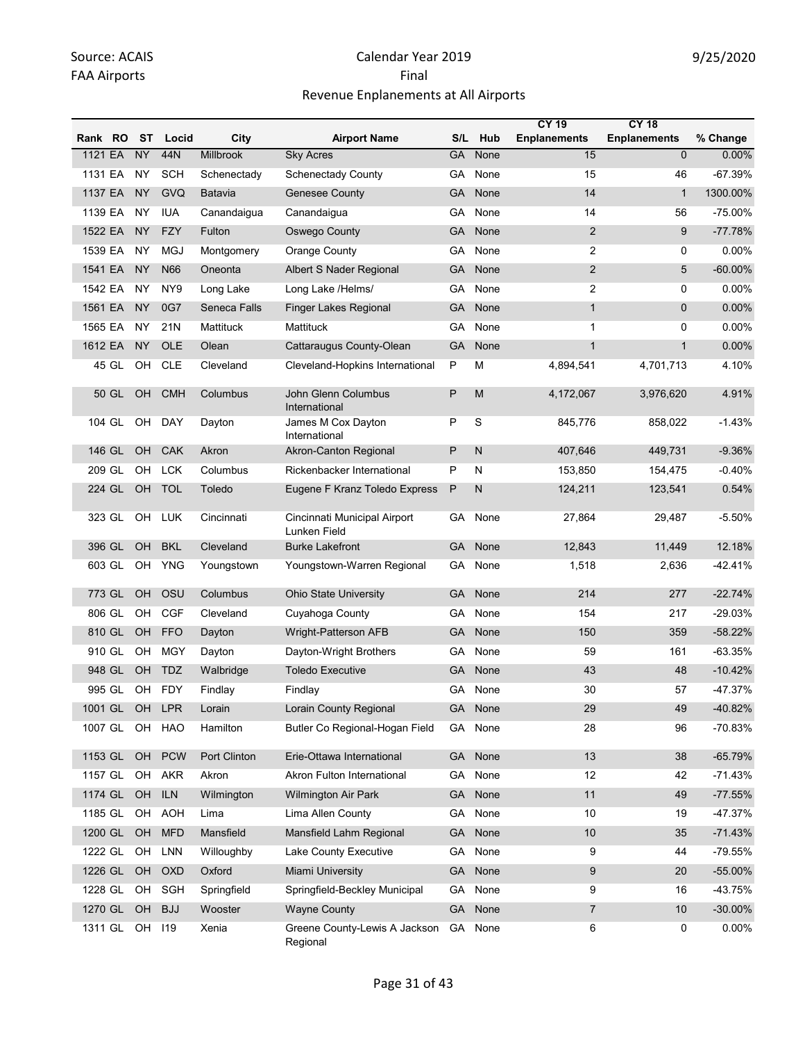|         |        |           |                |              |                                              |              |         | <b>CY 19</b>        | <b>CY 18</b>        |            |
|---------|--------|-----------|----------------|--------------|----------------------------------------------|--------------|---------|---------------------|---------------------|------------|
| Rank RO |        | <b>ST</b> | Locid          | City         | <b>Airport Name</b>                          | S/L          | Hub     | <b>Enplanements</b> | <b>Enplanements</b> | % Change   |
| 1121 EA |        | <b>NY</b> | 44N            | Millbrook    | <b>Sky Acres</b>                             | <b>GA</b>    | None    | 15                  | $\overline{0}$      | 0.00%      |
| 1131 EA |        | NY        | <b>SCH</b>     | Schenectady  | <b>Schenectady County</b>                    | GA.          | None    | 15                  | 46                  | $-67.39%$  |
| 1137 EA |        | <b>NY</b> | GVQ            | Batavia      | <b>Genesee County</b>                        | <b>GA</b>    | None    | 14                  | $\mathbf{1}$        | 1300.00%   |
| 1139 EA |        | NY        | <b>IUA</b>     | Canandaigua  | Canandaigua                                  | GA           | None    | 14                  | 56                  | $-75.00%$  |
| 1522 EA |        | <b>NY</b> | <b>FZY</b>     | Fulton       | Oswego County                                | GA           | None    | $\overline{2}$      | 9                   | $-77.78%$  |
| 1539 EA |        | <b>NY</b> | <b>MGJ</b>     | Montgomery   | Orange County                                | GA           | None    | $\overline{2}$      | 0                   | 0.00%      |
| 1541 EA |        | <b>NY</b> | N66            | Oneonta      | Albert S Nader Regional                      | GA           | None    | 2                   | 5                   | $-60.00\%$ |
| 1542 EA |        | NY        | NY9            | Long Lake    | Long Lake /Helms/                            | GA           | None    | $\overline{2}$      | 0                   | 0.00%      |
| 1561 EA |        | <b>NY</b> | 0G7            | Seneca Falls | Finger Lakes Regional                        | <b>GA</b>    | None    | $\mathbf{1}$        | 0                   | 0.00%      |
| 1565 EA |        | NY.       | 21N            | Mattituck    | Mattituck                                    | GA           | None    | $\mathbf{1}$        | 0                   | 0.00%      |
| 1612 EA |        | NY        | OLE            | Olean        | Cattaraugus County-Olean                     | GA           | None    | $\mathbf{1}$        | $\mathbf{1}$        | 0.00%      |
|         | 45 GL  | OH        | <b>CLE</b>     | Cleveland    | Cleveland-Hopkins International              | P            | M       | 4,894,541           | 4,701,713           | 4.10%      |
|         | 50 GL  | <b>OH</b> | <b>CMH</b>     | Columbus     | John Glenn Columbus<br>International         | P            | M       | 4,172,067           | 3,976,620           | 4.91%      |
| 104 GL  |        | OH        | DAY            | Dayton       | James M Cox Dayton<br>International          | P            | S       | 845,776             | 858,022             | $-1.43%$   |
| 146 GL  |        | OH        | CAK            | Akron        | <b>Akron-Canton Regional</b>                 | $\mathsf{P}$ | N       | 407,646             | 449,731             | $-9.36%$   |
| 209 GL  |        | OH        | <b>LCK</b>     | Columbus     | Rickenbacker International                   | P            | N       | 153,850             | 154,475             | $-0.40%$   |
| 224 GL  |        | <b>OH</b> | <b>TOL</b>     | Toledo       | Eugene F Kranz Toledo Express                | $\mathsf{P}$ | N       | 124,211             | 123,541             | 0.54%      |
| 323 GL  |        | OH        | <b>LUK</b>     | Cincinnati   | Cincinnati Municipal Airport<br>Lunken Field | GA.          | None    | 27,864              | 29,487              | $-5.50%$   |
| 396 GL  |        | <b>OH</b> | <b>BKL</b>     | Cleveland    | <b>Burke Lakefront</b>                       | <b>GA</b>    | None    | 12,843              | 11,449              | 12.18%     |
| 603 GL  |        | OH        | <b>YNG</b>     | Youngstown   | Youngstown-Warren Regional                   | GA           | None    | 1,518               | 2,636               | $-42.41%$  |
| 773 GL  |        | <b>OH</b> | OSU            | Columbus     | <b>Ohio State University</b>                 | <b>GA</b>    | None    | 214                 | 277                 | $-22.74%$  |
| 806 GL  |        | OH        | <b>CGF</b>     | Cleveland    | Cuyahoga County                              | GA           | None    | 154                 | 217                 | $-29.03%$  |
| 810 GL  |        | OH        | <b>FFO</b>     | Dayton       | Wright-Patterson AFB                         | <b>GA</b>    | None    | 150                 | 359                 | $-58.22%$  |
| 910 GL  |        | OH        | <b>MGY</b>     | Dayton       | Dayton-Wright Brothers                       | GA           | None    | 59                  | 161                 | $-63.35%$  |
| 948 GL  |        | <b>OH</b> | <b>TDZ</b>     | Walbridge    | <b>Toledo Executive</b>                      | GA           | None    | 43                  | 48                  | $-10.42%$  |
|         | 995 GL |           | OH FDY         | Findlay      | Findlay                                      |              | GA None | 30                  | 57                  | -47.37%    |
|         |        |           | 1001 GL OH LPR | Lorain       | Lorain County Regional                       | <b>GA</b>    | None    | 29                  | 49                  | -40.82%    |
| 1007 GL |        | OH        | HAO            | Hamilton     | Butler Co Regional-Hogan Field               | GA           | None    | 28                  | 96                  | -70.83%    |
| 1153 GL |        | OH        | <b>PCW</b>     | Port Clinton | Erie-Ottawa International                    | GA           | None    | 13                  | 38                  | $-65.79%$  |
| 1157 GL |        | OH        | <b>AKR</b>     | Akron        | Akron Fulton International                   | GA           | None    | 12                  | 42                  | $-71.43%$  |
| 1174 GL |        | OH        | <b>ILN</b>     | Wilmington   | <b>Wilmington Air Park</b>                   | <b>GA</b>    | None    | 11                  | 49                  | $-77.55%$  |
| 1185 GL |        | OH        | AOH            | Lima         | Lima Allen County                            | GA           | None    | 10                  | 19                  | -47.37%    |
| 1200 GL |        | OH        | <b>MFD</b>     | Mansfield    | Mansfield Lahm Regional                      | GA           | None    | $10$                | 35                  | $-71.43%$  |
| 1222 GL |        | OH        | <b>LNN</b>     | Willoughby   | Lake County Executive                        | GA.          | None    | 9                   | 44                  | -79.55%    |
| 1226 GL |        | OH        | <b>OXD</b>     | Oxford       | Miami University                             | <b>GA</b>    | None    | 9                   | 20                  | -55.00%    |
| 1228 GL |        | OH        | SGH            | Springfield  | Springfield-Beckley Municipal                | GA           | None    | 9                   | 16                  | -43.75%    |
| 1270 GL |        | OH        | <b>BJJ</b>     | Wooster      | <b>Wayne County</b>                          | <b>GA</b>    | None    | $\overline{7}$      | 10                  | $-30.00\%$ |
| 1311 GL |        | OH 119    |                | Xenia        | Greene County-Lewis A Jackson<br>Regional    |              | GA None | 6                   | 0                   | 0.00%      |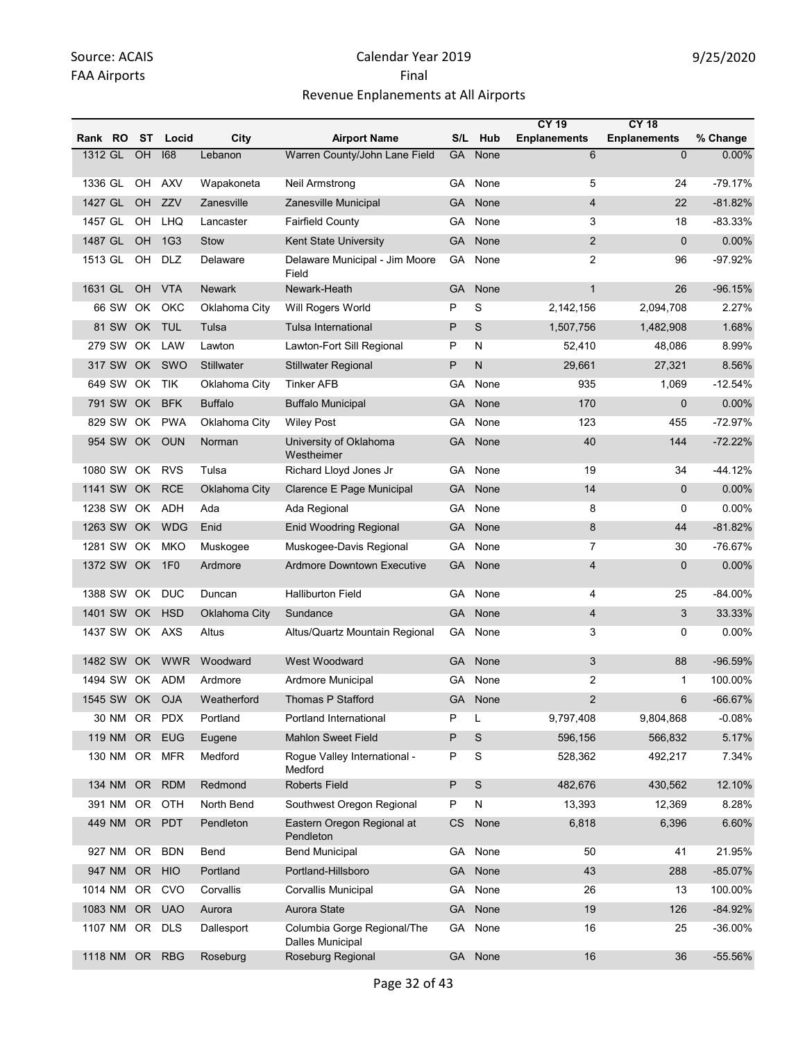|                |           |                 |                   |                                                        |           |         | <b>CY 19</b>        | <b>CY 18</b>        |            |
|----------------|-----------|-----------------|-------------------|--------------------------------------------------------|-----------|---------|---------------------|---------------------|------------|
| Rank RO ST     |           | Locid           | City              | <b>Airport Name</b>                                    |           | S/L Hub | <b>Enplanements</b> | <b>Enplanements</b> | % Change   |
| 1312 GL        | OH        | 168             | Lebanon           | Warren County/John Lane Field                          | GA        | None    | 6                   | $\Omega$            | 0.00%      |
| 1336 GL        |           | OH AXV          | Wapakoneta        | Neil Armstrong                                         | GA.       | None    | 5                   | 24                  | $-79.17%$  |
| 1427 GL        | OH        | ZZV             | Zanesville        | Zanesville Municipal                                   | GA        | None    | $\overline{4}$      | 22                  | $-81.82%$  |
| 1457 GL        | OH        | <b>LHQ</b>      | Lancaster         | <b>Fairfield County</b>                                | GA        | None    | 3                   | 18                  | -83.33%    |
| 1487 GL        | <b>OH</b> | 1G <sub>3</sub> | <b>Stow</b>       | Kent State University                                  | <b>GA</b> | None    | $\overline{2}$      | $\mathbf{0}$        | 0.00%      |
| 1513 GL        | OH        | DLZ             | Delaware          | Delaware Municipal - Jim Moore<br>Field                | GA        | None    | 2                   | 96                  | -97.92%    |
| 1631 GL        | OH        | <b>VTA</b>      | <b>Newark</b>     | Newark-Heath                                           | <b>GA</b> | None    | $\mathbf{1}$        | 26                  | $-96.15%$  |
| 66 SW          | OK        | OKC             | Oklahoma City     | Will Rogers World                                      | P         | S       | 2,142,156           | 2,094,708           | 2.27%      |
| 81 SW          | OK        | <b>TUL</b>      | Tulsa             | <b>Tulsa International</b>                             | P         | S       | 1,507,756           | 1,482,908           | 1.68%      |
| 279 SW         | OK        | LAW             | Lawton            | Lawton-Fort Sill Regional                              | P         | N       | 52,410              | 48,086              | 8.99%      |
| 317 SW         |           | OK SWO          | <b>Stillwater</b> | <b>Stillwater Regional</b>                             | P         | N       | 29,661              | 27,321              | 8.56%      |
| 649 SW         | OK        | <b>TIK</b>      | Oklahoma City     | <b>Tinker AFB</b>                                      | GA        | None    | 935                 | 1,069               | $-12.54%$  |
| 791 SW         | OK.       | <b>BFK</b>      | <b>Buffalo</b>    | <b>Buffalo Municipal</b>                               | <b>GA</b> | None    | 170                 | $\mathbf{0}$        | 0.00%      |
| 829 SW         | OK .      | <b>PWA</b>      | Oklahoma City     | <b>Wiley Post</b>                                      | GA        | None    | 123                 | 455                 | $-72.97%$  |
| 954 SW         | OK        | <b>OUN</b>      | Norman            | University of Oklahoma<br>Westheimer                   | GA        | None    | 40                  | 144                 | $-72.22%$  |
| 1080 SW OK     |           | <b>RVS</b>      | Tulsa             | Richard Lloyd Jones Jr                                 | GA        | None    | 19                  | 34                  | -44.12%    |
| 1141 SW        | OK        | <b>RCE</b>      | Oklahoma City     | Clarence E Page Municipal                              | <b>GA</b> | None    | 14                  | $\mathbf 0$         | 0.00%      |
| 1238 SW OK ADH |           |                 | Ada               | Ada Regional                                           | GA        | None    | 8                   | 0                   | 0.00%      |
| 1263 SW        | OK        | <b>WDG</b>      | Enid              | <b>Enid Woodring Regional</b>                          | <b>GA</b> | None    | 8                   | 44                  | $-81.82%$  |
| 1281 SW OK     |           | <b>MKO</b>      | Muskogee          | Muskogee-Davis Regional                                | GA        | None    | 7                   | 30                  | -76.67%    |
| 1372 SW OK     |           | 1F <sub>0</sub> | Ardmore           | <b>Ardmore Downtown Executive</b>                      | GA        | None    | $\overline{4}$      | $\mathbf{0}$        | 0.00%      |
| 1388 SW OK     |           | <b>DUC</b>      | Duncan            | <b>Halliburton Field</b>                               | GA.       | None    | 4                   | 25                  | $-84.00\%$ |
| 1401 SW        | OK .      | <b>HSD</b>      | Oklahoma City     | Sundance                                               | GA        | None    | $\overline{4}$      | 3                   | 33.33%     |
| 1437 SW OK AXS |           |                 | Altus             | Altus/Quartz Mountain Regional                         | GA        | None    | 3                   | 0                   | 0.00%      |
| 1482 SW        | OK.       | <b>WWR</b>      | Woodward          | West Woodward                                          | <b>GA</b> | None    | 3                   | 88                  | $-96.59%$  |
| 1494 SW OK     |           | <b>ADM</b>      | Ardmore           | Ardmore Municipal                                      | GA        | None    | 2                   | 1                   | 100.00%    |
| 1545 SW OK OJA |           |                 | Weatherford       | Thomas P Stafford                                      |           | GA None | $\mathfrak{p}$      | 6                   | $-66.67%$  |
|                |           | 30 NM OR PDX    | Portland          | Portland International                                 | P         | L       | 9,797,408           | 9,804,868           | $-0.08%$   |
| 119 NM         |           | OR EUG          | Eugene            | <b>Mahlon Sweet Field</b>                              | P         | S       | 596,156             | 566,832             | 5.17%      |
|                |           | 130 NM OR MFR   | Medford           | Rogue Valley International -<br>Medford                | P         | S       | 528,362             | 492,217             | 7.34%      |
| 134 NM         |           | OR RDM          | Redmond           | <b>Roberts Field</b>                                   | P         | S       | 482,676             | 430,562             | 12.10%     |
| 391 NM         | OR .      | OTH             | North Bend        | Southwest Oregon Regional                              | P         | N       | 13,393              | 12,369              | 8.28%      |
| 449 NM         |           | OR PDT          | Pendleton         | Eastern Oregon Regional at<br>Pendleton                | <b>CS</b> | None    | 6,818               | 6,396               | 6.60%      |
| 927 NM         | OR        | <b>BDN</b>      | Bend              | <b>Bend Municipal</b>                                  | GA.       | None    | 50                  | 41                  | 21.95%     |
| 947 NM         | OR HIO    |                 | Portland          | Portland-Hillsboro                                     | <b>GA</b> | None    | 43                  | 288                 | $-85.07%$  |
| 1014 NM        | OR        | CVO             | Corvallis         | Corvallis Municipal                                    | GA.       | None    | 26                  | 13                  | 100.00%    |
| 1083 NM        |           | OR UAO          | Aurora            | Aurora State                                           | <b>GA</b> | None    | 19                  | 126                 | $-84.92%$  |
| 1107 NM        | OR.       | <b>DLS</b>      | Dallesport        | Columbia Gorge Regional/The<br><b>Dalles Municipal</b> | GA        | None    | 16                  | 25                  | -36.00%    |
| 1118 NM OR RBG |           |                 | Roseburg          | Roseburg Regional                                      |           | GA None | 16                  | 36                  | -55.56%    |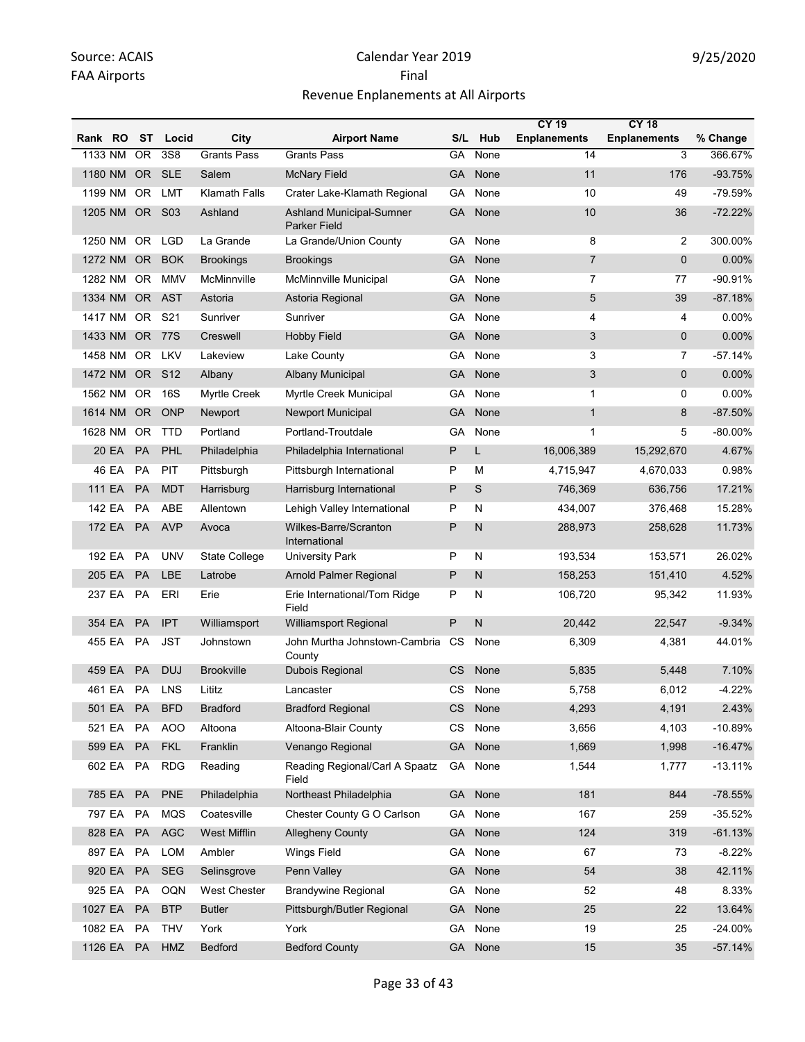|         |                 |                 |                      |                                                        |           |      | <b>CY 19</b>        | <b>CY 18</b>        |            |
|---------|-----------------|-----------------|----------------------|--------------------------------------------------------|-----------|------|---------------------|---------------------|------------|
| Rank RO | ST              | Locid           | City                 | <b>Airport Name</b>                                    | S/L       | Hub  | <b>Enplanements</b> | <b>Enplanements</b> | % Change   |
| 1133 NM | $\overline{OR}$ | 3S8             | <b>Grants Pass</b>   | <b>Grants Pass</b>                                     | GA        | None | 14                  | 3                   | 366.67%    |
| 1180 NM | OR.             | <b>SLE</b>      | Salem                | <b>McNary Field</b>                                    | GA        | None | 11                  | 176                 | $-93.75%$  |
| 1199 NM | OR.             | LMT             | <b>Klamath Falls</b> | Crater Lake-Klamath Regional                           | GA        | None | 10                  | 49                  | $-79.59%$  |
| 1205 NM | OR S03          |                 | Ashland              | <b>Ashland Municipal-Sumner</b><br><b>Parker Field</b> | <b>GA</b> | None | 10                  | 36                  | $-72.22%$  |
| 1250 NM | <b>OR</b>       | <b>LGD</b>      | La Grande            | La Grande/Union County                                 | GA        | None | 8                   | $\overline{2}$      | 300.00%    |
| 1272 NM | OR.             | <b>BOK</b>      | <b>Brookings</b>     | <b>Brookings</b>                                       | <b>GA</b> | None | $\overline{7}$      | $\mathbf{0}$        | $0.00\%$   |
| 1282 NM | OR.             | <b>MMV</b>      | McMinnville          | McMinnville Municipal                                  | GА        | None | $\overline{7}$      | 77                  | $-90.91%$  |
| 1334 NM | OR.             | <b>AST</b>      | Astoria              | Astoria Regional                                       | GA        | None | 5                   | 39                  | $-87.18%$  |
| 1417 NM | OR              | S21             | Sunriver             | Sunriver                                               | GА        | None | 4                   | 4                   | 0.00%      |
| 1433 NM | <b>OR</b>       | <b>77S</b>      | Creswell             | <b>Hobby Field</b>                                     | <b>GA</b> | None | 3                   | $\mathbf{0}$        | 0.00%      |
| 1458 NM | OR.             | LKV             | Lakeview             | Lake County                                            | GA        | None | 3                   | $\overline{7}$      | $-57.14%$  |
| 1472 NM | OR -            | S <sub>12</sub> | Albany               | <b>Albany Municipal</b>                                | GA        | None | 3                   | $\mathbf{0}$        | 0.00%      |
| 1562 NM | OR.             | 16S             | <b>Myrtle Creek</b>  | Myrtle Creek Municipal                                 | GА        | None | $\mathbf{1}$        | 0                   | 0.00%      |
| 1614 NM | OR.             | <b>ONP</b>      | Newport              | <b>Newport Municipal</b>                               | GA        | None | $\mathbf{1}$        | 8                   | $-87.50%$  |
| 1628 NM | OR.             | <b>TTD</b>      | Portland             | Portland-Troutdale                                     | GA        | None | $\mathbf{1}$        | 5                   | $-80.00\%$ |
| 20 EA   | <b>PA</b>       | PHL             | Philadelphia         | Philadelphia International                             | P         | L    | 16,006,389          | 15,292,670          | 4.67%      |
| 46 EA   | PA              | PIT             | Pittsburgh           | Pittsburgh International                               | P         | М    | 4,715,947           | 4,670,033           | 0.98%      |
| 111 EA  | <b>PA</b>       | <b>MDT</b>      | Harrisburg           | Harrisburg International                               | P         | S    | 746,369             | 636,756             | 17.21%     |
| 142 EA  | <b>PA</b>       | ABE             | Allentown            | Lehigh Valley International                            | P         | N    | 434,007             | 376,468             | 15.28%     |
| 172 EA  | <b>PA</b>       | <b>AVP</b>      | Avoca                | Wilkes-Barre/Scranton<br>International                 | P         | N    | 288,973             | 258,628             | 11.73%     |
| 192 EA  | <b>PA</b>       | <b>UNV</b>      | <b>State College</b> | <b>University Park</b>                                 | P         | N    | 193,534             | 153,571             | 26.02%     |
| 205 EA  | <b>PA</b>       | LBE             | Latrobe              | Arnold Palmer Regional                                 | P         | N    | 158,253             | 151,410             | 4.52%      |
| 237 EA  | PA              | ERI             | Erie                 | Erie International/Tom Ridge<br>Field                  | P         | N    | 106,720             | 95,342              | 11.93%     |
| 354 EA  | <b>PA</b>       | <b>IPT</b>      | Williamsport         | Williamsport Regional                                  | P         | N    | 20,442              | 22,547              | $-9.34%$   |
| 455 EA  | <b>PA</b>       | <b>JST</b>      | Johnstown            | John Murtha Johnstown-Cambria CS<br>County             |           | None | 6,309               | 4,381               | 44.01%     |
| 459 EA  | <b>PA</b>       | <b>DUJ</b>      | <b>Brookville</b>    | Dubois Regional                                        | <b>CS</b> | None | 5,835               | 5,448               | 7.10%      |
| 461 EA  | PA              | LNS             | Lititz               | Lancaster                                              | CS        | None | 5,758               | 6,012               | $-4.22%$   |
| 501 EA  | PA              | <b>BFD</b>      | <b>Bradford</b>      | <b>Bradford Regional</b>                               | CS        | None | 4,293               | 4,191               | 2.43%      |
| 521 EA  | PA              | <b>AOO</b>      | Altoona              | Altoona-Blair County                                   | CS        | None | 3,656               | 4,103               | $-10.89%$  |
| 599 EA  | PA              | <b>FKL</b>      | Franklin             | Venango Regional                                       | GA        | None | 1,669               | 1,998               | $-16.47%$  |
| 602 EA  | PA              | <b>RDG</b>      | Reading              | Reading Regional/Carl A Spaatz<br>Field                | GA        | None | 1,544               | 1,777               | $-13.11%$  |
| 785 EA  | PA              | PNE             | Philadelphia         | Northeast Philadelphia                                 | <b>GA</b> | None | 181                 | 844                 | $-78.55%$  |
| 797 EA  | PA              | <b>MQS</b>      | Coatesville          | Chester County G O Carlson                             | GA        | None | 167                 | 259                 | $-35.52%$  |
| 828 EA  | PA              | AGC             | West Mifflin         | <b>Allegheny County</b>                                | <b>GA</b> | None | 124                 | 319                 | $-61.13%$  |
| 897 EA  | PA              | <b>LOM</b>      | Ambler               | <b>Wings Field</b>                                     | GA        | None | 67                  | 73                  | $-8.22%$   |
| 920 EA  | PA              | <b>SEG</b>      | Selinsgrove          | Penn Valley                                            | GA        | None | 54                  | 38                  | 42.11%     |
| 925 EA  | PA              | OQN             | <b>West Chester</b>  | <b>Brandywine Regional</b>                             | GA        | None | 52                  | 48                  | 8.33%      |
| 1027 EA | <b>PA</b>       | <b>BTP</b>      | <b>Butler</b>        | Pittsburgh/Butler Regional                             | <b>GA</b> | None | 25                  | 22                  | 13.64%     |
| 1082 EA | <b>PA</b>       | <b>THV</b>      | York                 | York                                                   | GA        | None | 19                  | 25                  | $-24.00\%$ |
| 1126 EA | <b>PA</b>       | HMZ             | Bedford              | <b>Bedford County</b>                                  | GA        | None | 15                  | 35                  | $-57.14%$  |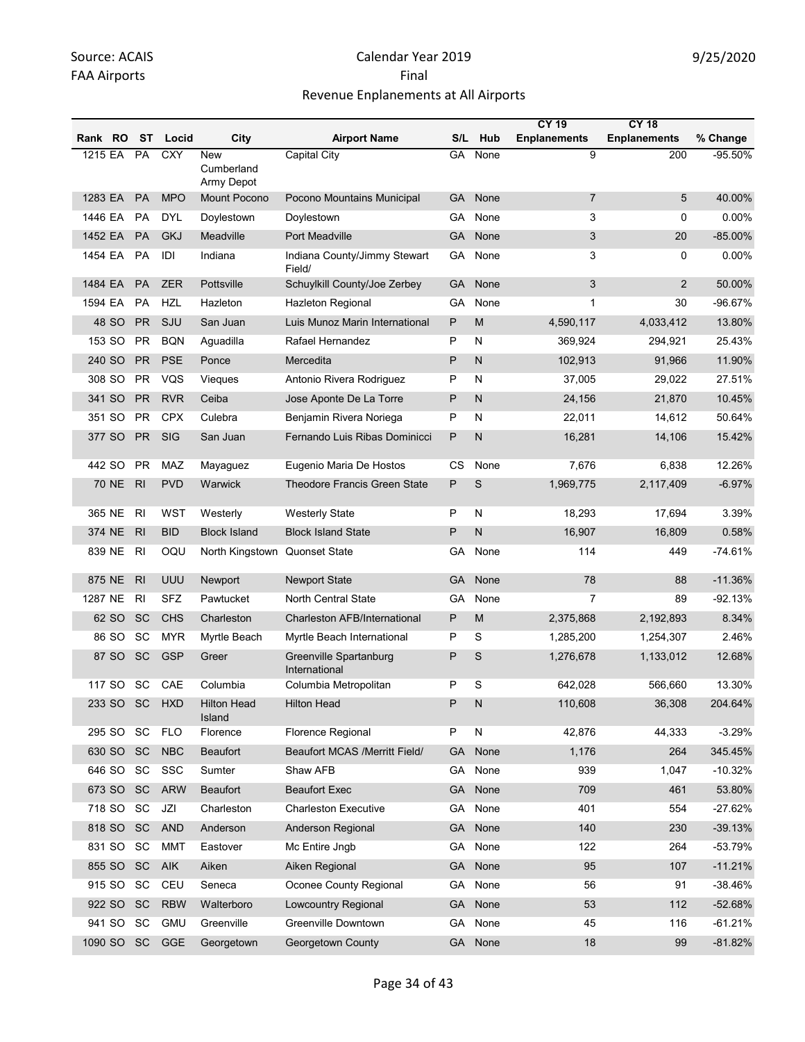|         |              |                |            |                                 |                                         |           |                         | <b>CY 19</b>        | <b>CY 18</b>        |            |
|---------|--------------|----------------|------------|---------------------------------|-----------------------------------------|-----------|-------------------------|---------------------|---------------------|------------|
| Rank RO |              | <b>ST</b>      | Locid      | City                            | <b>Airport Name</b>                     | S/L       | Hub                     | <b>Enplanements</b> | <b>Enplanements</b> | % Change   |
| 1215 EA |              | PA             | <b>CXY</b> | New<br>Cumberland<br>Army Depot | Capital City                            | GA        | None                    | 9                   | 200                 | $-95.50%$  |
| 1283 EA |              | <b>PA</b>      | <b>MPO</b> | <b>Mount Pocono</b>             | Pocono Mountains Municipal              | GA        | None                    | $\overline{7}$      | 5                   | 40.00%     |
| 1446 EA |              | PA             | DYL        | Doylestown                      | Doylestown                              | GA.       | None                    | 3                   | 0                   | 0.00%      |
| 1452 EA |              | <b>PA</b>      | <b>GKJ</b> | Meadville                       | Port Meadville                          | GA        | None                    | 3                   | 20                  | $-85.00\%$ |
| 1454 EA |              | PA             | IDI        | Indiana                         | Indiana County/Jimmy Stewart<br>Field/  | GA        | None                    | 3                   | 0                   | 0.00%      |
| 1484 EA |              | <b>PA</b>      | <b>ZER</b> | Pottsville                      | Schuylkill County/Joe Zerbey            | GA        | None                    | 3                   | $\overline{2}$      | 50.00%     |
| 1594 EA |              | PA             | <b>HZL</b> | Hazleton                        | <b>Hazleton Regional</b>                | GА        | None                    | 1                   | 30                  | -96.67%    |
|         | 48 SO        | <b>PR</b>      | SJU        | San Juan                        | Luis Munoz Marin International          | P         | M                       | 4,590,117           | 4,033,412           | 13.80%     |
| 153 SO  |              | <b>PR</b>      | <b>BQN</b> | Aguadilla                       | Rafael Hernandez                        | P         | N                       | 369,924             | 294,921             | 25.43%     |
| 240 SO  |              | <b>PR</b>      | <b>PSE</b> | Ponce                           | Mercedita                               | P         | $\mathsf{N}$            | 102,913             | 91,966              | 11.90%     |
| 308 SO  |              | <b>PR</b>      | VQS        | Vieques                         | Antonio Rivera Rodriguez                | P         | N                       | 37,005              | 29,022              | 27.51%     |
| 341 SO  |              | PR             | <b>RVR</b> | Ceiba                           | Jose Aponte De La Torre                 | P         | $\mathsf{N}$            | 24,156              | 21,870              | 10.45%     |
| 351 SO  |              | <b>PR</b>      | <b>CPX</b> | Culebra                         | Benjamin Rivera Noriega                 | Ρ         | N                       | 22,011              | 14,612              | 50.64%     |
| 377 SO  |              | <b>PR</b>      | <b>SIG</b> | San Juan                        | Fernando Luis Ribas Dominicci           | P         | N                       | 16,281              | 14,106              | 15.42%     |
| 442 SO  |              | <b>PR</b>      | MAZ        | Mayaguez                        | Eugenio Maria De Hostos                 | СS        | None                    | 7,676               | 6,838               | 12.26%     |
|         | <b>70 NE</b> | R <sub>l</sub> | <b>PVD</b> | Warwick                         | <b>Theodore Francis Green State</b>     | P         | S                       | 1,969,775           | 2,117,409           | $-6.97%$   |
| 365 NE  |              | R <sub>l</sub> | <b>WST</b> | Westerly                        | <b>Westerly State</b>                   | P         | N                       | 18,293              | 17,694              | 3.39%      |
| 374 NE  |              | R <sub>l</sub> | <b>BID</b> | <b>Block Island</b>             | <b>Block Island State</b>               | P         | N                       | 16,907              | 16,809              | 0.58%      |
| 839 NE  |              | R <sub>l</sub> | OQU        | North Kingstown Quonset State   |                                         | GА        | None                    | 114                 | 449                 | $-74.61%$  |
| 875 NE  |              | R <sub>l</sub> | <b>UUU</b> | Newport                         | <b>Newport State</b>                    | <b>GA</b> | None                    | 78                  | 88                  | $-11.36%$  |
| 1287 NE |              | R <sub>l</sub> | <b>SFZ</b> | Pawtucket                       | <b>North Central State</b>              | GА        | None                    | 7                   | 89                  | $-92.13%$  |
|         | 62 SO        | <b>SC</b>      | <b>CHS</b> | Charleston                      | <b>Charleston AFB/International</b>     | P         | M                       | 2,375,868           | 2,192,893           | 8.34%      |
|         | 86 SO        | SC             | <b>MYR</b> | Myrtle Beach                    | Myrtle Beach International              | Ρ         | S                       | 1,285,200           | 1,254,307           | 2.46%      |
|         | 87 SO        | <b>SC</b>      | <b>GSP</b> | Greer                           | Greenville Spartanburg<br>International | Ρ         | S                       | 1,276,678           | 1,133,012           | 12.68%     |
| 117 SO  |              | SC             | CAE        | Columbia                        | Columbia Metropolitan                   | P         | S                       | 642,028             | 566.660             | 13.30%     |
|         | 233 SO SC    |                | <b>HXD</b> | Hilton Head<br>Island           | Hilton Head                             | P         | N                       | 110,608             | 36,308              | 204.64%    |
| 295 SO  |              | SC             | <b>FLO</b> | Florence                        | Florence Regional                       | P         | $\overline{\mathsf{N}}$ | 42,876              | 44,333              | $-3.29%$   |
| 630 SO  |              | <b>SC</b>      | <b>NBC</b> | <b>Beaufort</b>                 | Beaufort MCAS /Merritt Field/           | <b>GA</b> | None                    | 1,176               | 264                 | 345.45%    |
| 646 SO  |              | SC             | SSC        | Sumter                          | Shaw AFB                                | GA        | None                    | 939                 | 1,047               | $-10.32%$  |
| 673 SO  |              | <b>SC</b>      | <b>ARW</b> | <b>Beaufort</b>                 | <b>Beaufort Exec</b>                    | <b>GA</b> | None                    | 709                 | 461                 | 53.80%     |
| 718 SO  |              | <b>SC</b>      | JZI        | Charleston                      | <b>Charleston Executive</b>             | GA        | None                    | 401                 | 554                 | $-27.62%$  |
| 818 SO  |              | SC             | <b>AND</b> | Anderson                        | Anderson Regional                       | <b>GA</b> | None                    | 140                 | 230                 | $-39.13%$  |
| 831 SO  |              | SC             | <b>MMT</b> | Eastover                        | Mc Entire Jngb                          | GA        | None                    | 122                 | 264                 | -53.79%    |
| 855 SO  |              | <b>SC</b>      | AIK        | Aiken                           | Aiken Regional                          | <b>GA</b> | None                    | 95                  | 107                 | $-11.21%$  |
| 915 SO  |              | SC             | CEU        | Seneca                          | Oconee County Regional                  | GA        | None                    | 56                  | 91                  | $-38.46%$  |
| 922 SO  |              | <b>SC</b>      | <b>RBW</b> | Walterboro                      | Lowcountry Regional                     | <b>GA</b> | None                    | 53                  | 112                 | $-52.68%$  |
| 941 SO  |              | SC             | <b>GMU</b> | Greenville                      | Greenville Downtown                     | GA        | None                    | 45                  | 116                 | $-61.21%$  |
| 1090 SO |              | <b>SC</b>      | GGE        | Georgetown                      | Georgetown County                       |           | GA None                 | $18$                | 99                  | $-81.82%$  |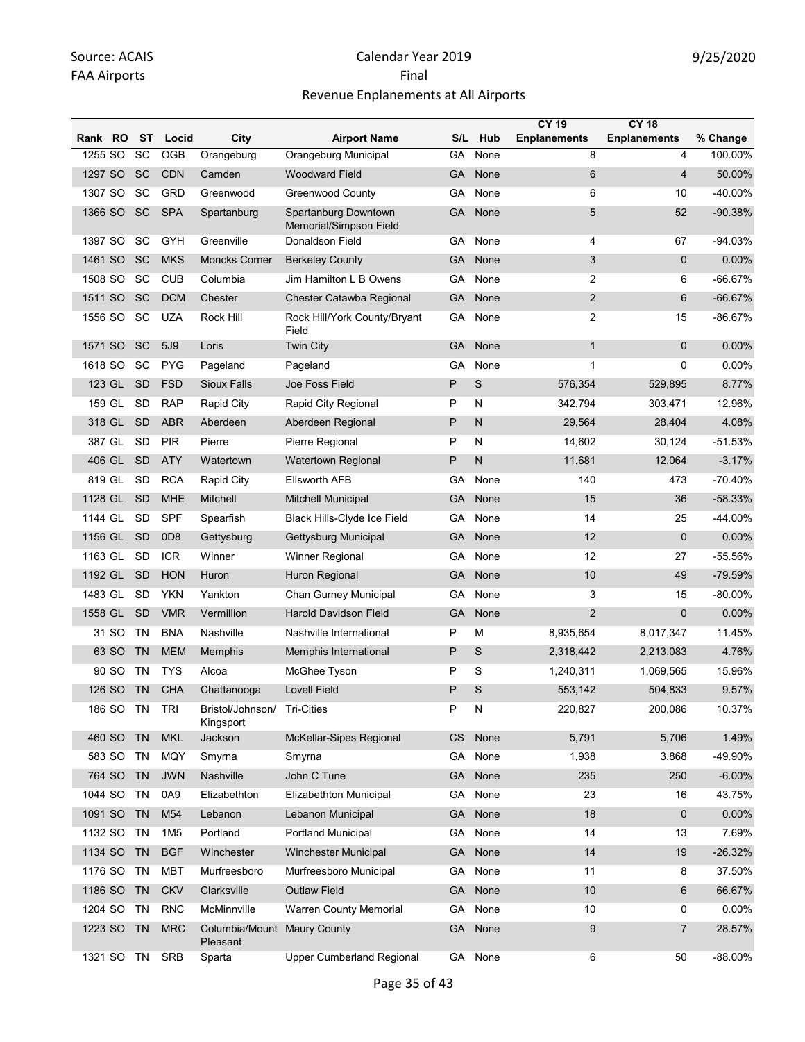|         |           |           |                 |                               |                                                |           |              | <b>CY 19</b>        | <b>CY 18</b>        |           |
|---------|-----------|-----------|-----------------|-------------------------------|------------------------------------------------|-----------|--------------|---------------------|---------------------|-----------|
| Rank RO |           | ST        | Locid           | City                          | <b>Airport Name</b>                            | S/L       | Hub          | <b>Enplanements</b> | <b>Enplanements</b> | % Change  |
| 1255 SO |           | SC        | OGB             | Orangeburg                    | Orangeburg Municipal                           | GA        | None         | 8                   | 4                   | 100.00%   |
| 1297 SO |           | <b>SC</b> | <b>CDN</b>      | Camden                        | <b>Woodward Field</b>                          | GА        | None         | 6                   | $\overline{4}$      | 50.00%    |
| 1307 SO |           | SC        | <b>GRD</b>      | Greenwood                     | <b>Greenwood County</b>                        | GА        | None         | 6                   | 10                  | -40.00%   |
| 1366 SO |           | <b>SC</b> | <b>SPA</b>      | Spartanburg                   | Spartanburg Downtown<br>Memorial/Simpson Field | GА        | None         | 5                   | 52                  | $-90.38%$ |
| 1397 SO |           | SC        | GYH             | Greenville                    | Donaldson Field                                | GA        | None         | 4                   | 67                  | $-94.03%$ |
| 1461 SO |           | SC        | <b>MKS</b>      | <b>Moncks Corner</b>          | <b>Berkeley County</b>                         | GА        | None         | 3                   | $\mathbf{0}$        | 0.00%     |
| 1508 SO |           | SC        | <b>CUB</b>      | Columbia                      | Jim Hamilton L B Owens                         | GA        | None         | $\overline{2}$      | 6                   | $-66.67%$ |
| 1511 SO |           | <b>SC</b> | <b>DCM</b>      | Chester                       | Chester Catawba Regional                       | GА        | None         | $\overline{2}$      | 6                   | $-66.67%$ |
| 1556 SO |           | SC        | <b>UZA</b>      | Rock Hill                     | Rock Hill/York County/Bryant<br>Field          | GА        | None         | $\overline{2}$      | 15                  | $-86.67%$ |
| 1571 SO |           | <b>SC</b> | 5J9             | Loris                         | <b>Twin City</b>                               | GA        | None         | $\mathbf{1}$        | $\mathbf{0}$        | 0.00%     |
| 1618 SO |           | SC        | <b>PYG</b>      | Pageland                      | Pageland                                       | GA        | None         | 1                   | 0                   | 0.00%     |
|         | 123 GL    | <b>SD</b> | <b>FSD</b>      | <b>Sioux Falls</b>            | Joe Foss Field                                 | P         | S            | 576,354             | 529,895             | 8.77%     |
| 159 GL  |           | <b>SD</b> | <b>RAP</b>      | <b>Rapid City</b>             | Rapid City Regional                            | P         | N            | 342,794             | 303,471             | 12.96%    |
| 318 GL  |           | <b>SD</b> | <b>ABR</b>      | Aberdeen                      | Aberdeen Regional                              | P         | $\mathsf{N}$ | 29,564              | 28,404              | 4.08%     |
| 387 GL  |           | <b>SD</b> | <b>PIR</b>      | Pierre                        | Pierre Regional                                | P         | N            | 14,602              | 30,124              | $-51.53%$ |
| 406 GL  |           | <b>SD</b> | <b>ATY</b>      | Watertown                     | <b>Watertown Regional</b>                      | P         | N            | 11.681              | 12,064              | $-3.17%$  |
| 819 GL  |           | <b>SD</b> | <b>RCA</b>      | <b>Rapid City</b>             | <b>Ellsworth AFB</b>                           | GA        | None         | 140                 | 473                 | $-70.40%$ |
| 1128 GL |           | <b>SD</b> | <b>MHE</b>      | Mitchell                      | <b>Mitchell Municipal</b>                      | GA        | None         | 15                  | 36                  | $-58.33%$ |
| 1144 GL |           | <b>SD</b> | <b>SPF</b>      | Spearfish                     | Black Hills-Clyde Ice Field                    | GА        | None         | 14                  | 25                  | -44.00%   |
| 1156 GL |           | <b>SD</b> | 0D <sub>8</sub> | Gettysburg                    | Gettysburg Municipal                           | GA        | None         | 12                  | 0                   | 0.00%     |
| 1163 GL |           | <b>SD</b> | <b>ICR</b>      | Winner                        | <b>Winner Regional</b>                         | GА        | None         | 12                  | 27                  | -55.56%   |
| 1192 GL |           | <b>SD</b> | <b>HON</b>      | Huron                         | Huron Regional                                 | <b>GA</b> | None         | 10                  | 49                  | -79.59%   |
| 1483 GL |           | <b>SD</b> | <b>YKN</b>      | Yankton                       | Chan Gurney Municipal                          | GА        | None         | 3                   | 15                  | $-80.00%$ |
| 1558 GL |           | <b>SD</b> | <b>VMR</b>      | Vermillion                    | <b>Harold Davidson Field</b>                   | GА        | None         | $\overline{2}$      | $\mathbf{0}$        | 0.00%     |
|         | 31 SO     | <b>TN</b> | <b>BNA</b>      | Nashville                     | Nashville International                        | P         | M            | 8,935,654           | 8,017,347           | 11.45%    |
|         | 63 SO     | <b>TN</b> | <b>MEM</b>      | Memphis                       | Memphis International                          | P         | S            | 2,318,442           | 2,213,083           | 4.76%     |
|         | 90 SO     | <b>TN</b> | <b>TYS</b>      | Alcoa                         | McGhee Tyson                                   | P         | S            | 1,240,311           | 1,069,565           | 15.96%    |
|         | 126 SO    | <b>TN</b> | <b>CHA</b>      | Chattanooga                   | <b>Lovell Field</b>                            | P         | S            | 553,142             | 504,833             | 9.57%     |
|         | 186 SO TN |           | <b>TRI</b>      | Bristol/Johnson/<br>Kingsport | <b>Tri-Cities</b>                              | P         | N            | 220,827             | 200,086             | 10.37%    |
| 460 SO  |           | <b>TN</b> | <b>MKL</b>      | Jackson                       | McKellar-Sipes Regional                        | <b>CS</b> | None         | 5,791               | 5,706               | 1.49%     |
| 583 SO  |           | <b>TN</b> | <b>MQY</b>      | Smyrna                        | Smyrna                                         | GA        | None         | 1,938               | 3,868               | -49.90%   |
| 764 SO  |           | <b>TN</b> | <b>JWN</b>      | Nashville                     | John C Tune                                    | GA        | None         | 235                 | 250                 | $-6.00\%$ |
| 1044 SO |           | <b>TN</b> | 0A9             | Elizabethton                  | Elizabethton Municipal                         | GA        | None         | 23                  | 16                  | 43.75%    |
| 1091 SO |           | <b>TN</b> | M54             | Lebanon                       | Lebanon Municipal                              | <b>GA</b> | None         | 18                  | 0                   | 0.00%     |
| 1132 SO |           | <b>TN</b> | 1M <sub>5</sub> | Portland                      | <b>Portland Municipal</b>                      | GA        | None         | 14                  | 13                  | 7.69%     |
| 1134 SO |           | <b>TN</b> | <b>BGF</b>      | Winchester                    | <b>Winchester Municipal</b>                    | <b>GA</b> | None         | 14                  | 19                  | $-26.32%$ |
| 1176 SO |           | <b>TN</b> | <b>MBT</b>      | Murfreesboro                  | Murfreesboro Municipal                         | GA        | None         | 11                  | 8                   | 37.50%    |
| 1186 SO |           | <b>TN</b> | <b>CKV</b>      | Clarksville                   | <b>Outlaw Field</b>                            | <b>GA</b> | None         | 10                  | 6                   | 66.67%    |
| 1204 SO |           | <b>TN</b> | <b>RNC</b>      | McMinnville                   | <b>Warren County Memorial</b>                  | GA        | None         | 10                  | 0                   | 0.00%     |
| 1223 SO |           | <b>TN</b> | <b>MRC</b>      | Columbia/Mount<br>Pleasant    | <b>Maury County</b>                            | GA        | None         | 9                   | 7                   | 28.57%    |
| 1321 SO |           | TN        | <b>SRB</b>      | Sparta                        | <b>Upper Cumberland Regional</b>               | GA        | None         | 6                   | 50                  | -88.00%   |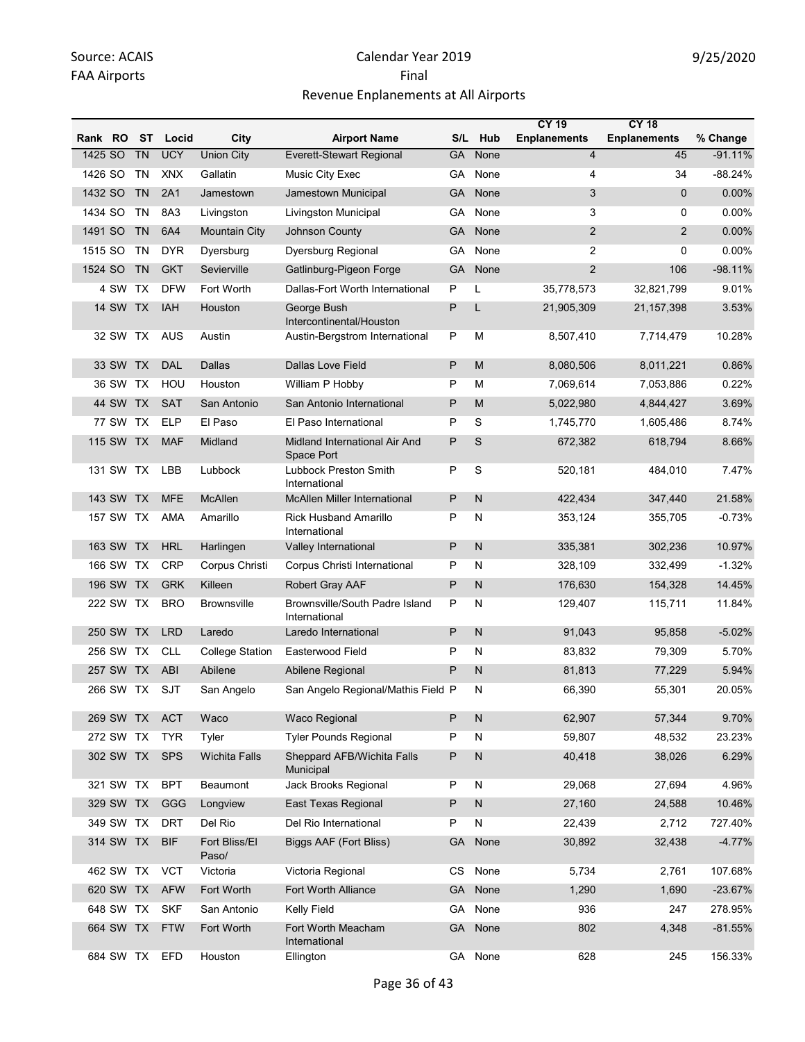|         |                 |           |               |                        |                                                 |           |              | <b>CY 19</b>            | <b>CY 18</b>        |           |
|---------|-----------------|-----------|---------------|------------------------|-------------------------------------------------|-----------|--------------|-------------------------|---------------------|-----------|
| Rank RO |                 | ST        | Locid         | City                   | <b>Airport Name</b>                             | S/L       | Hub          | <b>Enplanements</b>     | <b>Enplanements</b> | % Change  |
| 1425 SO |                 | <b>TN</b> | <b>UCY</b>    | <b>Union City</b>      | Everett-Stewart Regional                        | <b>GA</b> | None         | $\overline{\mathbf{4}}$ | 45                  | $-91.11%$ |
| 1426 SO |                 | TN        | <b>XNX</b>    | Gallatin               | Music City Exec                                 | GА        | None         | 4                       | 34                  | $-88.24%$ |
| 1432 SO |                 | <b>TN</b> | 2A1           | Jamestown              | Jamestown Municipal                             | GA        | None         | 3                       | $\mathbf{0}$        | 0.00%     |
| 1434 SO |                 | TN        | 8A3           | Livingston             | Livingston Municipal                            | GA        | None         | 3                       | $\Omega$            | 0.00%     |
| 1491 SO |                 | <b>TN</b> | 6A4           | Mountain City          | <b>Johnson County</b>                           | GA        | None         | $\overline{2}$          | 2                   | $0.00\%$  |
| 1515 SO |                 | TN        | <b>DYR</b>    | Dyersburg              | Dyersburg Regional                              | GA        | None         | 2                       | 0                   | 0.00%     |
| 1524 SO |                 | <b>TN</b> | <b>GKT</b>    | Sevierville            | Gatlinburg-Pigeon Forge                         | GA        | None         | $\overline{2}$          | 106                 | $-98.11%$ |
|         | 4 SW TX         |           | <b>DFW</b>    | Fort Worth             | Dallas-Fort Worth International                 | P         | L            | 35,778,573              | 32.821.799          | 9.01%     |
|         | <b>14 SW TX</b> |           | <b>IAH</b>    | Houston                | George Bush<br>Intercontinental/Houston         | P         | L            | 21,905,309              | 21, 157, 398        | 3.53%     |
|         | 32 SW TX        |           | <b>AUS</b>    | Austin                 | Austin-Bergstrom International                  | P         | М            | 8,507,410               | 7,714,479           | 10.28%    |
|         | 33 SW TX        |           | DAL           | <b>Dallas</b>          | <b>Dallas Love Field</b>                        | P         | M            | 8,080,506               | 8,011,221           | 0.86%     |
|         | 36 SW TX        |           | HOU           | Houston                | William P Hobby                                 | P         | M            | 7,069,614               | 7,053,886           | 0.22%     |
|         | 44 SW TX        |           | <b>SAT</b>    | San Antonio            | San Antonio International                       | P         | M            | 5,022,980               | 4,844,427           | 3.69%     |
|         | 77 SW           | TX        | <b>ELP</b>    | El Paso                | El Paso International                           | P         | S            | 1,745,770               | 1,605,486           | 8.74%     |
|         | 115 SW          | <b>TX</b> | <b>MAF</b>    | Midland                | Midland International Air And<br>Space Port     | P         | S            | 672,382                 | 618,794             | 8.66%     |
|         | 131 SW TX       |           | LBB           | Lubbock                | Lubbock Preston Smith<br>International          | P         | S            | 520,181                 | 484,010             | 7.47%     |
|         | 143 SW TX       |           | <b>MFE</b>    | <b>McAllen</b>         | <b>McAllen Miller International</b>             | P         | N            | 422,434                 | 347,440             | 21.58%    |
|         | 157 SW TX       |           | AMA           | Amarillo               | <b>Rick Husband Amarillo</b><br>International   | P         | N            | 353,124                 | 355,705             | $-0.73%$  |
|         | 163 SW          | <b>TX</b> | <b>HRL</b>    | Harlingen              | Valley International                            | P         | $\mathsf{N}$ | 335,381                 | 302,236             | 10.97%    |
|         | 166 SW          | TX        | <b>CRP</b>    | Corpus Christi         | Corpus Christi International                    | P         | N            | 328,109                 | 332,499             | $-1.32%$  |
|         | 196 SW TX       |           | <b>GRK</b>    | Killeen                | Robert Gray AAF                                 | P         | $\mathsf{N}$ | 176,630                 | 154,328             | 14.45%    |
|         | 222 SW TX       |           | <b>BRO</b>    | <b>Brownsville</b>     | Brownsville/South Padre Island<br>International | P         | N            | 129,407                 | 115,711             | 11.84%    |
|         | 250 SW          | <b>TX</b> | <b>LRD</b>    | Laredo                 | Laredo International                            | P         | N            | 91,043                  | 95,858              | $-5.02%$  |
|         | 256 SW          | TX        | <b>CLL</b>    | <b>College Station</b> | Easterwood Field                                | P         | N            | 83,832                  | 79,309              | 5.70%     |
|         | 257 SW          | <b>TX</b> | <b>ABI</b>    | Abilene                | Abilene Regional                                | P         | N            | 81,813                  | 77,229              | 5.94%     |
|         | 266 SW TX       |           | SJT           | San Angelo             | San Angelo Regional/Mathis Field P              |           | N            | 66,390                  | 55,301              | 20.05%    |
|         |                 |           | 269 SW TX ACT | Waco                   | Waco Regional                                   | P         | $\mathsf{N}$ | 62,907                  | 57,344              | 9.70%     |
|         | 272 SW TX       |           | <b>TYR</b>    | Tyler                  | <b>Tyler Pounds Regional</b>                    | P         | N            | 59,807                  | 48,532              | 23.23%    |
|         | 302 SW TX       |           | <b>SPS</b>    | <b>Wichita Falls</b>   | Sheppard AFB/Wichita Falls<br>Municipal         | P         | $\mathsf{N}$ | 40,418                  | 38,026              | 6.29%     |
|         | 321 SW TX       |           | <b>BPT</b>    | Beaumont               | Jack Brooks Regional                            | P         | N            | 29,068                  | 27,694              | 4.96%     |
|         | 329 SW TX       |           | GGG           | Longview               | East Texas Regional                             | P         | $\mathsf{N}$ | 27,160                  | 24,588              | 10.46%    |
|         | 349 SW TX       |           | <b>DRT</b>    | Del Rio                | Del Rio International                           | P         | N            | 22,439                  | 2,712               | 727.40%   |
|         | 314 SW TX       |           | <b>BIF</b>    | Fort Bliss/El<br>Paso/ | Biggs AAF (Fort Bliss)                          | <b>GA</b> | None         | 30,892                  | 32,438              | $-4.77%$  |
|         | 462 SW TX       |           | <b>VCT</b>    | Victoria               | Victoria Regional                               | <b>CS</b> | None         | 5,734                   | 2,761               | 107.68%   |
|         | 620 SW TX       |           | <b>AFW</b>    | Fort Worth             | <b>Fort Worth Alliance</b>                      | GA        | None         | 1,290                   | 1,690               | $-23.67%$ |
|         | 648 SW TX       |           | <b>SKF</b>    | San Antonio            | Kelly Field                                     | GA        | None         | 936                     | 247                 | 278.95%   |
|         | 664 SW TX       |           | <b>FTW</b>    | Fort Worth             | Fort Worth Meacham<br>International             | GA        | None         | 802                     | 4,348               | $-81.55%$ |
|         | 684 SW TX       |           | <b>EFD</b>    | Houston                | Ellington                                       |           | GA None      | 628                     | 245                 | 156.33%   |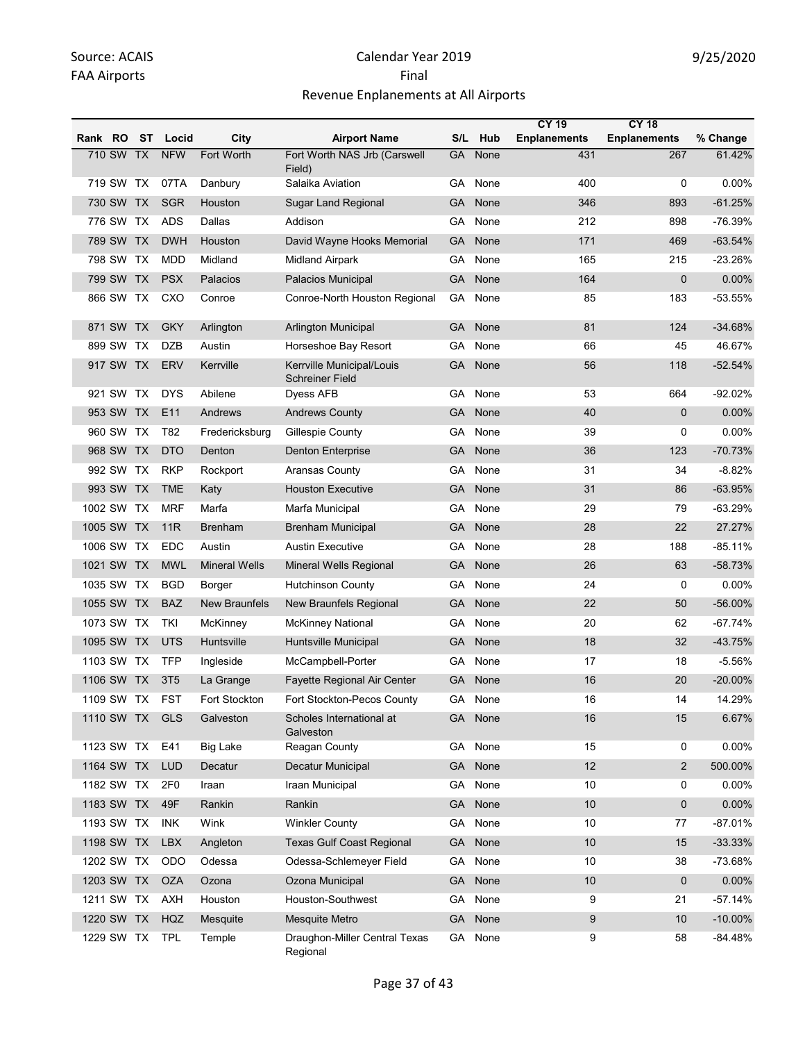|            |            |           |                 |                      |                                                     |           |      | <b>CY 19</b>        | <b>CY 18</b>        |            |
|------------|------------|-----------|-----------------|----------------------|-----------------------------------------------------|-----------|------|---------------------|---------------------|------------|
| Rank RO    |            | ST        | Locid           | City                 | <b>Airport Name</b>                                 | S/L       | Hub  | <b>Enplanements</b> | <b>Enplanements</b> | % Change   |
|            | 710 SW TX  |           | <b>NFW</b>      | Fort Worth           | Fort Worth NAS Jrb (Carswell<br>Field)              | <b>GA</b> | None | 431                 | 267                 | 61.42%     |
|            | 719 SW TX  |           | 07TA            | Danbury              | Salaika Aviation                                    | GA        | None | 400                 | 0                   | 0.00%      |
|            | 730 SW TX  |           | <b>SGR</b>      | Houston              | <b>Sugar Land Regional</b>                          | GA        | None | 346                 | 893                 | $-61.25%$  |
|            | 776 SW TX  |           | <b>ADS</b>      | Dallas               | Addison                                             | GА        | None | 212                 | 898                 | -76.39%    |
|            | 789 SW     | <b>TX</b> | <b>DWH</b>      | Houston              | David Wayne Hooks Memorial                          | GA        | None | 171                 | 469                 | $-63.54%$  |
|            | 798 SW TX  |           | <b>MDD</b>      | Midland              | <b>Midland Airpark</b>                              | GА        | None | 165                 | 215                 | $-23.26%$  |
|            | 799 SW TX  |           | <b>PSX</b>      | Palacios             | Palacios Municipal                                  | GA        | None | 164                 | 0                   | 0.00%      |
|            | 866 SW TX  |           | CXO             | Conroe               | Conroe-North Houston Regional                       | GA        | None | 85                  | 183                 | -53.55%    |
|            | 871 SW     | <b>TX</b> | <b>GKY</b>      | Arlington            | Arlington Municipal                                 | GA        | None | 81                  | 124                 | $-34.68%$  |
|            | 899 SW     | TX        | <b>DZB</b>      | Austin               | Horseshoe Bay Resort                                | GА        | None | 66                  | 45                  | 46.67%     |
|            | 917 SW TX  |           | <b>ERV</b>      | Kerrville            | Kerrville Municipal/Louis<br><b>Schreiner Field</b> | GА        | None | 56                  | 118                 | $-52.54%$  |
|            | 921 SW TX  |           | <b>DYS</b>      | Abilene              | <b>Dyess AFB</b>                                    | GА        | None | 53                  | 664                 | $-92.02%$  |
|            | 953 SW TX  |           | E11             | Andrews              | <b>Andrews County</b>                               | GA        | None | 40                  | $\mathbf 0$         | 0.00%      |
|            | 960 SW     | TX        | T82             | Fredericksburg       | Gillespie County                                    | GА        | None | 39                  | 0                   | $0.00\%$   |
|            | 968 SW TX  |           | <b>DTO</b>      | Denton               | <b>Denton Enterprise</b>                            | GA        | None | 36                  | 123                 | $-70.73%$  |
|            | 992 SW TX  |           | <b>RKP</b>      | Rockport             | Aransas County                                      | GА        | None | 31                  | 34                  | $-8.82%$   |
|            | 993 SW TX  |           | <b>TME</b>      | Katy                 | <b>Houston Executive</b>                            | GА        | None | 31                  | 86                  | $-63.95%$  |
| 1002 SW    |            | TX        | <b>MRF</b>      | Marfa                | Marfa Municipal                                     | GА        | None | 29                  | 79                  | $-63.29%$  |
| 1005 SW TX |            |           | 11R             | <b>Brenham</b>       | <b>Brenham Municipal</b>                            | <b>GA</b> | None | 28                  | 22                  | 27.27%     |
| 1006 SW TX |            |           | <b>EDC</b>      | Austin               | <b>Austin Executive</b>                             | GA        | None | 28                  | 188                 | $-85.11%$  |
| 1021 SW TX |            |           | <b>MWL</b>      | <b>Mineral Wells</b> | Mineral Wells Regional                              | GA        | None | 26                  | 63                  | -58.73%    |
| 1035 SW TX |            |           | <b>BGD</b>      | Borger               | Hutchinson County                                   | GA        | None | 24                  | 0                   | 0.00%      |
|            | 1055 SW TX |           | <b>BAZ</b>      | <b>New Braunfels</b> | New Braunfels Regional                              | GA        | None | 22                  | 50                  | $-56.00%$  |
| 1073 SW TX |            |           | <b>TKI</b>      | McKinney             | <b>McKinney National</b>                            | GА        | None | 20                  | 62                  | $-67.74%$  |
| 1095 SW TX |            |           | <b>UTS</b>      | Huntsville           | Huntsville Municipal                                | GA        | None | 18                  | 32                  | -43.75%    |
| 1103 SW TX |            |           | <b>TFP</b>      | Ingleside            | McCampbell-Porter                                   | GА        | None | 17                  | 18                  | $-5.56%$   |
| 1106 SW TX |            |           | 3T <sub>5</sub> | La Grange            | Fayette Regional Air Center                         | GА        | None | 16                  | 20                  | -20.00%    |
|            | 1109 SW TX |           | <b>FST</b>      | Fort Stockton        | Fort Stockton-Pecos County                          | GA        | None | 16                  | 14                  | 14.29%     |
|            |            |           | 1110 SW TX GLS  | Galveston            | Scholes International at<br>Galveston               | <b>GA</b> | None | 16                  | 15                  | 6.67%      |
| 1123 SW TX |            |           | E41             | <b>Big Lake</b>      | Reagan County                                       | GA        | None | 15                  | 0                   | 0.00%      |
| 1164 SW TX |            |           | <b>LUD</b>      | Decatur              | Decatur Municipal                                   | <b>GA</b> | None | 12                  | $\overline{2}$      | 500.00%    |
| 1182 SW TX |            |           | 2F <sub>0</sub> | Iraan                | Iraan Municipal                                     | GA        | None | 10                  | 0                   | 0.00%      |
| 1183 SW TX |            |           | 49F             | Rankin               | Rankin                                              | <b>GA</b> | None | $10$                | $\mathbf 0$         | 0.00%      |
| 1193 SW TX |            |           | <b>INK</b>      | Wink                 | <b>Winkler County</b>                               | GA        | None | 10                  | 77                  | $-87.01%$  |
| 1198 SW TX |            |           | <b>LBX</b>      | Angleton             | <b>Texas Gulf Coast Regional</b>                    | GA        | None | 10                  | 15                  | $-33.33%$  |
| 1202 SW TX |            |           | ODO             | Odessa               | Odessa-Schlemeyer Field                             | GA        | None | 10                  | 38                  | -73.68%    |
| 1203 SW TX |            |           | <b>OZA</b>      | Ozona                | Ozona Municipal                                     | <b>GA</b> | None | 10                  | $\mathbf 0$         | 0.00%      |
| 1211 SW TX |            |           | AXH             | Houston              | Houston-Southwest                                   | GA        | None | 9                   | 21                  | $-57.14%$  |
| 1220 SW TX |            |           | HQZ             | Mesquite             | Mesquite Metro                                      | <b>GA</b> | None | 9                   | 10                  | $-10.00\%$ |
| 1229 SW TX |            |           | <b>TPL</b>      | Temple               | Draughon-Miller Central Texas<br>Regional           | GA        | None | 9                   | 58                  | $-84.48%$  |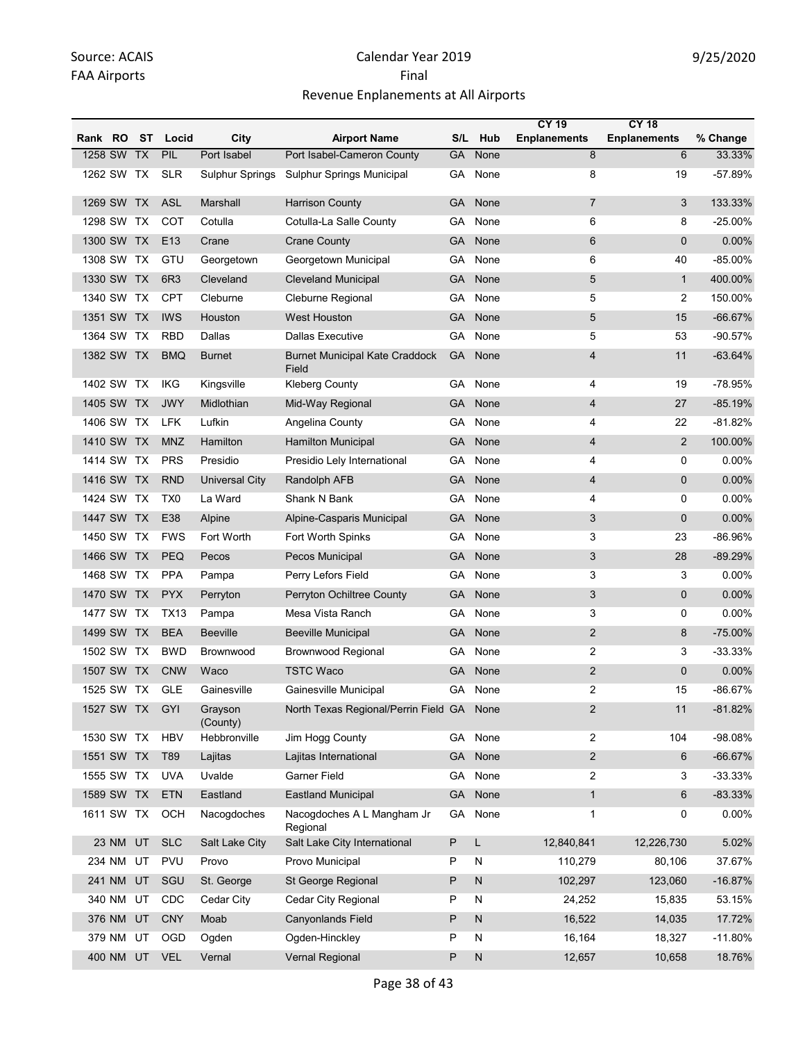|            |            |            |                 |                     |                                                |           |              | <b>CY 19</b>        | <b>CY 18</b>        |            |
|------------|------------|------------|-----------------|---------------------|------------------------------------------------|-----------|--------------|---------------------|---------------------|------------|
| Rank RO    |            | - ST       | Locid           | City                | <b>Airport Name</b>                            | S/L       | Hub          | <b>Enplanements</b> | <b>Enplanements</b> | % Change   |
| 1258 SW    |            | <b>TX</b>  | PIL             | Port Isabel         | Port Isabel-Cameron County                     | GA        | None         | 8                   | 6                   | 33.33%     |
|            | 1262 SW TX |            | <b>SLR</b>      | Sulphur Springs     | <b>Sulphur Springs Municipal</b>               | GA        | None         | 8                   | 19                  | -57.89%    |
|            | 1269 SW TX |            | <b>ASL</b>      | Marshall            | <b>Harrison County</b>                         | GA        | None         | $\overline{7}$      | 3                   | 133.33%    |
| 1298 SW    |            | ТX         | COT             | Cotulla             | Cotulla-La Salle County                        | GA        | None         | 6                   | 8                   | $-25.00%$  |
| 1300 SW TX |            |            | E <sub>13</sub> | Crane               | <b>Crane County</b>                            | <b>GA</b> | None         | 6                   | $\mathbf{0}$        | 0.00%      |
| 1308 SW    |            | TX         | GTU             | Georgetown          | Georgetown Municipal                           | GA        | None         | 6                   | 40                  | $-85.00\%$ |
|            | 1330 SW TX |            | 6R <sub>3</sub> | Cleveland           | <b>Cleveland Municipal</b>                     | <b>GA</b> | None         | 5                   | $\mathbf{1}$        | 400.00%    |
| 1340 SW    |            | TX         | <b>CPT</b>      | Cleburne            | Cleburne Regional                              | GA        | None         | 5                   | 2                   | 150.00%    |
|            | 1351 SW TX |            | <b>IWS</b>      | Houston             | West Houston                                   | GA        | None         | 5                   | 15                  | $-66.67%$  |
| 1364 SW    |            | TX         | <b>RBD</b>      | Dallas              | <b>Dallas Executive</b>                        | GA        | None         | 5                   | 53                  | $-90.57%$  |
|            | 1382 SW TX |            | <b>BMQ</b>      | <b>Burnet</b>       | <b>Burnet Municipal Kate Craddock</b><br>Field | <b>GA</b> | None         | 4                   | 11                  | -63.64%    |
|            | 1402 SW TX |            | <b>IKG</b>      | Kingsville          | <b>Kleberg County</b>                          | GA        | None         | 4                   | 19                  | -78.95%    |
|            | 1405 SW TX |            | <b>JWY</b>      | Midlothian          | Mid-Way Regional                               | GA        | None         | $\overline{4}$      | 27                  | $-85.19%$  |
|            | 1406 SW TX |            | <b>LFK</b>      | Lufkin              | Angelina County                                | GA        | None         | 4                   | 22                  | $-81.82%$  |
| 1410 SW    |            | TX         | <b>MNZ</b>      | Hamilton            | <b>Hamilton Municipal</b>                      | <b>GA</b> | None         | 4                   | $\overline{2}$      | 100.00%    |
|            | 1414 SW TX |            | <b>PRS</b>      | Presidio            | Presidio Lely International                    | GА        | None         | 4                   | 0                   | 0.00%      |
|            | 1416 SW TX |            | <b>RND</b>      | Universal City      | Randolph AFB                                   | <b>GA</b> | None         | $\overline{4}$      | 0                   | 0.00%      |
|            | 1424 SW TX |            | TX <sub>0</sub> | La Ward             | Shank N Bank                                   | GA        | None         | 4                   | 0                   | 0.00%      |
|            | 1447 SW TX |            | E38             | Alpine              | Alpine-Casparis Municipal                      | <b>GA</b> | None         | 3                   | $\mathbf{0}$        | 0.00%      |
| 1450 SW    |            | TX         | <b>FWS</b>      | Fort Worth          | Fort Worth Spinks                              | GA        | None         | 3                   | 23                  | -86.96%    |
|            | 1466 SW TX |            | <b>PEQ</b>      | Pecos               | Pecos Municipal                                | <b>GA</b> | None         | 3                   | 28                  | $-89.29%$  |
|            | 1468 SW TX |            | <b>PPA</b>      | Pampa               | Perry Lefors Field                             | GA        | None         | 3                   | 3                   | 0.00%      |
|            | 1470 SW TX |            | <b>PYX</b>      | Perryton            | Perryton Ochiltree County                      | <b>GA</b> | None         | 3                   | $\mathbf{0}$        | 0.00%      |
| 1477 SW    |            | TX         | <b>TX13</b>     | Pampa               | Mesa Vista Ranch                               | GA        | None         | 3                   | 0                   | 0.00%      |
| 1499 SW    |            | TX         | <b>BEA</b>      | <b>Beeville</b>     | <b>Beeville Municipal</b>                      | GA        | None         | $\overline{2}$      | 8                   | $-75.00%$  |
| 1502 SW    |            | TX         | <b>BWD</b>      | Brownwood           | <b>Brownwood Regional</b>                      | GA        | None         | $\overline{2}$      | 3                   | $-33.33%$  |
| 1507 SW    |            | TX         | <b>CNW</b>      | Waco                | <b>TSTC Waco</b>                               | GA        | None         | $\overline{2}$      | $\mathbf{0}$        | 0.00%      |
|            | 1525 SW TX |            | <b>GLE</b>      | Gainesville         | Gainesville Municipal                          | GA        | None         | 2                   | 15                  | -86.67%    |
|            |            | 1527 SW TX | GYI             | Grayson<br>(County) | North Texas Regional/Perrin Field GA None      |           |              | $\overline{2}$      | 11                  | $-81.82%$  |
| 1530 SW TX |            |            | <b>HBV</b>      | Hebbronville        | Jim Hogg County                                | GA.       | None         | $\overline{c}$      | 104                 | -98.08%    |
| 1551 SW TX |            |            | T89             | Lajitas             | Lajitas International                          | <b>GA</b> | None         | $\overline{2}$      | 6                   | $-66.67%$  |
|            | 1555 SW TX |            | <b>UVA</b>      | Uvalde              | <b>Garner Field</b>                            | GA        | None         | $\overline{c}$      | 3                   | $-33.33%$  |
|            | 1589 SW TX |            | <b>ETN</b>      | Eastland            | <b>Eastland Municipal</b>                      | GA        | None         | $\mathbf{1}$        | 6                   | $-83.33%$  |
|            | 1611 SW TX |            | OCH             | Nacogdoches         | Nacogdoches A L Mangham Jr<br>Regional         | GA        | None         | 1                   | 0                   | 0.00%      |
|            | 23 NM      | UT         | <b>SLC</b>      | Salt Lake City      | Salt Lake City International                   | P         | L            | 12,840,841          | 12,226,730          | 5.02%      |
|            | 234 NM     | UT         | <b>PVU</b>      | Provo               | Provo Municipal                                | P         | N            | 110,279             | 80,106              | 37.67%     |
|            | 241 NM     | UT         | SGU             | St. George          | St George Regional                             | P         | $\mathsf{N}$ | 102,297             | 123,060             | $-16.87%$  |
|            | 340 NM     | UT         | CDC             | Cedar City          | Cedar City Regional                            | P         | N            | 24,252              | 15,835              | 53.15%     |
|            | 376 NM     | UT         | <b>CNY</b>      | Moab                | <b>Canyonlands Field</b>                       | P         | N            | 16,522              | 14,035              | 17.72%     |
|            | 379 NM     | UT         | <b>OGD</b>      | Ogden               | Ogden-Hinckley                                 | Ρ         | N            | 16,164              | 18,327              | $-11.80%$  |
|            | 400 NM     | UT         | <b>VEL</b>      | Vernal              | Vernal Regional                                | P         | ${\sf N}$    | 12,657              | 10,658              | 18.76%     |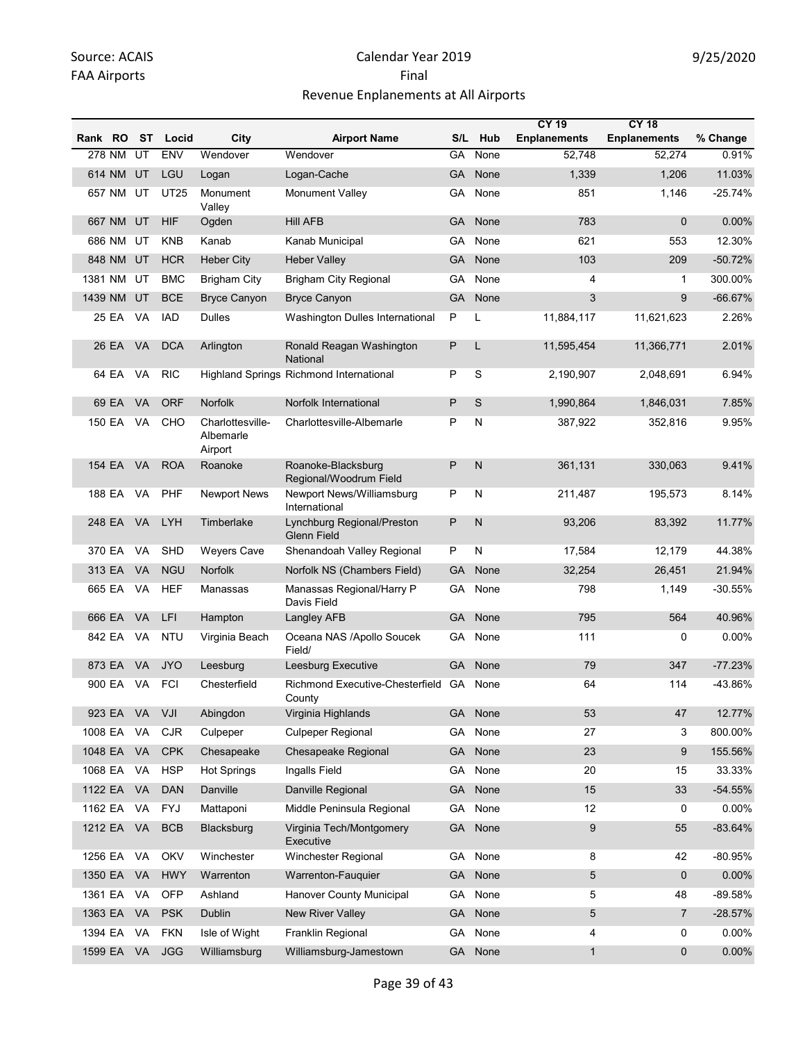|            |           |           |             |                                          |                                                   |           |         | <b>CY 19</b>        | <b>CY 18</b>        |           |
|------------|-----------|-----------|-------------|------------------------------------------|---------------------------------------------------|-----------|---------|---------------------|---------------------|-----------|
| Rank RO    |           | ST        | Locid       | City                                     | <b>Airport Name</b>                               |           | S/L Hub | <b>Enplanements</b> | <b>Enplanements</b> | % Change  |
|            | 278 NM    | UT        | <b>ENV</b>  | Wendover                                 | Wendover                                          | GA        | None    | 52,748              | 52,274              | 0.91%     |
|            | 614 NM    | UT        | LGU         | Logan                                    | Logan-Cache                                       | <b>GA</b> | None    | 1,339               | 1,206               | 11.03%    |
|            | 657 NM UT |           | <b>UT25</b> | Monument<br>Valley                       | <b>Monument Valley</b>                            | GA.       | None    | 851                 | 1,146               | $-25.74%$ |
|            | 667 NM    | UT        | <b>HIF</b>  | Ogden                                    | <b>Hill AFB</b>                                   | <b>GA</b> | None    | 783                 | $\mathbf 0$         | 0.00%     |
|            | 686 NM    | UT        | <b>KNB</b>  | Kanab                                    | Kanab Municipal                                   | GA.       | None    | 621                 | 553                 | 12.30%    |
|            | 848 NM    | UT        | <b>HCR</b>  | <b>Heber City</b>                        | <b>Heber Valley</b>                               | GA        | None    | 103                 | 209                 | $-50.72%$ |
| 1381 NM    |           | UT        | <b>BMC</b>  | <b>Brigham City</b>                      | <b>Brigham City Regional</b>                      | GA        | None    | 4                   | 1                   | 300.00%   |
| 1439 NM    |           | UT        | <b>BCE</b>  | <b>Bryce Canyon</b>                      | <b>Bryce Canyon</b>                               | <b>GA</b> | None    | 3                   | 9                   | $-66.67%$ |
|            | 25 EA     | VA        | <b>IAD</b>  | <b>Dulles</b>                            | Washington Dulles International                   | P         | L       | 11,884,117          | 11,621,623          | 2.26%     |
|            | 26 EA     | VA        | <b>DCA</b>  | Arlington                                | Ronald Reagan Washington<br>National              | P         | L       | 11,595,454          | 11,366,771          | 2.01%     |
|            | 64 EA     | VA        | <b>RIC</b>  |                                          | Highland Springs Richmond International           | P         | S       | 2,190,907           | 2,048,691           | 6.94%     |
|            | 69 EA     | <b>VA</b> | <b>ORF</b>  | Norfolk                                  | Norfolk International                             | P         | S       | 1,990,864           | 1,846,031           | 7.85%     |
|            | 150 EA    | VA.       | CHO         | Charlottesville-<br>Albemarle<br>Airport | Charlottesville-Albemarle                         | P         | N       | 387,922             | 352,816             | 9.95%     |
|            | 154 EA    | VA.       | <b>ROA</b>  | Roanoke                                  | Roanoke-Blacksburg<br>Regional/Woodrum Field      | P         | N       | 361,131             | 330,063             | 9.41%     |
|            | 188 EA    | VA        | PHF         | <b>Newport News</b>                      | Newport News/Williamsburg<br>International        | P         | N       | 211,487             | 195,573             | 8.14%     |
|            | 248 EA    | VA        | <b>LYH</b>  | Timberlake                               | Lynchburg Regional/Preston<br><b>Glenn Field</b>  | P         | N       | 93,206              | 83,392              | 11.77%    |
| 370 EA     |           | VA        | SHD         | <b>Weyers Cave</b>                       | Shenandoah Valley Regional                        | P         | N       | 17,584              | 12,179              | 44.38%    |
| 313 EA     |           | <b>VA</b> | <b>NGU</b>  | Norfolk                                  | Norfolk NS (Chambers Field)                       | GA        | None    | 32,254              | 26,451              | 21.94%    |
|            | 665 EA    | VA        | HEF         | Manassas                                 | Manassas Regional/Harry P<br>Davis Field          | GA        | None    | 798                 | 1,149               | -30.55%   |
| 666 EA     |           | <b>VA</b> | LFI         | Hampton                                  | Langley AFB                                       | <b>GA</b> | None    | 795                 | 564                 | 40.96%    |
|            | 842 EA    | VA.       | NTU         | Virginia Beach                           | Oceana NAS /Apollo Soucek<br>Field/               | GA.       | None    | 111                 | 0                   | 0.00%     |
| 873 EA     |           | <b>VA</b> | <b>JYO</b>  | Leesburg                                 | Leesburg Executive                                | <b>GA</b> | None    | 79                  | 347                 | $-77.23%$ |
|            | 900 EA    | <b>VA</b> | <b>FCI</b>  | Chesterfield                             | Richmond Executive-Chesterfield GA None<br>County |           |         | 64                  | 114                 | -43.86%   |
|            | 923 EA VA |           | VJI         | Abingdon                                 | Virginia Highlands                                | <b>GA</b> | None    | 53                  | 47                  | 12.77%    |
| 1008 EA    |           | VA        | <b>CJR</b>  | Culpeper                                 | <b>Culpeper Regional</b>                          | GA        | None    | 27                  | 3                   | 800.00%   |
| 1048 EA    |           | VA        | <b>CPK</b>  | Chesapeake                               | Chesapeake Regional                               | <b>GA</b> | None    | 23                  | 9                   | 155.56%   |
| 1068 EA    |           | VA        | <b>HSP</b>  | <b>Hot Springs</b>                       | Ingalls Field                                     | GA        | None    | 20                  | 15                  | 33.33%    |
| 1122 EA VA |           |           | <b>DAN</b>  | Danville                                 | Danville Regional                                 | <b>GA</b> | None    | 15                  | 33                  | $-54.55%$ |
| 1162 EA    |           | VA        | FYJ         | Mattaponi                                | Middle Peninsula Regional                         | GA        | None    | 12                  | 0                   | 0.00%     |
| 1212 EA VA |           |           | <b>BCB</b>  | Blacksburg                               | Virginia Tech/Montgomery<br>Executive             | <b>GA</b> | None    | 9                   | 55                  | $-83.64%$ |
| 1256 EA    |           | VA        | OKV         | Winchester                               | Winchester Regional                               | GA        | None    | 8                   | 42                  | $-80.95%$ |
| 1350 EA    |           | VA        | <b>HWY</b>  | Warrenton                                | Warrenton-Fauquier                                | GA        | None    | 5                   | $\mathbf 0$         | $0.00\%$  |
| 1361 EA    |           | VA        | OFP         | Ashland                                  | Hanover County Municipal                          | GA        | None    | 5                   | 48                  | -89.58%   |
| 1363 EA    |           | VA        | <b>PSK</b>  | Dublin                                   | New River Valley                                  | GA        | None    | 5                   | $\overline{7}$      | $-28.57%$ |
| 1394 EA    |           | VA        | <b>FKN</b>  | Isle of Wight                            | Franklin Regional                                 | GA        | None    | 4                   | 0                   | 0.00%     |
| 1599 EA    |           | VA        | <b>JGG</b>  | Williamsburg                             | Williamsburg-Jamestown                            |           | GA None | $\mathbf{1}$        | 0                   | 0.00%     |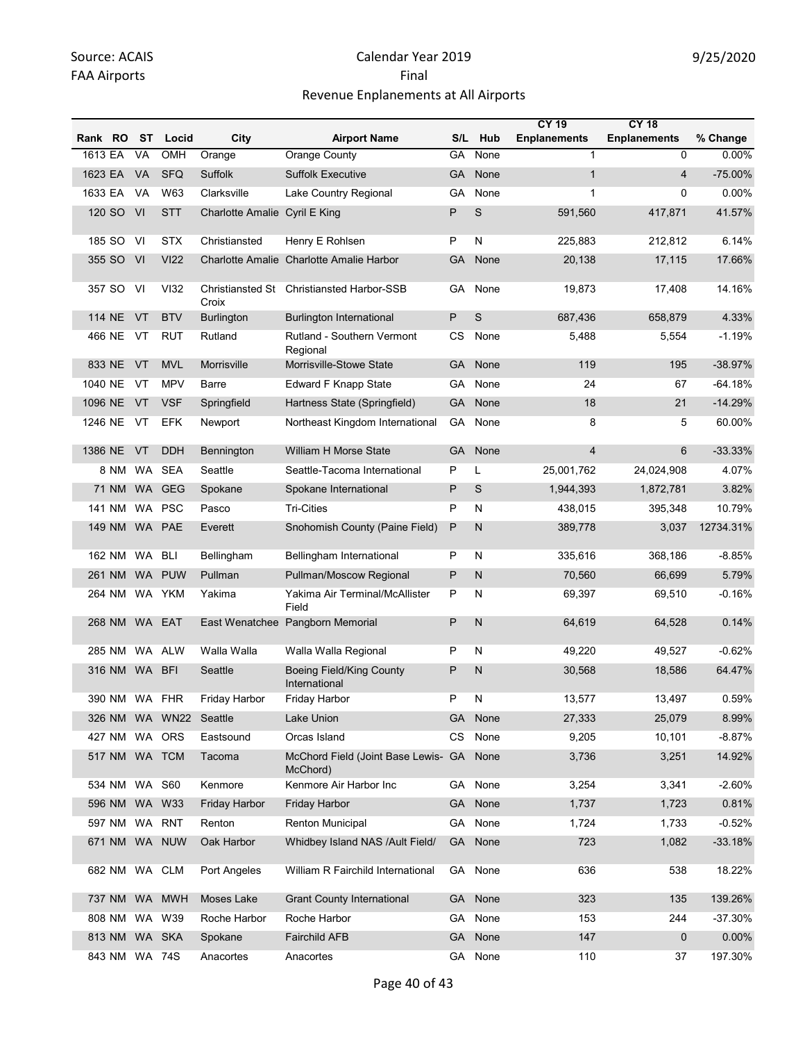|         |        |               |                        |                               |                                                      |           |              | <b>CY 19</b>        | <b>CY 18</b>        |           |
|---------|--------|---------------|------------------------|-------------------------------|------------------------------------------------------|-----------|--------------|---------------------|---------------------|-----------|
| Rank RO |        | ST            | Locid                  | City                          | <b>Airport Name</b>                                  | S/L       | Hub          | <b>Enplanements</b> | <b>Enplanements</b> | % Change  |
| 1613 EA |        | VA            | OMH                    | Orange                        | Orange County                                        | GA        | None         | $\mathbf{1}$        | $\mathbf 0$         | $0.00\%$  |
| 1623 EA |        | <b>VA</b>     | <b>SFQ</b>             | Suffolk                       | <b>Suffolk Executive</b>                             | GA        | None         | $\mathbf{1}$        | $\overline{4}$      | $-75.00%$ |
| 1633 EA |        | VA            | W63                    | Clarksville                   | Lake Country Regional                                | GА        | None         | $\mathbf{1}$        | 0                   | 0.00%     |
|         | 120 SO | VI            | <b>STT</b>             | Charlotte Amalie Cyril E King |                                                      | P         | S            | 591,560             | 417,871             | 41.57%    |
|         | 185 SO | VI            | <b>STX</b>             | Christiansted                 | Henry E Rohlsen                                      | P         | N            | 225,883             | 212,812             | 6.14%     |
|         | 355 SO | VI            | <b>VI22</b>            |                               | Charlotte Amalie Charlotte Amalie Harbor             | GA        | None         | 20,138              | 17,115              | 17.66%    |
|         | 357 SO | VI            | <b>VI32</b>            | Croix                         | Christiansted St Christiansted Harbor-SSB            | GА        | None         | 19,873              | 17,408              | 14.16%    |
|         | 114 NE | VT            | <b>BTV</b>             | <b>Burlington</b>             | <b>Burlington International</b>                      | P         | S            | 687,436             | 658,879             | 4.33%     |
|         | 466 NE | VT            | <b>RUT</b>             | Rutland                       | Rutland - Southern Vermont<br>Regional               | CS.       | None         | 5,488               | 5,554               | -1.19%    |
| 833 NE  |        | VT            | <b>MVL</b>             | Morrisville                   | Morrisville-Stowe State                              | GA        | None         | 119                 | 195                 | $-38.97%$ |
| 1040 NE |        | VT            | <b>MPV</b>             | Barre                         | <b>Edward F Knapp State</b>                          | GА        | None         | 24                  | 67                  | $-64.18%$ |
| 1096 NE |        | VT            | <b>VSF</b>             | Springfield                   | Hartness State (Springfield)                         | GA        | None         | 18                  | 21                  | $-14.29%$ |
| 1246 NE |        | VT            | <b>EFK</b>             | Newport                       | Northeast Kingdom International                      | GA        | None         | 8                   | 5                   | 60.00%    |
| 1386 NE |        | VT            | <b>DDH</b>             | Bennington                    | William H Morse State                                | <b>GA</b> | None         | $\overline{4}$      | 6                   | $-33.33%$ |
|         | 8 NM   | WA.           | <b>SEA</b>             | Seattle                       | Seattle-Tacoma International                         | P         | L            | 25,001,762          | 24,024,908          | 4.07%     |
|         | 71 NM  |               | WA GEG                 | Spokane                       | Spokane International                                | P         | S            | 1,944,393           | 1,872,781           | 3.82%     |
|         | 141 NM |               | WA PSC                 | Pasco                         | <b>Tri-Cities</b>                                    | P         | N            | 438,015             | 395,348             | 10.79%    |
|         | 149 NM |               | WA PAE                 | Everett                       | Snohomish County (Paine Field)                       | Ρ         | N            | 389,778             | 3,037               | 12734.31% |
|         | 162 NM | <b>WA</b>     | <b>BLI</b>             | Bellingham                    | Bellingham International                             | P         | N            | 335,616             | 368,186             | $-8.85%$  |
|         | 261 NM |               | WA PUW                 | Pullman                       | Pullman/Moscow Regional                              | Ρ         | $\mathsf{N}$ | 70,560              | 66,699              | 5.79%     |
|         | 264 NM |               | WA YKM                 | Yakima                        | Yakima Air Terminal/McAllister<br>Field              | P         | N            | 69,397              | 69,510              | $-0.16%$  |
|         | 268 NM |               | WA EAT                 |                               | East Wenatchee Pangborn Memorial                     | P         | N            | 64,619              | 64,528              | 0.14%     |
|         | 285 NM | WA.           | ALW                    | Walla Walla                   | Walla Walla Regional                                 | P         | N            | 49,220              | 49,527              | $-0.62%$  |
|         | 316 NM | WA BFI        |                        | Seattle                       | <b>Boeing Field/King County</b><br>International     | P         | N            | 30,568              | 18,586              | 64.47%    |
|         |        |               | 390 NM WA FHR          | Friday Harbor                 | Friday Harbor                                        | P         | Ν            | 13,577              | 13,497              | 0.59%     |
|         |        |               | 326 NM WA WN22 Seattle |                               | Lake Union                                           |           | GA None      | 27,333              | 25,079              | 8.99%     |
|         |        |               | 427 NM WA ORS          | Eastsound                     | Orcas Island                                         | CS        | None         | 9,205               | 10,101              | $-8.87%$  |
|         |        |               | 517 NM WA TCM          | Tacoma                        | McChord Field (Joint Base Lewis- GA None<br>McChord) |           |              | 3,736               | 3,251               | 14.92%    |
|         | 534 NM | <b>WA S60</b> |                        | Kenmore                       | Kenmore Air Harbor Inc                               | GA        | None         | 3,254               | 3,341               | $-2.60%$  |
|         |        |               | 596 NM WA W33          | <b>Friday Harbor</b>          | <b>Friday Harbor</b>                                 |           | GA None      | 1,737               | 1,723               | 0.81%     |
|         | 597 NM |               | WA RNT                 | Renton                        | <b>Renton Municipal</b>                              | GA        | None         | 1,724               | 1,733               | $-0.52%$  |
|         |        |               | 671 NM WA NUW          | Oak Harbor                    | Whidbey Island NAS /Ault Field/                      |           | GA None      | 723                 | 1,082               | $-33.18%$ |
|         |        |               | 682 NM WA CLM          | Port Angeles                  | William R Fairchild International                    |           | GA None      | 636                 | 538                 | 18.22%    |
|         |        |               | 737 NM WA MWH          | Moses Lake                    | <b>Grant County International</b>                    |           | GA None      | 323                 | 135                 | 139.26%   |
|         | 808 NM |               | WA W39                 | Roche Harbor                  | Roche Harbor                                         | GA        | None         | 153                 | 244                 | $-37.30%$ |
|         |        |               | 813 NM WA SKA          | Spokane                       | Fairchild AFB                                        |           | GA None      | 147                 | $\mathbf 0$         | 0.00%     |
|         |        |               | 843 NM WA 74S          | Anacortes                     | Anacortes                                            |           | GA None      | 110                 | 37                  | 197.30%   |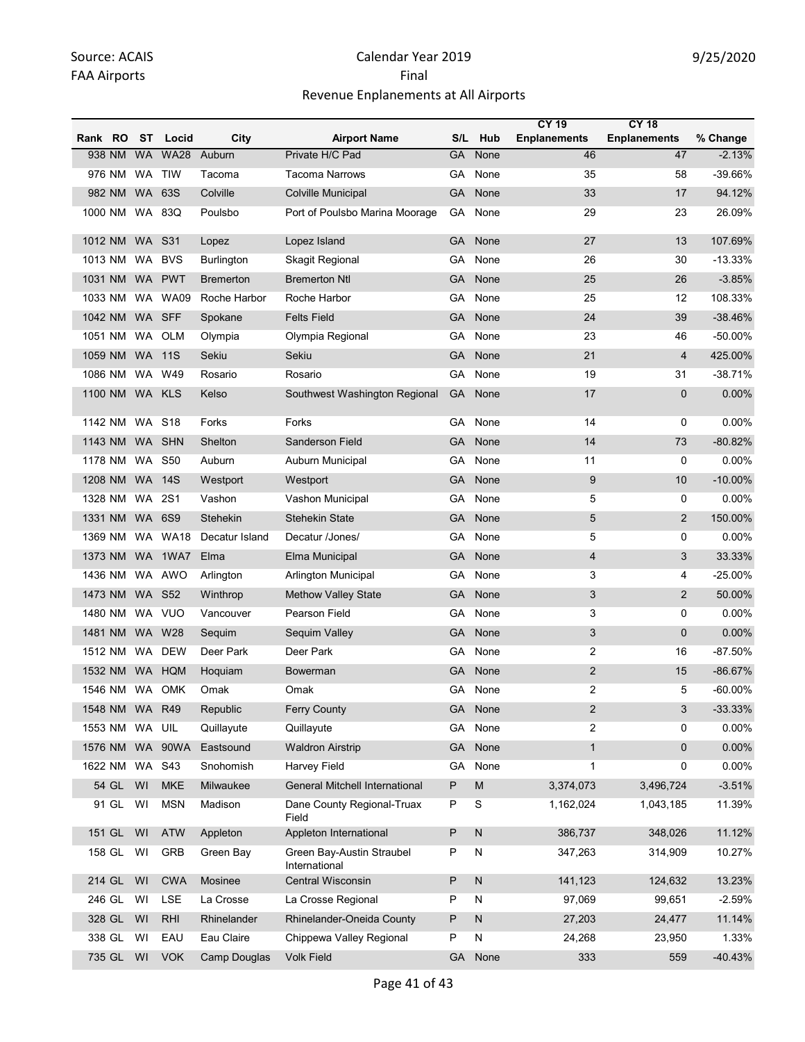|                |           |               |                   |                                            |           |              | <b>CY 19</b>        | <b>CY 18</b>        |            |
|----------------|-----------|---------------|-------------------|--------------------------------------------|-----------|--------------|---------------------|---------------------|------------|
| Rank RO        | ST        | Locid         | City              | <b>Airport Name</b>                        | S/L       | Hub          | <b>Enplanements</b> | <b>Enplanements</b> | % Change   |
| 938 NM         | <b>WA</b> | <b>WA28</b>   | Auburn            | Private H/C Pad                            | GA        | None         | 46                  | 47                  | $-2.13%$   |
| 976 NM         | <b>WA</b> | <b>TIW</b>    | Tacoma            | <b>Tacoma Narrows</b>                      | GA        | None         | 35                  | 58                  | -39.66%    |
| 982 NM         |           | WA 63S        | Colville          | Colville Municipal                         | <b>GA</b> | None         | 33                  | 17                  | 94.12%     |
| 1000 NM        |           | WA 83Q        | Poulsbo           | Port of Poulsbo Marina Moorage             | GA        | None         | 29                  | 23                  | 26.09%     |
| 1012 NM        |           | <b>WA S31</b> | Lopez             | Lopez Island                               | <b>GA</b> | None         | 27                  | 13                  | 107.69%    |
| 1013 NM        | WA        | <b>BVS</b>    | <b>Burlington</b> | Skagit Regional                            | GA        | None         | 26                  | 30                  | $-13.33%$  |
| 1031 NM        | <b>WA</b> | <b>PWT</b>    | <b>Bremerton</b>  | <b>Bremerton Ntl</b>                       | <b>GA</b> | None         | 25                  | 26                  | $-3.85%$   |
| 1033 NM        | WA.       | <b>WA09</b>   | Roche Harbor      | Roche Harbor                               | GA        | None         | 25                  | 12                  | 108.33%    |
| 1042 NM        |           | WA SFF        | Spokane           | <b>Felts Field</b>                         | GA        | None         | 24                  | 39                  | $-38.46%$  |
| 1051 NM        | <b>WA</b> | <b>OLM</b>    | Olympia           | Olympia Regional                           | GA        | None         | 23                  | 46                  | -50.00%    |
| 1059 NM        | <b>WA</b> | 11S           | Sekiu             | Sekiu                                      | <b>GA</b> | None         | 21                  | 4                   | 425.00%    |
| 1086 NM        | <b>WA</b> | W49           | Rosario           | Rosario                                    | GA        | None         | 19                  | 31                  | $-38.71%$  |
| 1100 NM        | <b>WA</b> | <b>KLS</b>    | Kelso             | Southwest Washington Regional              | <b>GA</b> | None         | 17                  | 0                   | 0.00%      |
| 1142 NM        |           | <b>WA S18</b> | Forks             | Forks                                      | GA        | None         | 14                  | 0                   | 0.00%      |
| 1143 NM        | <b>WA</b> | <b>SHN</b>    | Shelton           | <b>Sanderson Field</b>                     | GA        | None         | 14                  | 73                  | $-80.82%$  |
| 1178 NM        |           | <b>WA S50</b> | Auburn            | Auburn Municipal                           | GA        | None         | 11                  | 0                   | 0.00%      |
| 1208 NM        | <b>WA</b> | 14S           | Westport          | Westport                                   | <b>GA</b> | None         | 9                   | 10                  | $-10.00%$  |
| 1328 NM        | WA        | 2S1           | Vashon            | Vashon Municipal                           | GA        | None         | 5                   | $\mathbf 0$         | 0.00%      |
| 1331 NM        | <b>WA</b> | 6S9           | Stehekin          | <b>Stehekin State</b>                      | GA        | None         | 5                   | $\overline{2}$      | 150.00%    |
| 1369 NM        | WA        | <b>WA18</b>   | Decatur Island    | Decatur /Jones/                            | GA        | None         | 5                   | 0                   | 0.00%      |
| 1373 NM        |           | WA 1WA7       | Elma              | Elma Municipal                             | <b>GA</b> | None         | 4                   | 3                   | 33.33%     |
| 1436 NM        |           | WA AWO        | Arlington         | Arlington Municipal                        | GA        | None         | 3                   | 4                   | $-25.00%$  |
| 1473 NM        |           | <b>WA S52</b> | Winthrop          | <b>Methow Valley State</b>                 | GA        | None         | 3                   | $\overline{2}$      | 50.00%     |
| 1480 NM        | WA.       | <b>VUO</b>    | Vancouver         | Pearson Field                              | GA        | None         | 3                   | 0                   | 0.00%      |
| 1481 NM        | <b>WA</b> | W28           | Sequim            | Sequim Valley                              | GA        | None         | 3                   | $\mathbf{0}$        | 0.00%      |
| 1512 NM        | WA.       | <b>DEW</b>    | Deer Park         | Deer Park                                  | GA        | None         | 2                   | 16                  | $-87.50%$  |
| 1532 NM        |           | WA HQM        | Hoquiam           | <b>Bowerman</b>                            | <b>GA</b> | None         | $\overline{2}$      | 15                  | $-86.67%$  |
| 1546 NM        |           | WA OMK        | Omak              | Omak                                       | GA        | None         | 2                   | 5                   | $-60.00\%$ |
| 1548 NM WA R49 |           |               | Republic          | Ferry County                               | <b>GA</b> | None         | $\overline{2}$      | 3                   | $-33.33%$  |
| 1553 NM        | WA UIL    |               | Quillayute        | Quillayute                                 | GA        | None         | 2                   | 0                   | 0.00%      |
| 1576 NM        |           | WA 90WA       | Eastsound         | <b>Waldron Airstrip</b>                    | GA        | None         | $\mathbf{1}$        | $\mathbf{0}$        | $0.00\%$   |
| 1622 NM        |           | <b>WA S43</b> | Snohomish         | Harvey Field                               | GA        | None         | $\mathbf{1}$        | 0                   | 0.00%      |
| 54 GL          | WI        | <b>MKE</b>    | Milwaukee         | <b>General Mitchell International</b>      | P         | ${\sf M}$    | 3,374,073           | 3,496,724           | $-3.51%$   |
| 91 GL          | WI        | <b>MSN</b>    | Madison           | Dane County Regional-Truax<br>Field        | P         | S            | 1,162,024           | 1,043,185           | 11.39%     |
| 151 GL         | WI        | <b>ATW</b>    | Appleton          | Appleton International                     | P         | ${\sf N}$    | 386,737             | 348,026             | 11.12%     |
| 158 GL         | WI        | GRB           | Green Bay         | Green Bay-Austin Straubel<br>International | P         | ${\sf N}$    | 347,263             | 314,909             | 10.27%     |
| 214 GL         | WI        | <b>CWA</b>    | Mosinee           | Central Wisconsin                          | P         | $\mathsf{N}$ | 141,123             | 124,632             | 13.23%     |
| 246 GL         | WI        | LSE           | La Crosse         | La Crosse Regional                         | P         | N            | 97,069              | 99,651              | $-2.59%$   |
| 328 GL         | WI        | <b>RHI</b>    | Rhinelander       | Rhinelander-Oneida County                  | P         | $\mathsf{N}$ | 27,203              | 24,477              | 11.14%     |
| 338 GL         | WI        | EAU           | Eau Claire        | Chippewa Valley Regional                   | P         | N            | 24,268              | 23,950              | 1.33%      |
| 735 GL         | WI        | <b>VOK</b>    | Camp Douglas      | <b>Volk Field</b>                          | GA        | None         | 333                 | 559                 | $-40.43%$  |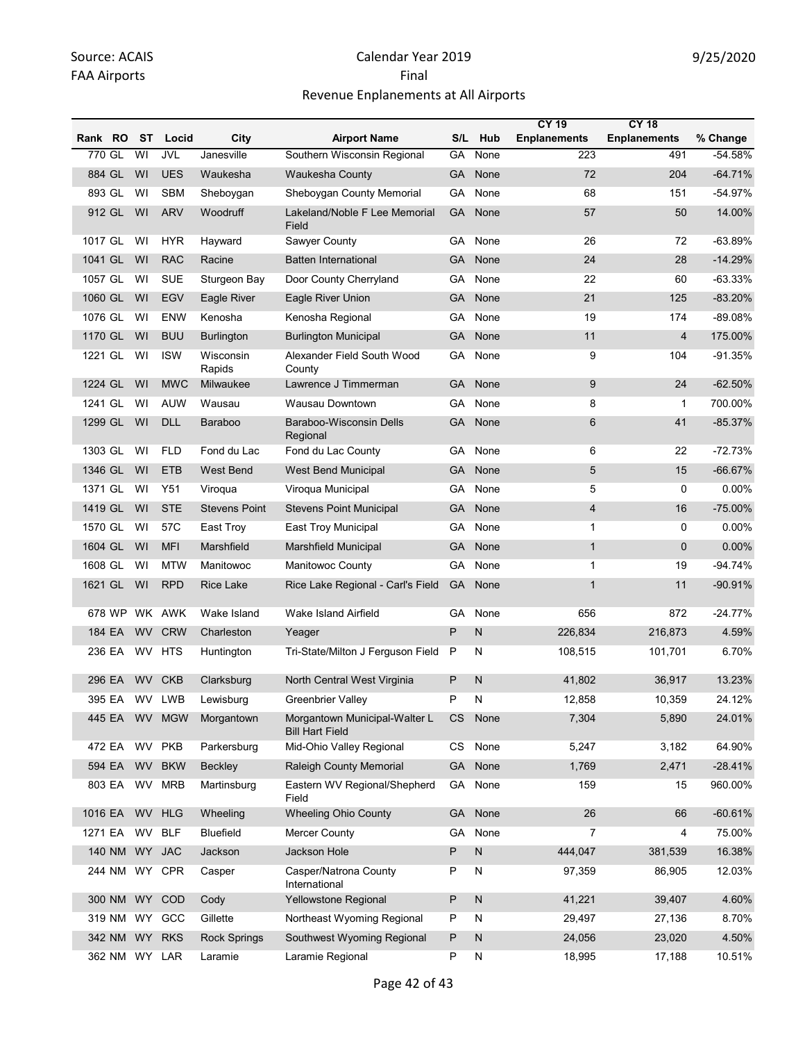|         |        |                         |               |                      |                                                         |           |              | <b>CY 19</b>        | <b>CY 18</b>        |           |
|---------|--------|-------------------------|---------------|----------------------|---------------------------------------------------------|-----------|--------------|---------------------|---------------------|-----------|
| Rank RO |        | ST                      | Locid         | City                 | <b>Airport Name</b>                                     | S/L       | Hub          | <b>Enplanements</b> | <b>Enplanements</b> | % Change  |
| 770 GL  |        | $\overline{\mathsf{W}}$ | <b>JVL</b>    | Janesville           | Southern Wisconsin Regional                             | GA        | None         | 223                 | 491                 | $-54.58%$ |
| 884 GL  |        | WI                      | <b>UES</b>    | Waukesha             | Waukesha County                                         | GA        | None         | 72                  | 204                 | $-64.71%$ |
| 893 GL  |        | WI                      | <b>SBM</b>    | Sheboygan            | Sheboygan County Memorial                               | GA        | None         | 68                  | 151                 | -54.97%   |
|         | 912 GL | WI                      | <b>ARV</b>    | Woodruff             | Lakeland/Noble F Lee Memorial<br>Field                  | <b>GA</b> | None         | 57                  | 50                  | 14.00%    |
| 1017 GL |        | WI                      | <b>HYR</b>    | Hayward              | Sawyer County                                           | GA        | None         | 26                  | 72                  | $-63.89%$ |
| 1041 GL |        | WI                      | <b>RAC</b>    | Racine               | <b>Batten International</b>                             | <b>GA</b> | None         | 24                  | 28                  | $-14.29%$ |
| 1057 GL |        | WI                      | <b>SUE</b>    | Sturgeon Bay         | Door County Cherryland                                  | GA        | None         | 22                  | 60                  | $-63.33%$ |
| 1060 GL |        | WI                      | <b>EGV</b>    | Eagle River          | Eagle River Union                                       | GA        | None         | 21                  | 125                 | $-83.20%$ |
| 1076 GL |        | WI                      | <b>ENW</b>    | Kenosha              | Kenosha Regional                                        | GA        | None         | 19                  | 174                 | $-89.08%$ |
| 1170 GL |        | WI                      | <b>BUU</b>    | <b>Burlington</b>    | <b>Burlington Municipal</b>                             | <b>GA</b> | None         | 11                  | 4                   | 175.00%   |
| 1221 GL |        | WI                      | <b>ISW</b>    | Wisconsin<br>Rapids  | Alexander Field South Wood<br>County                    | GA        | None         | 9                   | 104                 | $-91.35%$ |
| 1224 GL |        | WI                      | <b>MWC</b>    | Milwaukee            | Lawrence J Timmerman                                    | GA        | None         | 9                   | 24                  | $-62.50%$ |
| 1241 GL |        | WI                      | <b>AUW</b>    | Wausau               | Wausau Downtown                                         | GA        | None         | 8                   | 1                   | 700.00%   |
| 1299 GL |        | WI                      | <b>DLL</b>    | Baraboo              | Baraboo-Wisconsin Dells<br>Regional                     | <b>GA</b> | None         | 6                   | 41                  | $-85.37%$ |
| 1303 GL |        | WI                      | <b>FLD</b>    | Fond du Lac          | Fond du Lac County                                      | GA        | None         | 6                   | 22                  | $-72.73%$ |
| 1346 GL |        | WI                      | <b>ETB</b>    | <b>West Bend</b>     | <b>West Bend Municipal</b>                              | <b>GA</b> | None         | 5                   | 15                  | $-66.67%$ |
| 1371 GL |        | WI                      | Y51           | Viroqua              | Viroqua Municipal                                       | GA        | None         | 5                   | 0                   | 0.00%     |
| 1419 GL |        | WI                      | <b>STE</b>    | <b>Stevens Point</b> | <b>Stevens Point Municipal</b>                          | GA        | None         | $\overline{4}$      | 16                  | $-75.00%$ |
| 1570 GL |        | WI                      | 57C           | East Troy            | East Troy Municipal                                     | GA        | None         | $\mathbf{1}$        | 0                   | 0.00%     |
| 1604 GL |        | WI                      | <b>MFI</b>    | Marshfield           | <b>Marshfield Municipal</b>                             | GA        | None         | $\mathbf{1}$        | $\mathbf 0$         | 0.00%     |
| 1608 GL |        | WI                      | <b>MTW</b>    | Manitowoc            | <b>Manitowoc County</b>                                 | GA        | None         | 1                   | 19                  | $-94.74%$ |
| 1621 GL |        | WI                      | <b>RPD</b>    | <b>Rice Lake</b>     | Rice Lake Regional - Carl's Field                       | <b>GA</b> | None         | $\mathbf{1}$        | 11                  | $-90.91%$ |
|         | 678 WP |                         | WK AWK        | Wake Island          | Wake Island Airfield                                    | <b>GA</b> | None         | 656                 | 872                 | $-24.77%$ |
| 184 EA  |        |                         | WV CRW        | Charleston           | Yeager                                                  | P         | $\mathsf{N}$ | 226,834             | 216,873             | 4.59%     |
| 236 EA  |        |                         | WV HTS        | Huntington           | Tri-State/Milton J Ferguson Field                       | P         | N            | 108,515             | 101,701             | 6.70%     |
| 296 EA  |        | <b>WV</b>               | <b>CKB</b>    | Clarksburg           | North Central West Virginia                             | P         | N            | 41,802              | 36,917              | 13.23%    |
| 395 EA  |        |                         | WV LWB        | Lewisburg            | Greenbrier Valley                                       | P         | N            | 12,858              | 10,359              | 24.12%    |
|         | 445 EA |                         | WV MGW        | Morgantown           | Morgantown Municipal-Walter L<br><b>Bill Hart Field</b> | CS        | None         | 7,304               | 5,890               | 24.01%    |
| 472 EA  |        |                         | WV PKB        | Parkersburg          | Mid-Ohio Valley Regional                                | CS        | None         | 5,247               | 3,182               | 64.90%    |
| 594 EA  |        |                         | WV BKW        | Beckley              | Raleigh County Memorial                                 | GA        | None         | 1,769               | 2,471               | $-28.41%$ |
| 803 EA  |        | <b>WV</b>               | <b>MRB</b>    | Martinsburg          | Eastern WV Regional/Shepherd<br>Field                   | GA        | None         | 159                 | 15                  | 960.00%   |
| 1016 EA |        |                         | WV HLG        | Wheeling             | <b>Wheeling Ohio County</b>                             | <b>GA</b> | None         | 26                  | 66                  | $-60.61%$ |
| 1271 EA |        |                         | WV BLF        | <b>Bluefield</b>     | <b>Mercer County</b>                                    | GA        | None         | $\overline{7}$      | 4                   | 75.00%    |
|         | 140 NM |                         | WY JAC        | Jackson              | Jackson Hole                                            | P         | $\mathsf{N}$ | 444,047             | 381,539             | 16.38%    |
|         | 244 NM |                         | WY CPR        | Casper               | Casper/Natrona County<br>International                  | P         | N            | 97,359              | 86,905              | 12.03%    |
|         |        |                         | 300 NM WY COD | Cody                 | Yellowstone Regional                                    | P         | N            | 41,221              | 39,407              | 4.60%     |
|         | 319 NM |                         | WY GCC        | Gillette             | Northeast Wyoming Regional                              | P         | N            | 29,497              | 27,136              | 8.70%     |
|         | 342 NM |                         | WY RKS        | <b>Rock Springs</b>  | Southwest Wyoming Regional                              | P         | N            | 24,056              | 23,020              | 4.50%     |
|         |        |                         | 362 NM WY LAR | Laramie              | Laramie Regional                                        | P         | N            | 18,995              | 17,188              | 10.51%    |